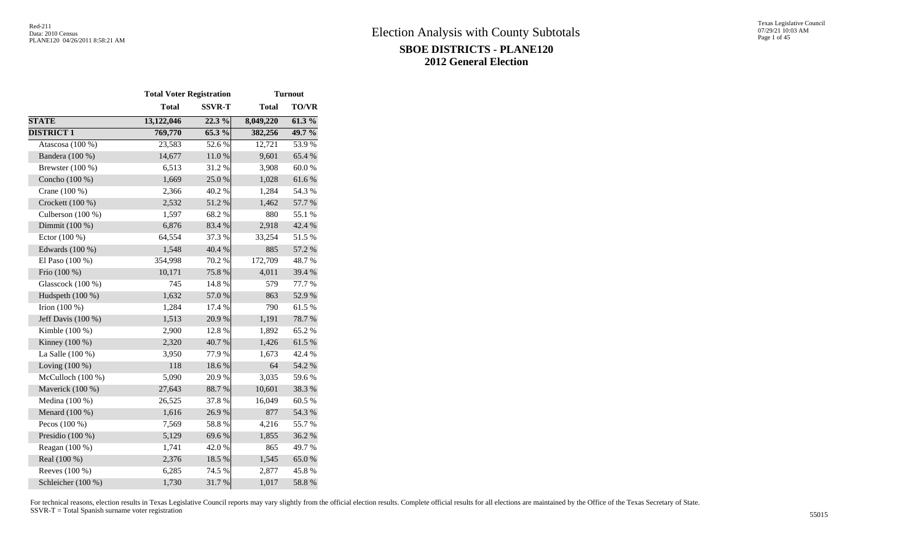|                     | <b>Total Voter Registration</b> | <b>Turnout</b> |              |              |  |  |  |
|---------------------|---------------------------------|----------------|--------------|--------------|--|--|--|
|                     | <b>Total</b>                    | <b>SSVR-T</b>  | <b>Total</b> | <b>TO/VR</b> |  |  |  |
| <b>STATE</b>        | 13,122,046                      | 22.3%          | 8,049,220    | $61.3\%$     |  |  |  |
| <b>DISTRICT 1</b>   | 769,770                         | 65.3 %         | 382,256      | 49.7 %       |  |  |  |
| Atascosa (100 %)    | 23,583                          | 52.6%          | 12,721       | 53.9%        |  |  |  |
| Bandera (100 %)     | 14,677                          | 11.0%          | 9,601        | 65.4 %       |  |  |  |
| Brewster $(100\%)$  | 6,513                           | 31.2%          | 3,908        | 60.0%        |  |  |  |
| Concho (100 %)      | 1,669                           | 25.0%          | 1,028        | 61.6%        |  |  |  |
| Crane (100 %)       | 2,366                           | 40.2%          | 1,284        | 54.3 %       |  |  |  |
| Crockett (100 %)    | 2,532                           | 51.2%          | 1,462        | 57.7 %       |  |  |  |
| Culberson $(100\%)$ | 1,597                           | 68.2%          | 880          | 55.1 %       |  |  |  |
| Dimmit (100 %)      | 6,876                           | 83.4 %         | 2,918        | 42.4 %       |  |  |  |
| Ector (100 %)       | 64,554                          | 37.3 %         | 33,254       | 51.5 %       |  |  |  |
| Edwards (100 %)     | 1,548                           | 40.4 %         | 885          | 57.2 %       |  |  |  |
| El Paso (100 %)     | 354,998                         | 70.2 %         | 172,709      | 48.7%        |  |  |  |
| Frio (100 %)        | 10,171                          | 75.8%          | 4,011        | 39.4 %       |  |  |  |
| Glasscock (100 %)   | 745                             | 14.8%          | 579          | 77.7 %       |  |  |  |
| Hudspeth (100 %)    | 1,632                           | 57.0%          | 863          | 52.9%        |  |  |  |
| Irion $(100\%)$     | 1,284                           | 17.4 %         | 790          | 61.5%        |  |  |  |
| Jeff Davis (100 %)  | 1,513                           | 20.9%          | 1,191        | 78.7%        |  |  |  |
| Kimble (100 %)      | 2,900                           | 12.8 %         | 1,892        | 65.2%        |  |  |  |
| Kinney $(100\%)$    | 2,320                           | 40.7%          | 1,426        | 61.5%        |  |  |  |
| La Salle (100 %)    | 3,950                           | 77.9%          | 1,673        | 42.4 %       |  |  |  |
| Loving $(100\%)$    | 118                             | 18.6%          | 64           | 54.2 %       |  |  |  |
| McCulloch (100 %)   | 5,090                           | 20.9%          | 3,035        | 59.6%        |  |  |  |
| Maverick (100 %)    | 27,643                          | 88.7%          | 10,601       | 38.3%        |  |  |  |
| Medina (100 %)      | 26,525                          | 37.8%          | 16,049       | 60.5%        |  |  |  |
| Menard $(100\%)$    | 1,616                           | 26.9%          | 877          | 54.3 %       |  |  |  |
| Pecos $(100\%)$     | 7,569                           | 58.8 %         | 4,216        | 55.7%        |  |  |  |
| Presidio (100 %)    | 5,129                           | 69.6%          | 1,855        | 36.2%        |  |  |  |
| Reagan $(100\%)$    | 1,741                           | 42.0%          | 865          | 49.7%        |  |  |  |
| Real (100 %)        | 2,376                           | 18.5 %         | 1,545        | 65.0%        |  |  |  |
| Reeves $(100 %)$    | 6,285                           | 74.5 %         | 2,877        | 45.8%        |  |  |  |
| Schleicher (100 %)  | 1,730                           | 31.7%          | 1,017        | 58.8 %       |  |  |  |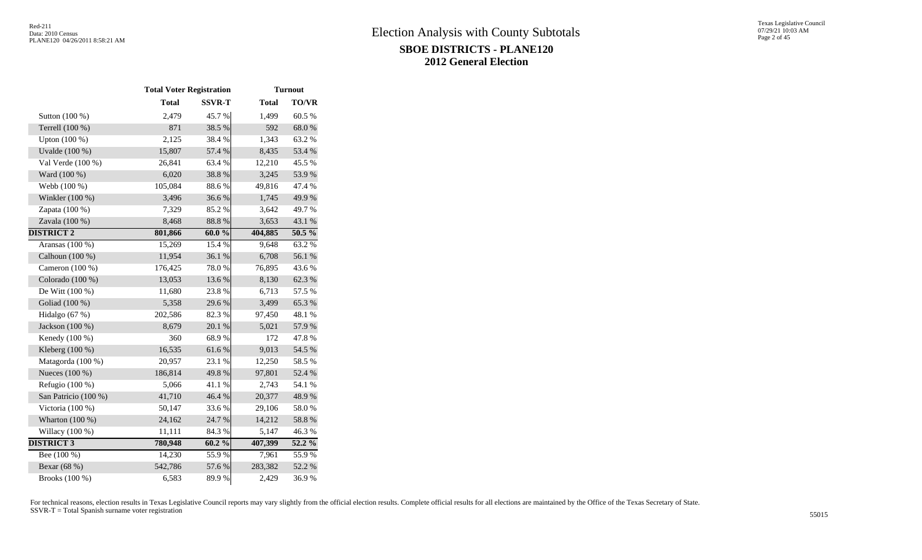|                      | <b>Total Voter Registration</b> |               |              | <b>Turnout</b> |
|----------------------|---------------------------------|---------------|--------------|----------------|
|                      | <b>Total</b>                    | <b>SSVR-T</b> | <b>Total</b> | <b>TO/VR</b>   |
| Sutton (100 %)       | 2,479                           | 45.7%         | 1,499        | 60.5%          |
| Terrell (100 %)      | 871                             | 38.5%         | 592          | 68.0%          |
| Upton (100 %)        | 2,125                           | 38.4%         | 1,343        | 63.2%          |
| Uvalde (100 %)       | 15,807                          | 57.4 %        | 8,435        | 53.4 %         |
| Val Verde (100 %)    | 26,841                          | 63.4%         | 12,210       | 45.5 %         |
| Ward (100 %)         | 6,020                           | 38.8%         | 3,245        | 53.9%          |
| Webb (100 %)         | 105,084                         | 88.6%         | 49,816       | 47.4 %         |
| Winkler (100 %)      | 3,496                           | 36.6%         | 1,745        | 49.9%          |
| Zapata (100 %)       | 7,329                           | 85.2%         | 3,642        | 49.7%          |
| Zavala (100 %)       | 8,468                           | 88.8 %        | 3,653        | 43.1 %         |
| <b>DISTRICT 2</b>    | 801,866                         | 60.0%         | 404,885      | $50.5\%$       |
| Aransas (100 %)      | 15,269                          | 15.4 %        | 9,648        | 63.2 %         |
| Calhoun (100 %)      | 11,954                          | 36.1 %        | 6,708        | 56.1 %         |
| Cameron (100 %)      | 176,425                         | 78.0%         | 76,895       | 43.6%          |
| Colorado (100 %)     | 13,053                          | 13.6 %        | 8,130        | 62.3%          |
| De Witt $(100\%)$    | 11,680                          | 23.8%         | 6,713        | 57.5 %         |
| Goliad (100 %)       | 5,358                           | 29.6%         | 3,499        | 65.3%          |
| Hidalgo $(67%)$      | 202,586                         | 82.3%         | 97,450       | 48.1%          |
| Jackson (100 %)      | 8,679                           | 20.1 %        | 5,021        | 57.9 %         |
| Kenedy (100 %)       | 360                             | 68.9%         | 172          | 47.8%          |
| Kleberg (100 %)      | 16,535                          | 61.6%         | 9,013        | 54.5 %         |
| Matagorda (100 %)    | 20,957                          | 23.1 %        | 12,250       | 58.5 %         |
| Nueces (100 %)       | 186,814                         | 49.8%         | 97,801       | 52.4 %         |
| Refugio (100 %)      | 5,066                           | 41.1%         | 2,743        | 54.1 %         |
| San Patricio (100 %) | 41,710                          | 46.4%         | 20,377       | 48.9%          |
| Victoria (100 %)     | 50,147                          | 33.6%         | 29,106       | 58.0%          |
| Wharton (100 %)      | 24,162                          | 24.7 %        | 14,212       | 58.8 %         |
| Willacy (100 %)      | 11,111                          | 84.3 %        | 5,147        | 46.3%          |
| <b>DISTRICT 3</b>    | 780,948                         | $60.2\%$      | 407,399      | 52.2 %         |
| Bee (100 %)          | 14,230                          | 55.9%         | 7,961        | 55.9%          |
| Bexar (68 %)         | 542,786                         | 57.6 %        | 283,382      | 52.2 %         |
| Brooks (100 %)       | 6,583                           | 89.9%         | 2,429        | 36.9%          |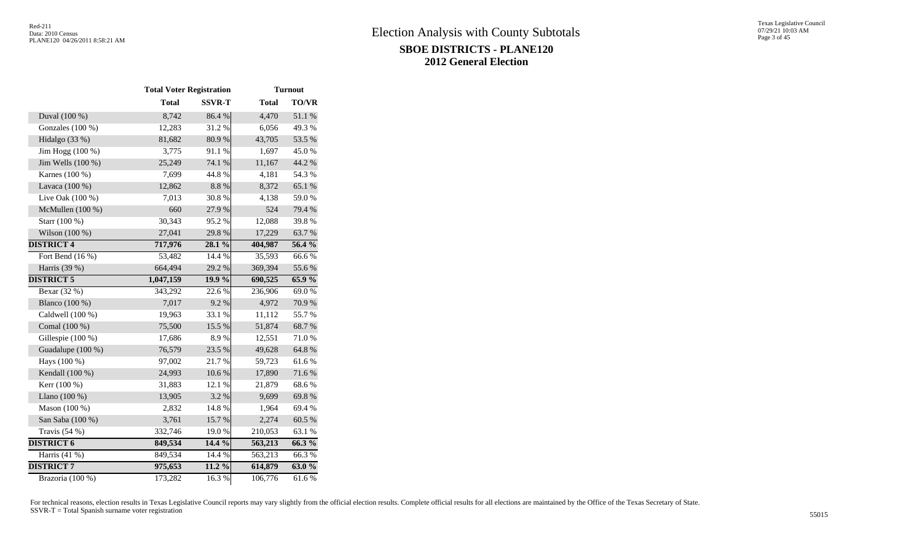|                    | <b>Total Voter Registration</b> |               | <b>Turnout</b> |              |  |  |  |
|--------------------|---------------------------------|---------------|----------------|--------------|--|--|--|
|                    | <b>Total</b>                    | <b>SSVR-T</b> | <b>Total</b>   | <b>TO/VR</b> |  |  |  |
| Duval (100 %)      | 8,742                           | 86.4 %        | 4,470          | 51.1 %       |  |  |  |
| Gonzales (100 %)   | 12,283                          | 31.2%         | 6,056          | 49.3%        |  |  |  |
| Hidalgo (33 %)     | 81,682                          | 80.9%         | 43,705         | 53.5 %       |  |  |  |
| Jim Hogg (100 %)   | 3,775                           | 91.1%         | 1,697          | 45.0%        |  |  |  |
| Jim Wells (100 %)  | 25,249                          | 74.1 %        | 11,167         | 44.2 %       |  |  |  |
| Karnes (100 %)     | 7,699                           | 44.8%         | 4,181          | 54.3 %       |  |  |  |
| Lavaca (100 %)     | 12,862                          | $8.8~\%$      | 8,372          | 65.1 %       |  |  |  |
| Live Oak (100 %)   | 7,013                           | 30.8%         | 4,138          | 59.0%        |  |  |  |
| McMullen (100 %)   | 660                             | 27.9%         | 524            | 79.4 %       |  |  |  |
| Starr (100 %)      | 30,343                          | 95.2%         | 12,088         | 39.8%        |  |  |  |
| Wilson (100 %)     | 27,041                          | 29.8%         | 17,229         | 63.7%        |  |  |  |
| <b>DISTRICT 4</b>  | 717,976                         | 28.1 %        | 404,987        | 56.4 %       |  |  |  |
| Fort Bend $(16\%)$ | 53,482                          | 14.4 %        | 35,593         | 66.6%        |  |  |  |
| Harris (39 %)      | 664,494                         | 29.2 %        | 369,394        | 55.6%        |  |  |  |
| <b>DISTRICT 5</b>  | 1,047,159                       | 19.9%         | 690,525        | $65.9\%$     |  |  |  |
| Bexar (32 %)       | 343,292                         | 22.6 %        | 236,906        | 69.0%        |  |  |  |
| Blanco (100 %)     | 7,017                           | 9.2%          | 4,972          | 70.9%        |  |  |  |
| Caldwell (100 %)   | 19,963                          | 33.1 %        | 11,112         | 55.7%        |  |  |  |
| Comal (100 %)      | 75,500                          | 15.5 %        | 51,874         | 68.7%        |  |  |  |
| Gillespie (100 %)  | 17,686                          | 8.9%          | 12,551         | 71.0%        |  |  |  |
| Guadalupe (100 %)  | 76,579                          | 23.5 %        | 49,628         | 64.8%        |  |  |  |
| Hays (100 %)       | 97,002                          | 21.7%         | 59,723         | 61.6%        |  |  |  |
| Kendall (100 %)    | 24,993                          | 10.6 %        | 17,890         | 71.6%        |  |  |  |
| Kerr (100 %)       | 31,883                          | 12.1 %        | 21,879         | 68.6%        |  |  |  |
| Llano (100 %)      | 13,905                          | 3.2 %         | 9,699          | 69.8%        |  |  |  |
| Mason (100 %)      | 2,832                           | 14.8%         | 1,964          | 69.4%        |  |  |  |
| San Saba (100 %)   | 3,761                           | 15.7%         | 2,274          | 60.5 %       |  |  |  |
| Travis $(54%)$     | 332,746                         | 19.0%         | 210,053        | 63.1 %       |  |  |  |
| <b>DISTRICT 6</b>  | 849,534                         | 14.4 %        | 563,213        | $66.3\%$     |  |  |  |
| Harris $(41\%)$    | 849,534                         | 14.4 %        | 563,213        | 66.3%        |  |  |  |
| <b>DISTRICT 7</b>  | 975,653                         | 11.2 %        | 614,879        | $63.0\%$     |  |  |  |
| Brazoria (100 %)   | 173,282                         | 16.3%         | 106,776        | 61.6%        |  |  |  |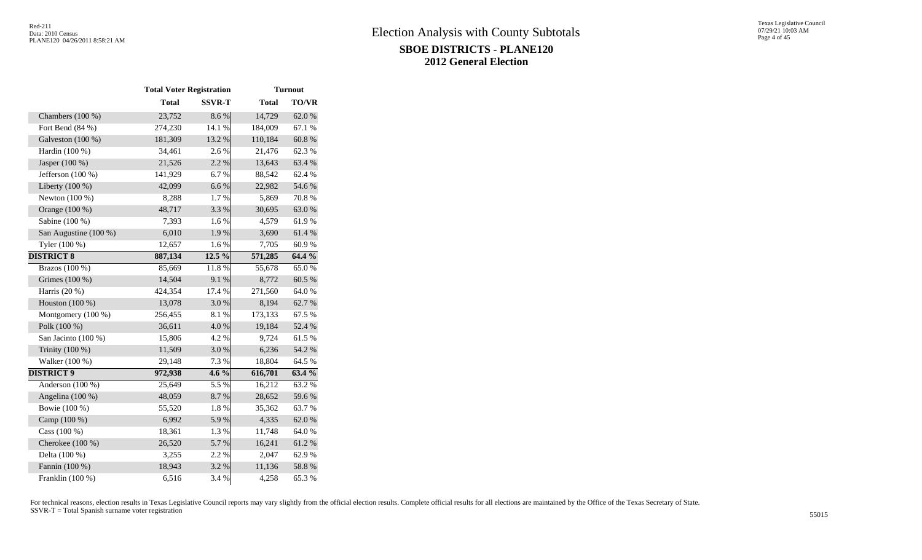|                       | <b>Total Voter Registration</b> |               |              | <b>Turnout</b> |  |
|-----------------------|---------------------------------|---------------|--------------|----------------|--|
|                       | <b>Total</b>                    | <b>SSVR-T</b> | <b>Total</b> | <b>TO/VR</b>   |  |
| Chambers (100 %)      | 23,752                          | 8.6 %         | 14,729       | 62.0%          |  |
| Fort Bend $(84\% )$   | 274,230                         | 14.1 %        | 184,009      | 67.1 %         |  |
| Galveston (100 %)     | 181,309                         | 13.2 %        | 110,184      | 60.8%          |  |
| Hardin (100 %)        | 34,461                          | 2.6 %         | 21,476       | 62.3%          |  |
| Jasper (100 %)        | 21,526                          | 2.2 %         | 13,643       | 63.4 %         |  |
| Jefferson $(100\%)$   | 141,929                         | 6.7%          | 88,542       | 62.4 %         |  |
| Liberty $(100\%)$     | 42,099                          | 6.6%          | 22,982       | 54.6 %         |  |
| Newton (100 %)        | 8,288                           | 1.7%          | 5,869        | 70.8%          |  |
| Orange (100 %)        | 48,717                          | 3.3 %         | 30,695       | 63.0%          |  |
| Sabine (100 %)        | 7,393                           | 1.6%          | 4,579        | 61.9%          |  |
| San Augustine (100 %) | 6,010                           | 1.9%          | 3,690        | 61.4%          |  |
| Tyler (100 %)         | 12,657                          | 1.6%          | 7,705        | 60.9%          |  |
| <b>DISTRICT 8</b>     | 887,134                         | 12.5 %        | 571,285      | 64.4 %         |  |
| Brazos (100 %)        | 85,669                          | 11.8%         | 55,678       | 65.0%          |  |
| Grimes (100 %)        | 14,504                          | 9.1%          | 8,772        | 60.5 %         |  |
| Harris (20 %)         | 424,354                         | 17.4 %        | 271,560      | 64.0%          |  |
| Houston $(100\%)$     | 13,078                          | 3.0%          | 8,194        | 62.7%          |  |
| Montgomery (100 %)    | 256,455                         | 8.1%          | 173,133      | 67.5 %         |  |
| Polk (100 %)          | 36,611                          | 4.0%          | 19,184       | 52.4 %         |  |
| San Jacinto (100 %)   | 15,806                          | 4.2 %         | 9,724        | 61.5%          |  |
| Trinity (100 %)       | 11,509                          | 3.0%          | 6,236        | 54.2 %         |  |
| Walker (100 %)        | 29,148                          | 7.3 %         | 18,804       | 64.5 %         |  |
| <b>DISTRICT 9</b>     | 972,938                         | $4.6\%$       | 616,701      | 63.4 %         |  |
| Anderson (100 %)      | 25,649                          | 5.5 %         | 16,212       | 63.2%          |  |
| Angelina (100 %)      | 48,059                          | 8.7%          | 28,652       | 59.6%          |  |
| Bowie (100 %)         | 55,520                          | 1.8%          | 35,362       | 63.7%          |  |
| Camp (100 %)          | 6,992                           | 5.9%          | 4,335        | 62.0%          |  |
| Cass $(100\%)$        | 18,361                          | 1.3%          | 11,748       | 64.0%          |  |
| Cherokee (100 %)      | 26,520                          | 5.7%          | 16,241       | 61.2%          |  |
| Delta (100 %)         | 3,255                           | 2.2 %         | 2,047        | 62.9%          |  |
| Fannin (100 %)        | 18,943                          | 3.2 %         | 11,136       | 58.8%          |  |
| Franklin (100 %)      | 6,516                           | 3.4 %         | 4,258        | 65.3%          |  |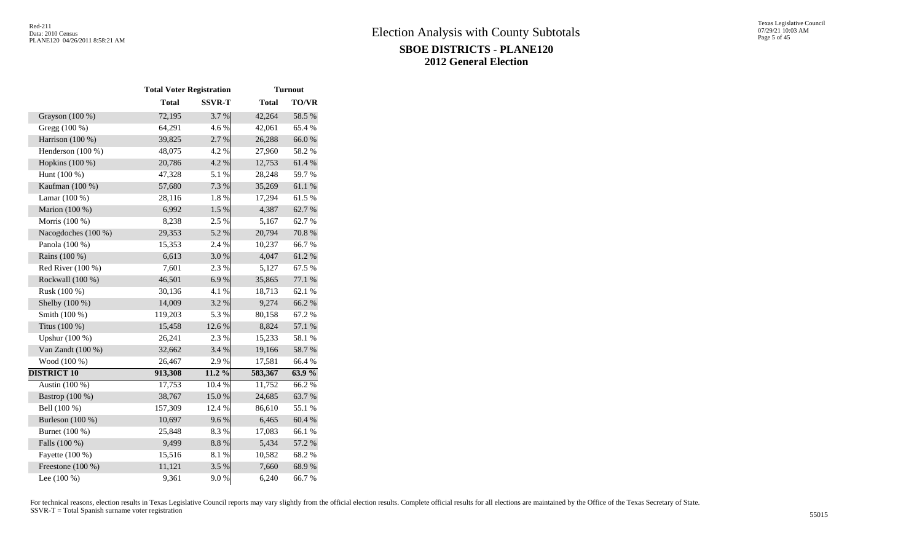|                     | <b>Total Voter Registration</b> |               |              | <b>Turnout</b> |  |
|---------------------|---------------------------------|---------------|--------------|----------------|--|
|                     | <b>Total</b>                    | <b>SSVR-T</b> | <b>Total</b> | TO/VR          |  |
| Grayson $(100\%)$   | 72,195                          | 3.7 %         | 42,264       | 58.5 %         |  |
| Gregg (100 %)       | 64,291                          | 4.6 %         | 42,061       | 65.4%          |  |
| Harrison (100 %)    | 39,825                          | 2.7 %         | 26,288       | 66.0%          |  |
| Henderson (100 %)   | 48,075                          | 4.2 %         | 27,960       | 58.2%          |  |
| Hopkins (100 %)     | 20,786                          | 4.2 %         | 12,753       | 61.4%          |  |
| Hunt (100 %)        | 47,328                          | 5.1 %         | 28,248       | 59.7%          |  |
| Kaufman (100 %)     | 57,680                          | 7.3 %         | 35,269       | 61.1%          |  |
| Lamar (100 %)       | 28,116                          | $1.8\ \%$     | 17,294       | 61.5%          |  |
| Marion (100 %)      | 6,992                           | $1.5~\%$      | 4,387        | 62.7%          |  |
| Morris (100 %)      | 8,238                           | 2.5 %         | 5,167        | 62.7%          |  |
| Nacogdoches (100 %) | 29,353                          | 5.2 %         | 20,794       | 70.8 %         |  |
| Panola (100 %)      | 15,353                          | 2.4 %         | 10,237       | 66.7%          |  |
| Rains (100 %)       | 6,613                           | 3.0%          | 4,047        | 61.2%          |  |
| Red River (100 %)   | 7,601                           | 2.3 %         | 5,127        | 67.5 %         |  |
| Rockwall (100 %)    | 46,501                          | 6.9%          | 35,865       | 77.1 %         |  |
| Rusk (100 %)        | 30,136                          | 4.1 %         | 18,713       | 62.1 %         |  |
| Shelby (100 %)      | 14,009                          | 3.2 %         | 9,274        | 66.2%          |  |
| Smith (100 %)       | 119,203                         | 5.3 %         | 80,158       | 67.2%          |  |
| Titus (100 %)       | 15,458                          | 12.6 %        | 8,824        | $57.1\ \%$     |  |
| Upshur (100 %)      | 26,241                          | 2.3 %         | 15,233       | 58.1 %         |  |
| Van Zandt (100 %)   | 32,662                          | 3.4 %         | 19,166       | 58.7%          |  |
| Wood (100 %)        | 26,467                          | 2.9%          | 17,581       | 66.4%          |  |
| <b>DISTRICT 10</b>  | 913,308                         | $11.2\%$      | 583,367      | 63.9%          |  |
| Austin (100 %)      | 17,753                          | 10.4 %        | 11,752       | 66.2%          |  |
| Bastrop (100 %)     | 38,767                          | 15.0%         | 24,685       | 63.7%          |  |
| Bell (100 %)        | 157,309                         | 12.4 %        | 86,610       | 55.1 %         |  |
| Burleson (100 %)    | 10,697                          | 9.6%          | 6,465        | 60.4 %         |  |
| Burnet (100 %)      | 25,848                          | 8.3%          | 17,083       | 66.1%          |  |
| Falls (100 %)       | 9,499                           | $8.8~\%$      | 5,434        | 57.2 %         |  |
| Fayette (100 %)     | 15,516                          | 8.1 %         | 10,582       | 68.2%          |  |
| Freestone (100 %)   | 11,121                          | 3.5 %         | 7,660        | 68.9%          |  |
| Lee (100 %)         | 9,361                           | 9.0%          | 6,240        | 66.7%          |  |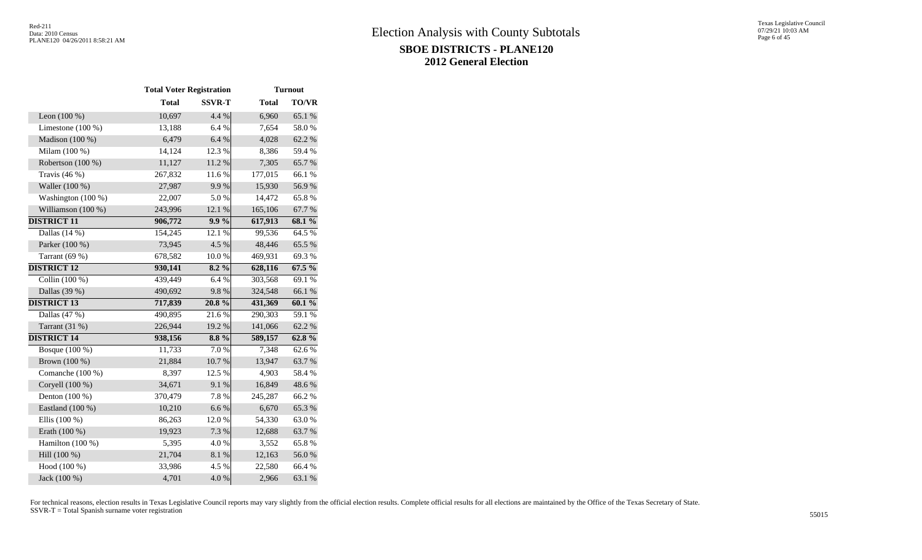|                     | <b>Total Voter Registration</b> |               |              | <b>Turnout</b> |
|---------------------|---------------------------------|---------------|--------------|----------------|
|                     | <b>Total</b>                    | <b>SSVR-T</b> | <b>Total</b> | <b>TO/VR</b>   |
| Leon $(100\%)$      | 10,697                          | 4.4 %         | 6,960        | 65.1 %         |
| Limestone $(100\%)$ | 13,188                          | 6.4%          | 7,654        | 58.0%          |
| Madison (100 %)     | 6,479                           | 6.4 %         | 4,028        | 62.2%          |
| Milam (100 %)       | 14,124                          | 12.3 %        | 8,386        | 59.4 %         |
| Robertson (100 %)   | 11,127                          | 11.2%         | 7,305        | 65.7%          |
| Travis $(46%)$      | 267,832                         | 11.6%         | 177,015      | 66.1%          |
| Waller (100 %)      | 27,987                          | 9.9%          | 15,930       | 56.9%          |
| Washington (100 %)  | 22,007                          | 5.0%          | 14,472       | 65.8%          |
| Williamson (100 %)  | 243,996                         | 12.1 %        | 165,106      | 67.7%          |
| <b>DISTRICT 11</b>  | 906,772                         | $9.9\%$       | 617,913      | 68.1 %         |
| Dallas $(14%)$      | 154,245                         | 12.1 %        | 99,536       | 64.5 %         |
| Parker (100 %)      | 73,945                          | 4.5 %         | 48,446       | 65.5%          |
| Tarrant $(69%)$     | 678,582                         | $10.0~\%$     | 469,931      | 69.3%          |
| <b>DISTRICT 12</b>  | 930,141                         | $8.2\%$       | 628,116      | $67.5\%$       |
| Collin $(100\%)$    | 439,449                         | 6.4%          | 303,568      | 69.1 %         |
| Dallas (39 %)       | 490,692                         | 9.8%          | 324,548      | 66.1 %         |
| <b>DISTRICT 13</b>  | 717,839                         | 20.8%         | 431,369      | 60.1%          |
| Dallas (47 %)       | 490,895                         | 21.6%         | 290,303      | 59.1 %         |
| Tarrant $(31%)$     | 226,944                         | 19.2 %        | 141,066      | 62.2%          |
| <b>DISTRICT 14</b>  | 938,156                         | $8.8\%$       | 589,157      | $62.8\%$       |
| Bosque (100 %)      | 11,733                          | 7.0%          | 7,348        | 62.6 %         |
| Brown (100 %)       | 21,884                          | $10.7~\%$     | 13,947       | 63.7%          |
| Comanche (100 %)    | 8,397                           | 12.5 %        | 4,903        | 58.4%          |
| Coryell (100 %)     | 34,671                          | 9.1 %         | 16,849       | 48.6%          |
| Denton (100 %)      | 370,479                         | 7.8%          | 245,287      | 66.2%          |
| Eastland (100 %)    | 10,210                          | 6.6%          | 6,670        | 65.3%          |
| Ellis (100 %)       | 86,263                          | 12.0%         | 54,330       | 63.0%          |
| Erath (100 %)       | 19,923                          | 7.3 %         | 12,688       | 63.7%          |
| Hamilton (100 %)    | 5,395                           | 4.0%          | 3,552        | 65.8%          |
| Hill (100 %)        | 21,704                          | 8.1 %         | 12,163       | 56.0%          |
| Hood (100 %)        | 33,986                          | 4.5 %         | 22,580       | 66.4%          |
| Jack (100 %)        | 4,701                           | 4.0%          | 2,966        | 63.1 %         |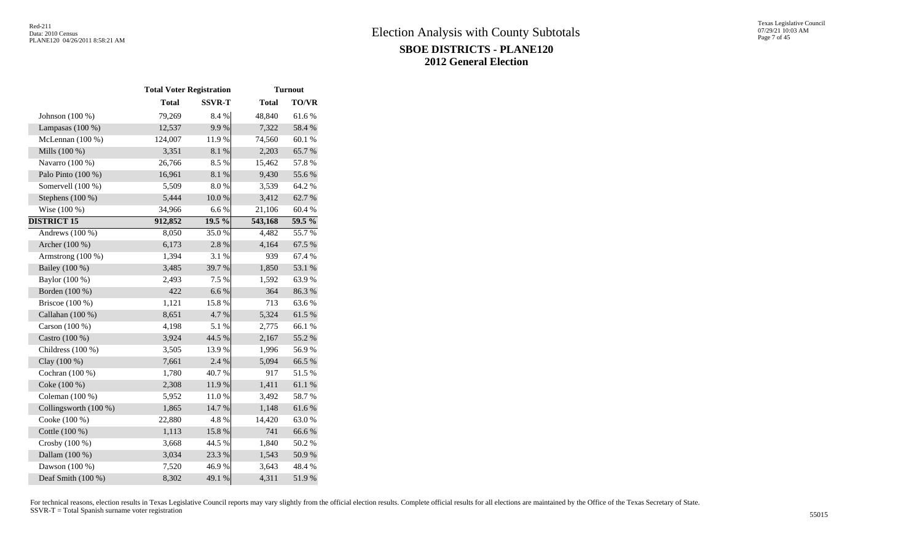|                       | <b>Total Voter Registration</b> |               | <b>Turnout</b> |              |  |  |  |
|-----------------------|---------------------------------|---------------|----------------|--------------|--|--|--|
|                       | <b>Total</b>                    | <b>SSVR-T</b> | <b>Total</b>   | <b>TO/VR</b> |  |  |  |
| Johnson (100 %)       | 79,269                          | 8.4%          | 48,840         | 61.6%        |  |  |  |
| Lampasas $(100\%)$    | 12,537                          | 9.9%          | 7,322          | 58.4 %       |  |  |  |
| McLennan (100 %)      | 124,007                         | 11.9%         | 74,560         | 60.1%        |  |  |  |
| Mills (100 %)         | 3,351                           | 8.1 %         | 2,203          | 65.7%        |  |  |  |
| Navarro (100 %)       | 26,766                          | 8.5 %         | 15,462         | 57.8%        |  |  |  |
| Palo Pinto (100 %)    | 16,961                          | 8.1 %         | 9,430          | 55.6%        |  |  |  |
| Somervell (100 %)     | 5,509                           | 8.0%          | 3,539          | 64.2%        |  |  |  |
| Stephens $(100\%)$    | 5,444                           | $10.0~\%$     | 3,412          | 62.7%        |  |  |  |
| Wise (100 %)          | 34,966                          | 6.6%          | 21,106         | 60.4 %       |  |  |  |
| <b>DISTRICT 15</b>    | 912,852                         | 19.5 %        | 543,168        | $59.5\%$     |  |  |  |
| Andrews (100 %)       | 8,050                           | 35.0%         | 4,482          | 55.7%        |  |  |  |
| Archer (100 %)        | 6,173                           | 2.8 %         | 4,164          | 67.5 %       |  |  |  |
| Armstrong (100 %)     | 1,394                           | 3.1 %         | 939            | 67.4 %       |  |  |  |
| Bailey (100 %)        | 3,485                           | 39.7%         | 1,850          | 53.1 %       |  |  |  |
| Baylor (100 %)        | 2,493                           | 7.5 %         | 1,592          | 63.9%        |  |  |  |
| Borden (100 %)        | 422                             | 6.6%          | 364            | 86.3%        |  |  |  |
| Briscoe (100 %)       | 1,121                           | 15.8 %        | 713            | 63.6%        |  |  |  |
| Callahan (100 %)      | 8,651                           | 4.7%          | 5,324          | 61.5%        |  |  |  |
| Carson (100 %)        | 4,198                           | 5.1 %         | 2,775          | 66.1 %       |  |  |  |
| Castro (100 %)        | 3,924                           | 44.5 %        | 2,167          | 55.2 %       |  |  |  |
| Childress (100 %)     | 3,505                           | 13.9%         | 1,996          | 56.9%        |  |  |  |
| Clay (100 %)          | 7,661                           | 2.4 %         | 5,094          | 66.5 %       |  |  |  |
| Cochran (100 %)       | 1,780                           | 40.7%         | 917            | 51.5 %       |  |  |  |
| Coke (100 %)          | 2,308                           | 11.9%         | 1,411          | 61.1%        |  |  |  |
| Coleman (100 %)       | 5,952                           | 11.0%         | 3,492          | 58.7%        |  |  |  |
| Collingsworth (100 %) | 1,865                           | 14.7 %        | 1,148          | 61.6%        |  |  |  |
| Cooke (100 %)         | 22,880                          | 4.8%          | 14,420         | 63.0%        |  |  |  |
| Cottle (100 %)        | 1,113                           | 15.8 %        | 741            | 66.6%        |  |  |  |
| Crosby (100 %)        | 3,668                           | 44.5 %        | 1,840          | 50.2%        |  |  |  |
| Dallam (100 %)        | 3,034                           | 23.3 %        | 1,543          | 50.9%        |  |  |  |
| Dawson (100 %)        | 7,520                           | 46.9%         | 3,643          | 48.4 %       |  |  |  |
| Deaf Smith (100 %)    | 8,302                           | 49.1 %        | 4,311          | 51.9%        |  |  |  |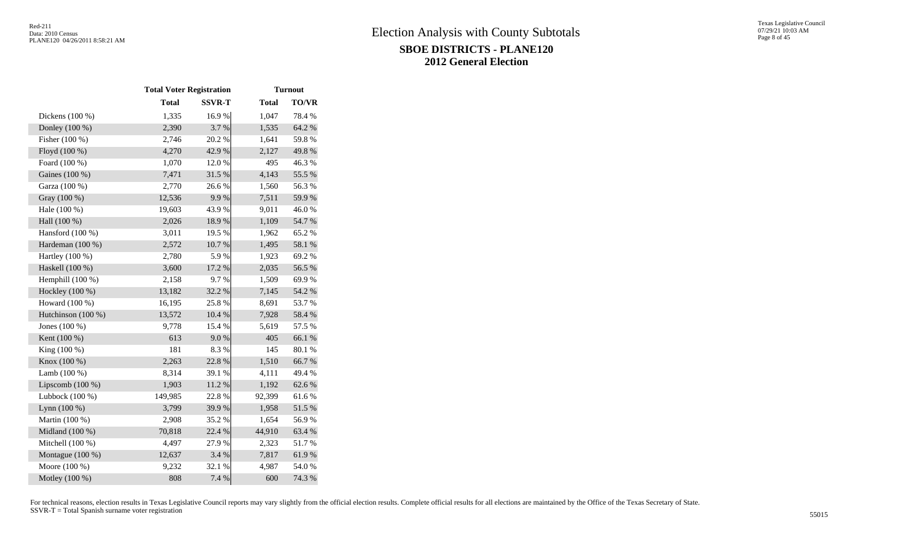|                    | <b>Total Voter Registration</b> |               | <b>Turnout</b> |        |  |  |  |
|--------------------|---------------------------------|---------------|----------------|--------|--|--|--|
|                    | <b>Total</b>                    | <b>SSVR-T</b> | <b>Total</b>   | TO/VR  |  |  |  |
| Dickens (100 %)    | 1,335                           | 16.9%         | 1,047          | 78.4%  |  |  |  |
| Donley (100 %)     | 2,390                           | 3.7%          | 1,535          | 64.2 % |  |  |  |
| Fisher (100 %)     | 2,746                           | 20.2 %        | 1,641          | 59.8%  |  |  |  |
| Floyd (100 %)      | 4,270                           | 42.9%         | 2,127          | 49.8%  |  |  |  |
| Foard (100 %)      | 1,070                           | 12.0%         | 495            | 46.3%  |  |  |  |
| Gaines (100 %)     | 7,471                           | 31.5 %        | 4,143          | 55.5 % |  |  |  |
| Garza (100 %)      | 2,770                           | 26.6%         | 1,560          | 56.3%  |  |  |  |
| Gray (100 %)       | 12,536                          | 9.9%          | 7,511          | 59.9%  |  |  |  |
| Hale (100 %)       | 19,603                          | 43.9%         | 9,011          | 46.0%  |  |  |  |
| Hall (100 %)       | 2,026                           | 18.9%         | 1,109          | 54.7%  |  |  |  |
| Hansford (100 %)   | 3,011                           | 19.5 %        | 1,962          | 65.2%  |  |  |  |
| Hardeman (100 %)   | 2,572                           | $10.7~\%$     | 1,495          | 58.1 % |  |  |  |
| Hartley (100 %)    | 2,780                           | 5.9%          | 1,923          | 69.2%  |  |  |  |
| Haskell (100 %)    | 3,600                           | 17.2 %        | 2,035          | 56.5 % |  |  |  |
| Hemphill (100 %)   | 2,158                           | 9.7%          | 1,509          | 69.9%  |  |  |  |
| Hockley (100 %)    | 13,182                          | 32.2 %        | 7,145          | 54.2 % |  |  |  |
| Howard (100 %)     | 16,195                          | 25.8%         | 8,691          | 53.7%  |  |  |  |
| Hutchinson (100 %) | 13,572                          | 10.4 %        | 7,928          | 58.4 % |  |  |  |
| Jones (100 %)      | 9,778                           | 15.4 %        | 5,619          | 57.5 % |  |  |  |
| Kent (100 %)       | 613                             | 9.0%          | 405            | 66.1%  |  |  |  |
| King (100 %)       | 181                             | 8.3%          | 145            | 80.1 % |  |  |  |
| Knox (100 %)       | 2,263                           | 22.8%         | 1,510          | 66.7%  |  |  |  |
| Lamb (100 %)       | 8,314                           | 39.1 %        | 4,111          | 49.4 % |  |  |  |
| Lipscomb $(100\%)$ | 1,903                           | 11.2 %        | 1,192          | 62.6%  |  |  |  |
| Lubbock $(100\%)$  | 149,985                         | 22.8%         | 92,399         | 61.6%  |  |  |  |
| Lynn $(100\%)$     | 3,799                           | 39.9%         | 1,958          | 51.5 % |  |  |  |
| Martin (100 %)     | 2,908                           | 35.2 %        | 1,654          | 56.9%  |  |  |  |
| Midland (100 %)    | 70,818                          | 22.4 %        | 44,910         | 63.4 % |  |  |  |
| Mitchell (100 %)   | 4,497                           | 27.9%         | 2,323          | 51.7%  |  |  |  |
| Montague (100 %)   | 12,637                          | 3.4 %         | 7,817          | 61.9%  |  |  |  |
| Moore (100 %)      | 9,232                           | 32.1 %        | 4,987          | 54.0%  |  |  |  |
| Motley (100 %)     | 808                             | 7.4 %         | 600            | 74.3 % |  |  |  |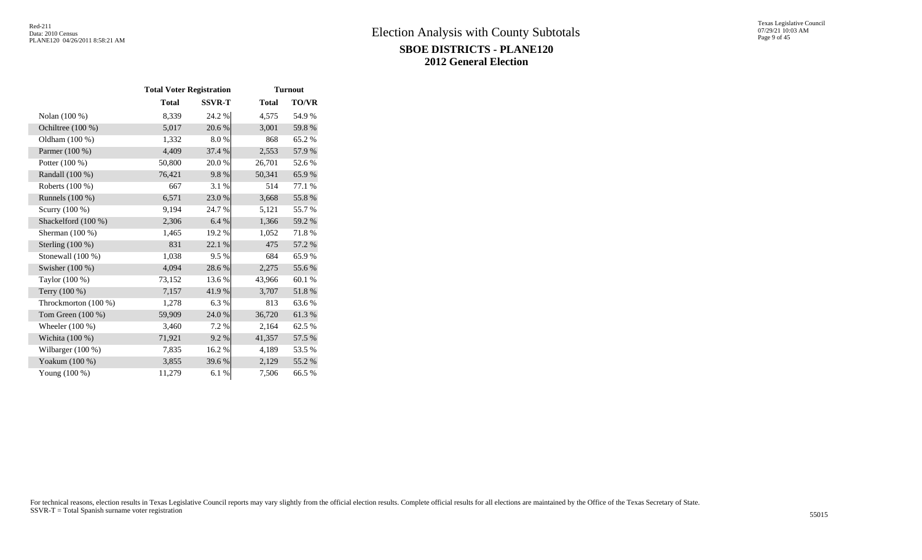|                      | <b>Total Voter Registration</b> |               |              | <b>Turnout</b> |
|----------------------|---------------------------------|---------------|--------------|----------------|
|                      | <b>Total</b>                    | <b>SSVR-T</b> | <b>Total</b> | <b>TO/VR</b>   |
| Nolan (100 %)        | 8,339                           | 24.2 %        | 4,575        | 54.9%          |
| Ochiltree (100 %)    | 5,017                           | 20.6%         | 3,001        | 59.8%          |
| Oldham (100 %)       | 1,332                           | 8.0%          | 868          | 65.2%          |
| Parmer (100 %)       | 4,409                           | 37.4 %        | 2,553        | 57.9 %         |
| Potter (100 %)       | 50,800                          | 20.0%         | 26,701       | 52.6 %         |
| Randall (100 %)      | 76,421                          | 9.8%          | 50,341       | 65.9%          |
| Roberts (100 %)      | 667                             | 3.1 %         | 514          | 77.1 %         |
| Runnels $(100\%)$    | 6,571                           | 23.0%         | 3,668        | 55.8%          |
| Scurry (100 %)       | 9,194                           | 24.7 %        | 5,121        | 55.7 %         |
| Shackelford (100 %)  | 2,306                           | 6.4%          | 1,366        | 59.2 %         |
| Sherman $(100\%)$    | 1,465                           | 19.2 %        | 1,052        | 71.8 %         |
| Sterling $(100\%)$   | 831                             | 22.1 %        | 475          | 57.2 %         |
| Stonewall (100 %)    | 1,038                           | 9.5%          | 684          | 65.9%          |
| Swisher (100 %)      | 4,094                           | 28.6%         | 2,275        | 55.6%          |
| Taylor (100 %)       | 73,152                          | 13.6 %        | 43,966       | 60.1 %         |
| Terry (100 %)        | 7,157                           | 41.9%         | 3,707        | 51.8%          |
| Throckmorton (100 %) | 1,278                           | 6.3%          | 813          | 63.6%          |
| Tom Green $(100\%)$  | 59,909                          | 24.0 %        | 36,720       | 61.3%          |
| Wheeler $(100\%)$    | 3,460                           | 7.2 %         | 2,164        | 62.5 %         |
| Wichita $(100\%)$    | 71,921                          | 9.2%          | 41,357       | 57.5 %         |
| Wilbarger $(100\%)$  | 7,835                           | 16.2%         | 4,189        | 53.5 %         |
| Yoakum (100 %)       | 3,855                           | 39.6 %        | 2,129        | 55.2 %         |
| Young $(100\%)$      | 11,279                          | 6.1%          | 7,506        | 66.5 %         |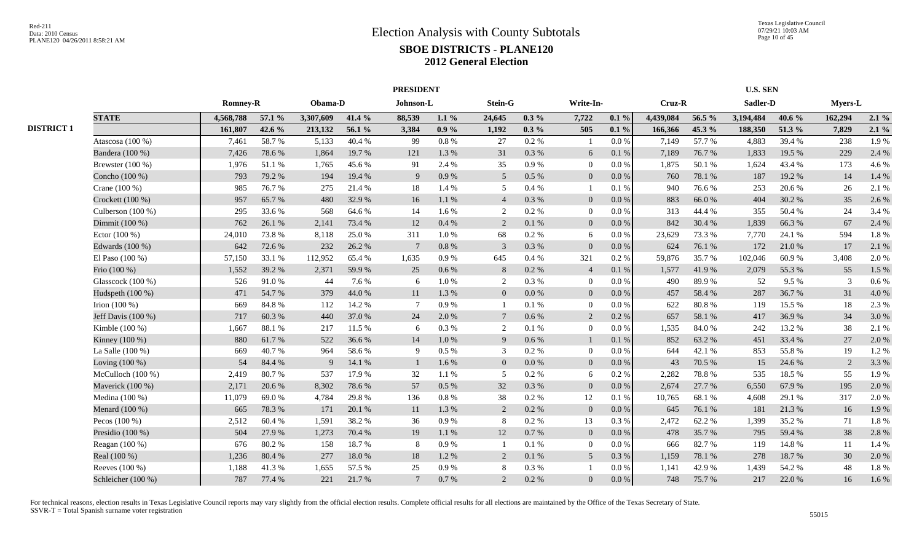|                     |           |        | Obama-D         |        |              |           |                               |           |                |           |           |        | Sadler-D  |        |                 |         |
|---------------------|-----------|--------|-----------------|--------|--------------|-----------|-------------------------------|-----------|----------------|-----------|-----------|--------|-----------|--------|-----------------|---------|
| <b>STATE</b>        | 4,568,788 | 57.1 % | 3,307,609       | 41.4 % | 88,539       | $1.1\%$   | 24,645                        | $0.3\%$   | 7,722          | $0.1 \%$  | 4,439,084 | 56.5 % | 3,194,484 | 40.6 % | 162,294         | 2.1%    |
|                     | 161,807   | 42.6 % | 213,132         | 56.1 % | 3,384        | $0.9\%$   | 1,192                         | $0.3\%$   | 505            | $0.1 \%$  | 166,366   | 45.3 % | 188,350   | 51.3 % | 7,829           | $2.1\%$ |
| Atascosa (100 %)    | 7,461     | 58.7%  | 5,133           | 40.4 % | -99          | $0.8\ \%$ | 27                            | $0.2~\%$  |                | $0.0\%$   | 7,149     | 57.7 % | 4,883     | 39.4 % | 238             | 1.9%    |
| Bandera (100 %)     | 7,426     | 78.6%  | 1,864           | 19.7%  | 121          | 1.3 %     | 31                            | $0.3~\%$  | 6              | 0.1%      | 7,189     | 76.7%  | 1,833     | 19.5 % | 229             | 2.4 %   |
| Brewster $(100\%)$  | 1,976     | 51.1%  | 1,765           | 45.6%  | 91           | 2.4 %     | 35                            | $0.9\ \%$ | $\overline{0}$ | $0.0\,\%$ | 1,875     | 50.1 % | 1,624     | 43.4 % | 173             | 4.6%    |
| Concho (100 %)      | 793       | 79.2 % | 194             | 19.4 % | 9            | 0.9%      | 5                             | $0.5\ \%$ | $\overline{0}$ | 0.0 %     | 760       | 78.1 % | 187       | 19.2 % | 14              | 1.4 %   |
| Crane (100 %)       | 985       | 76.7%  | 275             | 21.4 % | 18           | 1.4 %     | 5                             | 0.4%      |                | 0.1%      | 940       | 76.6%  | 253       | 20.6 % | 26              | 2.1%    |
| Crockett (100 %)    | 957       | 65.7%  | 480             | 32.9%  | 16           | 1.1%      | $\overline{4}$                | $0.3~\%$  | $\overline{0}$ | 0.0 %     | 883       | 66.0%  | 404       | 30.2%  | 35              | 2.6 %   |
| Culberson (100 %)   | 295       | 33.6%  | 568             | 64.6%  | 14           | 1.6%      | 2                             | 0.2 %     | $\Omega$       | $0.0\%$   | 313       | 44.4 % | 355       | 50.4%  | 24              | 3.4 %   |
| Dimmit (100 %)      | 762       | 26.1 % | 2,141           | 73.4 % | 12           | 0.4 %     | 2                             | $0.1\ \%$ | $\overline{0}$ | $0.0\,\%$ | 842       | 30.4 % | 1,839     | 66.3%  | 67              | 2.4 %   |
| Ector (100 %)       | 24,010    | 73.8%  | 8,118           | 25.0%  | 311          | 1.0%      | 68                            | $0.2~\%$  | 6              | $0.0\,\%$ | 23,629    | 73.3 % | 7,770     | 24.1 % | 594             | 1.8%    |
| Edwards (100 %)     | 642       | 72.6%  | 232             | 26.2%  |              | $0.8\ \%$ | 3                             | $0.3~\%$  | $\overline{0}$ | 0.0 %     | 624       | 76.1 % | 172       | 21.0%  | 17              | 2.1 %   |
| El Paso (100 %)     | 57,150    | 33.1 % | 112,952         | 65.4%  | 1,635        | 0.9%      | 645                           | 0.4 %     | 321            | 0.2 %     | 59,876    | 35.7%  | 102,046   | 60.9%  | 3,408           | 2.0%    |
| Frio (100 %)        | 1,552     | 39.2 % | 2,371           | 59.9%  | 25           | $0.6\%$   | 8                             | $0.2~\%$  | $\overline{4}$ | 0.1%      | 1,577     | 41.9%  | 2,079     | 55.3%  | 55              | 1.5 %   |
| Glasscock $(100\%)$ | 526       | 91.0%  | 44              | 7.6 %  | 6            | $1.0%$    | 2                             | $0.3~\%$  | $\Omega$       | $0.0\%$   | 490       | 89.9%  | 52        | 9.5%   | 3               | 0.6 %   |
| Hudspeth (100 %)    | 471       | 54.7%  | 379             | 44.0%  | 11           | 1.3%      | $\overline{0}$                | $0.0\ \%$ | $\overline{0}$ | $0.0\,\%$ | 457       | 58.4%  | 287       | 36.7%  | 31              | 4.0%    |
| Irion $(100 %)$     | 669       | 84.8%  | 112             | 14.2 % |              | 0.9%      |                               | 0.1%      | $\overline{0}$ | 0.0 %     | 622       | 80.8%  | 119       | 15.5 % | 18              | 2.3 %   |
| Jeff Davis (100 %)  | 717       | 60.3%  | 440             | 37.0%  | 24           | 2.0%      | $7\phantom{.0}$               | $0.6\,\%$ | $\overline{2}$ | 0.2 %     | 657       | 58.1 % | 417       | 36.9%  | 34              | 3.0%    |
| Kimble (100 %)      | 1,667     | 88.1%  | 217             | 11.5 % | 6            | 0.3%      | 2                             | 0.1%      | $\overline{0}$ | 0.0 %     | 1,535     | 84.0%  | 242       | 13.2 % | 38              | 2.1%    |
| Kinney (100 %)      | 880       | 61.7%  | 522             | 36.6%  | 14           | 1.0%      | $\mathbf{Q}$                  | $0.6\,\%$ |                | 0.1%      | 852       | 63.2%  | 451       | 33.4 % | 27              | 2.0%    |
| La Salle (100 %)    | 669       | 40.7%  | 964             | 58.6%  | $\mathbf{Q}$ | 0.5%      | 3                             | 0.2 %     | $\Omega$       | $0.0\%$   | 644       | 42.1 % | 853       | 55.8%  | 19              | 1.2%    |
| Loving (100 %)      | 54        | 84.4 % | 9               | 14.1 % |              | 1.6 %     | $\overline{0}$                | $0.0\ \%$ | $\overline{0}$ | 0.0 %     | 43        | 70.5 % | 15        | 24.6 % | $\overline{2}$  | 3.3 %   |
| McCulloch $(100\%)$ | 2,419     | 80.7%  | 537             | 17.9 % | 32           | 1.1%      | 5                             | $0.2~\%$  | 6              | 0.2 %     | 2,282     | 78.8%  | 535       | 18.5 % | 55              | 1.9%    |
| Maverick (100 %)    | 2,171     | 20.6%  | 8,302           | 78.6%  | 57           | 0.5 %     | 32                            | $0.3~\%$  | $\mathbf{0}$   | $0.0\,\%$ | 2,674     | 27.7 % | 6,550     | 67.9%  | 195             | 2.0%    |
| Medina (100 %)      | 11,079    | 69.0%  | 4,784           | 29.8%  | 136          | $0.8~\%$  | 38                            | $0.2~\%$  | 12             | 0.1%      | 10,765    | 68.1%  | 4,608     | 29.1 % | 317             | 2.0%    |
| Menard (100 %)      | 665       | 78.3%  | 171             | 20.1 % | 11           | 1.3%      | 2                             | $0.2~\%$  | $\overline{0}$ | $0.0\,\%$ | 645       | 76.1 % | 181       | 21.3%  | 16              | 1.9%    |
| Pecos (100 %)       | 2,512     | 60.4%  | 1,591           | 38.2%  | 36           | 0.9%      | -8                            | 0.2 %     | 13             | 0.3 %     | 2,472     | 62.2%  | 1,399     | 35.2%  | 71              | 1.8%    |
| Presidio (100 %)    | 504       | 27.9%  | 1,273           | 70.4 % | 19           | 1.1%      | 12                            | 0.7 %     | $\overline{0}$ | 0.0 %     | 478       | 35.7 % | 795       | 59.4 % | 38              | 2.8%    |
| Reagan (100 %)      | 676       | 80.2%  | 158             | 18.7%  | 8            | 0.9%      |                               | $0.1\ \%$ | $\overline{0}$ | $0.0\%$   | 666       | 82.7%  | 119       | 14.8 % | 11              | 1.4 %   |
| Real (100 %)        | 1,236     | 80.4%  | 277             | 18.0%  | 18           | 1.2%      | 2                             | $0.1\ \%$ | 5 <sup>5</sup> | 0.3 %     | 1,159     | 78.1 % | 278       | 18.7%  | 30              | 2.0%    |
| Reeves (100 %)      | 1,188     | 41.3%  | 1,655           | 57.5 % | 25           | 0.9%      | -8                            | $0.3~\%$  |                | $0.0\%$   | 1,141     | 42.9%  | 1,439     | 54.2 % | 48              | 1.8%    |
| Schleicher (100 %)  | 787       | 77.4 % | 221             | 21.7%  |              | 0.7 %     | $\overline{2}$                | 0.2 %     | $\theta$       | $0.0\,\%$ | 748       | 75.7%  | 217       | 22.0%  | 16              | 1.6%    |
|                     |           |        | <b>Romney-R</b> |        |              |           | <b>PRESIDENT</b><br>Johnson-L |           | Stein-G        |           | Write-In- |        | Cruz-R    |        | <b>U.S. SEN</b> | Myers-L |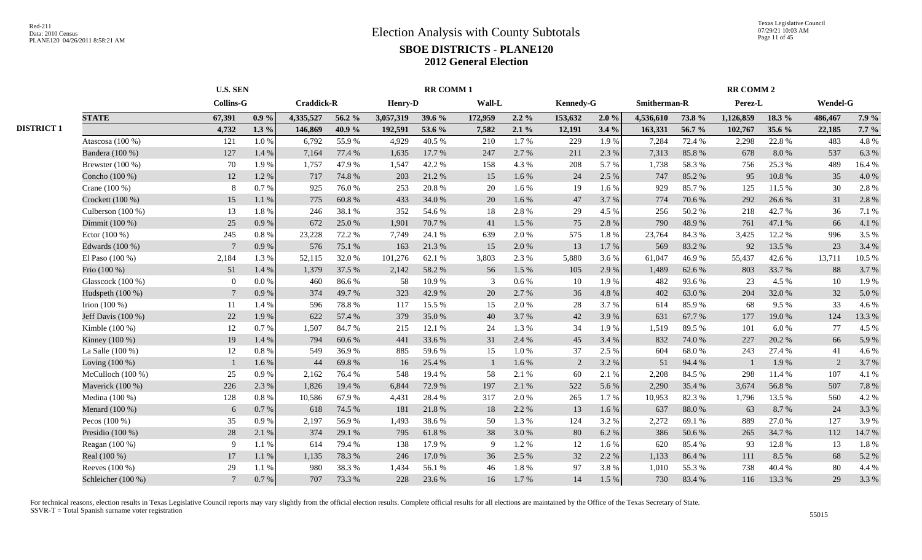|                   |                    |                  | <b>RR COMM1</b> |                   |        |                |        |                |           | <b>RR COMM 2</b> |       |              |        |           |        |                 |         |
|-------------------|--------------------|------------------|-----------------|-------------------|--------|----------------|--------|----------------|-----------|------------------|-------|--------------|--------|-----------|--------|-----------------|---------|
|                   |                    | <b>Collins-G</b> |                 | <b>Craddick-R</b> |        | <b>Henry-D</b> |        | Wall-L         |           | <b>Kennedy-G</b> |       | Smitherman-R |        | Perez-L   |        | <b>Wendel-G</b> |         |
|                   | <b>STATE</b>       | 67,391           | $0.9\%$         | 4,335,527         | 56.2 % | 3,057,319      | 39.6 % | 172,959        | $2.2\%$   | 153,632          | 2.0%  | 4,536,610    | 73.8%  | 1,126,859 | 18.3 % | 486,467         | 7.9 %   |
| <b>DISTRICT 1</b> |                    | 4,732            | $1.3\%$         | 146,869           | 40.9%  | 192,591        | 53.6 % | 7,582          | 2.1%      | 12,191           | 3.4%  | 163,331      | 56.7%  | 102,767   | 35.6 % | 22,185          | $7.7\%$ |
|                   | Atascosa (100 %)   | 121              | 1.0%            | 6,792             | 55.9%  | 4,929          | 40.5 % | 210            | 1.7%      | 229              | 1.9%  | 7,284        | 72.4 % | 2,298     | 22.8%  | 483             | 4.8%    |
|                   | Bandera (100 %)    | 127              | 1.4 %           | 7,164             | 77.4 % | 1,635          | 17.7 % | 247            | 2.7%      | 211              | 2.3 % | 7,313        | 85.8%  | 678       | 8.0%   | 537             | 6.3%    |
|                   | Brewster (100 %)   | $70\,$           | 1.9%            | 1,757             | 47.9%  | 1,547          | 42.2 % | 158            | 4.3 %     | 208              | 5.7%  | 1,738        | 58.3%  | 756       | 25.3 % | 489             | 16.4%   |
|                   | Concho (100 %)     | 12               | 1.2%            | 717               | 74.8%  | 203            | 21.2%  | 15             | 1.6%      | 24               | 2.5 % | 747          | 85.2%  | 95        | 10.8 % | 35              | 4.0%    |
|                   | Crane (100 %)      | 8                | 0.7%            | 925               | 76.0%  | 253            | 20.8%  | 20             | 1.6%      | 19               | 1.6%  | 929          | 85.7%  | 125       | 11.5 % | 30              | 2.8%    |
|                   | Crockett (100 %)   | 15               | 1.1%            | 775               | 60.8%  | 433            | 34.0%  | 20             | 1.6%      | 47               | 3.7%  | 774          | 70.6%  | 292       | 26.6%  | 31              | 2.8%    |
|                   | Culberson (100 %)  | 13               | 1.8%            | 246               | 38.1 % | 352            | 54.6 % | 18             | 2.8%      | 29               | 4.5 % | 256          | 50.2%  | 218       | 42.7 % | 36              | 7.1 %   |
|                   | Dimmit (100 %)     | 25               | 0.9%            | 672               | 25.0%  | 1,901          | 70.7%  | 41             | 1.5 %     | 75               | 2.8 % | 790          | 48.9%  | 761       | 47.1 % | 66              | 4.1 %   |
|                   | Ector $(100\%)$    | 245              | 0.8 %           | 23,228            | 72.2 % | 7,749          | 24.1 % | 639            | 2.0 %     | 575              | 1.8%  | 23,764       | 84.3%  | 3,425     | 12.2 % | 996             | 3.5 %   |
|                   | Edwards (100 %)    | $\overline{7}$   | 0.9%            | 576               | 75.1 % | 163            | 21.3%  | 15             | 2.0%      | 13               | 1.7%  | 569          | 83.2%  | 92        | 13.5 % | 23              | 3.4 %   |
|                   | El Paso $(100\%)$  | 2,184            | 1.3 %           | 52,115            | 32.0%  | 101,276        | 62.1 % | 3,803          | 2.3 %     | 5,880            | 3.6%  | 61,047       | 46.9%  | 55,437    | 42.6 % | 13,711          | 10.5 %  |
|                   | Frio (100 %)       | 51               | 1.4 %           | 1,379             | 37.5 % | 2,142          | 58.2%  | 56             | 1.5 %     | 105              | 2.9%  | 1,489        | 62.6 % | 803       | 33.7 % | 88              | 3.7%    |
|                   | Glasscock (100 %)  | $\mathbf{0}$     | 0.0 %           | 460               | 86.6%  | 58             | 10.9%  | 3              | 0.6 %     | 10               | 1.9%  | 482          | 93.6%  | 23        | 4.5 %  | 10              | 1.9%    |
|                   | Hudspeth (100 %)   | $\overline{7}$   | 0.9%            | 374               | 49.7%  | 323            | 42.9%  | 20             | 2.7 %     | 36               | 4.8%  | 402          | 63.0%  | 204       | 32.0%  | 32              | 5.0%    |
|                   | Irion $(100\%)$    | 11               | 1.4 %           | 596               | 78.8%  | 117            | 15.5 % | 15             | 2.0 %     | 28               | 3.7 % | 614          | 85.9%  | 68        | 9.5 %  | 33              | 4.6 %   |
|                   | Jeff Davis (100 %) | 22               | 1.9%            | 622               | 57.4 % | 379            | 35.0%  | 40             | 3.7 %     | 42               | 3.9%  | 631          | 67.7%  | 177       | 19.0%  | 124             | 13.3 %  |
|                   | Kimble $(100\%)$   | 12               | 0.7%            | 1,507             | 84.7%  | 215            | 12.1 % | 24             | 1.3%      | 34               | 1.9%  | 1,519        | 89.5%  | 101       | 6.0%   | 77              | 4.5 %   |
|                   | Kinney $(100\%)$   | 19               | 1.4 %           | 794               | 60.6%  | 441            | 33.6%  | 31             | 2.4 %     | 45               | 3.4 % | 832          | 74.0%  | 227       | 20.2 % | 66              | 5.9%    |
|                   | La Salle $(100\%)$ | 12               | $0.8 \%$        | 549               | 36.9%  | 885            | 59.6%  | 15             | 1.0%      | 37               | 2.5 % | 604          | 68.0%  | 243       | 27.4 % | 41              | 4.6%    |
|                   | Loving (100 %)     |                  | 1.6%            | 44                | 69.8%  | 16             | 25.4 % | $\overline{1}$ | $1.6\,\%$ | 2                | 3.2%  | 51           | 94.4 % |           | 1.9%   | 2               | 3.7%    |
|                   | McCulloch (100 %)  | 25               | 0.9%            | 2,162             | 76.4%  | 548            | 19.4 % | 58             | 2.1 %     | 60               | 2.1 % | 2,208        | 84.5 % | 298       | 11.4 % | 107             | 4.1 %   |
|                   | Maverick (100 %)   | 226              | 2.3 %           | 1,826             | 19.4 % | 6,844          | 72.9 % | 197            | 2.1 %     | 522              | 5.6%  | 2,290        | 35.4 % | 3,674     | 56.8%  | 507             | 7.8 %   |
|                   | Medina (100 %)     | 128              | $0.8 \%$        | 10,586            | 67.9%  | 4,431          | 28.4 % | 317            | 2.0%      | 265              | 1.7%  | 10,953       | 82.3%  | 1,796     | 13.5 % | 560             | 4.2%    |
|                   | Menard (100 %)     | 6                | 0.7 %           | 618               | 74.5 % | 181            | 21.8%  | 18             | 2.2 %     | 13               | 1.6%  | 637          | 88.0%  | 63        | 8.7%   | 24              | 3.3 %   |
|                   | Pecos $(100\%)$    | 35               | 0.9%            | 2,197             | 56.9%  | 1,493          | 38.6%  | 50             | 1.3%      | 124              | 3.2 % | 2,272        | 69.1 % | 889       | 27.0 % | 127             | 3.9%    |
|                   | Presidio $(100\%)$ | 28               | 2.1 %           | 374               | 29.1 % | 795            | 61.8%  | 38             | 3.0 %     | 80               | 6.2%  | 386          | 50.6%  | 265       | 34.7 % | 112             | 14.7%   |
|                   | Reagan (100 %)     | 9                | 1.1%            | 614               | 79.4 % | 138            | 17.9 % | 9              | 1.2%      | 12               | 1.6%  | 620          | 85.4%  | 93        | 12.8%  | 13              | 1.8%    |
|                   | Real (100 %)       | 17               | 1.1 %           | 1,135             | 78.3%  | 246            | 17.0%  | 36             | 2.5 %     | 32               | 2.2 % | 1,133        | 86.4%  | 111       | 8.5 %  | 68              | 5.2 %   |
|                   | Reeves (100 %)     | 29               | 1.1 %           | 980               | 38.3%  | 1,434          | 56.1%  | 46             | 1.8%      | 97               | 3.8%  | 1,010        | 55.3%  | 738       | 40.4%  | 80              | 4.4 %   |
|                   | Schleicher (100 %) | $\overline{7}$   | 0.7 %           | 707               | 73.3 % | 228            | 23.6 % | 16             | 1.7%      | 14               | 1.5 % | 730          | 83.4 % | 116       | 13.3 % | 29              | 3.3 %   |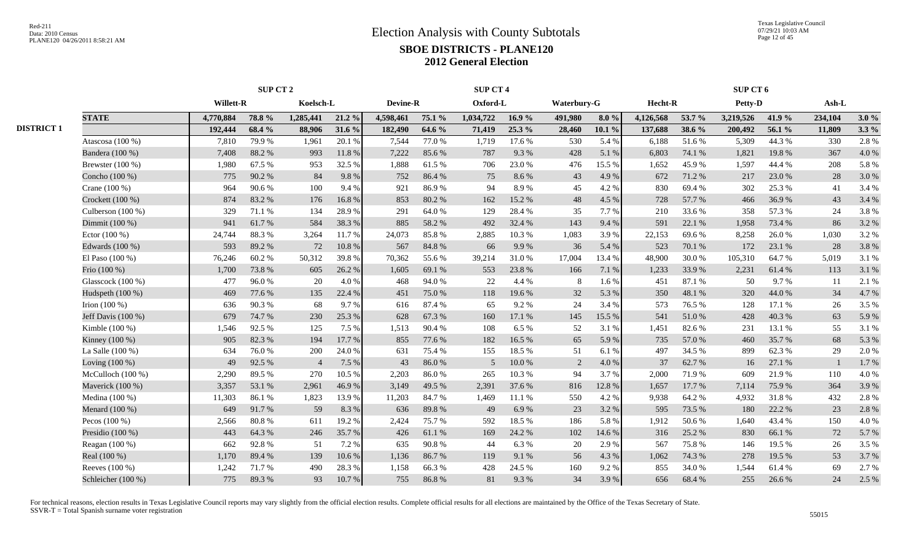|                   | SUP CT <sub>2</sub> |                  |        |                |           |                 | <b>SUP CT 4</b> |                 |          |                    |           |           |        | SUP CT 6  |        |         |         |  |
|-------------------|---------------------|------------------|--------|----------------|-----------|-----------------|-----------------|-----------------|----------|--------------------|-----------|-----------|--------|-----------|--------|---------|---------|--|
|                   |                     | <b>Willett-R</b> |        | Koelsch-L      |           | <b>Devine-R</b> |                 | Oxford-L        |          | <b>Waterbury-G</b> |           | Hecht-R   |        | Petty-D   |        | Ash-L   |         |  |
|                   | <b>STATE</b>        | 4,770,884        | 78.8%  | 1,285,441      | $21.2 \%$ | 4,598,461       | 75.1 %          | 1,034,722       | 16.9 $%$ | 491,980            | 8.0%      | 4,126,568 | 53.7 % | 3,219,526 | 41.9%  | 234,104 | 3.0%    |  |
| <b>DISTRICT 1</b> |                     | 192,444          | 68.4 % | 88,906         | 31.6 %    | 182,490         | 64.6 %          | 71,419          | 25.3 %   | 28,460             | $10.1 \%$ | 137,688   | 38.6 % | 200,492   | 56.1 % | 11,809  | $3.3\%$ |  |
|                   | Atascosa (100 %)    | 7,810            | 79.9%  | 1,961          | 20.1%     | 7,544           | 77.0%           | 1,719           | 17.6 %   | 530                | 5.4 %     | 6,188     | 51.6%  | 5,309     | 44.3 % | 330     | 2.8%    |  |
|                   | Bandera (100 %)     | 7,408            | 88.2%  | 993            | 11.8%     | 7,222           | 85.6%           | 787             | 9.3%     | 428                | 5.1 %     | 6,803     | 74.1 % | 1,821     | 19.8%  | 367     | 4.0%    |  |
|                   | Brewster (100 %)    | 1,980            | 67.5 % | 953            | 32.5 %    | 1,888           | 61.5%           | 706             | 23.0%    | 476                | 15.5 %    | 1,652     | 45.9%  | 1,597     | 44.4 % | 208     | 5.8%    |  |
|                   | Concho (100 %)      | 775              | 90.2%  | 84             | 9.8 %     | 752             | 86.4%           | 75              | 8.6%     | 43                 | 4.9%      | 672       | 71.2%  | 217       | 23.0%  | 28      | 3.0%    |  |
|                   | Crane $(100\%)$     | 964              | 90.6%  | 100            | 9.4 %     | 921             | 86.9%           | 94              | 8.9%     | 45                 | 4.2%      | 830       | 69.4%  | 302       | 25.3 % | 41      | 3.4 %   |  |
|                   | Crockett $(100\%)$  | 874              | 83.2%  | 176            | 16.8%     | 853             | 80.2%           | 162             | 15.2%    | 48                 | 4.5 %     | 728       | 57.7 % | 466       | 36.9%  | 43      | 3.4 %   |  |
|                   | Culberson (100 %)   | 329              | 71.1 % | 134            | 28.9%     | 291             | 64.0%           | 129             | 28.4 %   | 35                 | 7.7 %     | 210       | 33.6%  | 358       | 57.3 % | 24      | 3.8%    |  |
|                   | Dimmit (100 %)      | 941              | 61.7%  | 584            | 38.3%     | 885             | 58.2%           | 492             | 32.4 %   | 143                | 9.4 %     | 591       | 22.1 % | 1,958     | 73.4 % | 86      | 3.2 %   |  |
|                   | Ector $(100\%)$     | 24,744           | 88.3%  | 3,264          | 11.7 %    | 24,073          | 85.8%           | 2,885           | 10.3%    | 1,083              | 3.9%      | 22,153    | 69.6%  | 8,258     | 26.0%  | 1,030   | 3.2%    |  |
|                   | Edwards (100 %)     | 593              | 89.2%  | 72             | 10.8%     | 567             | 84.8%           | 66              | 9.9%     | 36                 | 5.4 %     | 523       | 70.1%  | 172       | 23.1 % | 28      | 3.8%    |  |
|                   | El Paso $(100\%)$   | 76,246           | 60.2%  | 50,312         | 39.8%     | 70,362          | 55.6%           | 39,214          | 31.0%    | 17,004             | 13.4 %    | 48,900    | 30.0%  | 105,310   | 64.7%  | 5,019   | 3.1%    |  |
|                   | Frio (100 %)        | 1,700            | 73.8%  | 605            | 26.2 %    | 1,605           | 69.1 %          | 553             | 23.8%    | 166                | 7.1 %     | 1,233     | 33.9%  | 2,231     | 61.4%  | 113     | 3.1 %   |  |
|                   | Glasscock (100 %)   | 477              | 96.0%  | 20             | 4.0%      | 468             | 94.0%           | 22              | 4.4 %    | 8                  | 1.6%      | 451       | 87.1 % | 50        | 9.7%   | 11      | 2.1 %   |  |
|                   | Hudspeth (100 %)    | 469              | 77.6%  | 135            | 22.4 %    | 451             | 75.0%           | 118             | 19.6%    | 32                 | 5.3 %     | 350       | 48.1%  | 320       | 44.0%  | 34      | 4.7%    |  |
|                   | Irion $(100\%)$     | 636              | 90.3%  | 68             | 9.7%      | 616             | 87.4%           | 65              | 9.2 %    | 24                 | 3.4 %     | 573       | 76.5 % | 128       | 17.1 % | 26      | 3.5 %   |  |
|                   | Jeff Davis (100 %)  | 679              | 74.7%  | 230            | 25.3 %    | 628             | 67.3%           | 160             | 17.1 %   | 145                | 15.5 %    | 541       | 51.0%  | 428       | 40.3%  | 63      | 5.9%    |  |
|                   | Kimble (100 %)      | 1,546            | 92.5 % | 125            | 7.5 %     | 1,513           | 90.4%           | 108             | 6.5 %    | 52                 | 3.1 %     | 1,451     | 82.6%  | 231       | 13.1 % | 55      | 3.1%    |  |
|                   | Kinney (100 %)      | 905              | 82.3%  | 194            | 17.7 %    | 855             | 77.6%           | 182             | 16.5%    | 65                 | 5.9%      | 735       | 57.0%  | 460       | 35.7%  | 68      | 5.3 %   |  |
|                   | La Salle $(100\%)$  | 634              | 76.0%  | 200            | 24.0%     | 631             | 75.4 %          | 155             | 18.5%    | 51                 | 6.1 %     | 497       | 34.5 % | 899       | 62.3%  | 29      | 2.0 %   |  |
|                   | Loving $(100\%)$    | 49               | 92.5 % | $\overline{4}$ | 7.5 %     | 43              | 86.0%           | $5\overline{)}$ | 10.0%    | 2                  | 4.0%      | 37        | 62.7%  | 16        | 27.1 % |         | 1.7%    |  |
|                   | McCulloch $(100\%)$ | 2,290            | 89.5%  | 270            | 10.5 %    | 2,203           | 86.0%           | 265             | 10.3%    | 94                 | 3.7 %     | 2,000     | 71.9%  | 609       | 21.9%  | 110     | 4.0%    |  |
|                   | Maverick (100 %)    | 3,357            | 53.1 % | 2,961          | 46.9%     | 3,149           | 49.5 %          | 2,391           | 37.6%    | 816                | 12.8%     | 1,657     | 17.7 % | 7,114     | 75.9%  | 364     | 3.9%    |  |
|                   | Medina (100 %)      | 11,303           | 86.1%  | 1,823          | 13.9%     | 11,203          | 84.7%           | 1,469           | 11.1 %   | 550                | 4.2 %     | 9,938     | 64.2 % | 4.932     | 31.8%  | 432     | 2.8%    |  |
|                   | Menard (100 %)      | 649              | 91.7%  | 59             | 8.3%      | 636             | 89.8%           | 49              | 6.9%     | 23                 | 3.2 %     | 595       | 73.5 % | 180       | 22.2 % | 23      | 2.8%    |  |
|                   | Pecos $(100\%)$     | 2,566            | 80.8%  | 611            | 19.2 %    | 2.424           | 75.7%           | 592             | 18.5%    | 186                | 5.8%      | 1,912     | 50.6%  | 1,640     | 43.4 % | 150     | 4.0%    |  |
|                   | Presidio $(100\%)$  | 443              | 64.3%  | 246            | 35.7%     | 426             | 61.1%           | 169             | 24.2 %   | 102                | 14.6 %    | 316       | 25.2 % | 830       | 66.1%  | 72      | 5.7%    |  |
|                   | Reagan $(100\%)$    | 662              | 92.8%  | 51             | 7.2 %     | 635             | 90.8%           | 44              | 6.3%     | 20                 | 2.9 %     | 567       | 75.8%  | 146       | 19.5 % | 26      | 3.5 %   |  |
|                   | Real (100 %)        | 1,170            | 89.4%  | 139            | 10.6 %    | 1,136           | 86.7%           | 119             | 9.1 %    | 56                 | 4.3 %     | 1,062     | 74.3 % | 278       | 19.5 % | 53      | 3.7%    |  |
|                   | Reeves (100 %)      | 1,242            | 71.7%  | 490            | 28.3%     | 1,158           | 66.3%           | 428             | 24.5 %   | 160                | 9.2%      | 855       | 34.0%  | 1,544     | 61.4%  | 69      | 2.7%    |  |
|                   | Schleicher (100 %)  | 775              | 89.3%  | 93             | 10.7%     | 755             | 86.8%           | 81              | 9.3%     | 34                 | 3.9%      | 656       | 68.4%  | 255       | 26.6%  | 24      | 2.5 %   |  |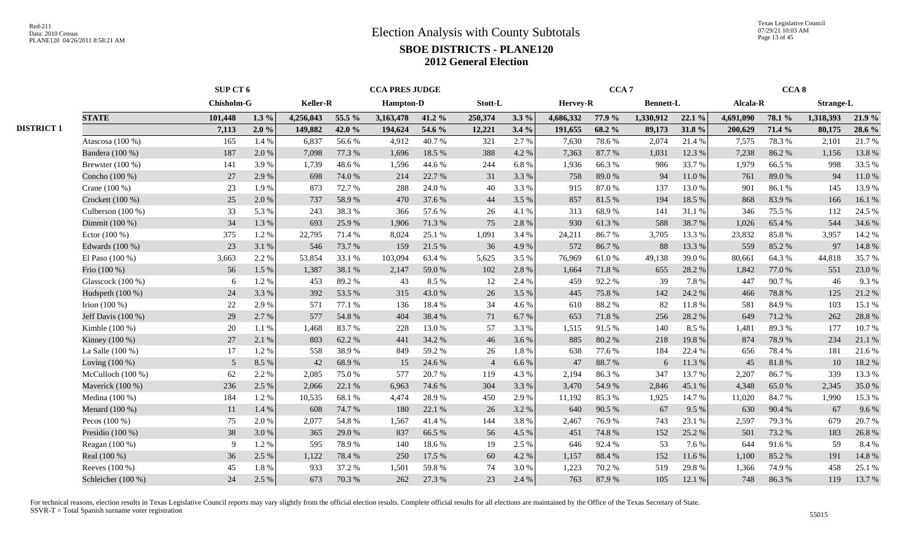Texas Legislative Council 07/29/21 10:03 AM Page 13 of 45

|                   |                      |            | SUP CT 6 |                 |        | <b>CCA PRES JUDGE</b> |          |                |         |           | CCA <sub>7</sub> |                  |        |           | CCA 8  |                  |        |
|-------------------|----------------------|------------|----------|-----------------|--------|-----------------------|----------|----------------|---------|-----------|------------------|------------------|--------|-----------|--------|------------------|--------|
|                   |                      | Chisholm-G |          | <b>Keller-R</b> |        | <b>Hampton-D</b>      |          | Stott-L        |         | Hervey-R  |                  | <b>Bennett-L</b> |        | Alcala-R  |        | <b>Strange-L</b> |        |
|                   | <b>STATE</b>         | 101,448    | $1.3\%$  | 4,256,043       | 55.5 % | 3,163,478             | 41.2 $%$ | 250,374        | $3.3\%$ | 4,686,332 | 77.9 %           | 1,330,912        | 22.1 % | 4.691.090 | 78.1 % | 1,318,393        | 21.9 % |
| <b>DISTRICT 1</b> |                      | 7,113      | 2.0%     | 149,882         | 42.0%  | 194,624               | 54.6 %   | 12,221         | 3.4%    | 191,655   | 68.2%            | 89,173           | 31.8%  | 200,629   | 71.4 % | 80,175           | 28.6 % |
|                   | Atascosa (100 %)     | 165        | 1.4 %    | 6,837           | 56.6%  | 4,912                 | 40.7%    | 321            | 2.7%    | 7,630     | 78.6%            | 2,074            | 21.4 % | 7,575     | 78.3%  | 2,101            | 21.7%  |
|                   | Bandera (100 %)      | 187        | 2.0 %    | 7,098           | 77.3 % | 1.696                 | 18.5 %   | 388            | 4.2 %   | 7,363     | 87.7%            | 1,031            | 12.3 % | 7,238     | 86.2%  | 1,156            | 13.8%  |
|                   | Brewster (100 %)     | 141        | 3.9%     | 1,739           | 48.6%  | 1,596                 | 44.6 %   | 244            | 6.8%    | 1,936     | 66.3%            | 986              | 33.7%  | 1,979     | 66.5%  | 998              | 33.5 % |
|                   | Concho (100 %)       | 27         | 2.9 %    | 698             | 74.0 % | 214                   | 22.7 %   | 31             | 3.3 %   | 758       | 89.0%            | 94               | 11.0 % | 761       | 89.0%  | 94               | 11.0%  |
|                   | Crane (100 %)        | 23         | 1.9%     | 873             | 72.7 % | 288                   | 24.0%    | 40             | 3.3 %   | 915       | 87.0%            | 137              | 13.0%  | 901       | 86.1%  | 145              | 13.9%  |
|                   | Crockett (100 %)     | 25         | 2.0%     | 737             | 58.9%  | 470                   | 37.6 %   | 44             | 3.5 %   | 857       | 81.5%            | 194              | 18.5 % | 868       | 83.9%  | 166              | 16.1%  |
|                   | Culberson (100 %)    | 33         | 5.3 %    | 243             | 38.3%  | 366                   | 57.6 %   | 26             | 4.1 %   | 313       | 68.9%            | 141              | 31.1 % | 346       | 75.5 % | 112              | 24.5 % |
|                   | Dimmit (100 %)       | 34         | 1.3%     | 693             | 25.9%  | 1,906                 | 71.3 %   | 75             | 2.8%    | 930       | 61.3%            | 588              | 38.7%  | 1,026     | 65.4 % | 544              | 34.6 % |
|                   | Ector $(100\%)$      | 375        | 1.2%     | 22,795          | 71.4 % | 8,024                 | 25.1 %   | 1,091          | 3.4 %   | 24,211    | 86.7%            | 3,705            | 13.3 % | 23,832    | 85.8%  | 3,957            | 14.2 % |
|                   | Edwards (100 %)      | 23         | 3.1%     | 546             | 73.7 % | 159                   | 21.5 %   | 36             | 4.9%    | 572       | 86.7%            | 88               | 13.3 % | 559       | 85.2%  | 97               | 14.8 % |
|                   | El Paso $(100\%)$    | 3,663      | 2.2 %    | 53,854          | 33.1 % | 103,094               | 63.4 %   | 5,625          | 3.5 %   | 76,969    | 61.0%            | 49,138           | 39.0%  | 80,661    | 64.3%  | 44,818           | 35.7%  |
|                   | Frio (100 %)         | 56         | 1.5 %    | 1,387           | 38.1 % | 2,147                 | 59.0%    | 102            | 2.8 %   | 1,664     | 71.8 %           | 655              | 28.2 % | 1,842     | 77.0 % | 551              | 23.0%  |
|                   | Glasscock (100 %)    | 6          | 1.2%     | 453             | 89.2%  | 43                    | 8.5 %    | 12             | 2.4 %   | 459       | 92.2%            | 39               | 7.8%   | 447       | 90.7%  | 46               | 9.3%   |
|                   | Hudspeth (100 %)     | 24         | 3.3 %    | 392             | 53.5 % | 315                   | 43.0%    | 26             | 3.5 %   | 445       | 75.8%            | 142              | 24.2 % | 466       | 78.8%  | 125              | 21.2%  |
|                   | Irion $(100\%)$      | 22         | 2.9 %    | 571             | 77.1 % | 136                   | 18.4%    | 34             | 4.6 %   | 610       | 88.2%            | 82               | 11.8%  | 581       | 84.9%  | 103              | 15.1 % |
|                   | Jeff Davis $(100\%)$ | 29         | 2.7%     | 577             | 54.8%  | 404                   | 38.4 %   | 71             | 6.7%    | 653       | 71.8%            | 256              | 28.2%  | 649       | 71.2%  | 262              | 28.8%  |
|                   | Kimble (100 %)       | 20         | 1.1 %    | 1,468           | 83.7%  | 228                   | 13.0 %   | 57             | 3.3 %   | 1,515     | 91.5%            | 140              | 8.5 %  | 1,481     | 89.3%  | 177              | 10.7%  |
|                   | Kinney (100 %)       | 27         | 2.1%     | 803             | 62.2%  | 441                   | 34.2 %   | 46             | 3.6%    | 885       | 80.2%            | 218              | 19.8%  | 874       | 78.9%  | 234              | 21.1 % |
|                   | La Salle (100 %)     | 17         | 1.2%     | 558             | 38.9%  | 849                   | 59.2%    | 26             | 1.8%    | 638       | 77.6%            | 184              | 22.4 % | 656       | 78.4%  | 181              | 21.6%  |
|                   | Loving $(100\%)$     | 5          | 8.5 %    | 42              | 68.9%  | 15                    | 24.6 %   | $\overline{4}$ | 6.6%    | 47        | 88.7%            | 6                | 11.3 % | 45        | 81.8%  | 10               | 18.2 % |
|                   | McCulloch $(100\%)$  | 62         | 2.2 %    | 2,085           | 75.0%  | 577                   | 20.7%    | 119            | 4.3 %   | 2,194     | 86.3%            | 347              | 13.7 % | 2,207     | 86.7%  | 339              | 13.3 % |
|                   | Maverick (100 %)     | 236        | 2.5 %    | 2,066           | 22.1 % | 6,963                 | 74.6 %   | 304            | 3.3 %   | 3,470     | 54.9%            | 2,846            | 45.1 % | 4,348     | 65.0%  | 2,345            | 35.0%  |
|                   | Medina (100 %)       | 184        | 1.2%     | 10,535          | 68.1%  | 4,474                 | 28.9%    | 450            | 2.9%    | 11,192    | 85.3%            | 1,925            | 14.7 % | 11,020    | 84.7%  | 1,990            | 15.3 % |
|                   | Menard (100 %)       | 11         | 1.4 %    | 608             | 74.7 % | 180                   | 22.1 %   | 26             | 3.2 %   | 640       | 90.5 %           | 67               | 9.5 %  | 630       | 90.4 % | 67               | 9.6%   |
|                   | Pecos $(100\%)$      | 75         | 2.0%     | 2,077           | 54.8%  | 1,567                 | 41.4%    | 144            | 3.8%    | 2,467     | 76.9%            | 743              | 23.1 % | 2,597     | 79.3%  | 679              | 20.7%  |
|                   | Presidio $(100\%)$   | 38         | 3.0%     | 365             | 29.0%  | 837                   | 66.5%    | 56             | 4.5 %   | 451       | 74.8%            | 152              | 25.2 % | 501       | 73.2 % | 183              | 26.8%  |
|                   | Reagan $(100\%)$     | -9         | 1.2%     | 595             | 78.9%  | 140                   | 18.6%    | 19             | 2.5 %   | 646       | 92.4 %           | 53               | 7.6 %  | 644       | 91.6%  | 59               | 8.4 %  |
|                   | Real (100 %)         | 36         | 2.5 %    | 1,122           | 78.4%  | 250                   | 17.5 %   | 60             | 4.2 %   | 1,157     | 88.4%            | 152              | 11.6 % | 1,100     | 85.2%  | 191              | 14.8 % |
|                   | Reeves (100 %)       | 45         | 1.8%     | 933             | 37.2 % | 1,501                 | 59.8%    | 74             | 3.0%    | 1,223     | 70.2%            | 519              | 29.8%  | 1,366     | 74.9%  | 458              | 25.1 % |
|                   | Schleicher (100 %)   | 24         | 2.5 %    | 673             | 70.3 % | 262                   | 27.3 %   | 23             | 2.4 %   | 763       | 87.9%            | 105              | 12.1 % | 748       | 86.3%  | 119              | 13.7 % |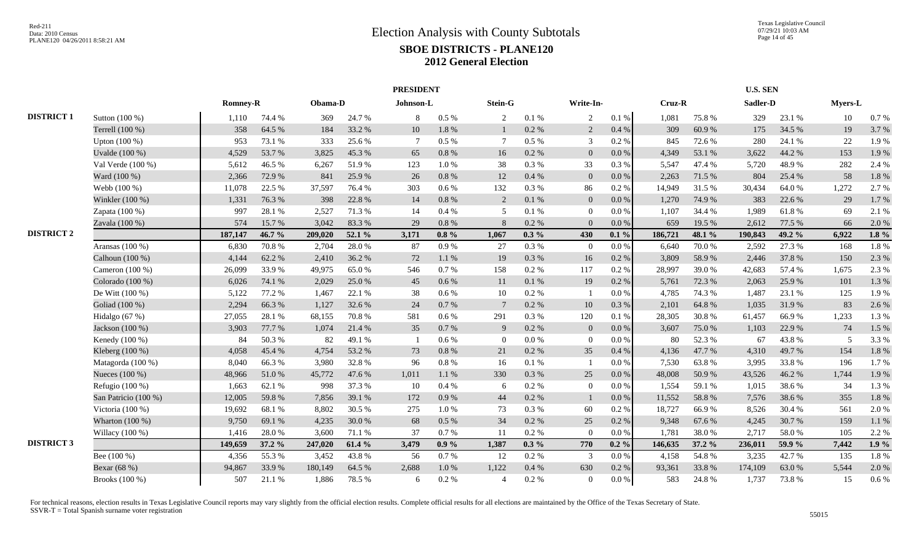|                   |                      |                 |        |         |        | <b>PRESIDENT</b> |           |                 |          |                |           |         |        | <b>U.S. SEN</b> |        |         |         |
|-------------------|----------------------|-----------------|--------|---------|--------|------------------|-----------|-----------------|----------|----------------|-----------|---------|--------|-----------------|--------|---------|---------|
|                   |                      | <b>Romney-R</b> |        | Obama-D |        | Johnson-L        |           | Stein-G         |          | Write-In-      |           | Cruz-R  |        | Sadler-D        |        | Myers-L |         |
| <b>DISTRICT 1</b> | Sutton (100 %)       | 1,110           | 74.4 % | 369     | 24.7 % | 8                | $0.5\%$   | 2               | 0.1%     | 2              | 0.1 %     | 1,081   | 75.8%  | 329             | 23.1 % | 10      | 0.7%    |
|                   | Terrell (100 %)      | 358             | 64.5 % | 184     | 33.2 % | 10               | 1.8%      |                 | $0.2~\%$ | 2              | $0.4\ \%$ | 309     | 60.9%  | 175             | 34.5 % | 19      | 3.7%    |
|                   | Upton $(100\%)$      | 953             | 73.1 % | 333     | 25.6 % | -7               | $0.5\%$   | $\tau$          | 0.5%     | 3              | 0.2 %     | 845     | 72.6%  | 280             | 24.1 % | 22      | 1.9%    |
|                   | Uvalde (100 %)       | 4,529           | 53.7%  | 3,825   | 45.3%  | 65               | 0.8%      | 16              | 0.2 %    | $\mathbf{0}$   | 0.0 %     | 4.349   | 53.1 % | 3,622           | 44.2 % | 153     | 1.9%    |
|                   | Val Verde $(100\%)$  | 5,612           | 46.5 % | 6,267   | 51.9%  | 123              | 1.0%      | 38              | 0.3%     | 33             | 0.3%      | 5,547   | 47.4 % | 5,720           | 48.9%  | 282     | 2.4 %   |
|                   | Ward (100 %)         | 2,366           | 72.9%  | 841     | 25.9%  | 26               | 0.8%      | 12              | 0.4%     | $\mathbf{0}$   | 0.0 %     | 2,263   | 71.5 % | 804             | 25.4 % | 58      | 1.8%    |
|                   | Webb (100 %)         | 11,078          | 22.5 % | 37,597  | 76.4%  | 303              | $0.6\%$   | 132             | 0.3%     | 86             | 0.2 %     | 14,949  | 31.5 % | 30,434          | 64.0%  | 1,272   | 2.7 %   |
|                   | Winkler (100 %)      | 1,331           | 76.3%  | 398     | 22.8 % | 14               | 0.8 %     | 2               | 0.1%     | $\mathbf{0}$   | $0.0\,\%$ | 1,270   | 74.9%  | 383             | 22.6 % | 29      | 1.7%    |
|                   | Zapata $(100\%)$     | 997             | 28.1%  | 2,527   | 71.3%  | 14               | 0.4%      | 5               | 0.1 %    | $\theta$       | $0.0\%$   | 1,107   | 34.4 % | 1,989           | 61.8%  | 69      | 2.1 %   |
|                   | Zavala (100 %)       | 574             | 15.7%  | 3,042   | 83.3%  | 29               | 0.8%      | 8               | 0.2 %    | $\Omega$       | 0.0 %     | 659     | 19.5 % | 2,612           | 77.5 % | 66      | 2.0%    |
| <b>DISTRICT 2</b> |                      | 187,147         | 46.7%  | 209,020 | 52.1 % | 3,171            | $0.8 \%$  | 1.067           | $0.3\%$  | 430            | $0.1\%$   | 186,721 | 48.1 % | 190.843         | 49.2 % | 6,922   | $1.8\%$ |
|                   | Aransas $(100\%)$    | 6,830           | 70.8%  | 2,704   | 28.0%  | 87               | 0.9%      | 27              | 0.3%     | $\overline{0}$ | $0.0\%$   | 6,640   | 70.0%  | 2,592           | 27.3 % | 168     | 1.8%    |
|                   | Calhoun (100 %)      | 4,144           | 62.2%  | 2,410   | 36.2 % | 72               | 1.1%      | 19              | 0.3 %    | 16             | 0.2 %     | 3,809   | 58.9%  | 2,446           | 37.8%  | 150     | 2.3 %   |
|                   | Cameron $(100\%)$    | 26,099          | 33.9%  | 49,975  | 65.0%  | 546              | $0.7\%$   | 158             | 0.2 %    | 117            | 0.2 %     | 28,997  | 39.0%  | 42,683          | 57.4 % | 1,675   | 2.3 %   |
|                   | Colorado (100 %)     | 6,026           | 74.1 % | 2,029   | 25.0%  | 45               | $0.6\%$   | 11              | $0.1~\%$ | 19             | $0.2 \%$  | 5,761   | 72.3 % | 2,063           | 25.9%  | 101     | 1.3%    |
|                   | De Witt (100 %)      | 5,122           | 77.2 % | 1,467   | 22.1 % | 38               | 0.6 %     | 10              | 0.2%     | - 1            | 0.0 %     | 4,785   | 74.3 % | 1,487           | 23.1 % | 125     | 1.9%    |
|                   | Goliad (100 %)       | 2,294           | 66.3%  | 1,127   | 32.6 % | 24               | 0.7 %     | $7\phantom{.0}$ | 0.2 %    | 10             | 0.3%      | 2,101   | 64.8%  | 1,035           | 31.9%  | 83      | 2.6 %   |
|                   | Hidalgo $(67%)$      | 27,055          | 28.1 % | 68,155  | 70.8%  | 581              | $0.6\%$   | 291             | 0.3%     | 120            | 0.1%      | 28,305  | 30.8%  | 61,457          | 66.9%  | 1,233   | 1.3%    |
|                   | Jackson (100 %)      | 3,903           | 77.7 % | 1,074   | 21.4 % | 35               | 0.7%      | 9               | 0.2 %    | $\overline{0}$ | 0.0 %     | 3,607   | 75.0%  | 1,103           | 22.9 % | 74      | 1.5 %   |
|                   | Kenedy $(100\%)$     | 84              | 50.3%  | 82      | 49.1 % |                  | 0.6 %     | $\overline{0}$  | 0.0 %    | $\theta$       | $0.0\%$   | 80      | 52.3 % | 67              | 43.8%  | 5       | 3.3%    |
|                   | Kleberg (100 %)      | 4,058           | 45.4%  | 4,754   | 53.2 % | 73               | 0.8%      | 21              | 0.2 %    | 35             | 0.4%      | 4,136   | 47.7 % | 4,310           | 49.7%  | 154     | 1.8%    |
|                   | Matagorda (100 %)    | 8,040           | 66.3%  | 3,980   | 32.8%  | 96               | $0.8\ \%$ | 16              | 0.1%     |                | 0.0 %     | 7,530   | 63.8%  | 3,995           | 33.8%  | 196     | 1.7%    |
|                   | Nueces (100 %)       | 48,966          | 51.0%  | 45,772  | 47.6 % | 1,011            | $1.1\ \%$ | 330             | 0.3 %    | 25             | 0.0 %     | 48,008  | 50.9%  | 43,526          | 46.2%  | 1,744   | 1.9%    |
|                   | Refugio (100 %)      | 1,663           | 62.1%  | 998     | 37.3 % | 10               | 0.4%      | 6               | 0.2 %    | $\overline{0}$ | 0.0 %     | 1,554   | 59.1 % | 1,015           | 38.6%  | 34      | 1.3%    |
|                   | San Patricio (100 %) | 12,005          | 59.8%  | 7,856   | 39.1 % | 172              | 0.9 %     | 44              | 0.2 %    |                | $0.0\,\%$ | 11,552  | 58.8%  | 7,576           | 38.6%  | 355     | 1.8%    |
|                   | Victoria (100 %)     | 19,692          | 68.1%  | 8,802   | 30.5 % | 275              | 1.0%      | 73              | 0.3%     | 60             | 0.2 %     | 18,727  | 66.9%  | 8,526           | 30.4 % | 561     | 2.0 %   |
|                   | Wharton $(100\%)$    | 9,750           | 69.1 % | 4,235   | 30.0%  | 68               | $0.5\%$   | 34              | 0.2 %    | 25             | 0.2 %     | 9,348   | 67.6%  | 4,245           | 30.7%  | 159     | 1.1 %   |
|                   | Willacy (100 %)      | 1,416           | 28.0%  | 3,600   | 71.1 % | 37               | 0.7 %     | 11              | 0.2 %    | $\Omega$       | $0.0\%$   | 1,781   | 38.0%  | 2,717           | 58.0%  | 105     | 2.2 %   |
| <b>DISTRICT 3</b> |                      | 149,659         | 37.2 % | 247,020 | 61.4 % | 3,479            | $0.9\%$   | 1,387           | $0.3\%$  | 770            | $0.2\%$   | 146,635 | 37.2 % | 236,011         | 59.9%  | 7,442   | 1.9%    |
|                   | Bee (100 %)          | 4,356           | 55.3%  | 3,452   | 43.8%  | 56               | 0.7 %     | 12              | 0.2 %    | $\overline{3}$ | $0.0\%$   | 4,158   | 54.8 % | 3,235           | 42.7%  | 135     | 1.8%    |
|                   | Bexar (68 %)         | 94,867          | 33.9%  | 180,149 | 64.5 % | 2,688            | $1.0\ \%$ | 1,122           | $0.4~\%$ | 630            | 0.2 %     | 93,361  | 33.8%  | 174,109         | 63.0%  | 5,544   | 2.0%    |
|                   | Brooks (100 %)       | 507             | 21.1%  | 1,886   | 78.5%  | 6                | $0.2~\%$  | $\overline{4}$  | $0.2~\%$ | $\overline{0}$ | $0.0\,\%$ | 583     | 24.8%  | 1,737           | 73.8%  | 15      | $0.6\%$ |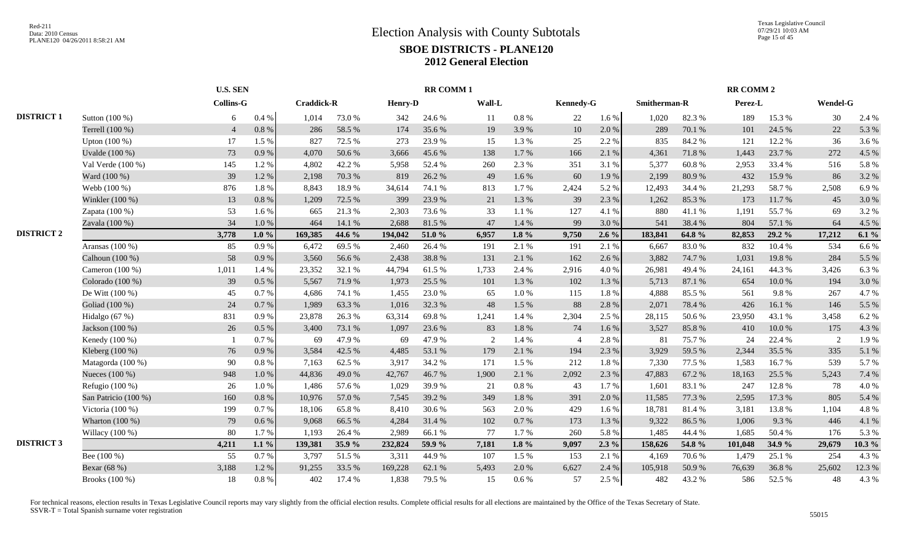|                   |                      |                  | <b>U.S. SEN</b> |                   |        |                | <b>RR COMM1</b> |        |          |                  |          |              |        | <b>RR COMM 2</b> |        |                 |          |
|-------------------|----------------------|------------------|-----------------|-------------------|--------|----------------|-----------------|--------|----------|------------------|----------|--------------|--------|------------------|--------|-----------------|----------|
|                   |                      | <b>Collins-G</b> |                 | <b>Craddick-R</b> |        | <b>Henry-D</b> |                 | Wall-L |          | <b>Kennedy-G</b> |          | Smitherman-R |        | Perez-L          |        | <b>Wendel-G</b> |          |
| <b>DISTRICT 1</b> | Sutton (100 %)       | 6                | 0.4%            | 1,014             | 73.0%  | 342            | 24.6 %          | 11     | 0.8%     | 22               | $1.6\%$  | 1,020        | 82.3%  | 189              | 15.3 % | 30              | 2.4 %    |
|                   | Terrell (100 %)      | $\overline{4}$   | 0.8%            | 286               | 58.5 % | 174            | 35.6%           | 19     | 3.9%     | 10               | 2.0 %    | 289          | 70.1 % | 101              | 24.5 % | 22              | 5.3 %    |
|                   | Upton $(100\%)$      | 17               | 1.5 %           | 827               | 72.5 % | 273            | 23.9%           | 15     | 1.3%     | 25               | 2.2%     | 835          | 84.2%  | 121              | 12.2 % | 36              | 3.6%     |
|                   | Uvalde (100 %)       | 73               | 0.9%            | 4,070             | 50.6%  | 3.666          | 45.6%           | 138    | 1.7%     | 166              | 2.1 %    | 4,361        | 71.8%  | 1.443            | 23.7 % | 272             | 4.5 %    |
|                   | Val Verde $(100\%)$  | 145              | 1.2 %           | 4,802             | 42.2 % | 5.958          | 52.4 %          | 260    | 2.3 %    | 351              | 3.1 %    | 5,377        | 60.8%  | 2.953            | 33.4 % | 516             | 5.8%     |
|                   | Ward (100 %)         | 39               | 1.2%            | 2,198             | 70.3 % | 819            | 26.2%           | 49     | 1.6%     | 60               | 1.9%     | 2,199        | 80.9%  | 432              | 15.9%  | 86              | 3.2%     |
|                   | Webb (100 %)         | 876              | 1.8%            | 8,843             | 18.9%  | 34,614         | 74.1 %          | 813    | 1.7 %    | 2,424            | 5.2%     | 12,493       | 34.4 % | 21,293           | 58.7%  | 2,508           | 6.9%     |
|                   | Winkler (100 %)      | 13               | 0.8%            | 1,209             | 72.5 % | 399            | 23.9%           | 21     | 1.3 %    | 39               | 2.3 %    | 1,262        | 85.3%  | 173              | 11.7 % | 45              | 3.0%     |
|                   | Zapata (100 %)       | 53               | 1.6%            | 665               | 21.3%  | 2,303          | 73.6 %          | 33     | 1.1 %    | 127              | 4.1 %    | 880          | 41.1%  | 1,191            | 55.7%  | 69              | 3.2%     |
|                   | Zavala (100 %)       | 34               | 1.0%            | 464               | 14.1 % | 2,688          | 81.5%           | 47     | 1.4 %    | 99               | 3.0 %    | 541          | 38.4 % | 804              | 57.1 % | 64              | 4.5 %    |
| <b>DISTRICT 2</b> |                      | 3,778            | 1.0%            | 169,385           | 44.6 % | 194,042        | 51.0 %          | 6,957  | 1.8 $%$  | 9,750            | $2.6\%$  | 183,841      | 64.8%  | 82,853           | 29.2 % | 17,212          | 6.1%     |
|                   | Aransas $(100\%)$    | 85               | 0.9%            | 6,472             | 69.5%  | 2.460          | 26.4 %          | 191    | 2.1 %    | 191              | 2.1 %    | 6.667        | 83.0%  | 832              | 10.4 % | 534             | 6.6 %    |
|                   | Calhoun (100 %)      | 58               | 0.9%            | 3,560             | 56.6%  | 2,438          | 38.8%           | 131    | 2.1 %    | 162              | 2.6 %    | 3,882        | 74.7%  | 1,031            | 19.8%  | 284             | 5.5 %    |
|                   | Cameron (100 %)      | 1,011            | 1.4 %           | 23,352            | 32.1 % | 44,794         | 61.5%           | 1,733  | 2.4 %    | 2,916            | 4.0%     | 26,981       | 49.4%  | 24,161           | 44.3 % | 3,426           | 6.3%     |
|                   | Colorado (100 %)     | 39               | 0.5%            | 5,567             | 71.9%  | 1,973          | 25.5 %          | 101    | 1.3 %    | 102              | 1.3%     | 5,713        | 87.1 % | 654              | 10.0%  | 194             | 3.0%     |
|                   | De Witt $(100\%)$    | 45               | 0.7%            | 4,686             | 74.1 % | 1.455          | 23.0%           | 65     | 1.0%     | 115              | 1.8%     | 4,888        | 85.5%  | 561              | 9.8%   | 267             | 4.7%     |
|                   | Goliad (100 %)       | 24               | 0.7%            | 1.989             | 63.3%  | 1.016          | 32.3 %          | 48     | 1.5 %    | 88               | 2.8%     | 2,071        | 78.4%  | 426              | 16.1%  | 146             | 5.5 %    |
|                   | Hidalgo $(67%)$      | 831              | 0.9%            | 23,878            | 26.3%  | 63.314         | 69.8%           | 1,241  | 1.4 %    | 2,304            | 2.5 %    | 28,115       | 50.6 % | 23,950           | 43.1 % | 3,458           | 6.2%     |
|                   | Jackson (100 %)      | 26               | 0.5%            | 3,400             | 73.1 % | 1,097          | 23.6 %          | 83     | 1.8%     | 74               | 1.6 %    | 3,527        | 85.8%  | 410              | 10.0%  | 175             | 4.3 %    |
|                   | Kenedy (100 %)       |                  | 0.7%            | 69                | 47.9%  | 69             | 47.9%           | 2      | 1.4 %    |                  | 2.8%     | 81           | 75.7%  | 24               | 22.4 % | 2               | 1.9%     |
|                   | Kleberg (100 %)      | 76               | 0.9%            | 3,584             | 42.5 % | 4,485          | 53.1 %          | 179    | 2.1 %    | 194              | 2.3 %    | 3,929        | 59.5 % | 2,344            | 35.5 % | 335             | 5.1%     |
|                   | Matagorda (100 %)    | 90               | 0.8%            | 7,163             | 62.5 % | 3,917          | 34.2 %          | 171    | 1.5 %    | 212              | 1.8 %    | 7,330        | 77.5 % | 1,583            | 16.7%  | 539             | 5.7%     |
|                   | Nueces (100 %)       | 948              | 1.0%            | 44,836            | 49.0%  | 42,767         | 46.7%           | 1,900  | 2.1 %    | 2,092            | 2.3 %    | 47,883       | 67.2%  | 18,163           | 25.5 % | 5,243           | 7.4 %    |
|                   | Refugio (100 %)      | 26               | 1.0%            | 1,486             | 57.6 % | 1,029          | 39.9%           | 21     | 0.8%     | 43               | $1.7~\%$ | 1,601        | 83.1 % | 247              | 12.8%  | 78              | 4.0%     |
|                   | San Patricio (100 %) | 160              | 0.8%            | 10,976            | 57.0%  | 7,545          | 39.2 %          | 349    | 1.8%     | 391              | 2.0%     | 11,585       | 77.3 % | 2,595            | 17.3 % | 805             | 5.4 %    |
|                   | Victoria (100 %)     | 199              | 0.7%            | 18,106            | 65.8%  | 8,410          | 30.6%           | 563    | 2.0 %    | 429              | 1.6%     | 18,781       | 81.4%  | 3,181            | 13.8%  | 1,104           | 4.8%     |
|                   | Wharton $(100\%)$    | 79               | $0.6\%$         | 9,068             | 66.5%  | 4,284          | 31.4 %          | 102    | 0.7%     | 173              | 1.3%     | 9,322        | 86.5%  | 1,006            | 9.3%   | 446             | 4.1 %    |
|                   | Willacy $(100\%)$    | 80               | 1.7%            | 1,193             | 26.4 % | 2,989          | 66.1%           | 77     | 1.7%     | 260              | 5.8%     | 1,485        | 44.4 % | 1,685            | 50.4%  | 176             | 5.3 %    |
| <b>DISTRICT 3</b> |                      | 4,211            | $1.1\%$         | 139,381           | 35.9 % | 232,824        | 59.9%           | 7,181  | $1.8 \%$ | 9,097            | $2.3\%$  | 158,626      | 54.8 % | 101,048          | 34.9%  | 29,679          | $10.3\%$ |
|                   | Bee (100 %)          | 55               | 0.7 %           | 3,797             | 51.5%  | 3,311          | 44.9%           | 107    | 1.5 %    | 153              | 2.1%     | 4,169        | 70.6%  | 1,479            | 25.1 % | 254             | 4.3 %    |
|                   | Bexar (68 %)         | 3,188            | 1.2%            | 91,255            | 33.5 % | 169,228        | 62.1 %          | 5,493  | 2.0%     | 6,627            | 2.4 %    | 105,918      | 50.9%  | 76,639           | 36.8%  | 25,602          | 12.3 %   |
|                   | Brooks (100 %)       | 18               | 0.8%            | 402               | 17.4 % | 1,838          | 79.5 %          | 15     | $0.6\%$  | 57               | 2.5 %    | 482          | 43.2 % | 586              | 52.5 % | 48              | 4.3 %    |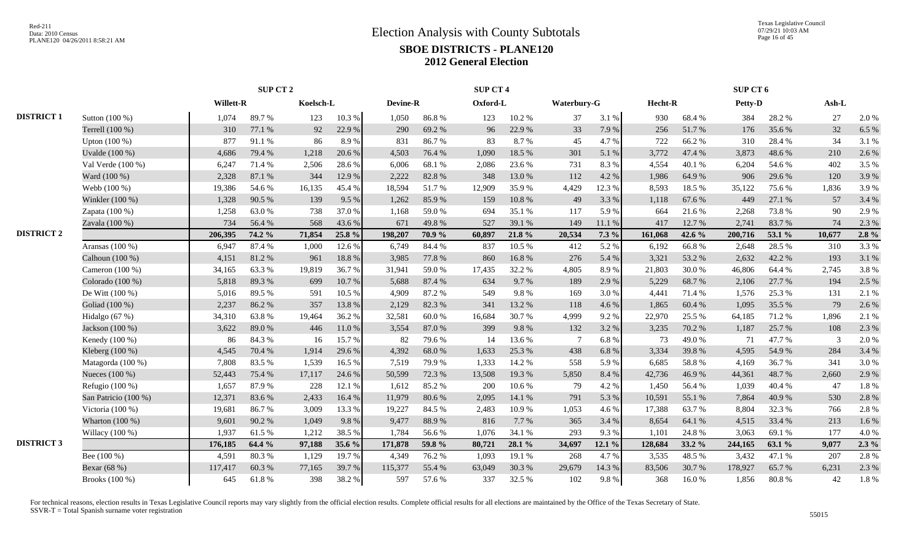|                   |                      |                  | <b>SUP CT 2</b> |           |        |                 |        | <b>SUP CT 4</b> |        |                |         |         |        | SUP CT 6 |        |        |         |
|-------------------|----------------------|------------------|-----------------|-----------|--------|-----------------|--------|-----------------|--------|----------------|---------|---------|--------|----------|--------|--------|---------|
|                   |                      | <b>Willett-R</b> |                 | Koelsch-L |        | <b>Devine-R</b> |        | Oxford-L        |        | Waterbury-G    |         | Hecht-R |        | Petty-D  |        | Ash-L  |         |
| <b>DISTRICT 1</b> | Sutton (100 %)       | 1.074            | 89.7%           | 123       | 10.3%  | 1.050           | 86.8%  | 123             | 10.2%  | 37             | 3.1 %   | 930     | 68.4%  | 384      | 28.2 % | 27     | 2.0 %   |
|                   | Terrell (100 %)      | 310              | 77.1 %          | 92        | 22.9%  | 290             | 69.2%  | 96              | 22.9 % | 33             | 7.9%    | 256     | 51.7%  | 176      | 35.6%  | 32     | 6.5 %   |
|                   | Upton $(100\%)$      | 877              | 91.1%           | 86        | 8.9%   | 831             | 86.7%  | 83              | 8.7%   | 45             | 4.7%    | 722     | 66.2%  | 310      | 28.4 % | 34     | 3.1 %   |
|                   | Uvalde (100 %)       | 4,686            | 79.4 %          | 1,218     | 20.6%  | 4,503           | 76.4%  | 1,090           | 18.5 % | 301            | 5.1%    | 3,772   | 47.4 % | 3,873    | 48.6 % | 210    | 2.6 %   |
|                   | Val Verde (100 %)    | 6,247            | 71.4%           | 2,506     | 28.6%  | 6.006           | 68.1%  | 2,086           | 23.6 % | 731            | 8.3%    | 4,554   | 40.1 % | 6,204    | 54.6%  | 402    | 3.5 %   |
|                   | Ward (100 %)         | 2,328            | 87.1 %          | 344       | 12.9%  | 2,222           | 82.8%  | 348             | 13.0%  | 112            | 4.2 %   | 1,986   | 64.9%  | 906      | 29.6 % | 120    | 3.9%    |
|                   | Webb (100 %)         | 19,386           | 54.6 %          | 16,135    | 45.4%  | 18,594          | 51.7%  | 12,909          | 35.9%  | 4,429          | 12.3 %  | 8,593   | 18.5 % | 35,122   | 75.6%  | 1,836  | 3.9%    |
|                   | Winkler (100 %)      | 1,328            | 90.5 %          | 139       | 9.5%   | 1,262           | 85.9%  | 159             | 10.8%  | 49             | 3.3 %   | 1,118   | 67.6%  | 449      | 27.1 % | 57     | 3.4 %   |
|                   | Zapata $(100\%)$     | 1,258            | 63.0%           | 738       | 37.0%  | 1,168           | 59.0%  | 694             | 35.1 % | 117            | 5.9%    | 664     | 21.6%  | 2,268    | 73.8%  | 90     | 2.9 %   |
|                   | Zavala (100 %)       | 734              | 56.4%           | 568       | 43.6 % | 671             | 49.8%  | 527             | 39.1 % | 149            | 11.1%   | 417     | 12.7 % | 2,741    | 83.7%  | 74     | 2.3 %   |
| <b>DISTRICT 2</b> |                      | 206,395          | 74.2 %          | 71,854    | 25.8 % | 198,207         | 70.9%  | 60,897          | 21.8 % | 20,534         | $7.3\%$ | 161,068 | 42.6 % | 200,716  | 53.1 % | 10,677 | $2.8\%$ |
|                   | Aransas $(100\%)$    | 6,947            | 87.4 %          | 1,000     | 12.6 % | 6.749           | 84.4 % | 837             | 10.5 % | 412            | 5.2 %   | 6,192   | 66.8%  | 2.648    | 28.5 % | 310    | 3.3%    |
|                   | Calhoun (100 %)      | 4,151            | 81.2%           | 961       | 18.8%  | 3,985           | 77.8%  | 860             | 16.8%  | 276            | 5.4 %   | 3,321   | 53.2 % | 2,632    | 42.2 % | 193    | 3.1 %   |
|                   | Cameron (100 %)      | 34,165           | 63.3%           | 19,819    | 36.7%  | 31.941          | 59.0%  | 17,435          | 32.2 % | 4,805          | 8.9%    | 21,803  | 30.0 % | 46,806   | 64.4 % | 2,745  | 3.8%    |
|                   | Colorado (100 %)     | 5,818            | 89.3%           | 699       | 10.7%  | 5,688           | 87.4 % | 634             | 9.7%   | 189            | 2.9%    | 5,229   | 68.7%  | 2,106    | 27.7 % | 194    | 2.5 %   |
|                   | De Witt (100 %)      | 5,016            | 89.5%           | 591       | 10.5 % | 4,909           | 87.2%  | 549             | 9.8%   | 169            | 3.0%    | 4,441   | 71.4 % | 1,576    | 25.3 % | 131    | 2.1 %   |
|                   | Goliad (100 %)       | 2,237            | 86.2%           | 357       | 13.8%  | 2,129           | 82.3%  | 341             | 13.2 % | 118            | 4.6 %   | 1,865   | 60.4%  | 1,095    | 35.5 % | 79     | 2.6 %   |
|                   | Hidalgo (67 %)       | 34,310           | 63.8%           | 19,464    | 36.2%  | 32,581          | 60.0%  | 16,684          | 30.7%  | 4,999          | 9.2%    | 22,970  | 25.5 % | 64,185   | 71.2%  | 1,896  | 2.1 %   |
|                   | Jackson (100 %)      | 3,622            | 89.0%           | 446       | 11.0%  | 3,554           | 87.0%  | 399             | 9.8%   | 132            | 3.2 %   | 3,235   | 70.2 % | 1,187    | 25.7 % | 108    | 2.3 %   |
|                   | Kenedy (100 %)       | 86               | 84.3 %          | 16        | 15.7 % | 82              | 79.6%  | 14              | 13.6 % | $\overline{7}$ | 6.8%    | 73      | 49.0%  | 71       | 47.7 % | 3      | 2.0%    |
|                   | Kleberg (100 %)      | 4,545            | 70.4 %          | 1,914     | 29.6 % | 4,392           | 68.0%  | 1,633           | 25.3 % | 438            | 6.8%    | 3,334   | 39.8%  | 4,595    | 54.9%  | 284    | 3.4 %   |
|                   | Matagorda (100 %)    | 7,808            | 83.5%           | 1,539     | 16.5%  | 7,519           | 79.9%  | 1,333           | 14.2 % | 558            | 5.9%    | 6,685   | 58.8%  | 4,169    | 36.7%  | 341    | 3.0%    |
|                   | Nueces (100 %)       | 52,443           | 75.4 %          | 17,117    | 24.6 % | 50,599          | 72.3 % | 13,508          | 19.3%  | 5,850          | 8.4%    | 42,736  | 46.9%  | 44,361   | 48.7%  | 2,660  | 2.9%    |
|                   | Refugio (100 %)      | 1,657            | 87.9%           | 228       | 12.1 % | 1,612           | 85.2%  | 200             | 10.6%  | 79             | 4.2%    | 1,450   | 56.4%  | 1,039    | 40.4%  | 47     | 1.8%    |
|                   | San Patricio (100 %) | 12,371           | 83.6%           | 2,433     | 16.4%  | 11,979          | 80.6%  | 2,095           | 14.1 % | 791            | 5.3 %   | 10,591  | 55.1 % | 7.864    | 40.9%  | 530    | 2.8 %   |
|                   | Victoria (100 %)     | 19,681           | 86.7%           | 3,009     | 13.3 % | 19,227          | 84.5 % | 2,483           | 10.9%  | 1,053          | 4.6%    | 17,388  | 63.7%  | 8,804    | 32.3 % | 766    | 2.8%    |
|                   | Wharton $(100\%)$    | 9,601            | 90.2%           | 1,049     | 9.8%   | 9,477           | 88.9%  | 816             | 7.7 %  | 365            | 3.4 %   | 8,654   | 64.1 % | 4,515    | 33.4 % | 213    | 1.6%    |
|                   | Willacy $(100\%)$    | 1,937            | 61.5%           | 1,212     | 38.5%  | 1.784           | 56.6 % | 1.076           | 34.1 % | 293            | 9.3%    | 1.101   | 24.8%  | 3.063    | 69.1 % | 177    | 4.0%    |
| <b>DISTRICT 3</b> |                      | 176,185          | 64.4 %          | 97,188    | 35.6 % | 171,878         | 59.8%  | 80,721          | 28.1 % | 34,697         | 12.1%   | 128,684 | 33.2 % | 244,165  | 63.1 % | 9,077  | $2.3\%$ |
|                   | Bee (100 %)          | 4,591            | 80.3%           | 1,129     | 19.7%  | 4,349           | 76.2%  | 1,093           | 19.1 % | 268            | 4.7%    | 3,535   | 48.5 % | 3,432    | 47.1 % | 207    | 2.8%    |
|                   | Bexar (68 %)         | 117,417          | 60.3%           | 77,165    | 39.7 % | 115,377         | 55.4 % | 63,049          | 30.3%  | 29,679         | 14.3 %  | 83,506  | 30.7%  | 178,927  | 65.7%  | 6,231  | 2.3 %   |
|                   | Brooks (100 %)       | 645              | 61.8%           | 398       | 38.2%  | 597             | 57.6%  | 337             | 32.5 % | 102            | 9.8%    | 368     | 16.0%  | 1,856    | 80.8%  | 42     | 1.8%    |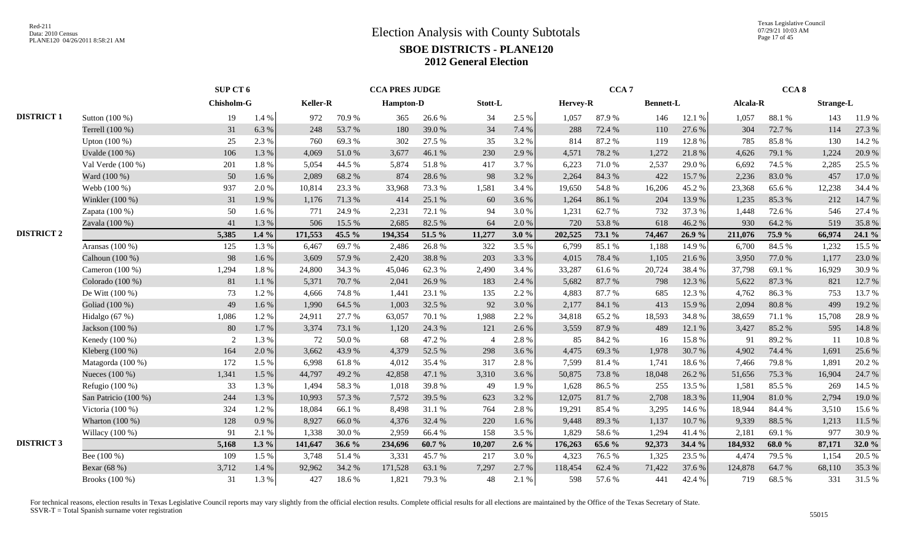|                   |                      | SUP CT 6       |           |          |          | <b>CCA PRES JUDGE</b> |        |                |         |          | CCA <sub>7</sub> |                  |        |          | CCA <sub>8</sub> |                  |        |
|-------------------|----------------------|----------------|-----------|----------|----------|-----------------------|--------|----------------|---------|----------|------------------|------------------|--------|----------|------------------|------------------|--------|
|                   |                      | Chisholm-G     |           | Keller-R |          | <b>Hampton-D</b>      |        | Stott-L        |         | Hervey-R |                  | <b>Bennett-L</b> |        | Alcala-R |                  | <b>Strange-L</b> |        |
| <b>DISTRICT 1</b> | Sutton (100 %)       | 19             | 1.4 %     | 972      | 70.9%    | 365                   | 26.6%  | 34             | 2.5 %   | 1,057    | 87.9%            | 146              | 12.1 % | 1,057    | 88.1%            | 143              | 11.9%  |
|                   | Terrell (100 %)      | 31             | 6.3 %     | 248      | 53.7%    | 180                   | 39.0%  | 34             | 7.4 %   | 288      | 72.4 %           | 110              | 27.6 % | 304      | 72.7 %           | 114              | 27.3 % |
|                   | Upton $(100\%)$      | 25             | 2.3 %     | 760      | 69.3%    | 302                   | 27.5 % | 35             | 3.2%    | 814      | 87.2%            | 119              | 12.8%  | 785      | 85.8%            | 130              | 14.2 % |
|                   | Uvalde (100 %)       | 106            | 1.3 %     | 4,069    | 51.0%    | 3,677                 | 46.1%  | 230            | 2.9%    | 4,571    | 78.2 %           | 1,272            | 21.8%  | 4,626    | 79.1 %           | 1,224            | 20.9%  |
|                   | Val Verde (100 %)    | 201            | 1.8 %     | 5,054    | 44.5 %   | 5,874                 | 51.8%  | 417            | 3.7%    | 6,223    | 71.0%            | 2,537            | 29.0%  | 6,692    | 74.5 %           | 2,285            | 25.5 % |
|                   | Ward (100 %)         | 50             | 1.6%      | 2,089    | 68.2%    | 874                   | 28.6 % | 98             | 3.2%    | 2,264    | 84.3 %           | 422              | 15.7%  | 2,236    | 83.0%            | 457              | 17.0%  |
|                   | Webb (100 %)         | 937            | 2.0 %     | 10,814   | 23.3 %   | 33,968                | 73.3 % | 1,581          | 3.4 %   | 19,650   | 54.8%            | 16,206           | 45.2%  | 23,368   | 65.6%            | 12,238           | 34.4 % |
|                   | Winkler (100 %)      | 31             | 1.9%      | 1,176    | 71.3%    | 414                   | 25.1 % | 60             | 3.6%    | 1,264    | 86.1%            | 204              | 13.9%  | 1,235    | 85.3%            | 212              | 14.7%  |
|                   | Zapata (100 %)       | 50             | 1.6%      | 771      | 24.9%    | 2,231                 | 72.1 % | 94             | 3.0%    | 1,231    | 62.7%            | 732              | 37.3 % | 1,448    | 72.6 %           | 546              | 27.4 % |
|                   | Zavala (100 %)       | 41             | 1.3%      | 506      | 15.5 %   | 2,685                 | 82.5 % | 64             | 2.0%    | 720      | 53.8%            | 618              | 46.2%  | 930      | 64.2%            | 519              | 35.8%  |
| <b>DISTRICT 2</b> |                      | 5,385          | $1.4\%$   | 171,553  | 45.5 %   | 194,354               | 51.5 % | 11,277         | $3.0\%$ | 202,525  | 73.1 %           | 74,467           | 26.9%  | 211,076  | 75.9 %           | 66,974           | 24.1 % |
|                   | Aransas $(100\%)$    | 125            | 1.3%      | 6,467    | 69.7%    | 2,486                 | 26.8%  | 322            | 3.5 %   | 6,799    | 85.1%            | 1,188            | 14.9%  | 6,700    | 84.5 %           | 1,232            | 15.5 % |
|                   | Calhoun (100 %)      | 98             | 1.6%      | 3,609    | 57.9%    | 2,420                 | 38.8%  | 203            | 3.3 %   | 4,015    | 78.4%            | 1,105            | 21.6%  | 3,950    | 77.0 %           | 1,177            | 23.0%  |
|                   | Cameron (100 %)      | 1,294          | 1.8%      | 24,800   | 34.3 %   | 45,046                | 62.3%  | 2,490          | 3.4 %   | 33,287   | 61.6%            | 20,724           | 38.4%  | 37,798   | 69.1 %           | 16,929           | 30.9%  |
|                   | Colorado (100 %)     | 81             | 1.1%      | 5,371    | 70.7%    | 2,041                 | 26.9%  | 183            | 2.4 %   | 5,682    | 87.7 %           | 798              | 12.3 % | 5,622    | 87.3%            | 821              | 12.7 % |
|                   | De Witt $(100\%)$    | 73             | 1.2%      | 4,666    | 74.8%    | 1,441                 | 23.1 % | 135            | 2.2 %   | 4,883    | 87.7%            | 685              | 12.3 % | 4.762    | 86.3%            | 753              | 13.7 % |
|                   | Goliad (100 %)       | 49             | 1.6 %     | 1,990    | 64.5 %   | 1,003                 | 32.5 % | 92             | 3.0%    | 2,177    | 84.1 %           | 413              | 15.9%  | 2.094    | 80.8%            | 499              | 19.2%  |
|                   | Hidalgo (67 %)       | 1,086          | 1.2%      | 24,911   | 27.7 %   | 63,057                | 70.1 % | 1,988          | 2.2 %   | 34,818   | 65.2%            | 18,593           | 34.8%  | 38,659   | 71.1 %           | 15,708           | 28.9%  |
|                   | Jackson (100 %)      | 80             | 1.7%      | 3,374    | 73.1 %   | 1,120                 | 24.3 % | 121            | 2.6 %   | 3,559    | 87.9%            | 489              | 12.1 % | 3,427    | 85.2%            | 595              | 14.8%  |
|                   | Kenedy (100 %)       | $\overline{2}$ | 1.3%      | 72       | 50.0%    | 68                    | 47.2 % | $\overline{4}$ | 2.8%    | 85       | 84.2 %           | 16               | 15.8%  | 91       | 89.2%            | 11               | 10.8%  |
|                   | Kleberg (100 %)      | 164            | 2.0 %     | 3,662    | 43.9%    | 4.379                 | 52.5 % | 298            | 3.6%    | 4,475    | 69.3%            | 1,978            | 30.7%  | 4.902    | 74.4 %           | 1,691            | 25.6 % |
|                   | Matagorda (100 %)    | 172            | 1.5 %     | 6,998    | 61.8%    | 4,012                 | 35.4%  | 317            | 2.8%    | 7,599    | 81.4%            | 1,741            | 18.6%  | 7,466    | 79.8%            | 1,891            | 20.2 % |
|                   | Nueces (100 %)       | 1,341          | 1.5 %     | 44,797   | 49.2%    | 42,858                | 47.1 % | 3,310          | 3.6%    | 50,875   | 73.8%            | 18,048           | 26.2%  | 51,656   | 75.3 %           | 16,904           | 24.7 % |
|                   | Refugio $(100\%)$    | 33             | 1.3%      | 1,494    | 58.3 %   | 1,018                 | 39.8%  | 49             | 1.9%    | 1,628    | 86.5%            | 255              | 13.5 % | 1,581    | 85.5%            | 269              | 14.5 % |
|                   | San Patricio (100 %) | 244            | 1.3%      | 10,993   | 57.3 %   | 7,572                 | 39.5 % | 623            | 3.2%    | 12,075   | 81.7%            | 2,708            | 18.3 % | 11,904   | 81.0%            | 2,794            | 19.0%  |
|                   | Victoria (100 %)     | 324            | 1.2%      | 18,084   | 66.1%    | 8,498                 | 31.1 % | 764            | 2.8%    | 19,291   | 85.4%            | 3,295            | 14.6 % | 18,944   | 84.4 %           | 3,510            | 15.6%  |
|                   | Wharton (100 %)      | 128            | $0.9\ \%$ | 8,927    | 66.0%    | 4,376                 | 32.4 % | 220            | 1.6 %   | 9,448    | 89.3%            | 1,137            | 10.7%  | 9,339    | 88.5%            | 1,213            | 11.5 % |
|                   | Willacy (100 %)      | 91             | 2.1 %     | 1,338    | 30.0%    | 2,959                 | 66.4%  | 158            | 3.5 %   | 1,829    | 58.6%            | 1,294            | 41.4%  | 2,181    | 69.1%            | 977              | 30.9%  |
| <b>DISTRICT 3</b> |                      | 5,168          | $1.3\%$   | 141,647  | 36.6 $%$ | 234,696               | 60.7%  | 10,207         | $2.6\%$ | 176,263  | 65.6 %           | 92,373           | 34.4 % | 184,932  | 68.0%            | 87,171           | 32.0%  |
|                   | Bee (100 %)          | 109            | 1.5 %     | 3,748    | 51.4 %   | 3,331                 | 45.7%  | 217            | 3.0%    | 4,323    | 76.5 %           | 1,325            | 23.5 % | 4.474    | 79.5 %           | 1,154            | 20.5 % |
|                   | Bexar (68 %)         | 3,712          | 1.4 %     | 92,962   | 34.2 %   | 171,528               | 63.1 % | 7,297          | 2.7%    | 118,454  | 62.4 %           | 71,422           | 37.6%  | 124,878  | 64.7%            | 68,110           | 35.3%  |
|                   | Brooks (100 %)       | 31             | 1.3 %     | 427      | 18.6%    | 1,821                 | 79.3%  | 48             | 2.1 %   | 598      | 57.6%            | 441              | 42.4 % | 719      | 68.5%            | 331              | 31.5%  |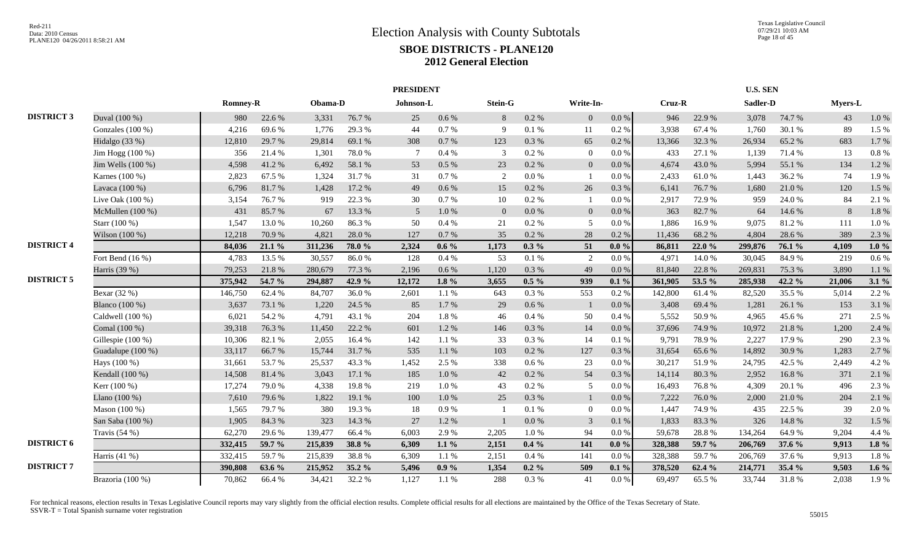|                   |                    |                 |        |         | <b>PRESIDENT</b> |                |           |          |           |                |           |         |        | <b>U.S. SEN</b> |        |         |         |
|-------------------|--------------------|-----------------|--------|---------|------------------|----------------|-----------|----------|-----------|----------------|-----------|---------|--------|-----------------|--------|---------|---------|
|                   |                    | <b>Romney-R</b> |        | Obama-D |                  | Johnson-L      |           | Stein-G  |           | Write-In-      |           | Cruz-R  |        | Sadler-D        |        | Myers-L |         |
| <b>DISTRICT 3</b> | Duval (100 %)      | 980             | 22.6 % | 3,331   | 76.7%            | 25             | 0.6 %     | 8        | 0.2 %     | $\overline{0}$ | $0.0\,\%$ | 946     | 22.9 % | 3,078           | 74.7%  | 43      | 1.0%    |
|                   | Gonzales (100 %)   | 4,216           | 69.6%  | 1,776   | 29.3 %           | 44             | 0.7%      | 9        | $0.1~\%$  | 11             | 0.2 %     | 3,938   | 67.4%  | 1,760           | 30.1 % | 89      | 1.5 %   |
|                   | Hidalgo (33 %)     | 12,810          | 29.7 % | 29,814  | 69.1%            | 308            | 0.7 %     | 123      | $0.3~\%$  | 65             | 0.2 %     | 13,366  | 32.3 % | 26,934          | 65.2%  | 683     | 1.7%    |
|                   | Jim Hogg (100 %)   | 356             | 21.4 % | 1,301   | 78.0%            |                | 0.4%      | 3        | 0.2 %     | $\theta$       | 0.0 %     | 433     | 27.1 % | 1,139           | 71.4%  | 13      | 0.8%    |
|                   | Jim Wells (100 %)  | 4,598           | 41.2%  | 6,492   | 58.1 %           | 53             | 0.5%      | 23       | 0.2 %     | $\overline{0}$ | $0.0\,\%$ | 4,674   | 43.0%  | 5,994           | 55.1 % | 134     | 1.2%    |
|                   | Karnes (100 %)     | 2,823           | 67.5 % | 1,324   | 31.7%            | 31             | 0.7%      | 2        | 0.0 %     |                | 0.0 %     | 2,433   | 61.0%  | 1,443           | 36.2 % | 74      | 1.9%    |
|                   | Lavaca (100 %)     | 6,796           | 81.7%  | 1,428   | 17.2 %           | 49             | 0.6%      | 15       | $0.2\%$   | 26             | 0.3%      | 6,141   | 76.7%  | 1,680           | 21.0%  | 120     | 1.5 %   |
|                   | Live Oak $(100\%)$ | 3,154           | 76.7%  | 919     | 22.3 %           | 30             | 0.7%      | 10       | 0.2 %     |                | 0.0 %     | 2,917   | 72.9 % | 959             | 24.0%  | 84      | 2.1 %   |
|                   | McMullen $(100\%)$ | 431             | 85.7%  | 67      | 13.3 %           | $\overline{5}$ | 1.0%      | $\Omega$ | 0.0 %     | $\Omega$       | 0.0 %     | 363     | 82.7%  | 64              | 14.6 % | 8       | 1.8%    |
|                   | Starr (100 %)      | 1,547           | 13.0%  | 10,260  | 86.3%            | 50             | 0.4%      | 21       | 0.2 %     | 5              | 0.0 %     | 1,886   | 16.9%  | 9.075           | 81.2%  | 111     | 1.0%    |
|                   | Wilson (100 %)     | 12,218          | 70.9%  | 4,821   | 28.0%            | 127            | 0.7 %     | 35       | 0.2 %     | 28             | 0.2 %     | 11,436  | 68.2%  | 4.804           | 28.6%  | 389     | 2.3 %   |
| <b>DISTRICT 4</b> |                    | 84,036          | 21.1%  | 311,236 | 78.0 %           | 2,324          | $0.6\%$   | 1,173    | $0.3\%$   | 51             | $0.0\%$   | 86,811  | 22.0%  | 299.876         | 76.1 % | 4,109   | $1.0\%$ |
|                   | Fort Bend $(16\%)$ | 4,783           | 13.5 % | 30,557  | 86.0%            | 128            | 0.4%      | 53       | 0.1%      | 2              | 0.0 %     | 4,971   | 14.0 % | 30,045          | 84.9%  | 219     | $0.6\%$ |
|                   | Harris (39 %)      | 79,253          | 21.8%  | 280,679 | 77.3 %           | 2,196          | $0.6\,\%$ | 1,120    | $0.3~\%$  | 49             | 0.0 %     | 81,840  | 22.8%  | 269,831         | 75.3 % | 3,890   | 1.1 %   |
| <b>DISTRICT 5</b> |                    | 375,942         | 54.7 % | 294,887 | 42.9 %           | 12,172         | $1.8 \%$  | 3,655    | $0.5\%$   | 939            | $0.1\%$   | 361,905 | 53.5 % | 285,938         | 42.2 % | 21,006  | 3.1%    |
|                   | Bexar (32 %)       | 146,750         | 62.4%  | 84,707  | 36.0%            | 2,601          | 1.1%      | 643      | 0.3 %     | 553            | 0.2 %     | 142,800 | 61.4%  | 82,520          | 35.5 % | 5,014   | 2.2 %   |
|                   | Blanco (100 %)     | 3,637           | 73.1 % | 1,220   | 24.5 %           | 85             | 1.7%      | 29       | $0.6\,\%$ |                | 0.0 %     | 3,408   | 69.4 % | 1,281           | 26.1%  | 153     | 3.1 %   |
|                   | Caldwell (100 %)   | 6,021           | 54.2 % | 4,791   | 43.1 %           | 204            | 1.8%      | 46       | 0.4 %     | 50             | 0.4%      | 5,552   | 50.9%  | 4,965           | 45.6%  | 271     | 2.5 %   |
|                   | Comal (100 %)      | 39,318          | 76.3%  | 11,450  | 22.2 %           | 601            | 1.2%      | 146      | 0.3 %     | 14             | $0.0\,\%$ | 37,696  | 74.9%  | 10,972          | 21.8%  | 1,200   | 2.4 %   |
|                   | Gillespie (100 %)  | 10,306          | 82.1 % | 2,055   | 16.4 %           | 142            | 1.1 %     | 33       | 0.3%      | 14             | 0.1%      | 9.791   | 78.9%  | 2,227           | 17.9 % | 290     | 2.3 %   |
|                   | Guadalupe (100 %)  | 33,117          | 66.7%  | 15,744  | 31.7%            | 535            | 1.1%      | 103      | 0.2 %     | 127            | 0.3%      | 31,654  | 65.6%  | 14,892          | 30.9%  | 1,283   | 2.7 %   |
|                   | Hays (100 %)       | 31,661          | 53.7%  | 25,537  | 43.3 %           | 1,452          | 2.5 %     | 338      | 0.6 %     | 23             | $0.0\%$   | 30,217  | 51.9%  | 24,795          | 42.5 % | 2,449   | 4.2 %   |
|                   | Kendall (100 %)    | 14,508          | 81.4%  | 3,043   | 17.1 %           | 185            | 1.0%      | 42       | 0.2 %     | 54             | 0.3%      | 14,114  | 80.3%  | 2,952           | 16.8%  | 371     | 2.1 %   |
|                   | Kerr (100 %)       | 17,274          | 79.0%  | 4,338   | 19.8%            | 219            | 1.0%      | 43       | 0.2 %     | 5              | $0.0\%$   | 16,493  | 76.8%  | 4,309           | 20.1 % | 496     | 2.3 %   |
|                   | Llano (100 %)      | 7,610           | 79.6%  | 1,822   | 19.1 %           | 100            | 1.0%      | 25       | 0.3%      |                | 0.0 %     | 7,222   | 76.0%  | 2.000           | 21.0%  | 204     | 2.1 %   |
|                   | Mason (100 %)      | 1,565           | 79.7 % | 380     | 19.3%            | 18             | 0.9%      |          | 0.1%      | $\theta$       | 0.0 %     | 1.447   | 74.9%  | 435             | 22.5 % | 39      | 2.0%    |
|                   | San Saba (100 %)   | 1,905           | 84.3%  | 323     | 14.3 %           | 27             | 1.2%      |          | 0.0 %     | 3              | 0.1%      | 1,833   | 83.3%  | 326             | 14.8%  | 32      | 1.5 %   |
|                   | Travis $(54\%)$    | 62,270          | 29.6%  | 139,477 | 66.4%            | 6,003          | 2.9%      | 2,205    | $1.0\ \%$ | 94             | 0.0 %     | 59,678  | 28.8%  | 134,264         | 64.9%  | 9,204   | 4.4 %   |
| <b>DISTRICT 6</b> |                    | 332,415         | 59.7 % | 215,839 | 38.8%            | 6,309          | $1.1\%$   | 2,151    | $0.4\%$   | 141            | $0.0 \%$  | 328,388 | 59.7 % | 206,769         | 37.6 % | 9,913   | $1.8\%$ |
|                   | Harris (41 %)      | 332,415         | 59.7%  | 215,839 | 38.8%            | 6,309          | 1.1%      | 2,151    | $0.4~\%$  | 141            | $0.0\%$   | 328,388 | 59.7%  | 206,769         | 37.6 % | 9,913   | 1.8%    |
| <b>DISTRICT 7</b> |                    | 390,808         | 63.6 % | 215,952 | 35.2 %           | 5,496          | $0.9\%$   | 1,354    | $0.2 \%$  | 509            | $0.1 \%$  | 378,520 | 62.4 % | 214,771         | 35.4 % | 9,503   | 1.6 $%$ |
|                   | Brazoria (100 %)   | 70,862          | 66.4%  | 34,421  | 32.2 %           | 1,127          | 1.1%      | 288      | 0.3 %     | 41             | $0.0\,\%$ | 69,497  | 65.5 % | 33,744          | 31.8%  | 2,038   | 1.9%    |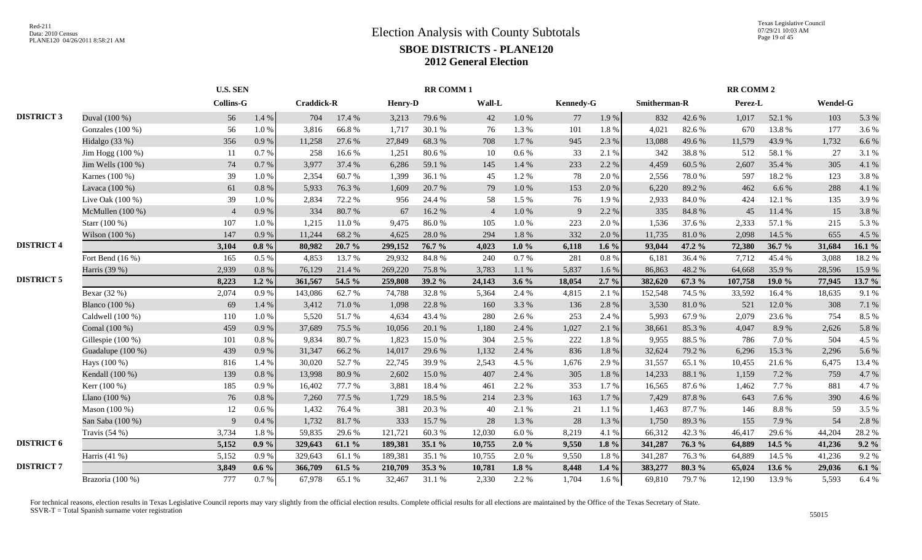|                   |                    | <b>U.S. SEN</b>  |           |                   |        |                | <b>RR COMM1</b> |                |           |           |         |              |        | <b>RR COMM 2</b> |        |          |          |
|-------------------|--------------------|------------------|-----------|-------------------|--------|----------------|-----------------|----------------|-----------|-----------|---------|--------------|--------|------------------|--------|----------|----------|
|                   |                    | <b>Collins-G</b> |           | <b>Craddick-R</b> |        | <b>Henry-D</b> |                 | Wall-L         |           | Kennedy-G |         | Smitherman-R |        | Perez-L          |        | Wendel-G |          |
| <b>DISTRICT 3</b> | Duval (100 %)      | 56               | $1.4\ \%$ | 704               | 17.4 % | 3,213          | 79.6%           | 42             | $1.0\ \%$ | 77        | 1.9%    | 832          | 42.6%  | 1,017            | 52.1 % | 103      | 5.3 %    |
|                   | Gonzales $(100\%)$ | 56               | 1.0%      | 3,816             | 66.8%  | 1,717          | 30.1 %          | 76             | 1.3%      | 101       | 1.8%    | 4,021        | 82.6%  | 670              | 13.8%  | 177      | 3.6%     |
|                   | Hidalgo (33 %)     | 356              | 0.9%      | 11,258            | 27.6 % | 27,849         | 68.3%           | 708            | 1.7%      | 945       | 2.3 %   | 13,088       | 49.6%  | 11,579           | 43.9%  | 1,732    | 6.6%     |
|                   | Jim Hogg (100 %)   | 11               | 0.7%      | 258               | 16.6%  | 1,251          | 80.6%           | 10             | $0.6\%$   | 33        | 2.1%    | 342          | 38.8%  | 512              | 58.1%  | 27       | 3.1%     |
|                   | Jim Wells (100 %)  | 74               | 0.7%      | 3,977             | 37.4 % | 6,286          | 59.1 %          | 145            | 1.4 %     | 233       | 2.2 %   | 4,459        | 60.5%  | 2,607            | 35.4 % | 305      | 4.1%     |
|                   | Karnes (100 %)     | 39               | 1.0%      | 2,354             | 60.7%  | 1,399          | 36.1%           | 45             | 1.2%      | 78        | 2.0%    | 2,556        | 78.0%  | 597              | 18.2%  | 123      | 3.8%     |
|                   | Lavaca (100 %)     | 61               | 0.8%      | 5,933             | 76.3%  | 1.609          | 20.7%           | 79             | 1.0%      | 153       | 2.0%    | 6,220        | 89.2%  | 462              | 6.6 %  | 288      | 4.1%     |
|                   | Live Oak $(100\%)$ | 39               | 1.0%      | 2,834             | 72.2 % | 956            | 24.4 %          | 58             | 1.5 %     | 76        | 1.9%    | 2,933        | 84.0%  | 424              | 12.1 % | 135      | 3.9%     |
|                   | McMullen (100 %)   | $\overline{4}$   | 0.9%      | 334               | 80.7%  | 67             | 16.2%           | $\overline{4}$ | 1.0%      | 9         | 2.2 %   | 335          | 84.8%  | 45               | 11.4 % | 15       | 3.8%     |
|                   | Starr (100 %)      | 107              | 1.0%      | 1,215             | 11.0%  | 9,475          | 86.0%           | 105            | $1.0\%$   | 223       | 2.0%    | 1,536        | 37.6 % | 2,333            | 57.1 % | 215      | 5.3 %    |
|                   | Wilson $(100\%)$   | 147              | 0.9%      | 11,244            | 68.2%  | 4,625          | 28.0%           | 294            | 1.8%      | 332       | 2.0%    | 11,735       | 81.0%  | 2,098            | 14.5 % | 655      | 4.5 %    |
| <b>DISTRICT 4</b> |                    | 3,104            | $0.8 \%$  | 80,982            | 20.7%  | 299,152        | 76.7 %          | 4,023          | $1.0 \%$  | 6,118     | 1.6 $%$ | 93,044       | 47.2 % | 72,380           | 36.7 % | 31,684   | 16.1 $%$ |
|                   | Fort Bend $(16\%)$ | 165              | 0.5%      | 4,853             | 13.7 % | 29.932         | 84.8%           | 240            | 0.7 %     | 281       | 0.8%    | 6,181        | 36.4 % | 7,712            | 45.4 % | 3,088    | 18.2%    |
|                   | Harris (39 %)      | 2,939            | 0.8%      | 76,129            | 21.4%  | 269,220        | 75.8%           | 3,783          | 1.1%      | 5,837     | 1.6 %   | 86,863       | 48.2%  | 64,668           | 35.9%  | 28,596   | 15.9%    |
| <b>DISTRICT 5</b> |                    | 8,223            | $1.2\%$   | 361,567           | 54.5 % | 259,808        | 39.2 %          | 24,143         | $3.6\%$   | 18,054    | $2.7\%$ | 382,620      | 67.3 % | 107,758          | 19.0 % | 77,945   | 13.7 %   |
|                   | Bexar (32 %)       | 2,074            | 0.9%      | 143,086           | 62.7%  | 74,788         | 32.8%           | 5,364          | 2.4 %     | 4,815     | 2.1 %   | 152,548      | 74.5 % | 33,592           | 16.4%  | 18,635   | 9.1%     |
|                   | Blanco (100 %)     | 69               | 1.4 %     | 3,412             | 71.0%  | 1,098          | 22.8 %          | 160            | 3.3%      | 136       | 2.8%    | 3,530        | 81.0%  | 521              | 12.0%  | 308      | 7.1 %    |
|                   | Caldwell (100 %)   | 110              | 1.0%      | 5,520             | 51.7%  | 4,634          | 43.4 %          | 280            | 2.6 %     | 253       | 2.4 %   | 5,993        | 67.9%  | 2,079            | 23.6 % | 754      | 8.5 %    |
|                   | Comal (100 %)      | 459              | 0.9%      | 37,689            | 75.5 % | 10,056         | 20.1 %          | 1,180          | 2.4 %     | 1,027     | 2.1 %   | 38,661       | 85.3%  | 4,047            | 8.9%   | 2,626    | 5.8%     |
|                   | Gillespie (100 %)  | 101              | 0.8 %     | 9,834             | 80.7%  | 1,823          | 15.0%           | 304            | 2.5 %     | 222       | 1.8%    | 9,955        | 88.5%  | 786              | 7.0%   | 504      | 4.5 %    |
|                   | Guadalupe (100 %)  | 439              | 0.9%      | 31,347            | 66.2%  | 14,017         | 29.6 %          | 1,132          | 2.4 %     | 836       | 1.8%    | 32,624       | 79.2 % | 6,296            | 15.3%  | 2,296    | 5.6%     |
|                   | Hays (100 %)       | 816              | 1.4 %     | 30,020            | 52.7%  | 22,745         | 39.9%           | 2,543          | 4.5 %     | 1,676     | 2.9%    | 31,557       | 65.1 % | 10,455           | 21.6 % | 6,475    | 13.4 %   |
|                   | Kendall (100 %)    | 139              | 0.8%      | 13,998            | 80.9%  | 2,602          | 15.0%           | 407            | 2.4 %     | 305       | 1.8%    | 14,233       | 88.1%  | 1,159            | 7.2 %  | 759      | 4.7%     |
|                   | Kerr (100 %)       | 185              | 0.9%      | 16,402            | 77.7 % | 3,881          | 18.4 %          | 461            | 2.2 %     | 353       | 1.7%    | 16,565       | 87.6%  | 1,462            | 7.7 %  | 881      | 4.7%     |
|                   | Llano $(100\%)$    | 76               | 0.8 %     | 7,260             | 77.5 % | 1,729          | 18.5 %          | 214            | 2.3 %     | 163       | 1.7%    | 7,429        | 87.8%  | 643              | 7.6 %  | 390      | 4.6%     |
|                   | Mason (100 %)      | 12               | 0.6 %     | 1,432             | 76.4%  | 381            | 20.3 %          | 40             | 2.1 %     | 21        | 1.1 %   | 1,463        | 87.7%  | 146              | 8.8%   | 59       | 3.5 %    |
|                   | San Saba (100 %)   | 9                | 0.4%      | 1,732             | 81.7%  | 333            | 15.7 %          | 28             | 1.3 %     | 28        | 1.3%    | 1,750        | 89.3%  | 155              | 7.9 %  | 54       | 2.8%     |
|                   | Travis $(54%)$     | 3,734            | 1.8%      | 59,835            | 29.6%  | 121,721        | 60.3%           | 12,030         | 6.0 %     | 8,219     | 4.1 %   | 66,312       | 42.3 % | 46,417           | 29.6%  | 44,204   | 28.2%    |
| <b>DISTRICT 6</b> |                    | 5,152            | $0.9\%$   | 329,643           | 61.1%  | 189,381        | 35.1 %          | 10,755         | 2.0%      | 9,550     | 1.8%    | 341,287      | 76.3 % | 64,889           | 14.5 % | 41,236   | $9.2\%$  |
|                   | Harris (41 %)      | 5,152            | 0.9%      | 329,643           | 61.1%  | 189,381        | 35.1 %          | 10,755         | 2.0 %     | 9,550     | 1.8%    | 341,287      | 76.3%  | 64,889           | 14.5 % | 41,236   | 9.2%     |
| <b>DISTRICT 7</b> |                    | 3,849            | $0.6\%$   | 366,709           | 61.5 % | 210,709        | 35.3 %          | 10,781         | 1.8 $%$   | 8,448     | $1.4\%$ | 383,277      | 80.3%  | 65,024           | 13.6 % | 29,036   | 6.1%     |
|                   | Brazoria (100 %)   | 777              | 0.7%      | 67,978            | 65.1 % | 32,467         | 31.1 %          | 2,330          | 2.2 %     | 1,704     | 1.6%    | 69,810       | 79.7%  | 12,190           | 13.9%  | 5,593    | 6.4%     |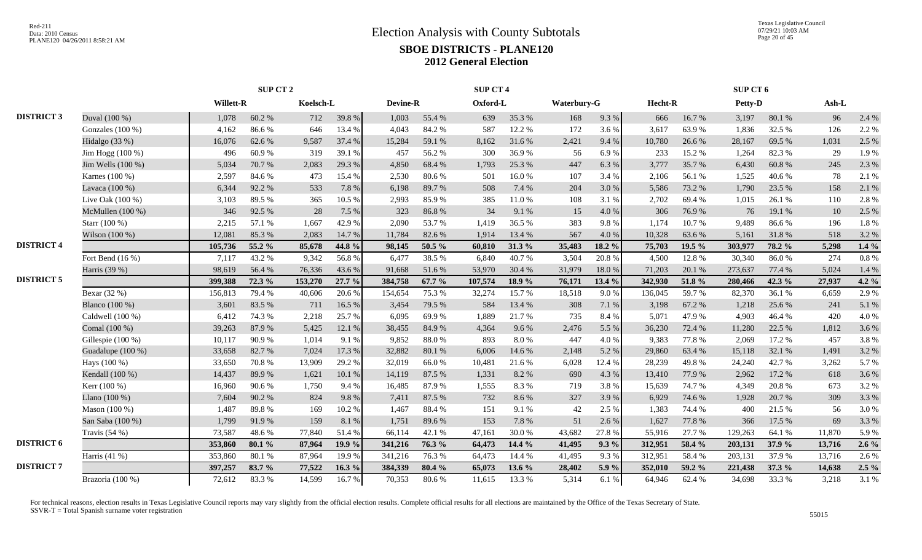|                   |                    |                  | SUP CT 2 |           |        |                 |        | SUP CT 4 |           |             |         |         |        | SUP CT 6 |        |        |         |
|-------------------|--------------------|------------------|----------|-----------|--------|-----------------|--------|----------|-----------|-------------|---------|---------|--------|----------|--------|--------|---------|
|                   |                    | <b>Willett-R</b> |          | Koelsch-L |        | <b>Devine-R</b> |        | Oxford-L |           | Waterbury-G |         | Hecht-R |        | Petty-D  |        | Ash-L  |         |
| <b>DISTRICT 3</b> | Duval (100 %)      | 1,078            | 60.2%    | 712       | 39.8%  | 1,003           | 55.4 % | 639      | 35.3%     | 168         | 9.3 %   | 666     | 16.7%  | 3,197    | 80.1 % | 96     | 2.4 %   |
|                   | Gonzales (100 %)   | 4,162            | 86.6%    | 646       | 13.4 % | 4,043           | 84.2 % | 587      | 12.2 %    | 172         | 3.6%    | 3,617   | 63.9%  | 1,836    | 32.5 % | 126    | 2.2 %   |
|                   | Hidalgo $(33%)$    | 16,076           | 62.6%    | 9,587     | 37.4 % | 15,284          | 59.1 % | 8,162    | 31.6%     | 2,421       | 9.4%    | 10,780  | 26.6%  | 28,167   | 69.5 % | 1,031  | 2.5 %   |
|                   | Jim Hogg (100 %)   | 496              | 60.9%    | 319       | 39.1 % | 457             | 56.2%  | 300      | 36.9%     | 56          | 6.9%    | 233     | 15.2 % | 1,264    | 82.3%  | 29     | 1.9%    |
|                   | Jim Wells (100 %)  | 5,034            | 70.7%    | 2,083     | 29.3 % | 4,850           | 68.4%  | 1,793    | 25.3 %    | 447         | 6.3%    | 3,777   | 35.7%  | 6,430    | 60.8%  | 245    | 2.3 %   |
|                   | Karnes (100 %)     | 2,597            | 84.6%    | 473       | 15.4 % | 2,530           | 80.6%  | 501      | 16.0%     | 107         | 3.4 %   | 2,106   | 56.1%  | 1,525    | 40.6%  | 78     | 2.1 %   |
|                   | Lavaca (100 %)     | 6,344            | 92.2%    | 533       | 7.8%   | 6,198           | 89.7%  | 508      | 7.4 %     | 204         | 3.0%    | 5,586   | 73.2 % | 1,790    | 23.5 % | 158    | 2.1 %   |
|                   | Live Oak $(100\%)$ | 3,103            | 89.5 %   | 365       | 10.5 % | 2,993           | 85.9%  | 385      | 11.0%     | 108         | 3.1 %   | 2,702   | 69.4%  | 1,015    | 26.1 % | 110    | 2.8%    |
|                   | McMullen (100 %)   | 346              | 92.5 %   | 28        | 7.5 %  | 323             | 86.8%  | 34       | 9.1%      | 15          | 4.0%    | 306     | 76.9%  | 76       | 19.1 % | 10     | 2.5 %   |
|                   | Starr (100 %)      | 2,215            | 57.1 %   | 1,667     | 42.9%  | 2,090           | 53.7%  | 1,419    | 36.5%     | 383         | 9.8%    | 1,174   | 10.7%  | 9,489    | 86.6%  | 196    | 1.8%    |
|                   | Wilson (100 %)     | 12,081           | 85.3%    | 2,083     | 14.7 % | 11,784          | 82.6%  | 1,914    | 13.4 %    | 567         | 4.0%    | 10,328  | 63.6%  | 5,161    | 31.8%  | 518    | 3.2 %   |
| <b>DISTRICT 4</b> |                    | 105,736          | 55.2 %   | 85,678    | 44.8 % | 98,145          | 50.5 % | 60,810   | 31.3%     | 35,483      | 18.2 %  | 75,703  | 19.5 % | 303,977  | 78.2 % | 5,298  | $1.4\%$ |
|                   | Fort Bend $(16\%)$ | 7,117            | 43.2 %   | 9,342     | 56.8%  | 6,477           | 38.5 % | 6,840    | 40.7%     | 3,504       | 20.8%   | 4,500   | 12.8 % | 30,340   | 86.0%  | 274    | 0.8 %   |
|                   | Harris (39 %)      | 98,619           | 56.4%    | 76,336    | 43.6%  | 91,668          | 51.6%  | 53,970   | 30.4 %    | 31,979      | 18.0%   | 71,203  | 20.1 % | 273,637  | 77.4 % | 5,024  | 1.4 %   |
| <b>DISTRICT 5</b> |                    | 399,388          | 72.3 %   | 153,270   | 27.7 % | 384,758         | 67.7 % | 107,574  | 18.9%     | 76,171      | 13.4 %  | 342,930 | 51.8 % | 280,466  | 42.3 % | 27,937 | $4.2\%$ |
|                   | Bexar (32 %)       | 156,813          | 79.4 %   | 40,606    | 20.6%  | 154,654         | 75.3 % | 32,274   | 15.7%     | 18,518      | 9.0%    | 136,045 | 59.7%  | 82,370   | 36.1%  | 6,659  | 2.9%    |
|                   | Blanco (100 %)     | 3,601            | 83.5%    | 711       | 16.5%  | 3,454           | 79.5 % | 584      | 13.4 %    | 308         | 7.1 %   | 3,198   | 67.2%  | 1,218    | 25.6 % | 241    | 5.1 %   |
|                   | Caldwell (100 %)   | 6,412            | 74.3 %   | 2,218     | 25.7 % | 6.095           | 69.9%  | 1,889    | 21.7%     | 735         | 8.4 %   | 5,071   | 47.9%  | 4,903    | 46.4 % | 420    | 4.0%    |
|                   | Comal (100 %)      | 39,263           | 87.9%    | 5,425     | 12.1 % | 38,455          | 84.9%  | 4,364    | 9.6%      | 2,476       | 5.5 %   | 36,230  | 72.4 % | 11,280   | 22.5 % | 1,812  | 3.6 %   |
|                   | Gillespie (100 %)  | 10,117           | 90.9%    | 1,014     | 9.1 %  | 9,852           | 88.0%  | 893      | $8.0\ \%$ | 447         | 4.0%    | 9,383   | 77.8 % | 2,069    | 17.2 % | 457    | 3.8%    |
|                   | Guadalupe (100 %)  | 33,658           | 82.7%    | 7,024     | 17.3 % | 32,882          | 80.1%  | 6,006    | 14.6 %    | 2,148       | 5.2 %   | 29,860  | 63.4 % | 15,118   | 32.1 % | 1,491  | 3.2 %   |
|                   | Hays (100 %)       | 33,650           | 70.8%    | 13,909    | 29.2 % | 32,019          | 66.0%  | 10,481   | 21.6%     | 6,028       | 12.4 %  | 28,239  | 49.8%  | 24,240   | 42.7%  | 3,262  | 5.7 %   |
|                   | Kendall (100 %)    | 14,437           | 89.9%    | 1,621     | 10.1 % | 14.119          | 87.5 % | 1,331    | 8.2%      | 690         | 4.3 %   | 13,410  | 77.9 % | 2.962    | 17.2 % | 618    | 3.6 %   |
|                   | Kerr (100 %)       | 16,960           | 90.6%    | 1,750     | 9.4%   | 16,485          | 87.9%  | 1,555    | 8.3%      | 719         | 3.8%    | 15,639  | 74.7%  | 4,349    | 20.8%  | 673    | 3.2 %   |
|                   | Llano (100 %)      | 7,604            | 90.2%    | 824       | 9.8%   | 7,411           | 87.5 % | 732      | 8.6%      | 327         | 3.9%    | 6,929   | 74.6%  | 1,928    | 20.7%  | 309    | 3.3 %   |
|                   | Mason (100 %)      | 1,487            | 89.8%    | 169       | 10.2%  | 1,467           | 88.4%  | 151      | 9.1%      | 42          | 2.5 %   | 1,383   | 74.4 % | 400      | 21.5 % | 56     | 3.0%    |
|                   | San Saba (100 %)   | 1,799            | 91.9%    | 159       | 8.1%   | 1,751           | 89.6%  | 153      | 7.8 %     | 51          | 2.6 %   | 1,627   | 77.8 % | 366      | 17.5 % | 69     | 3.3 %   |
|                   | Travis $(54%$      | 73,587           | 48.6%    | 77,840    | 51.4%  | 66,114          | 42.1 % | 47,161   | 30.0%     | 43,682      | 27.8%   | 55,916  | 27.7 % | 129,263  | 64.1 % | 11,870 | 5.9%    |
| <b>DISTRICT 6</b> |                    | 353,860          | 80.1%    | 87,964    | 19.9 % | 341,216         | 76.3 % | 64,473   | 14.4 %    | 41,495      | $9.3\%$ | 312,951 | 58.4 % | 203,131  | 37.9 % | 13,716 | $2.6\%$ |
|                   | Harris (41 %)      | 353,860          | 80.1%    | 87,964    | 19.9%  | 341,216         | 76.3%  | 64,473   | 14.4 %    | 41,495      | 9.3%    | 312,951 | 58.4%  | 203,131  | 37.9%  | 13,716 | 2.6 %   |
| <b>DISTRICT 7</b> |                    | 397,257          | 83.7%    | 77,522    | 16.3%  | 384,339         | 80.4%  | 65,073   | 13.6 %    | 28,402      | 5.9%    | 352,010 | 59.2 % | 221,438  | 37.3 % | 14,638 | $2.5\%$ |
|                   | Brazoria (100 %)   | 72,612           | 83.3%    | 14,599    | 16.7%  | 70,353          | 80.6%  | 11,615   | 13.3 %    | 5,314       | 6.1%    | 64,946  | 62.4%  | 34,698   | 33.3 % | 3,218  | 3.1 %   |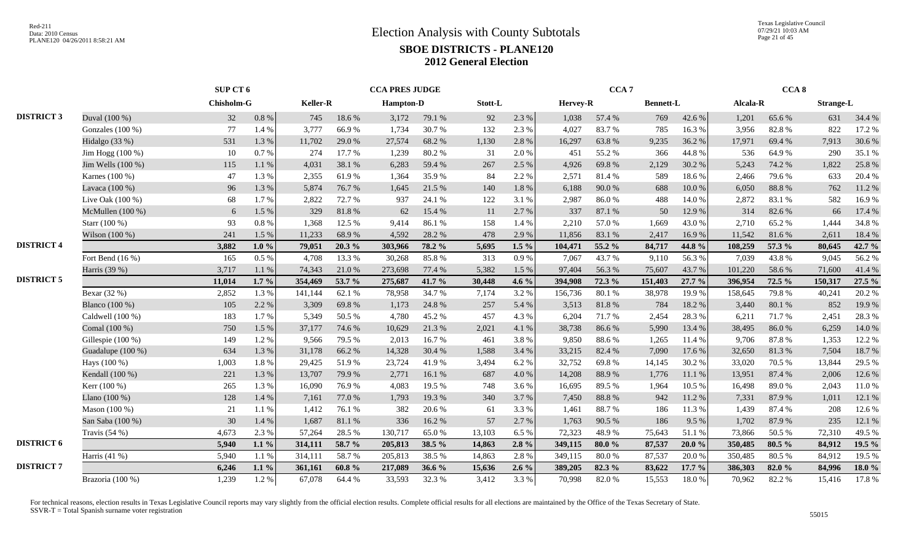Texas Legislative Council 07/29/21 10:03 AM Page 21 of 45

|                   |                    | SUP CT 6   |          |          |        | <b>CCA PRES JUDGE</b> |        |         |           |          | CCA <sub>7</sub> |                  |            |          | CCA <sub>8</sub> |                  |        |
|-------------------|--------------------|------------|----------|----------|--------|-----------------------|--------|---------|-----------|----------|------------------|------------------|------------|----------|------------------|------------------|--------|
|                   |                    | Chisholm-G |          | Keller-R |        | <b>Hampton-D</b>      |        | Stott-L |           | Hervey-R |                  | <b>Bennett-L</b> |            | Alcala-R |                  | <b>Strange-L</b> |        |
| <b>DISTRICT 3</b> | Duval (100 %)      | 32         | $0.8~\%$ | 745      | 18.6%  | 3,172                 | 79.1 % | 92      | 2.3 %     | 1,038    | 57.4 %           | 769              | 42.6 %     | 1,201    | 65.6%            | 631              | 34.4 % |
|                   | Gonzales (100 %)   | 77         | 1.4 %    | 3,777    | 66.9%  | 1,734                 | 30.7%  | 132     | 2.3 %     | 4,027    | 83.7%            | 785              | 16.3%      | 3,956    | 82.8%            | 822              | 17.2 % |
|                   | Hidalgo (33 %)     | 531        | 1.3 %    | 11,702   | 29.0%  | 27,574                | 68.2%  | 1,130   | 2.8%      | 16,297   | 63.8%            | 9,235            | 36.2%      | 17,971   | 69.4 %           | 7,913            | 30.6%  |
|                   | Jim Hogg (100 %)   | 10         | 0.7%     | 274      | 17.7 % | 1,239                 | 80.2%  | 31      | 2.0%      | 451      | 55.2 %           | 366              | 44.8%      | 536      | 64.9%            | 290              | 35.1 % |
|                   | Jim Wells (100 %)  | 115        | 1.1%     | 4,031    | 38.1 % | 6,283                 | 59.4 % | 267     | 2.5 %     | 4,926    | 69.8%            | 2,129            | 30.2 %     | 5,243    | 74.2 %           | 1,822            | 25.8%  |
|                   | Karnes (100 %)     | 47         | 1.3%     | 2,355    | 61.9%  | 1,364                 | 35.9%  | 84      | 2.2 %     | 2,571    | 81.4%            | 589              | 18.6%      | 2,466    | 79.6%            | 633              | 20.4 % |
|                   | Lavaca (100 %)     | 96         | 1.3 %    | 5,874    | 76.7%  | 1,645                 | 21.5 % | 140     | $1.8\ \%$ | 6,188    | 90.0%            | 688              | $10.0\ \%$ | 6,050    | 88.8%            | 762              | 11.2%  |
|                   | Live Oak (100 %)   | 68         | 1.7%     | 2,822    | 72.7%  | 937                   | 24.1 % | 122     | 3.1%      | 2,987    | 86.0%            | 488              | 14.0%      | 2,872    | 83.1%            | 582              | 16.9%  |
|                   | McMullen (100 %)   | 6          | 1.5 %    | 329      | 81.8%  | 62                    | 15.4 % | 11      | 2.7%      | 337      | 87.1 %           | 50               | 12.9%      | 314      | 82.6%            | 66               | 17.4 % |
|                   | Starr (100 %)      | 93         | 0.8%     | 1,368    | 12.5 % | 9,414                 | 86.1%  | 158     | 1.4 %     | 2,210    | 57.0%            | 1,669            | 43.0%      | 2,710    | 65.2%            | 1,444            | 34.8%  |
|                   | Wilson (100 %)     | 241        | 1.5 %    | 11,233   | 68.9%  | 4,592                 | 28.2 % | 478     | 2.9%      | 11,856   | 83.1%            | 2,417            | 16.9%      | 11.542   | 81.6%            | 2,611            | 18.4%  |
| <b>DISTRICT 4</b> |                    | 3,882      | $1.0\%$  | 79,051   | 20.3 % | 303,966               | 78.2 % | 5,695   | $1.5\%$   | 104,471  | 55.2 %           | 84,717           | 44.8 %     | 108,259  | 57.3 %           | 80,645           | 42.7 % |
|                   | Fort Bend $(16\%)$ | 165        | 0.5%     | 4,708    | 13.3 % | 30,268                | 85.8%  | 313     | 0.9%      | 7,067    | 43.7%            | 9,110            | 56.3%      | 7,039    | 43.8%            | 9,045            | 56.2%  |
|                   | Harris (39 %)      | 3,717      | 1.1%     | 74,343   | 21.0%  | 273,698               | 77.4 % | 5,382   | 1.5 %     | 97,404   | 56.3%            | 75,607           | 43.7%      | 101,220  | 58.6%            | 71,600           | 41.4%  |
| <b>DISTRICT 5</b> |                    | 11,014     | $1.7\%$  | 354,469  | 53.7 % | 275,687               | 41.7 % | 30,448  | 4.6 %     | 394,908  | 72.3 %           | 151,403          | 27.7 %     | 396,954  | 72.5 %           | 150,317          | 27.5 % |
|                   | Bexar (32 %)       | 2,852      | 1.3%     | 141,144  | 62.1%  | 78,958                | 34.7 % | 7,174   | 3.2%      | 156,736  | 80.1 %           | 38,978           | 19.9%      | 158,645  | 79.8%            | 40,241           | 20.2%  |
|                   | Blanco (100 %)     | 105        | 2.2 %    | 3,309    | 69.8%  | 1,173                 | 24.8%  | 257     | 5.4 %     | 3,513    | 81.8%            | 784              | 18.2%      | 3,440    | 80.1%            | 852              | 19.9%  |
|                   | Caldwell (100 %)   | 183        | 1.7%     | 5,349    | 50.5 % | 4.780                 | 45.2%  | 457     | 4.3 %     | 6,204    | 71.7%            | 2,454            | 28.3%      | 6,211    | 71.7%            | 2,451            | 28.3 % |
|                   | Comal (100 %)      | 750        | 1.5 %    | 37,177   | 74.6%  | 10,629                | 21.3%  | 2,021   | 4.1%      | 38,738   | 86.6%            | 5,990            | 13.4 %     | 38,495   | 86.0%            | 6,259            | 14.0%  |
|                   | Gillespie (100 %)  | 149        | 1.2%     | 9,566    | 79.5 % | 2.013                 | 16.7%  | 461     | 3.8%      | 9,850    | 88.6%            | 1,265            | 11.4 %     | 9.706    | 87.8%            | 1,353            | 12.2 % |
|                   | Guadalupe (100 %)  | 634        | 1.3%     | 31,178   | 66.2%  | 14,328                | 30.4 % | 1,588   | 3.4 %     | 33,215   | 82.4 %           | 7,090            | 17.6 %     | 32,650   | 81.3%            | 7,504            | 18.7%  |
|                   | Hays (100 %)       | 1,003      | 1.8%     | 29,425   | 51.9%  | 23,724                | 41.9%  | 3,494   | 6.2%      | 32,752   | 69.8%            | 14,145           | 30.2%      | 33,020   | 70.5 %           | 13,844           | 29.5 % |
|                   | Kendall (100 %)    | 221        | 1.3%     | 13,707   | 79.9%  | 2.771                 | 16.1%  | 687     | 4.0%      | 14,208   | 88.9%            | 1,776            | 11.1 %     | 13,951   | 87.4 %           | 2,006            | 12.6 % |
|                   | Kerr (100 %)       | 265        | 1.3%     | 16,090   | 76.9%  | 4.083                 | 19.5 % | 748     | 3.6%      | 16,695   | 89.5%            | 1,964            | 10.5 %     | 16,498   | 89.0%            | 2,043            | 11.0%  |
|                   | Llano $(100\%)$    | 128        | 1.4 %    | 7,161    | 77.0%  | 1,793                 | 19.3 % | 340     | 3.7%      | 7,450    | 88.8%            | 942              | 11.2%      | 7,331    | 87.9%            | 1,011            | 12.1 % |
|                   | Mason (100 %)      | 21         | 1.1 %    | 1,412    | 76.1 % | 382                   | 20.6%  | 61      | 3.3%      | 1,461    | 88.7%            | 186              | 11.3 %     | 1,439    | 87.4 %           | 208              | 12.6 % |
|                   | San Saba (100 %)   | 30         | 1.4 %    | 1,687    | 81.1%  | 336                   | 16.2%  | 57      | 2.7%      | 1,763    | 90.5 %           | 186              | 9.5%       | 1,702    | 87.9%            | 235              | 12.1 % |
|                   | Travis $(54%)$     | 4,673      | 2.3 %    | 57,264   | 28.5 % | 130,717               | 65.0%  | 13,103  | 6.5%      | 72,323   | 48.9%            | 75,643           | 51.1%      | 73,866   | 50.5 %           | 72,310           | 49.5 % |
| <b>DISTRICT 6</b> |                    | 5,940      | $1.1\%$  | 314,111  | 58.7 % | 205,813               | 38.5 % | 14,863  | $2.8\%$   | 349,115  | $80.0 \%$        | 87,537           | $20.0 \%$  | 350,485  | 80.5 %           | 84,912           | 19.5 % |
|                   | Harris (41 %)      | 5,940      | 1.1 %    | 314,111  | 58.7%  | 205,813               | 38.5 % | 14,863  | 2.8%      | 349,115  | 80.0%            | 87,537           | 20.0%      | 350,485  | 80.5 %           | 84,912           | 19.5 % |
| <b>DISTRICT 7</b> |                    | 6,246      | $1.1\%$  | 361,161  | 60.8%  | 217,089               | 36.6 % | 15,636  | $2.6\%$   | 389,205  | 82.3%            | 83,622           | 17.7 %     | 386,303  | 82.0%            | 84,996           | 18.0 % |
|                   | Brazoria (100 %)   | 1,239      | 1.2 %    | 67,078   | 64.4 % | 33,593                | 32.3 % | 3,412   | 3.3 %     | 70,998   | 82.0%            | 15,553           | 18.0%      | 70,962   | 82.2%            | 15,416           | 17.8%  |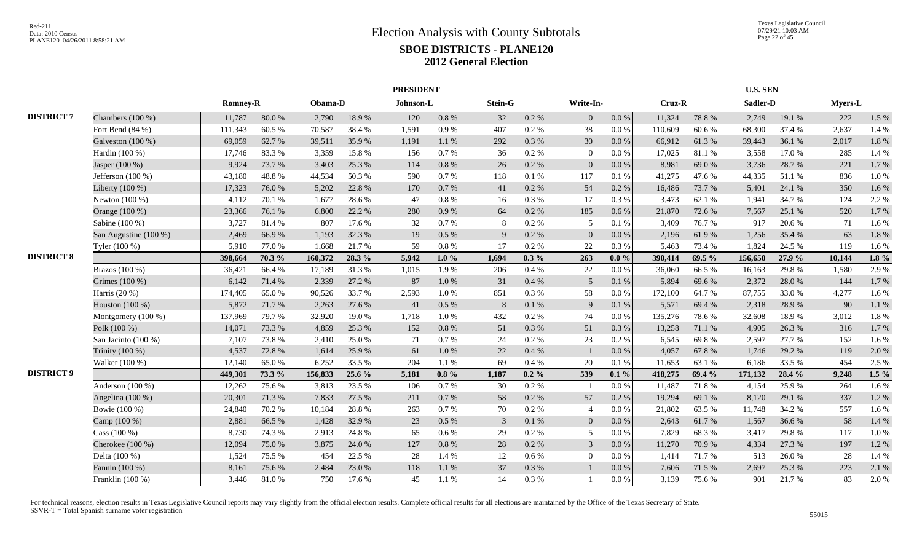Texas Legislative Council 07/29/21 10:03 AM Page 22 of 45

|                   |                       |                 |        |         |        | <b>PRESIDENT</b> |           |         |          |                 |           |         |        | <b>U.S. SEN</b> |        |                |          |
|-------------------|-----------------------|-----------------|--------|---------|--------|------------------|-----------|---------|----------|-----------------|-----------|---------|--------|-----------------|--------|----------------|----------|
|                   |                       | <b>Romney-R</b> |        | Obama-D |        | Johnson-L        |           | Stein-G |          | Write-In-       |           | Cruz-R  |        | Sadler-D        |        | <b>Myers-L</b> |          |
| <b>DISTRICT 7</b> | Chambers $(100\%)$    | 11,787          | 80.0%  | 2,790   | 18.9%  | 120              | $0.8\ \%$ | 32      | 0.2 %    | $\overline{0}$  | $0.0\,\%$ | 11,324  | 78.8%  | 2,749           | 19.1 % | 222            | 1.5 %    |
|                   | Fort Bend (84 %)      | 111,343         | 60.5%  | 70,587  | 38.4%  | 1,591            | 0.9%      | 407     | 0.2%     | 38              | 0.0 %     | 110,609 | 60.6%  | 68,300          | 37.4 % | 2,637          | 1.4 %    |
|                   | Galveston $(100\%)$   | 69,059          | 62.7%  | 39,511  | 35.9%  | 1,191            | 1.1%      | 292     | 0.3%     | 30              | $0.0\%$   | 66.912  | 61.3%  | 39,443          | 36.1 % | 2,017          | 1.8%     |
|                   | Hardin (100 %)        | 17,746          | 83.3%  | 3,359   | 15.8%  | 156              | 0.7%      | 36      | 0.2 %    | $\theta$        | $0.0\%$   | 17,025  | 81.1%  | 3,558           | 17.0%  | 285            | 1.4 %    |
|                   | Jasper (100 %)        | 9,924           | 73.7%  | 3,403   | 25.3 % | 114              | 0.8 %     | 26      | 0.2 %    | $\overline{0}$  | 0.0 %     | 8,981   | 69.0%  | 3,736           | 28.7%  | 221            | 1.7%     |
|                   | Jefferson $(100\%)$   | 43,180          | 48.8%  | 44,534  | 50.3%  | 590              | 0.7 %     | 118     | 0.1%     | 117             | 0.1%      | 41,275  | 47.6 % | 44,335          | 51.1 % | 836            | 1.0%     |
|                   | Liberty $(100\%)$     | 17,323          | 76.0%  | 5,202   | 22.8%  | 170              | 0.7%      | 41      | 0.2 %    | 54              | 0.2 %     | 16,486  | 73.7%  | 5.401           | 24.1 % | 350            | 1.6%     |
|                   | Newton $(100\%)$      | 4,112           | 70.1 % | 1,677   | 28.6%  | 47               | 0.8%      | 16      | 0.3%     | 17              | 0.3%      | 3,473   | 62.1 % | 1.941           | 34.7 % | 124            | 2.2 %    |
|                   | Orange (100 %)        | 23,366          | 76.1%  | 6,800   | 22.2 % | 280              | 0.9%      | 64      | 0.2 %    | 185             | 0.6 %     | 21,870  | 72.6 % | 7,567           | 25.1 % | 520            | 1.7%     |
|                   | Sabine (100 %)        | 3,727           | 81.4%  | 807     | 17.6 % | 32               | 0.7 %     | 8       | 0.2 %    | 5               | 0.1%      | 3,409   | 76.7%  | 917             | 20.6 % | 71             | 1.6%     |
|                   | San Augustine (100 %) | 2,469           | 66.9%  | 1,193   | 32.3 % | 19               | $0.5\%$   | 9       | 0.2 %    | $\overline{0}$  | 0.0 %     | 2,196   | 61.9%  | 1,256           | 35.4 % | 63             | 1.8%     |
|                   | Tyler (100 %)         | 5,910           | 77.0%  | 1,668   | 21.7%  | 59               | $0.8~\%$  | 17      | 0.2%     | 22              | 0.3%      | 5,463   | 73.4 % | 1,824           | 24.5 % | 119            | 1.6%     |
| <b>DISTRICT 8</b> |                       | 398,664         | 70.3%  | 160,372 | 28.3 % | 5,942            | $1.0 \%$  | 1,694   | $0.3\%$  | 263             | $0.0 \%$  | 390,414 | 69.5 % | 156,650         | 27.9 % | 10,144         | $1.8 \%$ |
|                   | Brazos (100 %)        | 36,421          | 66.4%  | 17,189  | 31.3%  | 1,015            | 1.9%      | 206     | 0.4%     | 22              | $0.0\%$   | 36,060  | 66.5%  | 16,163          | 29.8%  | 1,580          | 2.9%     |
|                   | Grimes (100 %)        | 6,142           | 71.4%  | 2,339   | 27.2 % | 87               | 1.0 %     | 31      | 0.4 %    | $5\overline{)}$ | 0.1 %     | 5,894   | 69.6%  | 2,372           | 28.0%  | 144            | 1.7%     |
|                   | Harris (20 %)         | 174,405         | 65.0%  | 90,526  | 33.7%  | 2,593            | 1.0%      | 851     | 0.3%     | 58              | $0.0\%$   | 172,100 | 64.7%  | 87,755          | 33.0%  | 4,277          | 1.6%     |
|                   | Houston (100 %)       | 5,872           | 71.7%  | 2,263   | 27.6 % | 41               | $0.5\ \%$ | 8       | 0.1 %    | 9               | 0.1 %     | 5,571   | 69.4%  | 2,318           | 28.9%  | 90             | 1.1 %    |
|                   | Montgomery (100 %)    | 137,969         | 79.7%  | 32,920  | 19.0%  | 1,718            | $1.0\,\%$ | 432     | 0.2 %    | 74              | $0.0\%$   | 135,276 | 78.6%  | 32,608          | 18.9%  | 3,012          | 1.8%     |
|                   | Polk (100 %)          | 14,071          | 73.3 % | 4,859   | 25.3 % | 152              | $0.8\ \%$ | 51      | 0.3%     | 51              | 0.3%      | 13,258  | 71.1 % | 4,905           | 26.3 % | 316            | 1.7%     |
|                   | San Jacinto (100 %)   | 7,107           | 73.8%  | 2,410   | 25.0%  | 71               | 0.7 %     | 24      | 0.2 %    | 23              | 0.2 %     | 6,545   | 69.8%  | 2,597           | 27.7 % | 152            | 1.6%     |
|                   | Trinity (100 %)       | 4,537           | 72.8%  | 1,614   | 25.9%  | 61               | 1.0 %     | 22      | 0.4 %    |                 | $0.0\,\%$ | 4,057   | 67.8%  | 1,746           | 29.2 % | 119            | 2.0%     |
|                   | Walker (100 %)        | 12,140          | 65.0%  | 6,252   | 33.5 % | 204              | 1.1%      | 69      | 0.4%     | 20              | $0.1\ \%$ | 11,653  | 63.1 % | 6,186           | 33.5 % | 454            | 2.5 %    |
| <b>DISTRICT 9</b> |                       | 449,301         | 73.3 % | 156,833 | 25.6 % | 5,181            | $0.8 \%$  | 1,187   | $0.2 \%$ | 539             | $0.1 \%$  | 418,275 | 69.4 % | 171,132         | 28.4 % | 9,248          | $1.5\%$  |
|                   | Anderson (100 %)      | 12,262          | 75.6%  | 3,813   | 23.5 % | 106              | $0.7\,\%$ | 30      | 0.2 %    |                 | $0.0\%$   | 11,487  | 71.8%  | 4,154           | 25.9%  | 264            | 1.6%     |
|                   | Angelina (100 %)      | 20,301          | 71.3%  | 7,833   | 27.5 % | 211              | $0.7~\%$  | 58      | 0.2 %    | 57              | 0.2 %     | 19,294  | 69.1 % | 8,120           | 29.1 % | 337            | 1.2 %    |
|                   | Bowie (100 %)         | 24,840          | 70.2%  | 10,184  | 28.8%  | 263              | 0.7 %     | 70      | 0.2%     | $\overline{4}$  | $0.0\%$   | 21,802  | 63.5%  | 11,748          | 34.2 % | 557            | 1.6%     |
|                   | Camp (100 %)          | 2,881           | 66.5%  | 1,428   | 32.9%  | 23               | $0.5\%$   | 3       | 0.1%     | $\overline{0}$  | 0.0 %     | 2,643   | 61.7%  | 1,567           | 36.6%  | 58             | 1.4 %    |
|                   | Cass (100 %)          | 8,730           | 74.3 % | 2,913   | 24.8%  | 65               | $0.6\%$   | 29      | 0.2 %    | 5               | $0.0\%$   | 7,829   | 68.3%  | 3,417           | 29.8%  | 117            | 1.0%     |
|                   | Cherokee (100 %)      | 12,094          | 75.0%  | 3,875   | 24.0%  | 127              | $0.8\ \%$ | 28      | 0.2 %    | $\overline{3}$  | 0.0 %     | 11,270  | 70.9%  | 4,334           | 27.3 % | 197            | 1.2%     |
|                   | Delta (100 %)         | 1,524           | 75.5 % | 454     | 22.5 % | 28               | 1.4 %     | 12      | 0.6 %    | $\Omega$        | $0.0\%$   | 1,414   | 71.7%  | 513             | 26.0%  | 28             | 1.4 %    |
|                   | Fannin (100 %)        | 8,161           | 75.6%  | 2,484   | 23.0%  | 118              | 1.1%      | 37      | 0.3 %    |                 | $0.0\,\%$ | 7,606   | 71.5 % | 2,697           | 25.3 % | 223            | 2.1%     |
|                   | Franklin $(100\%)$    | 3,446           | 81.0%  | 750     | 17.6 % | 45               | 1.1%      | 14      | 0.3%     |                 | $0.0\%$   | 3,139   | 75.6%  | 901             | 21.7%  | 83             | 2.0 %    |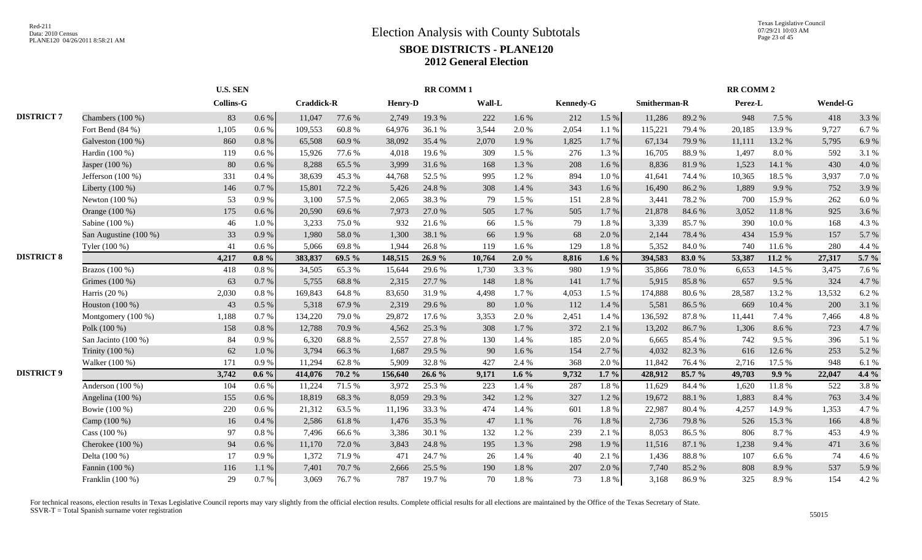|                   |                       |                  | <b>U.S. SEN</b> |                   |        |                | <b>RR COMM1</b> |        |           |                  |         |              |        | <b>RR COMM 2</b> |           |          |          |
|-------------------|-----------------------|------------------|-----------------|-------------------|--------|----------------|-----------------|--------|-----------|------------------|---------|--------------|--------|------------------|-----------|----------|----------|
|                   |                       | <b>Collins-G</b> |                 | <b>Craddick-R</b> |        | <b>Henry-D</b> |                 | Wall-L |           | <b>Kennedy-G</b> |         | Smitherman-R |        | Perez-L          |           | Wendel-G |          |
| <b>DISTRICT 7</b> | Chambers (100 %)      | 83               | $0.6\%$         | 11,047            | 77.6%  | 2,749          | 19.3%           | 222    | 1.6 %     | 212              | 1.5 %   | 11,286       | 89.2%  | 948              | 7.5 %     | 418      | 3.3 %    |
|                   | Fort Bend (84 %)      | 1,105            | 0.6 %           | 109,553           | 60.8%  | 64,976         | 36.1 %          | 3,544  | 2.0%      | 2,054            | 1.1 %   | 115,221      | 79.4%  | 20,185           | 13.9%     | 9,727    | 6.7%     |
|                   | Galveston $(100\%)$   | 860              | 0.8 %           | 65,508            | 60.9%  | 38,092         | 35.4 %          | 2,070  | 1.9%      | 1,825            | 1.7%    | 67,134       | 79.9%  | 11,111           | 13.2 %    | 5,795    | 6.9%     |
|                   | Hardin (100 %)        | 119              | 0.6 %           | 15,926            | 77.6 % | 4,018          | 19.6%           | 309    | 1.5 %     | 276              | 1.3%    | 16,705       | 88.9%  | 1,497            | 8.0%      | 592      | 3.1 %    |
|                   | Jasper (100 %)        | 80               | 0.6 %           | 8,288             | 65.5 % | 3,999          | 31.6 %          | 168    | 1.3 %     | 208              | 1.6 %   | 8,836        | 81.9%  | 1,523            | 14.1 %    | 430      | 4.0%     |
|                   | Jefferson (100 %)     | 331              | 0.4%            | 38,639            | 45.3%  | 44,768         | 52.5 %          | 995    | 1.2%      | 894              | 1.0%    | 41,641       | 74.4 % | 10,365           | 18.5 %    | 3,937    | 7.0%     |
|                   | Liberty (100 %)       | 146              | 0.7%            | 15,801            | 72.2 % | 5,426          | 24.8%           | 308    | 1.4 %     | 343              | 1.6%    | 16,490       | 86.2%  | 1,889            | 9.9%      | 752      | 3.9%     |
|                   | Newton (100 %)        | 53               | 0.9%            | 3,100             | 57.5 % | 2,065          | 38.3%           | 79     | 1.5 %     | 151              | 2.8%    | 3.441        | 78.2%  | 700              | 15.9%     | 262      | 6.0%     |
|                   | Orange (100 %)        | 175              | 0.6%            | 20,590            | 69.6%  | 7,973          | 27.0 %          | 505    | 1.7%      | 505              | 1.7%    | 21,878       | 84.6%  | 3,052            | 11.8%     | 925      | 3.6%     |
|                   | Sabine (100 %)        | 46               | 1.0%            | 3,233             | 75.0%  | 932            | 21.6 %          | 66     | 1.5 %     | 79               | 1.8%    | 3,339        | 85.7%  | 390              | 10.0%     | 168      | 4.3%     |
|                   | San Augustine (100 %) | 33               | 0.9%            | 1,980             | 58.0%  | 1,300          | 38.1 %          | 66     | 1.9%      | 68               | 2.0 %   | 2,144        | 78.4%  | 434              | 15.9%     | 157      | 5.7 %    |
|                   | Tyler (100 %)         | 41               | 0.6 %           | 5,066             | 69.8%  | 1,944          | 26.8%           | 119    | 1.6%      | 129              | 1.8 %   | 5,352        | 84.0%  | 740              | 11.6%     | 280      | 4.4 %    |
| <b>DISTRICT 8</b> |                       | 4,217            | $0.8 \%$        | 383,837           | 69.5 % | 148,515        | 26.9%           | 10,764 | $2.0 \%$  | 8,816            | 1.6 $%$ | 394,583      | 83.0%  | 53,387           | $11.2 \%$ | 27,317   | 5.7 $\%$ |
|                   | Brazos (100 %)        | 418              | $0.8~\%$        | 34,505            | 65.3%  | 15,644         | 29.6%           | 1,730  | 3.3 %     | 980              | 1.9%    | 35,866       | 78.0%  | 6,653            | 14.5 %    | 3,475    | 7.6%     |
|                   | Grimes (100 %)        | 63               | 0.7%            | 5,755             | 68.8%  | 2,315          | 27.7 %          | 148    | $1.8\ \%$ | 141              | 1.7%    | 5,915        | 85.8%  | 657              | 9.5 %     | 324      | 4.7%     |
|                   | Harris $(20\%)$       | 2,030            | 0.8%            | 169,843           | 64.8%  | 83,650         | 31.9%           | 4,498  | 1.7 %     | 4,053            | 1.5 %   | 174,888      | 80.6%  | 28,587           | 13.2 %    | 13,532   | 6.2%     |
|                   | Houston (100 %)       | 43               | $0.5\%$         | 5,318             | 67.9%  | 2,319          | 29.6 %          | 80     | $1.0\ \%$ | 112              | 1.4 %   | 5,581        | 86.5%  | 669              | 10.4 %    | 200      | 3.1 %    |
|                   | Montgomery (100 %)    | 1,188            | 0.7%            | 134,220           | 79.0%  | 29,872         | 17.6 %          | 3,353  | 2.0 %     | 2,451            | 1.4 %   | 136,592      | 87.8%  | 11,441           | 7.4 %     | 7,466    | 4.8%     |
|                   | Polk (100 %)          | 158              | 0.8 %           | 12,788            | 70.9%  | 4,562          | 25.3 %          | 308    | 1.7 %     | 372              | 2.1 %   | 13,202       | 86.7%  | 1,306            | 8.6%      | 723      | 4.7%     |
|                   | San Jacinto (100 %)   | 84               | 0.9%            | 6,320             | 68.8%  | 2,557          | 27.8%           | 130    | 1.4 %     | 185              | 2.0%    | 6,665        | 85.4%  | 742              | 9.5%      | 396      | 5.1%     |
|                   | Trinity (100 %)       | 62               | 1.0%            | 3,794             | 66.3%  | 1,687          | 29.5 %          | 90     | 1.6%      | 154              | 2.7%    | 4,032        | 82.3%  | 616              | 12.6%     | 253      | 5.2%     |
|                   | Walker (100 %)        | 171              | 0.9%            | 11,294            | 62.8%  | 5,909          | 32.8%           | 427    | 2.4 %     | 368              | 2.0 %   | 11,842       | 76.4 % | 2,716            | 17.5 %    | 948      | 6.1%     |
| <b>DISTRICT 9</b> |                       | 3,742            | $0.6\%$         | 414,076           | 70.2 % | 156,640        | $26.6\%$        | 9,171  | 1.6 $%$   | 9,732            | $1.7\%$ | 428,912      | 85.7%  | 49,703           | 9.9%      | 22,047   | $4.4\%$  |
|                   | Anderson $(100\%)$    | 104              | $0.6\%$         | 11,224            | 71.5 % | 3.972          | 25.3 %          | 223    | 1.4 %     | 287              | 1.8%    | 11.629       | 84.4 % | 1.620            | 11.8%     | 522      | 3.8%     |
|                   | Angelina (100 %)      | 155              | 0.6 %           | 18,819            | 68.3%  | 8,059          | 29.3 %          | 342    | $1.2 \%$  | 327              | 1.2 %   | 19,672       | 88.1 % | 1,883            | 8.4%      | 763      | 3.4 %    |
|                   | Bowie (100 %)         | 220              | $0.6\%$         | 21,312            | 63.5%  | 11,196         | 33.3 %          | 474    | 1.4 %     | 601              | 1.8%    | 22,987       | 80.4%  | 4,257            | 14.9%     | 1,353    | 4.7%     |
|                   | Camp (100 %)          | 16               | 0.4%            | 2,586             | 61.8%  | 1,476          | 35.3 %          | 47     | $1.1\ \%$ | 76               | 1.8%    | 2,736        | 79.8%  | 526              | 15.3 %    | 166      | 4.8%     |
|                   | Cass $(100\%)$        | 97               | $0.8\%$         | 7,496             | 66.6%  | 3,386          | 30.1 %          | 132    | 1.2 %     | 239              | 2.1 %   | 8,053        | 86.5%  | 806              | 8.7%      | 453      | 4.9%     |
|                   | Cherokee (100 %)      | 94               | 0.6 %           | 11,170            | 72.0%  | 3.843          | 24.8%           | 195    | 1.3%      | 298              | 1.9%    | 11,516       | 87.1 % | 1,238            | 9.4 %     | 471      | 3.6 %    |
|                   | Delta (100 %)         | 17               | 0.9%            | 1,372             | 71.9%  | 471            | 24.7 %          | 26     | 1.4 %     | 40               | 2.1 %   | 1.436        | 88.8%  | 107              | 6.6 %     | 74       | 4.6%     |
|                   | Fannin (100 %)        | 116              | 1.1%            | 7,401             | 70.7%  | 2,666          | 25.5 %          | 190    | $1.8\ \%$ | 207              | 2.0 %   | 7,740        | 85.2%  | 808              | 8.9%      | 537      | 5.9%     |
|                   | Franklin $(100\%)$    | 29               | 0.7 %           | 3,069             | 76.7%  | 787            | 19.7%           | 70     | 1.8%      | 73               | 1.8%    | 3,168        | 86.9%  | 325              | 8.9%      | 154      | 4.2 %    |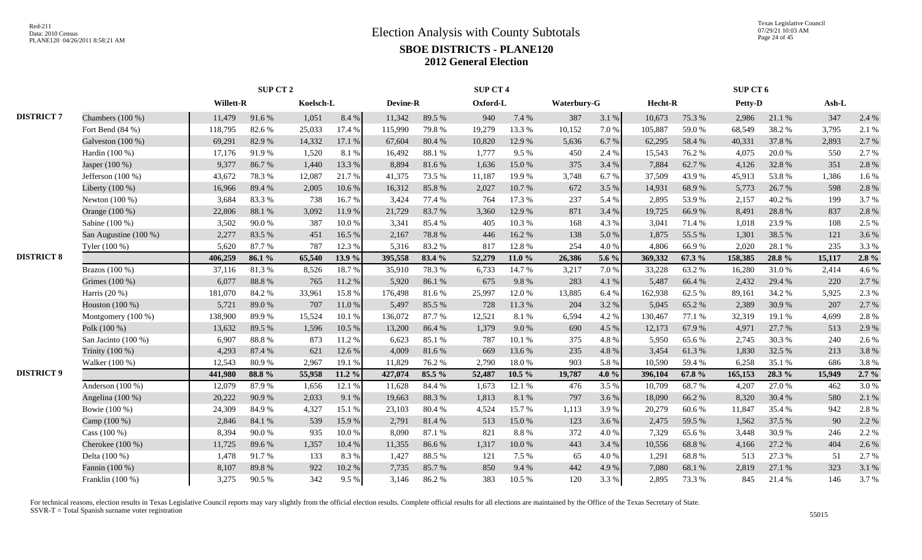|                   |                       |                  | SUP CT <sub>2</sub> |           |           | <b>SUP CT 4</b> |        |          |            |             |         | SUP CT 6 |        |         |        |        |         |
|-------------------|-----------------------|------------------|---------------------|-----------|-----------|-----------------|--------|----------|------------|-------------|---------|----------|--------|---------|--------|--------|---------|
|                   |                       | <b>Willett-R</b> |                     | Koelsch-L |           | <b>Devine-R</b> |        | Oxford-L |            | Waterbury-G |         | Hecht-R  |        | Petty-D |        | Ash-L  |         |
| <b>DISTRICT 7</b> | Chambers $(100\%)$    | 11,479           | 91.6%               | 1,051     | 8.4 %     | 11,342          | 89.5%  | 940      | 7.4 %      | 387         | 3.1 %   | 10,673   | 75.3 % | 2,986   | 21.1 % | 347    | 2.4 %   |
|                   | Fort Bend (84 %)      | 118,795          | 82.6%               | 25,033    | 17.4 %    | 115,990         | 79.8%  | 19,279   | 13.3 %     | 10,152      | 7.0%    | 105,887  | 59.0%  | 68,549  | 38.2%  | 3,795  | 2.1%    |
|                   | Galveston (100 %)     | 69,291           | 82.9%               | 14,332    | 17.1 %    | 67,604          | 80.4%  | 10,820   | 12.9%      | 5,636       | 6.7%    | 62,295   | 58.4%  | 40,331  | 37.8%  | 2,893  | 2.7 %   |
|                   | Hardin (100 %)        | 17,176           | 91.9%               | 1,520     | 8.1 %     | 16,492          | 88.1 % | 1,777    | 9.5 %      | 450         | 2.4 %   | 15,543   | 76.2%  | 4,075   | 20.0%  | 550    | 2.7%    |
|                   | Jasper (100 %)        | 9,377            | 86.7%               | 1,440     | 13.3 %    | 8,894           | 81.6%  | 1,636    | 15.0%      | 375         | 3.4 %   | 7,884    | 62.7%  | 4,126   | 32.8%  | 351    | 2.8%    |
|                   | Jefferson $(100\%)$   | 43,672           | 78.3%               | 12,087    | 21.7%     | 41,375          | 73.5 % | 11,187   | 19.9%      | 3,748       | 6.7%    | 37,509   | 43.9%  | 45,913  | 53.8%  | 1,386  | 1.6%    |
|                   | Liberty (100 %)       | 16,966           | 89.4%               | 2,005     | 10.6%     | 16,312          | 85.8%  | 2,027    | 10.7%      | 672         | 3.5 %   | 14,931   | 68.9%  | 5.773   | 26.7%  | 598    | 2.8%    |
|                   | Newton $(100\%)$      | 3,684            | 83.3%               | 738       | 16.7%     | 3,424           | 77.4 % | 764      | 17.3 %     | 237         | 5.4 %   | 2,895    | 53.9%  | 2,157   | 40.2%  | 199    | 3.7%    |
|                   | Orange (100 %)        | 22,806           | 88.1 %              | 3,092     | 11.9%     | 21,729          | 83.7%  | 3,360    | 12.9%      | 871         | 3.4 %   | 19,725   | 66.9%  | 8,491   | 28.8%  | 837    | 2.8%    |
|                   | Sabine (100 %)        | 3,502            | 90.0%               | 387       | 10.0%     | 3,341           | 85.4%  | 405      | 10.3%      | 168         | 4.3 %   | 3,041    | 71.4 % | 1,018   | 23.9%  | 108    | 2.5 %   |
|                   | San Augustine (100 %) | 2,277            | 83.5%               | 451       | 16.5 %    | 2,167           | 78.8 % | 446      | 16.2%      | 138         | 5.0%    | 1,875    | 55.5 % | 1,301   | 38.5 % | 121    | 3.6%    |
|                   | Tyler (100 %)         | 5,620            | 87.7%               | 787       | 12.3 %    | 5,316           | 83.2%  | 817      | 12.8 %     | 254         | 4.0%    | 4,806    | 66.9%  | 2,020   | 28.1 % | 235    | 3.3%    |
| <b>DISTRICT 8</b> |                       | 406,259          | 86.1%               | 65,540    | 13.9 %    | 395,558         | 83.4 % | 52,279   | 11.0 $%$   | 26,386      | 5.6 $%$ | 369,332  | 67.3 % | 158,385 | 28.8%  | 15,117 | 2.8%    |
|                   | Brazos (100 %)        | 37,116           | 81.3%               | 8,526     | 18.7%     | 35,910          | 78.3%  | 6,733    | 14.7%      | 3,217       | 7.0%    | 33,228   | 63.2%  | 16,280  | 31.0%  | 2,414  | 4.6%    |
|                   | Grimes (100 %)        | 6,077            | 88.8%               | 765       | 11.2%     | 5,920           | 86.1%  | 675      | 9.8%       | 283         | 4.1 %   | 5,487    | 66.4%  | 2,432   | 29.4 % | 220    | 2.7%    |
|                   | Harris (20 %)         | 181,070          | 84.2%               | 33,961    | 15.8%     | 176,498         | 81.6%  | 25,997   | 12.0%      | 13,885      | 6.4 %   | 162,938  | 62.5 % | 89,161  | 34.2 % | 5,925  | 2.3 %   |
|                   | Houston (100 %)       | 5,721            | 89.0%               | 707       | 11.0%     | 5,497           | 85.5 % | 728      | 11.3 %     | 204         | 3.2%    | 5,045    | 65.2%  | 2,389   | 30.9%  | 207    | 2.7%    |
|                   | Montgomery (100 %)    | 138,900          | 89.9%               | 15,524    | 10.1%     | 136,072         | 87.7%  | 12,521   | 8.1 %      | 6,594       | 4.2%    | 130,467  | 77.1 % | 32,319  | 19.1 % | 4,699  | 2.8%    |
|                   | Polk (100 %)          | 13,632           | 89.5 %              | 1,596     | 10.5 %    | 13,200          | 86.4%  | 1,379    | 9.0%       | 690         | 4.5 %   | 12,173   | 67.9%  | 4.971   | 27.7 % | 513    | 2.9%    |
|                   | San Jacinto (100 %)   | 6,907            | 88.8%               | 873       | 11.2%     | 6,623           | 85.1 % | 787      | 10.1 %     | 375         | 4.8 %   | 5,950    | 65.6%  | 2,745   | 30.3%  | 240    | 2.6%    |
|                   | Trinity (100 %)       | 4,293            | 87.4%               | 621       | 12.6 %    | 4,009           | 81.6%  | 669      | 13.6 %     | 235         | 4.8%    | 3,454    | 61.3%  | 1,830   | 32.5 % | 213    | 3.8%    |
|                   | Walker (100 %)        | 12,543           | 80.9%               | 2,967     | 19.1 %    | 11.829          | 76.2%  | 2,790    | 18.0%      | 903         | 5.8%    | 10,590   | 59.4%  | 6.258   | 35.1 % | 686    | 3.8%    |
| <b>DISTRICT 9</b> |                       | 441,980          | 88.8%               | 55,958    | $11.2 \%$ | 427,074         | 85.5 % | 52,487   | $10.5 \%$  | 19,787      | 4.0 $%$ | 396,104  | 67.8%  | 165,153 | 28.3 % | 15,949 | $2.7\%$ |
|                   | Anderson (100 %)      | 12,079           | 87.9%               | 1,656     | 12.1 %    | 11,628          | 84.4 % | 1,673    | 12.1 %     | 476         | 3.5 %   | 10,709   | 68.7%  | 4,207   | 27.0%  | 462    | 3.0%    |
|                   | Angelina (100 %)      | 20,222           | 90.9%               | 2,033     | 9.1 %     | 19,663          | 88.3%  | 1,813    | 8.1%       | 797         | 3.6%    | 18,090   | 66.2%  | 8,320   | 30.4 % | 580    | 2.1%    |
|                   | Bowie (100 %)         | 24,309           | 84.9%               | 4,327     | 15.1 %    | 23,103          | 80.4%  | 4,524    | 15.7%      | 1,113       | 3.9%    | 20,279   | 60.6%  | 11,847  | 35.4 % | 942    | 2.8%    |
|                   | Camp (100 %)          | 2,846            | 84.1 %              | 539       | 15.9%     | 2,791           | 81.4%  | 513      | 15.0%      | 123         | 3.6%    | 2,475    | 59.5%  | 1,562   | 37.5 % | 90     | 2.2 %   |
|                   | Cass $(100\%)$        | 8,394            | 90.0%               | 935       | 10.0%     | 8.090           | 87.1 % | 821      | 8.8%       | 372         | 4.0%    | 7,329    | 65.6%  | 3,448   | 30.9%  | 246    | 2.2 %   |
|                   | Cherokee $(100\%)$    | 11,725           | 89.6%               | 1,357     | 10.4 %    | 11,355          | 86.6%  | 1,317    | $10.0\ \%$ | 443         | 3.4 %   | 10,556   | 68.8%  | 4,166   | 27.2 % | 404    | 2.6%    |
|                   | Delta (100 %)         | 1,478            | 91.7%               | 133       | 8.3%      | 1,427           | 88.5%  | 121      | 7.5 %      | 65          | 4.0%    | 1,291    | 68.8%  | 513     | 27.3 % | 51     | 2.7%    |
|                   | Fannin (100 %)        | 8,107            | 89.8%               | 922       | 10.2%     | 7,735           | 85.7%  | 850      | 9.4 %      | 442         | 4.9%    | 7,080    | 68.1 % | 2,819   | 27.1 % | 323    | 3.1%    |
|                   | Franklin (100 %)      | 3,275            | 90.5 %              | 342       | 9.5%      | 3,146           | 86.2%  | 383      | 10.5 %     | 120         | 3.3 %   | 2,895    | 73.3 % | 845     | 21.4 % | 146    | 3.7%    |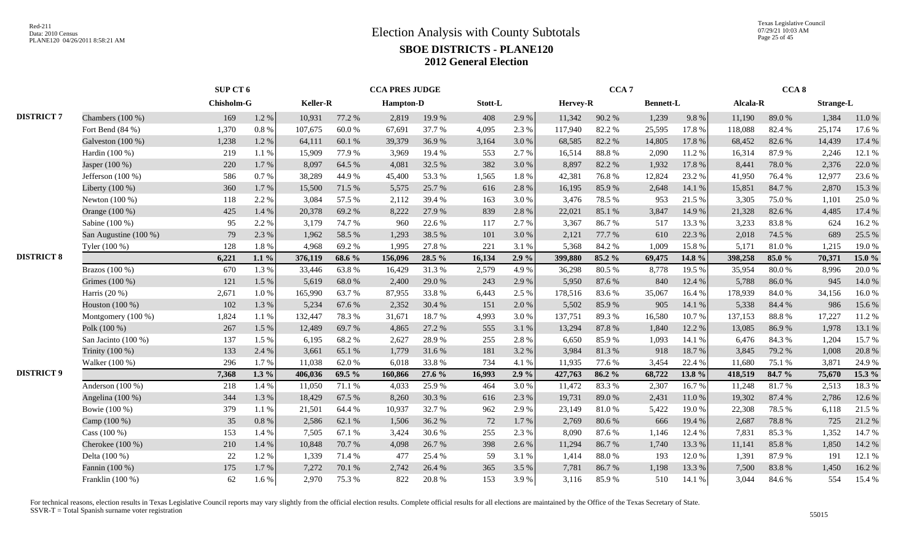Texas Legislative Council 07/29/21 10:03 AM Page 25 of 45

|                   |                       | SUP CT 6   |          |                 |        | <b>CCA PRES JUDGE</b> |        |         |       |          | CCA <sub>7</sub> |                  |        |          | CCA <sub>8</sub> |                  |        |
|-------------------|-----------------------|------------|----------|-----------------|--------|-----------------------|--------|---------|-------|----------|------------------|------------------|--------|----------|------------------|------------------|--------|
|                   |                       | Chisholm-G |          | <b>Keller-R</b> |        | <b>Hampton-D</b>      |        | Stott-L |       | Hervey-R |                  | <b>Bennett-L</b> |        | Alcala-R |                  | <b>Strange-L</b> |        |
| <b>DISTRICT 7</b> | Chambers $(100\%)$    | 169        | 1.2 %    | 10,931          | 77.2 % | 2,819                 | 19.9%  | 408     | 2.9 % | 11,342   | 90.2%            | 1,239            | 9.8%   | 11,190   | 89.0%            | 1,384            | 11.0%  |
|                   | Fort Bend (84 %)      | 1,370      | $0.8~\%$ | 107,675         | 60.0%  | 67,691                | 37.7 % | 4,095   | 2.3 % | 117,940  | 82.2%            | 25,595           | 17.8 % | 118,088  | 82.4 %           | 25,174           | 17.6 % |
|                   | Galveston $(100\%)$   | 1,238      | 1.2%     | 64,111          | 60.1 % | 39,379                | 36.9%  | 3,164   | 3.0 % | 68,585   | 82.2%            | 14,805           | 17.8 % | 68,452   | 82.6 %           | 14,439           | 17.4 % |
|                   | Hardin (100 %)        | 219        | 1.1%     | 15,909          | 77.9%  | 3,969                 | 19.4 % | 553     | 2.7 % | 16,514   | 88.8%            | 2,090            | 11.2%  | 16,314   | 87.9%            | 2,246            | 12.1 % |
|                   | Jasper (100 %)        | 220        | 1.7%     | 8,097           | 64.5 % | 4,081                 | 32.5 % | 382     | 3.0%  | 8,897    | 82.2%            | 1,932            | 17.8 % | 8,441    | 78.0%            | 2,376            | 22.0%  |
|                   | Jefferson $(100\%)$   | 586        | $0.7~\%$ | 38,289          | 44.9%  | 45,400                | 53.3%  | 1,565   | 1.8 % | 42,381   | 76.8%            | 12,824           | 23.2 % | 41,950   | 76.4 %           | 12,977           | 23.6 % |
|                   | Liberty (100 %)       | 360        | 1.7%     | 15,500          | 71.5 % | 5,575                 | 25.7%  | 616     | 2.8%  | 16,195   | 85.9%            | 2,648            | 14.1 % | 15,851   | 84.7%            | 2,870            | 15.3 % |
|                   | Newton $(100\%)$      | 118        | 2.2%     | 3,084           | 57.5 % | 2,112                 | 39.4 % | 163     | 3.0%  | 3,476    | 78.5%            | 953              | 21.5 % | 3.305    | 75.0%            | 1,101            | 25.0%  |
|                   | Orange (100 %)        | 425        | 1.4 %    | 20,378          | 69.2%  | 8,222                 | 27.9 % | 839     | 2.8%  | 22,021   | 85.1 %           | 3,847            | 14.9%  | 21,328   | 82.6 %           | 4,485            | 17.4 % |
|                   | Sabine (100 %)        | 95         | 2.2 %    | 3,179           | 74.7 % | 960                   | 22.6 % | 117     | 2.7 % | 3,367    | 86.7%            | 517              | 13.3 % | 3,233    | 83.8%            | 624              | 16.2%  |
|                   | San Augustine (100 %) | 79         | 2.3%     | 1,962           | 58.5 % | 1,293                 | 38.5 % | 101     | 3.0 % | 2,121    | 77.7 %           | 610              | 22.3 % | 2,018    | 74.5 %           | 689              | 25.5 % |
|                   | Tyler (100 %)         | 128        | 1.8%     | 4,968           | 69.2%  | 1,995                 | 27.8%  | 221     | 3.1 % | 5,368    | 84.2 %           | 1,009            | 15.8%  | 5,171    | 81.0%            | 1,215            | 19.0%  |
| <b>DISTRICT 8</b> |                       | 6,221      | $1.1\%$  | 376,119         | 68.6 % | 156,096               | 28.5 % | 16,134  | 2.9%  | 399,880  | 85.2 %           | 69,475           | 14.8 % | 398,258  | 85.0%            | 70,371           | 15.0 % |
|                   | Brazos (100 %)        | 670        | 1.3%     | 33,446          | 63.8%  | 16,429                | 31.3%  | 2,579   | 4.9%  | 36,298   | 80.5%            | 8,778            | 19.5 % | 35,954   | 80.0%            | 8,996            | 20.0%  |
|                   | Grimes (100 %)        | 121        | 1.5 %    | 5,619           | 68.0%  | 2,400                 | 29.0%  | 243     | 2.9%  | 5,950    | 87.6%            | 840              | 12.4 % | 5,788    | 86.0%            | 945              | 14.0%  |
|                   | Harris $(20\%)$       | 2,671      | 1.0%     | 165,990         | 63.7%  | 87,955                | 33.8%  | 6,443   | 2.5 % | 178,516  | 83.6%            | 35,067           | 16.4%  | 178,939  | 84.0%            | 34,156           | 16.0%  |
|                   | Houston (100 %)       | 102        | 1.3%     | 5,234           | 67.6 % | 2,352                 | 30.4 % | 151     | 2.0%  | 5,502    | 85.9%            | 905              | 14.1 % | 5,338    | 84.4 %           | 986              | 15.6 % |
|                   | Montgomery $(100\%)$  | 1,824      | 1.1%     | 132,447         | 78.3%  | 31,671                | 18.7%  | 4,993   | 3.0%  | 137,751  | 89.3%            | 16,580           | 10.7%  | 137,153  | 88.8%            | 17,227           | 11.2%  |
|                   | Polk (100 %)          | 267        | 1.5 %    | 12,489          | 69.7%  | 4,865                 | 27.2 % | 555     | 3.1 % | 13,294   | 87.8%            | 1,840            | 12.2 % | 13,085   | 86.9%            | 1,978            | 13.1 % |
|                   | San Jacinto (100 %)   | 137        | 1.5 %    | 6,195           | 68.2%  | 2,627                 | 28.9%  | 255     | 2.8%  | 6,650    | 85.9%            | 1,093            | 14.1 % | 6,476    | 84.3%            | 1,204            | 15.7%  |
|                   | Trinity (100 %)       | 133        | 2.4 %    | 3,661           | 65.1 % | 1,779                 | 31.6 % | 181     | 3.2 % | 3,984    | 81.3%            | 918              | 18.7 % | 3,845    | 79.2 %           | 1,008            | 20.8%  |
|                   | Walker (100 %)        | 296        | 1.7%     | 11,038          | 62.0%  | 6,018                 | 33.8%  | 734     | 4.1 % | 11,935   | 77.6%            | 3,454            | 22.4 % | 11,680   | 75.1 %           | 3,871            | 24.9%  |
| <b>DISTRICT 9</b> |                       | 7,368      | $1.3\%$  | 406,036         | 69.5 % | 160,866               | 27.6 % | 16,993  | 2.9%  | 427,763  | 86.2 %           | 68,722           | 13.8 % | 418,519  | 84.7 %           | 75,670           | 15.3 % |
|                   | Anderson (100 %)      | 218        | 1.4 %    | 11,050          | 71.1 % | 4,033                 | 25.9%  | 464     | 3.0%  | 11,472   | 83.3%            | 2,307            | 16.7%  | 11,248   | 81.7%            | 2,513            | 18.3%  |
|                   | Angelina $(100\%)$    | 344        | 1.3%     | 18,429          | 67.5 % | 8,260                 | 30.3%  | 616     | 2.3 % | 19,731   | 89.0%            | 2,431            | 11.0%  | 19,302   | 87.4 %           | 2,786            | 12.6 % |
|                   | Bowie (100 %)         | 379        | 1.1 %    | 21,501          | 64.4 % | 10,937                | 32.7%  | 962     | 2.9%  | 23,149   | 81.0%            | 5,422            | 19.0%  | 22,308   | 78.5%            | 6,118            | 21.5 % |
|                   | Camp (100 %)          | 35         | 0.8%     | 2,586           | 62.1 % | 1,506                 | 36.2%  | 72      | 1.7%  | 2,769    | 80.6%            | 666              | 19.4 % | 2,687    | 78.8%            | 725              | 21.2%  |
|                   | Cass $(100\%)$        | 153        | 1.4 %    | 7,505           | 67.1 % | 3,424                 | 30.6 % | 255     | 2.3 % | 8,090    | 87.6%            | 1,146            | 12.4 % | 7,831    | 85.3%            | 1,352            | 14.7 % |
|                   | Cherokee $(100\%)$    | 210        | 1.4 %    | 10,848          | 70.7 % | 4,098                 | 26.7 % | 398     | 2.6 % | 11,294   | 86.7%            | 1,740            | 13.3 % | 11,141   | 85.8%            | 1,850            | 14.2 % |
|                   | Delta (100 %)         | 22         | 1.2%     | 1,339           | 71.4 % | 477                   | 25.4 % | 59      | 3.1 % | 1,414    | 88.0%            | 193              | 12.0%  | 1,391    | 87.9%            | 191              | 12.1 % |
|                   | Fannin (100 %)        | 175        | 1.7%     | 7,272           | 70.1%  | 2,742                 | 26.4 % | 365     | 3.5 % | 7,781    | 86.7%            | 1,198            | 13.3 % | 7,500    | 83.8%            | 1,450            | 16.2%  |
|                   | Franklin (100 %)      | 62         | $1.6\%$  | 2,970           | 75.3%  | 822                   | 20.8%  | 153     | 3.9%  | 3,116    | 85.9%            | 510              | 14.1 % | 3.044    | 84.6 %           | 554              | 15.4 % |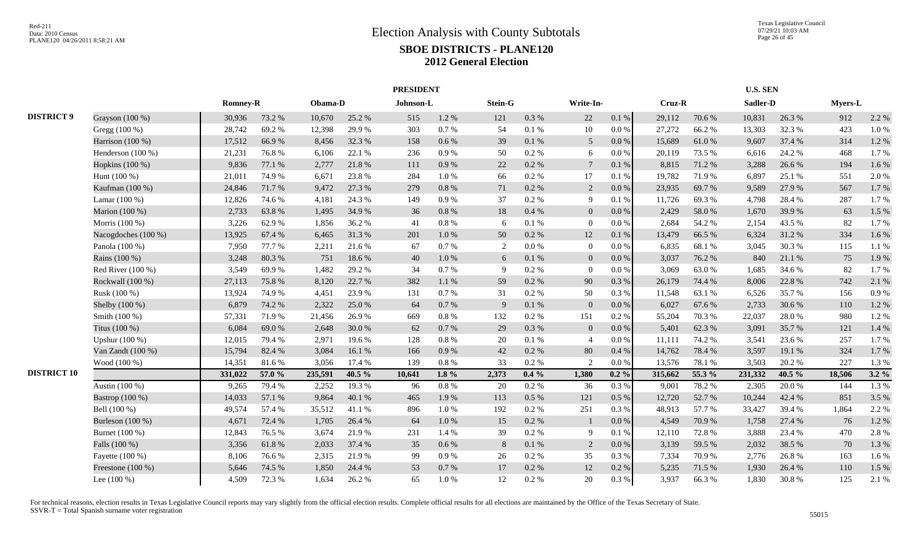|                    |                     |                 |        |         | <b>PRESIDENT</b> |           |           |                |           |                             |           |         |        | <b>U.S. SEN</b> |        |                |         |
|--------------------|---------------------|-----------------|--------|---------|------------------|-----------|-----------|----------------|-----------|-----------------------------|-----------|---------|--------|-----------------|--------|----------------|---------|
|                    |                     | <b>Romney-R</b> |        | Obama-D |                  | Johnson-L |           | <b>Stein-G</b> |           | Write-In-                   |           | Cruz-R  |        | Sadler-D        |        | <b>Myers-L</b> |         |
| <b>DISTRICT 9</b>  | Grayson (100 %)     | 30,936          | 73.2 % | 10,670  | 25.2 %           | 515       | 1.2%      | 121            | 0.3%      | 22                          | $0.1~\%$  | 29,112  | 70.6%  | 10,831          | 26.3%  | 912            | 2.2 %   |
|                    | Gregg (100 %)       | 28,742          | 69.2%  | 12,398  | 29.9%            | 303       | 0.7 %     | 54             | 0.1 %     | 10                          | $0.0\,\%$ | 27,272  | 66.2%  | 13,303          | 32.3 % | 423            | 1.0%    |
|                    | Harrison (100 %)    | 17,512          | 66.9%  | 8,456   | 32.3 %           | 158       | 0.6 %     | 39             | 0.1 %     | 5                           | $0.0\,\%$ | 15,689  | 61.0%  | 9,607           | 37.4 % | 314            | 1.2%    |
|                    | Henderson $(100\%)$ | 21,231          | 76.8%  | 6,106   | 22.1 %           | 236       | 0.9%      | 50             | 0.2 %     | 6                           | 0.0 %     | 20,119  | 73.5 % | 6,616           | 24.2 % | 468            | 1.7%    |
|                    | Hopkins (100 %)     | 9,836           | 77.1 % | 2,777   | 21.8%            | 111       | 0.9%      | 22             | 0.2 %     | $7\phantom{.0}$             | 0.1 %     | 8,815   | 71.2%  | 3,288           | 26.6%  | 194            | 1.6%    |
|                    | Hunt (100 %)        | 21,011          | 74.9%  | 6,671   | 23.8%            | 284       | 1.0%      | 66             | 0.2 %     | 17                          | 0.1%      | 19,782  | 71.9%  | 6,897           | 25.1 % | 551            | 2.0%    |
|                    | Kaufman (100 %)     | 24,846          | 71.7%  | 9,472   | 27.3 %           | 279       | 0.8%      | 71             | 0.2 %     | 2                           | $0.0\,\%$ | 23,935  | 69.7%  | 9,589           | 27.9 % | 567            | 1.7%    |
|                    | Lamar $(100\%)$     | 12,826          | 74.6 % | 4,181   | 24.3 %           | 149       | $0.9\%$   | 37             | 0.2 %     | 9                           | 0.1%      | 11,726  | 69.3%  | 4.798           | 28.4%  | 287            | 1.7%    |
|                    | Marion (100 %)      | 2,733           | 63.8%  | 1,495   | 34.9%            | 36        | 0.8%      | 18             | 0.4 %     | $\Omega$                    | 0.0 %     | 2,429   | 58.0%  | 1,670           | 39.9%  | 63             | 1.5 %   |
|                    | Morris (100 %)      | 3,226           | 62.9%  | 1,856   | 36.2%            | 41        | 0.8%      | 6              | 0.1%      | $\theta$                    | 0.0 %     | 2,684   | 54.2 % | 2,154           | 43.5 % | 82             | 1.7%    |
|                    | Nacogdoches (100 %) | 13,925          | 67.4 % | 6,465   | 31.3%            | 201       | 1.0%      | 50             | 0.2 %     | 12                          | 0.1%      | 13,479  | 66.5%  | 6,324           | 31.2%  | 334            | 1.6%    |
|                    | Panola (100 %)      | 7,950           | 77.7 % | 2,211   | 21.6%            | 67        | 0.7%      | 2              | 0.0 %     | $\overline{0}$              | 0.0 %     | 6,835   | 68.1 % | 3,045           | 30.3%  | 115            | 1.1%    |
|                    | Rains (100 %)       | 3,248           | 80.3%  | 751     | 18.6%            | 40        | $1.0\,\%$ | 6              | $0.1~\%$  | $\mathbf{0}$                | $0.0\,\%$ | 3,037   | 76.2 % | 840             | 21.1%  | 75             | 1.9%    |
|                    | Red River $(100\%)$ | 3,549           | 69.9%  | 1,482   | 29.2 %           | 34        | 0.7%      | 9              | $0.2~\%$  | $\Omega$                    | 0.0 %     | 3,069   | 63.0%  | 1,685           | 34.6 % | 82             | 1.7%    |
|                    | Rockwall (100 %)    | 27,113          | 75.8%  | 8,120   | 22.7 %           | 382       | 1.1%      | 59             | 0.2 %     | 90                          | 0.3 %     | 26,179  | 74.4 % | 8,006           | 22.8%  | 742            | 2.1 %   |
|                    | Rusk (100 %)        | 13,924          | 74.9%  | 4,451   | 23.9 %           | 131       | 0.7%      | 31             | 0.2 %     | 50                          | 0.3 %     | 11,548  | 63.1 % | 6,526           | 35.7 % | 156            | 0.9%    |
|                    | Shelby (100 %)      | 6,879           | 74.2 % | 2,322   | 25.0%            | 64        | 0.7 %     | 9              | 0.1 %     | $\overline{0}$              | 0.0 %     | 6,027   | 67.6%  | 2,733           | 30.6 % | 110            | 1.2%    |
|                    | Smith (100 %)       | 57,331          | 71.9%  | 21,456  | 26.9%            | 669       | 0.8 %     | 132            | 0.2 %     | 151                         | 0.2 %     | 55,204  | 70.3%  | 22,037          | 28.0%  | 980            | 1.2%    |
|                    | Titus (100 %)       | 6,084           | 69.0%  | 2,648   | 30.0%            | 62        | 0.7%      | 29             | 0.3 %     | $\overline{0}$              | $0.0\,\%$ | 5,401   | 62.3%  | 3,091           | 35.7%  | 121            | 1.4 %   |
|                    | Upshur $(100\%)$    | 12,015          | 79.4 % | 2,971   | 19.6 %           | 128       | 0.8 %     | 20             | 0.1%      | $\overline{4}$              | $0.0\%$   | 11,111  | 74.2 % | 3,541           | 23.6 % | 257            | 1.7%    |
|                    | Van Zandt (100 %)   | 15,794          | 82.4 % | 3,084   | 16.1 $%$         | 166       | $0.9\%$   | 42             | 0.2 %     | 80                          | 0.4%      | 14,762  | 78.4%  | 3.597           | 19.1 % | 324            | 1.7%    |
|                    | Wood (100 %)        | 14,351          | 81.6%  | 3,056   | 17.4 %           | 139       | 0.8%      | 33             | 0.2 %     | $\mathcal{D}_{\mathcal{L}}$ | 0.0 %     | 13,576  | 78.1 % | 3,503           | 20.2 % | 227            | 1.3%    |
| <b>DISTRICT 10</b> |                     | 331,022         | 57.0 % | 235,591 | 40.5 %           | 10,641    | $1.8 \%$  | 2,373          | $0.4\%$   | 1,380                       | $0.2 \%$  | 315,662 | 55.3 % | 231,332         | 40.5 % | 18,506         | $3.2\%$ |
|                    | Austin (100 %)      | 9,265           | 79.4%  | 2,252   | 19.3%            | 96        | $0.8\ \%$ | 20             | 0.2 %     | 36                          | 0.3 %     | 9,001   | 78.2%  | 2,305           | 20.0%  | 144            | 1.3%    |
|                    | Bastrop (100 %)     | 14,033          | 57.1 % | 9,864   | 40.1%            | 465       | 1.9%      | 113            | $0.5\ \%$ | 121                         | $0.5\ \%$ | 12,720  | 52.7%  | 10,244          | 42.4 % | 851            | 3.5 %   |
|                    | Bell (100 %)        | 49,574          | 57.4 % | 35,512  | 41.1%            | 896       | $1.0\ \%$ | 192            | 0.2 %     | 251                         | 0.3%      | 48,913  | 57.7 % | 33,427          | 39.4%  | 1,864          | 2.2 %   |
|                    | Burleson (100 %)    | 4,671           | 72.4 % | 1,705   | 26.4 %           | 64        | 1.0%      | 15             | 0.2 %     |                             | 0.0 %     | 4,549   | 70.9%  | 1,758           | 27.4 % | 76             | 1.2%    |
|                    | Burnet (100 %)      | 12,843          | 76.5%  | 3,674   | 21.9%            | 231       | 1.4%      | 39             | 0.2 %     | 9                           | $0.1\ \%$ | 12,110  | 72.8%  | 3,888           | 23.4 % | 470            | 2.8%    |
|                    | Falls (100 %)       | 3,356           | 61.8%  | 2,033   | 37.4 %           | 35        | 0.6 %     | 8              | 0.1 %     | $\overline{2}$              | $0.0\,\%$ | 3,139   | 59.5 % | 2,032           | 38.5%  | 70             | 1.3%    |
|                    | Fayette $(100\%)$   | 8,106           | 76.6%  | 2,315   | 21.9%            | 99        | $0.9\%$   | 26             | 0.2 %     | 35                          | 0.3 %     | 7,334   | 70.9%  | 2,776           | 26.8%  | 163            | 1.6 %   |
|                    | Freestone (100 %)   | 5,646           | 74.5 % | 1,850   | 24.4 %           | 53        | 0.7 %     | 17             | 0.2 %     | 12                          | $0.2~\%$  | 5,235   | 71.5 % | 1,930           | 26.4 % | 110            | 1.5 %   |
|                    | Lee $(100\%)$       | 4,509           | 72.3 % | 1,634   | 26.2%            | 65        | 1.0%      | 12             | 0.2 %     | 20                          | 0.3 %     | 3,937   | 66.3%  | 1,830           | 30.8%  | 125            | 2.1%    |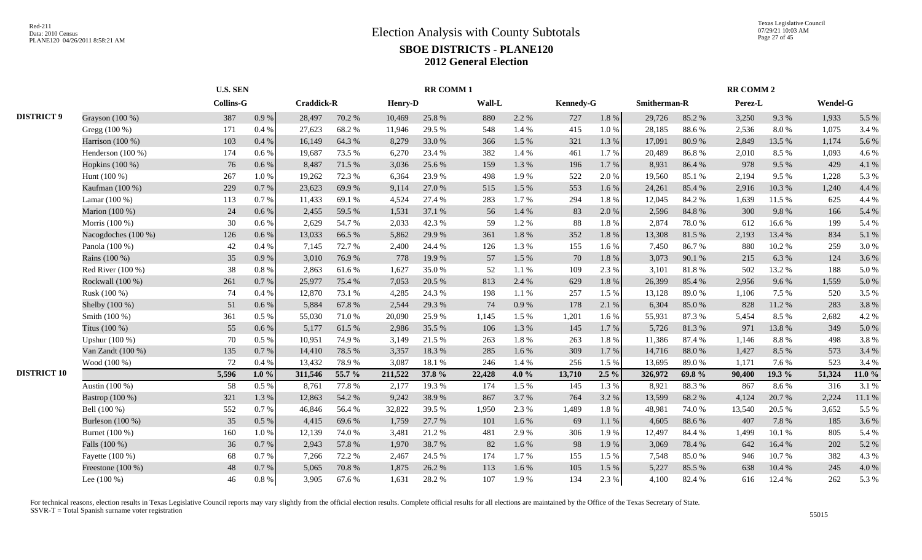|                    |                     | <b>U.S. SEN</b>  |         |                   |        |                | <b>RR COMM1</b> |        |         |                  |           |              |            | <b>RR COMM 2</b> |        |                 |           |
|--------------------|---------------------|------------------|---------|-------------------|--------|----------------|-----------------|--------|---------|------------------|-----------|--------------|------------|------------------|--------|-----------------|-----------|
|                    |                     | <b>Collins-G</b> |         | <b>Craddick-R</b> |        | <b>Henry-D</b> |                 | Wall-L |         | <b>Kennedy-G</b> |           | Smitherman-R |            | Perez-L          |        | <b>Wendel-G</b> |           |
| <b>DISTRICT 9</b>  | Grayson (100 %)     | 387              | 0.9 %   | 28,497            | 70.2 % | 10,469         | 25.8 %          | 880    | 2.2 %   | 727              | $1.8\ \%$ | 29,726       | 85.2%      | 3,250            | 9.3%   | 1,933           | 5.5 %     |
|                    | Gregg (100 %)       | 171              | 0.4%    | 27,623            | 68.2%  | 11,946         | 29.5 %          | 548    | 1.4 %   | 415              | 1.0%      | 28,185       | 88.6%      | 2,536            | 8.0%   | 1,075           | 3.4 %     |
|                    | Harrison $(100\%)$  | 103              | 0.4%    | 16,149            | 64.3%  | 8,279          | 33.0%           | 366    | 1.5 %   | 321              | 1.3%      | 17,091       | 80.9%      | 2.849            | 13.5 % | 1,174           | 5.6%      |
|                    | Henderson (100 %)   | 174              | $0.6\%$ | 19,687            | 73.5 % | 6,270          | 23.4 %          | 382    | 1.4 %   | 461              | 1.7%      | 20,489       | 86.8%      | 2,010            | 8.5 %  | 1,093           | 4.6%      |
|                    | Hopkins (100 %)     | 76               | 0.6 %   | 8,487             | 71.5 % | 3,036          | 25.6%           | 159    | 1.3%    | 196              | 1.7%      | 8,931        | 86.4%      | 978              | 9.5%   | 429             | 4.1 %     |
|                    | Hunt (100 %)        | 267              | 1.0%    | 19,262            | 72.3 % | 6,364          | 23.9%           | 498    | 1.9%    | 522              | 2.0%      | 19,560       | 85.1%      | 2,194            | 9.5%   | 1,228           | 5.3 %     |
|                    | Kaufman (100 %)     | 229              | 0.7%    | 23,623            | 69.9%  | 9,114          | 27.0 %          | 515    | 1.5 %   | 553              | 1.6%      | 24,261       | 85.4%      | 2,916            | 10.3%  | 1,240           | 4.4 %     |
|                    | Lamar $(100\%)$     | 113              | 0.7%    | 11,433            | 69.1 % | 4,524          | 27.4 %          | 283    | 1.7%    | 294              | 1.8%      | 12,045       | 84.2%      | 1,639            | 11.5 % | 625             | 4.4 %     |
|                    | Marion (100 %)      | 24               | 0.6 %   | 2,455             | 59.5 % | 1,531          | 37.1 %          | 56     | 1.4 %   | 83               | 2.0 %     | 2,596        | 84.8%      | 300              | 9.8%   | 166             | 5.4 %     |
|                    | Morris (100 %)      | 30               | $0.6\%$ | 2,629             | 54.7%  | 2,033          | 42.3%           | 59     | 1.2%    | 88               | 1.8%      | 2,874        | 78.0%      | 612              | 16.6%  | 199             | 5.4 %     |
|                    | Nacogdoches (100 %) | 126              | $0.6\%$ | 13,033            | 66.5%  | 5,862          | 29.9%           | 361    | 1.8%    | 352              | 1.8%      | 13,308       | 81.5 %     | 2,193            | 13.4 % | 834             | 5.1 %     |
|                    | Panola (100 %)      | 42               | 0.4%    | 7,145             | 72.7 % | 2,400          | 24.4 %          | 126    | 1.3%    | 155              | 1.6%      | 7,450        | 86.7%      | 880              | 10.2%  | 259             | 3.0%      |
|                    | Rains (100 %)       | 35               | 0.9%    | 3,010             | 76.9%  | 778            | 19.9%           | 57     | 1.5 %   | 70               | 1.8%      | 3,073        | 90.1%      | 215              | 6.3%   | 124             | 3.6%      |
|                    | Red River $(100\%)$ | 38               | 0.8%    | 2,863             | 61.6%  | 1,627          | 35.0%           | 52     | 1.1 %   | 109              | 2.3 %     | 3,101        | 81.8%      | 502              | 13.2 % | 188             | 5.0%      |
|                    | Rockwall (100 %)    | 261              | 0.7%    | 25,977            | 75.4 % | 7,053          | 20.5 %          | 813    | 2.4 %   | 629              | $1.8\ \%$ | 26,399       | 85.4%      | 2,956            | 9.6%   | 1,559           | 5.0%      |
|                    | Rusk (100 %)        | 74               | 0.4%    | 12,870            | 73.1 % | 4,285          | 24.3 %          | 198    | 1.1 %   | 257              | 1.5 %     | 13,128       | 89.0%      | 1,106            | 7.5 %  | 520             | 3.5 %     |
|                    | Shelby (100 %)      | 51               | $0.6\%$ | 5,884             | 67.8%  | 2,544          | 29.3 %          | 74     | 0.9%    | 178              | 2.1%      | 6,304        | 85.0%      | 828              | 11.2 % | 283             | 3.8%      |
|                    | Smith (100 %)       | 361              | $0.5\%$ | 55,030            | 71.0%  | 20,090         | 25.9%           | 1,145  | 1.5 %   | 1,201            | 1.6 %     | 55,931       | 87.3%      | 5,454            | 8.5 %  | 2,682           | 4.2%      |
|                    | Titus (100 %)       | 55               | 0.6 %   | 5,177             | 61.5 % | 2,986          | 35.5 %          | 106    | 1.3%    | 145              | 1.7 %     | 5,726        | 81.3%      | 971              | 13.8%  | 349             | 5.0%      |
|                    | Upshur $(100\%)$    | 70               | 0.5 %   | 10,951            | 74.9 % | 3,149          | 21.5 %          | 263    | 1.8%    | 263              | 1.8%      | 11,386       | 87.4 %     | 1,146            | 8.8%   | 498             | 3.8%      |
|                    | Van Zandt (100 %)   | 135              | 0.7%    | 14,410            | 78.5 % | 3,357          | 18.3%           | 285    | 1.6%    | 309              | 1.7%      | 14,716       | $88.0\ \%$ | 1,427            | 8.5 %  | 573             | 3.4 %     |
|                    | Wood (100 %)        | 72               | 0.4%    | 13,432            | 78.9%  | 3,087          | 18.1 %          | 246    | 1.4 %   | 256              | 1.5 %     | 13,695       | 89.0%      | 1,171            | 7.6 %  | 523             | 3.4 %     |
| <b>DISTRICT 10</b> |                     | 5,596            | $1.0\%$ | 311,546           | 55.7 % | 211,522        | 37.8%           | 22,428 | 4.0 $%$ | 13,710           | $2.5\%$   | 326,972      | 69.8%      | 90,400           | 19.3 % | 51,324          | 11.0 $%$  |
|                    | Austin (100 %)      | 58               | 0.5 %   | 8,761             | 77.8%  | 2,177          | 19.3%           | 174    | 1.5 %   | 145              | 1.3%      | 8,921        | 88.3%      | 867              | 8.6%   | 316             | 3.1 %     |
|                    | Bastrop (100 %)     | 321              | 1.3 %   | 12,863            | 54.2 % | 9.242          | 38.9%           | 867    | 3.7 %   | 764              | 3.2 %     | 13,599       | 68.2%      | 4,124            | 20.7%  | 2,224           | 11.1 %    |
|                    | Bell (100 %)        | 552              | 0.7%    | 46,846            | 56.4%  | 32,822         | 39.5%           | 1,950  | 2.3 %   | 1,489            | 1.8%      | 48,981       | 74.0%      | 13,540           | 20.5 % | 3,652           | 5.5 %     |
|                    | Burleson (100 %)    | 35               | 0.5 %   | 4,415             | 69.6%  | 1,759          | 27.7 %          | 101    | 1.6%    | 69               | 1.1%      | 4,605        | 88.6%      | 407              | 7.8%   | 185             | 3.6%      |
|                    | Burnet (100 %)      | 160              | 1.0%    | 12,139            | 74.0%  | 3,481          | 21.2%           | 481    | 2.9%    | 306              | 1.9%      | 12,497       | 84.4 %     | 1,499            | 10.1 % | 805             | 5.4 %     |
|                    | Falls (100 %)       | 36               | 0.7%    | 2,943             | 57.8%  | 1,970          | 38.7%           | 82     | 1.6 %   | 98               | 1.9%      | 3,069        | 78.4%      | 642              | 16.4 % | 202             | 5.2%      |
|                    | Fayette $(100\%)$   | 68               | 0.7%    | 7,266             | 72.2 % | 2,467          | 24.5 %          | 174    | 1.7%    | 155              | 1.5 %     | 7,548        | 85.0%      | 946              | 10.7%  | 382             | 4.3 %     |
|                    | Freestone (100 %)   | 48               | 0.7%    | 5,065             | 70.8%  | 1,875          | 26.2%           | 113    | 1.6%    | 105              | 1.5 %     | 5,227        | 85.5 %     | 638              | 10.4 % | 245             | $4.0\,\%$ |
|                    | Lee $(100\%)$       | 46               | $0.8\%$ | 3,905             | 67.6%  | 1,631          | 28.2 %          | 107    | 1.9%    | 134              | 2.3 %     | 4,100        | 82.4 %     | 616              | 12.4 % | 262             | 5.3 %     |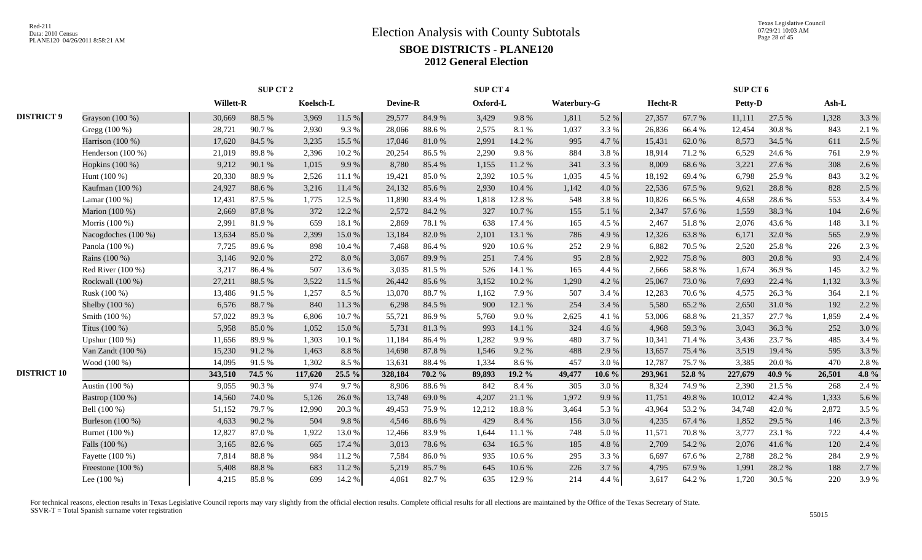|                    |                     |                  | SUP CT <sub>2</sub> |           |        |          |        | <b>SUP CT 4</b> |        |                    |          |         |        | SUP CT 6 |        |        |       |
|--------------------|---------------------|------------------|---------------------|-----------|--------|----------|--------|-----------------|--------|--------------------|----------|---------|--------|----------|--------|--------|-------|
|                    |                     | <b>Willett-R</b> |                     | Koelsch-L |        | Devine-R |        | Oxford-L        |        | <b>Waterbury-G</b> |          | Hecht-R |        | Petty-D  |        | Ash-L  |       |
| <b>DISTRICT 9</b>  | Grayson (100 %)     | 30,669           | 88.5%               | 3,969     | 11.5 % | 29,577   | 84.9%  | 3,429           | 9.8%   | 1,811              | 5.2 %    | 27,357  | 67.7%  | 11,111   | 27.5 % | 1,328  | 3.3 % |
|                    | Gregg (100 %)       | 28,721           | 90.7%               | 2,930     | 9.3%   | 28,066   | 88.6%  | 2,575           | 8.1%   | 1,037              | 3.3%     | 26,836  | 66.4%  | 12,454   | 30.8%  | 843    | 2.1 % |
|                    | Harrison (100 %)    | 17,620           | 84.5 %              | 3,235     | 15.5 % | 17,046   | 81.0%  | 2,991           | 14.2 % | 995                | 4.7 %    | 15,431  | 62.0%  | 8,573    | 34.5 % | 611    | 2.5 % |
|                    | Henderson $(100\%)$ | 21,019           | 89.8%               | 2,396     | 10.2%  | 20,254   | 86.5%  | 2,290           | 9.8%   | 884                | 3.8%     | 18,914  | 71.2%  | 6,529    | 24.6 % | 761    | 2.9 % |
|                    | Hopkins (100 %)     | 9,212            | 90.1 %              | 1,015     | 9.9%   | 8,780    | 85.4%  | 1,155           | 11.2 % | 341                | 3.3 %    | 8,009   | 68.6%  | 3,221    | 27.6 % | 308    | 2.6 % |
|                    | Hunt (100 %)        | 20,330           | 88.9%               | 2,526     | 11.1 % | 19,421   | 85.0%  | 2,392           | 10.5 % | 1,035              | 4.5 %    | 18,192  | 69.4%  | 6,798    | 25.9%  | 843    | 3.2%  |
|                    | Kaufman (100 %)     | 24,927           | 88.6%               | 3,216     | 11.4 % | 24,132   | 85.6%  | 2,930           | 10.4 % | 1,142              | 4.0%     | 22,536  | 67.5 % | 9,621    | 28.8%  | 828    | 2.5 % |
|                    | Lamar (100 %)       | 12,431           | 87.5 %              | 1,775     | 12.5 % | 11,890   | 83.4%  | 1,818           | 12.8%  | 548                | 3.8%     | 10,826  | 66.5%  | 4,658    | 28.6%  | 553    | 3.4 % |
|                    | Marion (100 %)      | 2,669            | 87.8%               | 372       | 12.2 % | 2,572    | 84.2%  | 327             | 10.7%  | 155                | 5.1 %    | 2,347   | 57.6%  | 1,559    | 38.3%  | 104    | 2.6 % |
|                    | Morris (100 %)      | 2,991            | 81.9%               | 659       | 18.1 % | 2,869    | 78.1 % | 638             | 17.4 % | 165                | 4.5 %    | 2,467   | 51.8%  | 2,076    | 43.6 % | 148    | 3.1 % |
|                    | Nacogdoches (100 %) | 13,634           | 85.0%               | 2,399     | 15.0%  | 13,184   | 82.0%  | 2,101           | 13.1 % | 786                | 4.9 %    | 12,326  | 63.8%  | 6,171    | 32.0%  | 565    | 2.9 % |
|                    | Panola (100 %)      | 7,725            | 89.6%               | 898       | 10.4 % | 7,468    | 86.4%  | 920             | 10.6%  | 252                | 2.9%     | 6,882   | 70.5 % | 2,520    | 25.8%  | 226    | 2.3 % |
|                    | Rains (100 %)       | 3,146            | 92.0%               | 272       | 8.0%   | 3,067    | 89.9%  | 251             | 7.4 %  | 95                 | 2.8%     | 2,922   | 75.8%  | 803      | 20.8%  | 93     | 2.4 % |
|                    | Red River $(100\%)$ | 3,217            | 86.4%               | 507       | 13.6%  | 3,035    | 81.5%  | 526             | 14.1 % | 165                | 4.4 %    | 2,666   | 58.8%  | 1,674    | 36.9%  | 145    | 3.2%  |
|                    | Rockwall (100 %)    | 27,211           | 88.5 %              | 3,522     | 11.5 % | 26,442   | 85.6%  | 3,152           | 10.2%  | 1,290              | 4.2%     | 25,067  | 73.0%  | 7,693    | 22.4 % | 1,132  | 3.3 % |
|                    | Rusk (100 %)        | 13,486           | 91.5%               | 1,257     | 8.5 %  | 13,070   | 88.7%  | 1,162           | 7.9%   | 507                | 3.4 %    | 12,283  | 70.6%  | 4,575    | 26.3%  | 364    | 2.1 % |
|                    | Shelby (100 %)      | 6,576            | 88.7%               | 840       | 11.3%  | 6,298    | 84.5 % | 900             | 12.1 % | 254                | 3.4 %    | 5,580   | 65.2%  | 2,650    | 31.0%  | 192    | 2.2 % |
|                    | Smith (100 %)       | 57,022           | 89.3%               | 6,806     | 10.7%  | 55,721   | 86.9%  | 5,760           | 9.0%   | 2,625              | 4.1 %    | 53,006  | 68.8%  | 21,357   | 27.7 % | 1,859  | 2.4 % |
|                    | Titus (100 %)       | 5,958            | 85.0%               | 1,052     | 15.0%  | 5,731    | 81.3%  | 993             | 14.1 % | 324                | 4.6 %    | 4,968   | 59.3%  | 3,043    | 36.3%  | 252    | 3.0%  |
|                    | Upshur (100 %)      | 11,656           | 89.9%               | 1,303     | 10.1%  | 11,184   | 86.4%  | 1,282           | 9.9%   | 480                | 3.7%     | 10,341  | 71.4 % | 3,436    | 23.7 % | 485    | 3.4 % |
|                    | Van Zandt (100 %)   | 15,230           | 91.2%               | 1,463     | 8.8%   | 14,698   | 87.8%  | 1.546           | 9.2%   | 488                | 2.9 %    | 13,657  | 75.4%  | 3,519    | 19.4 % | 595    | 3.3%  |
|                    | Wood (100 %)        | 14,095           | 91.5%               | 1,302     | 8.5 %  | 13,631   | 88.4%  | 1,334           | 8.6%   | 457                | 3.0 %    | 12,787  | 75.7%  | 3,385    | 20.0%  | 470    | 2.8 % |
| <b>DISTRICT 10</b> |                     | 343,510          | 74.5 %              | 117,620   | 25.5 % | 328,184  | 70.2 % | 89,893          | 19.2 % | 49,477             | $10.6\%$ | 293,961 | 52.8 % | 227,679  | 40.9%  | 26,501 | 4.8%  |
|                    | Austin (100 %)      | 9,055            | 90.3%               | 974       | 9.7%   | 8.906    | 88.6%  | 842             | 8.4 %  | 305                | 3.0%     | 8,324   | 74.9%  | 2,390    | 21.5 % | 268    | 2.4 % |
|                    | Bastrop (100 %)     | 14,560           | 74.0 %              | 5,126     | 26.0%  | 13,748   | 69.0%  | 4,207           | 21.1%  | 1,972              | 9.9%     | 11,751  | 49.8%  | 10,012   | 42.4 % | 1,333  | 5.6 % |
|                    | Bell (100 %)        | 51,152           | 79.7%               | 12,990    | 20.3 % | 49,453   | 75.9%  | 12,212          | 18.8%  | 3,464              | 5.3 %    | 43,964  | 53.2%  | 34,748   | 42.0%  | 2,872  | 3.5 % |
|                    | Burleson $(100\%)$  | 4,633            | 90.2%               | 504       | 9.8%   | 4,546    | 88.6%  | 429             | 8.4 %  | 156                | 3.0%     | 4,235   | 67.4 % | 1,852    | 29.5 % | 146    | 2.3 % |
|                    | Burnet (100 %)      | 12,827           | 87.0%               | 1,922     | 13.0%  | 12,466   | 83.9%  | 1,644           | 11.1%  | 748                | 5.0%     | 11,571  | 70.8%  | 3,777    | 23.1 % | 722    | 4.4 % |
|                    | Falls (100 %)       | 3,165            | 82.6%               | 665       | 17.4 % | 3,013    | 78.6%  | 634             | 16.5 % | 185                | 4.8%     | 2,709   | 54.2 % | 2,076    | 41.6%  | 120    | 2.4 % |
|                    | Fayette (100 %)     | 7,814            | 88.8%               | 984       | 11.2%  | 7,584    | 86.0%  | 935             | 10.6%  | 295                | 3.3%     | 6,697   | 67.6%  | 2,788    | 28.2%  | 284    | 2.9 % |
|                    | Freestone $(100\%)$ | 5,408            | 88.8%               | 683       | 11.2%  | 5,219    | 85.7%  | 645             | 10.6%  | 226                | 3.7%     | 4,795   | 67.9%  | 1,991    | 28.2 % | 188    | 2.7 % |
|                    | Lee $(100\%)$       | 4,215            | 85.8%               | 699       | 14.2 % | 4,061    | 82.7%  | 635             | 12.9%  | 214                | 4.4 %    | 3,617   | 64.2%  | 1,720    | 30.5 % | 220    | 3.9%  |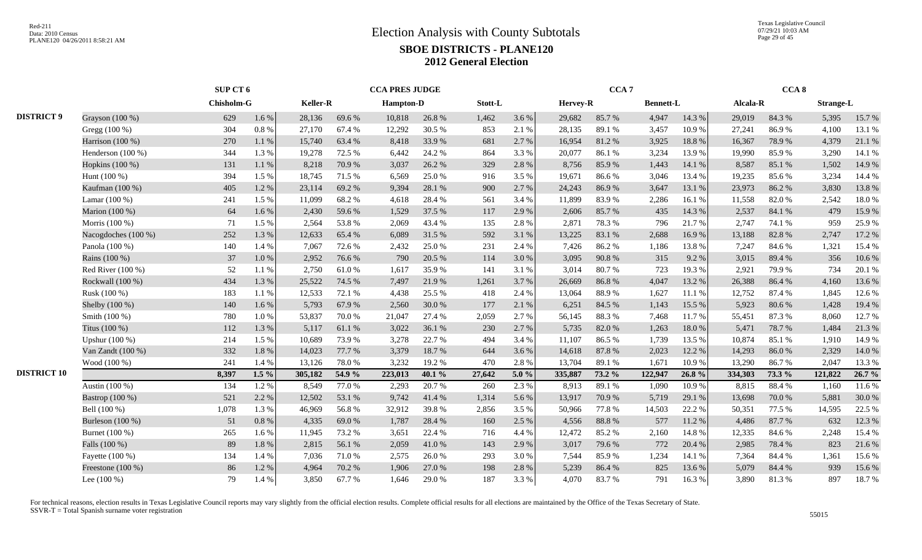Texas Legislative Council 07/29/21 10:03 AM Page 29 of 45

|                    |                     | SUP CT 6   |           |                 |        | <b>CCA PRES JUDGE</b> |        |         |       |          | CCA <sub>7</sub> |                  |        |          | CCA <sub>8</sub> |                  |        |
|--------------------|---------------------|------------|-----------|-----------------|--------|-----------------------|--------|---------|-------|----------|------------------|------------------|--------|----------|------------------|------------------|--------|
|                    |                     | Chisholm-G |           | <b>Keller-R</b> |        | <b>Hampton-D</b>      |        | Stott-L |       | Hervey-R |                  | <b>Bennett-L</b> |        | Alcala-R |                  | <b>Strange-L</b> |        |
| <b>DISTRICT 9</b>  | Grayson (100 %)     | 629        | $1.6\,\%$ | 28,136          | 69.6%  | 10,818                | 26.8%  | 1,462   | 3.6 % | 29,682   | 85.7%            | 4,947            | 14.3 % | 29,019   | 84.3 %           | 5,395            | 15.7%  |
|                    | Gregg (100 %)       | 304        | $0.8~\%$  | 27,170          | 67.4 % | 12,292                | 30.5 % | 853     | 2.1 % | 28,135   | 89.1 %           | 3,457            | 10.9%  | 27,241   | 86.9%            | 4,100            | 13.1 % |
|                    | Harrison (100 %)    | 270        | 1.1%      | 15,740          | 63.4 % | 8,418                 | 33.9%  | 681     | 2.7 % | 16,954   | 81.2%            | 3,925            | 18.8%  | 16,367   | 78.9%            | 4,379            | 21.1 % |
|                    | Henderson (100 %)   | 344        | 1.3%      | 19,278          | 72.5 % | 6,442                 | 24.2 % | 864     | 3.3%  | 20,077   | 86.1%            | 3,234            | 13.9%  | 19,990   | 85.9%            | 3,290            | 14.1 % |
|                    | Hopkins (100 %)     | 131        | 1.1%      | 8,218           | 70.9%  | 3,037                 | 26.2%  | 329     | 2.8%  | 8,756    | 85.9%            | 1,443            | 14.1 % | 8,587    | 85.1 %           | 1,502            | 14.9 % |
|                    | Hunt (100 %)        | 394        | 1.5 %     | 18,745          | 71.5 % | 6,569                 | 25.0%  | 916     | 3.5 % | 19,671   | 86.6%            | 3,046            | 13.4 % | 19,235   | 85.6%            | 3,234            | 14.4 % |
|                    | Kaufman (100 %)     | 405        | 1.2 %     | 23,114          | 69.2%  | 9,394                 | 28.1%  | 900     | 2.7 % | 24,243   | 86.9%            | 3,647            | 13.1 % | 23,973   | 86.2%            | 3,830            | 13.8%  |
|                    | Lamar (100 %)       | 241        | 1.5 %     | 11,099          | 68.2%  | 4,618                 | 28.4%  | 561     | 3.4 % | 11,899   | 83.9%            | 2,286            | 16.1%  | 11,558   | 82.0%            | 2,542            | 18.0%  |
|                    | Marion (100 %)      | 64         | 1.6%      | 2,430           | 59.6%  | 1,529                 | 37.5 % | 117     | 2.9%  | 2,606    | 85.7%            | 435              | 14.3 % | 2,537    | 84.1 %           | 479              | 15.9%  |
|                    | Morris (100 %)      | 71         | 1.5 %     | 2,564           | 53.8%  | 2,069                 | 43.4 % | 135     | 2.8%  | 2,871    | 78.3%            | 796              | 21.7%  | 2,747    | 74.1 %           | 959              | 25.9%  |
|                    | Nacogdoches (100 %) | 252        | 1.3 %     | 12,633          | 65.4%  | 6,089                 | 31.5 % | 592     | 3.1 % | 13,225   | 83.1 %           | 2,688            | 16.9%  | 13,188   | 82.8%            | 2,747            | 17.2 % |
|                    | Panola (100 %)      | 140        | 1.4 %     | 7,067           | 72.6%  | 2,432                 | 25.0%  | 231     | 2.4 % | 7,426    | 86.2%            | 1,186            | 13.8%  | 7,247    | 84.6 %           | 1,321            | 15.4 % |
|                    | Rains (100 %)       | 37         | $1.0\ \%$ | 2,952           | 76.6%  | 790                   | 20.5 % | 114     | 3.0 % | 3,095    | 90.8%            | 315              | 9.2%   | 3,015    | 89.4%            | 356              | 10.6%  |
|                    | Red River $(100\%)$ | 52         | 1.1%      | 2,750           | 61.0%  | 1,617                 | 35.9%  | 141     | 3.1 % | 3,014    | 80.7%            | 723              | 19.3 % | 2,921    | 79.9%            | 734              | 20.1 % |
|                    | Rockwall (100 %)    | 434        | 1.3 %     | 25,522          | 74.5 % | 7,497                 | 21.9%  | 1,261   | 3.7 % | 26,669   | 86.8%            | 4,047            | 13.2 % | 26,388   | 86.4%            | 4,160            | 13.6 % |
|                    | Rusk (100 %)        | 183        | 1.1%      | 12,533          | 72.1 % | 4,438                 | 25.5 % | 418     | 2.4 % | 13,064   | 88.9%            | 1,627            | 11.1 % | 12,752   | 87.4 %           | 1,845            | 12.6 % |
|                    | Shelby (100 %)      | 140        | 1.6 %     | 5,793           | 67.9%  | 2,560                 | 30.0%  | 177     | 2.1 % | 6,251    | 84.5 %           | 1,143            | 15.5 % | 5,923    | 80.6%            | 1,428            | 19.4 % |
|                    | Smith (100 %)       | 780        | $1.0 \%$  | 53,837          | 70.0%  | 21,047                | 27.4 % | 2,059   | 2.7 % | 56,145   | 88.3%            | 7,468            | 11.7 % | 55,451   | 87.3%            | 8,060            | 12.7 % |
|                    | Titus $(100\%)$     | 112        | 1.3 %     | 5,117           | 61.1 % | 3,022                 | 36.1 % | 230     | 2.7 % | 5,735    | 82.0%            | 1,263            | 18.0%  | 5,471    | 78.7%            | 1,484            | 21.3%  |
|                    | Upshur $(100\%)$    | 214        | 1.5 %     | 10,689          | 73.9%  | 3,278                 | 22.7 % | 494     | 3.4 % | 11,107   | 86.5%            | 1,739            | 13.5 % | 10,874   | 85.1 %           | 1,910            | 14.9 % |
|                    | Van Zandt (100 %)   | 332        | 1.8%      | 14,023          | 77.7 % | 3,379                 | 18.7%  | 644     | 3.6 % | 14,618   | 87.8%            | 2,023            | 12.2 % | 14,293   | 86.0%            | 2,329            | 14.0 % |
|                    | Wood (100 %)        | 241        | 1.4 %     | 13,126          | 78.0%  | 3,232                 | 19.2 % | 470     | 2.8%  | 13,704   | 89.1 %           | 1,671            | 10.9%  | 13,290   | 86.7%            | 2,047            | 13.3 % |
| <b>DISTRICT 10</b> |                     | 8,397      | $1.5\%$   | 305,182         | 54.9 % | 223,013               | 40.1 % | 27,642  | 5.0%  | 335,887  | 73.2 %           | 122,947          | 26.8 % | 334,303  | 73.3 %           | 121,822          | 26.7%  |
|                    | Austin (100 %)      | 134        | 1.2 %     | 8,549           | 77.0 % | 2,293                 | 20.7%  | 260     | 2.3 % | 8,913    | 89.1 %           | 1,090            | 10.9%  | 8,815    | 88.4%            | 1,160            | 11.6 % |
|                    | Bastrop (100 %)     | 521        | 2.2 %     | 12,502          | 53.1 % | 9,742                 | 41.4%  | 1,314   | 5.6 % | 13,917   | 70.9%            | 5,719            | 29.1 % | 13,698   | 70.0%            | 5,881            | 30.0%  |
|                    | Bell (100 %)        | 1,078      | 1.3 %     | 46,969          | 56.8%  | 32,912                | 39.8%  | 2,856   | 3.5 % | 50,966   | 77.8%            | 14,503           | 22.2 % | 50,351   | 77.5 %           | 14,595           | 22.5 % |
|                    | Burleson (100 %)    | 51         | $0.8\ \%$ | 4,335           | 69.0%  | 1,787                 | 28.4 % | 160     | 2.5 % | 4,556    | 88.8%            | 577              | 11.2 % | 4,486    | 87.7%            | 632              | 12.3 % |
|                    | Burnet (100 %)      | 265        | 1.6%      | 11,945          | 73.2 % | 3,651                 | 22.4 % | 716     | 4.4 % | 12,472   | 85.2%            | 2,160            | 14.8%  | 12,335   | 84.6%            | 2,248            | 15.4 % |
|                    | Falls (100 %)       | 89         | $1.8~\%$  | 2,815           | 56.1%  | 2,059                 | 41.0%  | 143     | 2.9%  | 3,017    | 79.6%            | 772              | 20.4 % | 2,985    | 78.4%            | 823              | 21.6%  |
|                    | Fayette (100 %)     | 134        | 1.4 %     | 7,036           | 71.0%  | 2,575                 | 26.0%  | 293     | 3.0 % | 7,544    | 85.9%            | 1,234            | 14.1 % | 7,364    | 84.4 %           | 1,361            | 15.6%  |
|                    | Freestone (100 %)   | 86         | 1.2 %     | 4,964           | 70.2 % | 1,906                 | 27.0 % | 198     | 2.8%  | 5,239    | 86.4%            | 825              | 13.6 % | 5,079    | 84.4 %           | 939              | 15.6%  |
|                    | Lee $(100\%)$       | 79         | 1.4 %     | 3,850           | 67.7%  | 1,646                 | 29.0%  | 187     | 3.3 % | 4,070    | 83.7%            | 791              | 16.3 % | 3,890    | 81.3%            | 897              | 18.7%  |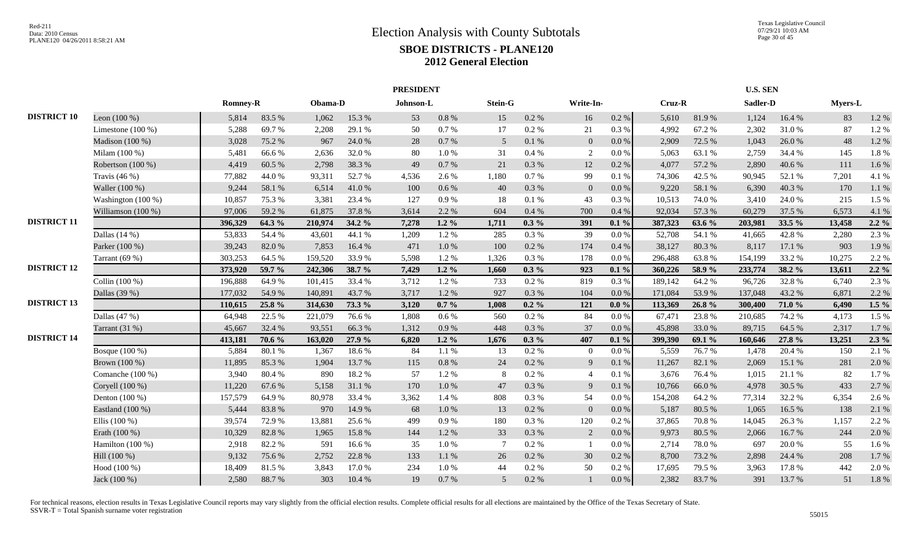|                    |                     |                 |        |         |        | <b>PRESIDENT</b> |           |         |           |                |           |         |        | <b>U.S. SEN</b> |        |         |         |
|--------------------|---------------------|-----------------|--------|---------|--------|------------------|-----------|---------|-----------|----------------|-----------|---------|--------|-----------------|--------|---------|---------|
|                    |                     | <b>Romney-R</b> |        | Obama-D |        | Johnson-L        |           | Stein-G |           | Write-In-      |           | Cruz-R  |        | Sadler-D        |        | Myers-L |         |
| <b>DISTRICT 10</b> | Leon $(100\%)$      | 5,814           | 83.5%  | 1,062   | 15.3 % | 53               | $0.8\ \%$ | 15      | 0.2 %     | 16             | $0.2~\%$  | 5,610   | 81.9%  | 1,124           | 16.4 % | 83      | 1.2%    |
|                    | Limestone $(100\%)$ | 5,288           | 69.7%  | 2,208   | 29.1 % | 50               | 0.7 %     | 17      | $0.2~\%$  | 21             | 0.3%      | 4,992   | 67.2%  | 2,302           | 31.0%  | 87      | 1.2%    |
|                    | Madison (100 %)     | 3,028           | 75.2 % | 967     | 24.0 % | 28               | 0.7 %     | 5       | $0.1\ \%$ | $\overline{0}$ | 0.0 %     | 2,909   | 72.5 % | 1,043           | 26.0%  | 48      | 1.2%    |
|                    | Milam (100 %)       | 5,481           | 66.6%  | 2,636   | 32.0%  | 80               | 1.0%      | 31      | 0.4%      | 2              | 0.0 %     | 5,063   | 63.1 % | 2,759           | 34.4 % | 145     | 1.8%    |
|                    | Robertson (100 %)   | 4,419           | 60.5%  | 2,798   | 38.3%  | 49               | 0.7 %     | 21      | 0.3 %     | 12             | 0.2 %     | 4,077   | 57.2 % | 2,890           | 40.6%  | 111     | 1.6%    |
|                    | Travis $(46\%)$     | 77,882          | 44.0%  | 93,311  | 52.7%  | 4,536            | 2.6%      | 1,180   | 0.7 %     | 99             | 0.1%      | 74,306  | 42.5 % | 90,945          | 52.1 % | 7,201   | 4.1 %   |
|                    | Waller (100 %)      | 9,244           | 58.1%  | 6,514   | 41.0%  | 100              | 0.6 %     | 40      | $0.3~\%$  | $\overline{0}$ | 0.0 %     | 9,220   | 58.1 % | 6,390           | 40.3%  | 170     | 1.1 %   |
|                    | Washington (100 %)  | 10,857          | 75.3 % | 3,381   | 23.4 % | 127              | 0.9%      | 18      | 0.1%      | 43             | 0.3%      | 10,513  | 74.0%  | 3,410           | 24.0%  | 215     | 1.5 %   |
|                    | Williamson (100 %)  | 97,006          | 59.2%  | 61,875  | 37.8%  | 3,614            | 2.2%      | 604     | $0.4~\%$  | 700            | 0.4%      | 92,034  | 57.3 % | 60,279          | 37.5 % | 6,573   | 4.1 %   |
| <b>DISTRICT 11</b> |                     | 396,329         | 64.3 % | 210,974 | 34.2 % | 7,278            | $1.2\%$   | 1,711   | $0.3\%$   | 391            | $0.1 \%$  | 387,323 | 63.6 % | 203,981         | 33.5 % | 13,458  | $2.2\%$ |
|                    | Dallas $(14%)$      | 53,833          | 54.4 % | 43,601  | 44.1 % | 1,209            | 1.2%      | 285     | 0.3 %     | 39             | 0.0 %     | 52,708  | 54.1 % | 41,665          | 42.8%  | 2,280   | 2.3 %   |
|                    | Parker (100 %)      | 39,243          | 82.0%  | 7,853   | 16.4 % | 471              | 1.0%      | 100     | 0.2 %     | 174            | 0.4%      | 38,127  | 80.3%  | 8,117           | 17.1 % | 903     | 1.9%    |
|                    | Tarrant (69 %)      | 303,253         | 64.5 % | 159,520 | 33.9%  | 5,598            | 1.2%      | 1,326   | $0.3~\%$  | 178            | 0.0 %     | 296,488 | 63.8%  | 154,199         | 33.2 % | 10,275  | 2.2 %   |
| <b>DISTRICT 12</b> |                     | 373,920         | 59.7 % | 242,306 | 38.7 % | 7,429            | $1.2\%$   | 1,660   | $0.3\%$   | 923            | $0.1 \%$  | 360,226 | 58.9%  | 233,774         | 38.2 % | 13,611  | $2.2\%$ |
|                    | Collin (100 %)      | 196,888         | 64.9%  | 101,415 | 33.4 % | 3,712            | 1.2%      | 733     | 0.2 %     | 819            | 0.3%      | 189,142 | 64.2%  | 96,726          | 32.8%  | 6.740   | 2.3 %   |
|                    | Dallas (39 %)       | 177,032         | 54.9%  | 140,891 | 43.7%  | 3,717            | 1.2%      | 927     | 0.3%      | 104            | $0.0\%$   | 171,084 | 53.9%  | 137,048         | 43.2%  | 6,871   | 2.2 %   |
| <b>DISTRICT 13</b> |                     | 110,615         | 25.8 % | 314,630 | 73.3 % | 3,120            | $0.7\%$   | 1.008   | $0.2 \%$  | 121            | $0.0\%$   | 113,369 | 26.8%  | 300,400         | 71.0%  | 6,490   | $1.5\%$ |
|                    | Dallas (47 %)       | 64,948          | 22.5 % | 221,079 | 76.6%  | 1,808            | $0.6\%$   | 560     | 0.2 %     | 84             | $0.0\,\%$ | 67,471  | 23.8%  | 210,685         | 74.2 % | 4,173   | 1.5 %   |
|                    | Tarrant (31 %)      | 45,667          | 32.4 % | 93,551  | 66.3%  | 1,312            | 0.9%      | 448     | 0.3 %     | 37             | $0.0\%$   | 45,898  | 33.0%  | 89,715          | 64.5 % | 2,317   | 1.7%    |
| <b>DISTRICT 14</b> |                     | 413,181         | 70.6 % | 163,020 | 27.9 % | 6.820            | $1.2\%$   | 1,676   | $0.3\%$   | 407            | $0.1 \%$  | 399,390 | 69.1%  | 160,646         | 27.8 % | 13,251  | $2.3\%$ |
|                    | Bosque (100 %)      | 5,884           | 80.1%  | 1,367   | 18.6%  | 84               | 1.1%      | 13      | 0.2 %     | $\theta$       | 0.0 %     | 5,559   | 76.7%  | 1,478           | 20.4 % | 150     | 2.1%    |
|                    | Brown (100 %)       | 11,895          | 85.3%  | 1.904   | 13.7 % | 115              | 0.8 %     | 24      | 0.2 %     | 9              | 0.1%      | 11,267  | 82.1 % | 2,069           | 15.1 % | 281     | 2.0%    |
|                    | Comanche $(100\%)$  | 3,940           | 80.4%  | 890     | 18.2%  | 57               | 1.2%      | -8      | 0.2 %     | $\overline{4}$ | 0.1%      | 3.676   | 76.4 % | 1.015           | 21.1 % | 82      | 1.7%    |
|                    | Coryell (100 %)     | 11,220          | 67.6%  | 5,158   | 31.1 % | 170              | 1.0%      | 47      | 0.3 %     | 9              | 0.1%      | 10,766  | 66.0%  | 4.978           | 30.5 % | 433     | 2.7 %   |
|                    | Denton $(100\%)$    | 157,579         | 64.9%  | 80,978  | 33.4 % | 3,362            | 1.4%      | 808     | 0.3%      | 54             | $0.0\,\%$ | 154,208 | 64.2%  | 77,314          | 32.2 % | 6,354   | 2.6%    |
|                    | Eastland (100 %)    | 5,444           | 83.8%  | 970     | 14.9 % | 68               | $1.0\,\%$ | 13      | $0.2~\%$  | $\overline{0}$ | $0.0\,\%$ | 5,187   | 80.5 % | 1,065           | 16.5 % | 138     | 2.1 %   |
|                    | Ellis $(100\%)$     | 39,574          | 72.9%  | 13,881  | 25.6%  | 499              | 0.9%      | 180     | 0.3%      | 120            | $0.2~\%$  | 37,865  | 70.8%  | 14,045          | 26.3%  | 1,157   | 2.2 %   |
|                    | Erath (100 %)       | 10,329          | 82.8%  | 1,965   | 15.8%  | 144              | 1.2%      | 33      | $0.3~\%$  | 2              | 0.0 %     | 9,973   | 80.5 % | 2,066           | 16.7%  | 244     | 2.0%    |
|                    | Hamilton (100 %)    | 2,918           | 82.2%  | 591     | 16.6%  | 35               | $1.0\ \%$ | 7       | $0.2~\%$  |                | 0.0 %     | 2,714   | 78.0%  | 697             | 20.0%  | 55      | 1.6%    |
|                    | Hill (100 %)        | 9,132           | 75.6%  | 2,752   | 22.8%  | 133              | 1.1%      | 26      | $0.2~\%$  | 30             | 0.2 %     | 8,700   | 73.2 % | 2,898           | 24.4 % | 208     | 1.7%    |
|                    | Hood (100 %)        | 18,409          | 81.5%  | 3,843   | 17.0%  | 234              | 1.0%      | 44      | 0.2 %     | 50             | 0.2 %     | 17,695  | 79.5 % | 3,963           | 17.8%  | 442     | 2.0%    |
|                    | Jack (100 %)        | 2,580           | 88.7%  | 303     | 10.4 % | 19               | 0.7 %     | 5       | 0.2 %     |                | $0.0\%$   | 2,382   | 83.7%  | 391             | 13.7 % | 51      | 1.8%    |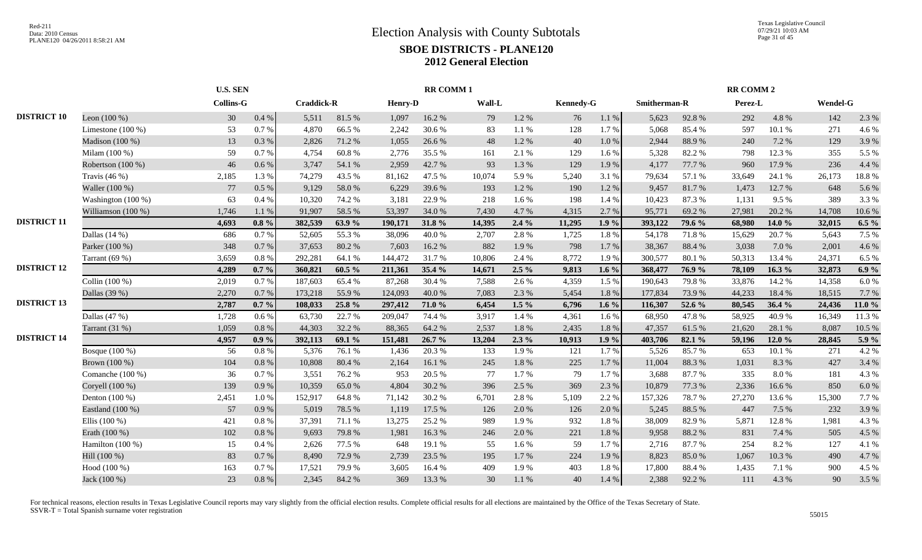|                    |                     | <b>U.S. SEN</b>  |          |                   |        |                | <b>RR COMM1</b> |        |           |                  |           |              |        | <b>RR COMM 2</b> |          |          |          |
|--------------------|---------------------|------------------|----------|-------------------|--------|----------------|-----------------|--------|-----------|------------------|-----------|--------------|--------|------------------|----------|----------|----------|
|                    |                     | <b>Collins-G</b> |          | <b>Craddick-R</b> |        | <b>Henry-D</b> |                 | Wall-L |           | <b>Kennedy-G</b> |           | Smitherman-R |        | Perez-L          |          | Wendel-G |          |
| <b>DISTRICT 10</b> | Leon $(100\%)$      | 30               | 0.4 %    | 5,511             | 81.5%  | 1,097          | 16.2%           | 79     | $1.2 \%$  | 76               | 1.1%      | 5,623        | 92.8%  | 292              | 4.8%     | 142      | 2.3 %    |
|                    | Limestone $(100\%)$ | 53               | 0.7%     | 4,870             | 66.5 % | 2,242          | 30.6%           | 83     | 1.1%      | 128              | 1.7%      | 5,068        | 85.4%  | 597              | 10.1 %   | 271      | 4.6 %    |
|                    | Madison (100 %)     | 13               | 0.3%     | 2,826             | 71.2%  | 1,055          | 26.6%           | 48     | 1.2%      | 40               | $1.0\ \%$ | 2,944        | 88.9%  | 240              | 7.2 %    | 129      | 3.9%     |
|                    | Milam $(100\%)$     | 59               | 0.7%     | 4,754             | 60.8%  | 2,776          | 35.5 %          | 161    | 2.1 %     | 129              | 1.6 %     | 5,328        | 82.2%  | 798              | 12.3 %   | 355      | 5.5 %    |
|                    | Robertson (100 %)   | 46               | 0.6 %    | 3,747             | 54.1 % | 2,959          | 42.7 %          | 93     | 1.3 %     | 129              | 1.9%      | 4,177        | 77.7 % | 960              | 17.9%    | 236      | 4.4 %    |
|                    | Travis $(46\%)$     | 2,185            | 1.3%     | 74,279            | 43.5 % | 81,162         | 47.5 %          | 10,074 | 5.9%      | 5,240            | 3.1%      | 79,634       | 57.1 % | 33,649           | 24.1 %   | 26,173   | 18.8%    |
|                    | Waller (100 %)      | 77               | 0.5 %    | 9,129             | 58.0%  | 6,229          | 39.6 %          | 193    | 1.2%      | 190              | 1.2 %     | 9,457        | 81.7%  | 1,473            | 12.7 %   | 648      | 5.6 %    |
|                    | Washington (100 %)  | 63               | 0.4%     | 10,320            | 74.2 % | 3,181          | 22.9%           | 218    | $1.6\%$   | 198              | 1.4 %     | 10,423       | 87.3%  | 1,131            | 9.5 %    | 389      | 3.3%     |
|                    | Williamson (100 %)  | 1,746            | 1.1%     | 91,907            | 58.5%  | 53,397         | 34.0 %          | 7,430  | 4.7%      | 4,315            | 2.7 %     | 95,771       | 69.2%  | 27,981           | 20.2 %   | 14,708   | 10.6%    |
| <b>DISTRICT 11</b> |                     | 4,693            | $0.8\%$  | 382,539           | 63.9%  | 190,171        | 31.8%           | 14,395 | $2.4\%$   | 11,295           | 1.9%      | 393,122      | 79.6 % | 68,980           | 14.0 %   | 32,015   | $6.5\%$  |
|                    | Dallas $(14%)$      | 686              | 0.7%     | 52,605            | 55.3%  | 38,096         | 40.0%           | 2,707  | 2.8%      | 1,725            | 1.8%      | 54,178       | 71.8%  | 15,629           | 20.7%    | 5,643    | 7.5 %    |
|                    | Parker (100 %)      | 348              | 0.7%     | 37,653            | 80.2%  | 7,603          | 16.2%           | 882    | 1.9%      | 798              | 1.7%      | 38,367       | 88.4%  | 3,038            | 7.0%     | 2,001    | 4.6%     |
|                    | Tarrant (69 %)      | 3,659            | 0.8%     | 292,281           | 64.1 % | 144,472        | 31.7%           | 10,806 | 2.4 %     | 8,772            | 1.9%      | 300,577      | 80.1%  | 50,313           | 13.4 %   | 24,371   | 6.5 %    |
| <b>DISTRICT 12</b> |                     | 4,289            | $0.7\%$  | 360,821           | 60.5 % | 211,361        | 35.4 %          | 14,671 | $2.5\%$   | 9,813            | $1.6\%$   | 368,477      | 76.9%  | 78,109           | 16.3 %   | 32,873   | 6.9 %    |
|                    | Collin (100 %)      | 2,019            | 0.7 %    | 187,603           | 65.4%  | 87,268         | 30.4 %          | 7,588  | 2.6 %     | 4,359            | 1.5 %     | 190,643      | 79.8%  | 33,876           | 14.2 %   | 14,358   | 6.0%     |
|                    | Dallas (39 %)       | 2,270            | 0.7%     | 173,218           | 55.9%  | 124,093        | 40.0%           | 7,083  | 2.3 %     | 5,454            | 1.8%      | 177,834      | 73.9%  | 44,233           | 18.4 %   | 18,515   | 7.7 %    |
| <b>DISTRICT 13</b> |                     | 2,787            | $0.7\%$  | 108,033           | 25.8 % | 297,412        | 71.0%           | 6,454  | $1.5\%$   | 6,796            | 1.6 $%$   | 116,307      | 52.6 % | 80,545           | 36.4 %   | 24,436   | 11.0 $%$ |
|                    | Dallas $(47%)$      | 1,728            | 0.6 %    | 63,730            | 22.7 % | 209,047        | 74.4 %          | 3,917  | 1.4 %     | 4,361            | 1.6 %     | 68,950       | 47.8%  | 58,925           | 40.9%    | 16,349   | 11.3%    |
|                    | Tarrant $(31%)$     | 1,059            | 0.8%     | 44,303            | 32.2 % | 88,365         | 64.2 %          | 2,537  | 1.8%      | 2,435            | 1.8%      | 47,357       | 61.5 % | 21,620           | 28.1 %   | 8,087    | 10.5 %   |
| <b>DISTRICT 14</b> |                     | 4,957            | $0.9\%$  | 392,113           | 69.1 % | 151,481        | 26.7%           | 13,204 | $2.3\%$   | 10,913           | $1.9\%$   | 403,706      | 82.1%  | 59,196           | 12.0 $%$ | 28,845   | 5.9 $%$  |
|                    | Bosque (100 %)      | 56               | 0.8 %    | 5,376             | 76.1 % | 1,436          | 20.3%           | 133    | 1.9%      | 121              | 1.7%      | 5,526        | 85.7%  | 653              | 10.1 %   | 271      | 4.2 %    |
|                    | Brown (100 %)       | 104              | 0.8%     | 10,808            | 80.4%  | 2,164          | 16.1 %          | 245    | $1.8\ \%$ | 225              | 1.7%      | 11,004       | 88.3%  | 1,031            | 8.3%     | 427      | 3.4 %    |
|                    | Comanche $(100\%)$  | 36               | 0.7%     | 3,551             | 76.2%  | 953            | 20.5 %          | 77     | 1.7%      | 79               | 1.7%      | 3,688        | 87.7 % | 335              | 8.0%     | 181      | 4.3 %    |
|                    | Coryell (100 %)     | 139              | 0.9%     | 10,359            | 65.0%  | 4,804          | 30.2 %          | 396    | 2.5 %     | 369              | 2.3 %     | 10,879       | 77.3 % | 2,336            | 16.6%    | 850      | 6.0%     |
|                    | Denton $(100\%)$    | 2,451            | 1.0%     | 152.917           | 64.8%  | 71,142         | 30.2 %          | 6,701  | 2.8%      | 5,109            | 2.2 %     | 157,326      | 78.7%  | 27,270           | 13.6 %   | 15,300   | 7.7 %    |
|                    | Eastland (100 %)    | 57               | 0.9%     | 5,019             | 78.5 % | 1,119          | 17.5 %          | 126    | 2.0 %     | 126              | 2.0%      | 5,245        | 88.5%  | 447              | 7.5 %    | 232      | 3.9%     |
|                    | Ellis $(100\%)$     | 421              | 0.8 %    | 37,391            | 71.1 % | 13,275         | 25.2 %          | 989    | 1.9%      | 932              | 1.8%      | 38,009       | 82.9%  | 5,871            | 12.8%    | 1,981    | 4.3 %    |
|                    | Erath (100 %)       | 102              | 0.8%     | 9,693             | 79.8%  | 1,981          | 16.3%           | 246    | 2.0 %     | 221              | 1.8%      | 9,958        | 88.2%  | 831              | 7.4 %    | 505      | 4.5 %    |
|                    | Hamilton $(100\%)$  | 15               | 0.4%     | 2,626             | 77.5 % | 648            | 19.1 %          | 55     | $1.6\%$   | 59               | 1.7%      | 2,716        | 87.7 % | 254              | 8.2%     | 127      | 4.1 %    |
|                    | Hill (100 %)        | 83               | 0.7%     | 8,490             | 72.9 % | 2.739          | 23.5 %          | 195    | 1.7%      | 224              | 1.9%      | 8,823        | 85.0%  | 1.067            | 10.3%    | 490      | 4.7%     |
|                    | Hood (100 %)        | 163              | 0.7%     | 17,521            | 79.9%  | 3,605          | 16.4 %          | 409    | 1.9%      | 403              | 1.8%      | 17,800       | 88.4%  | 1,435            | 7.1 %    | 900      | 4.5 %    |
|                    | Jack (100 %)        | 23               | $0.8 \%$ | 2,345             | 84.2 % | 369            | 13.3 %          | 30     | $1.1\ \%$ | 40               | 1.4%      | 2,388        | 92.2%  | 111              | 4.3 %    | 90       | 3.5 %    |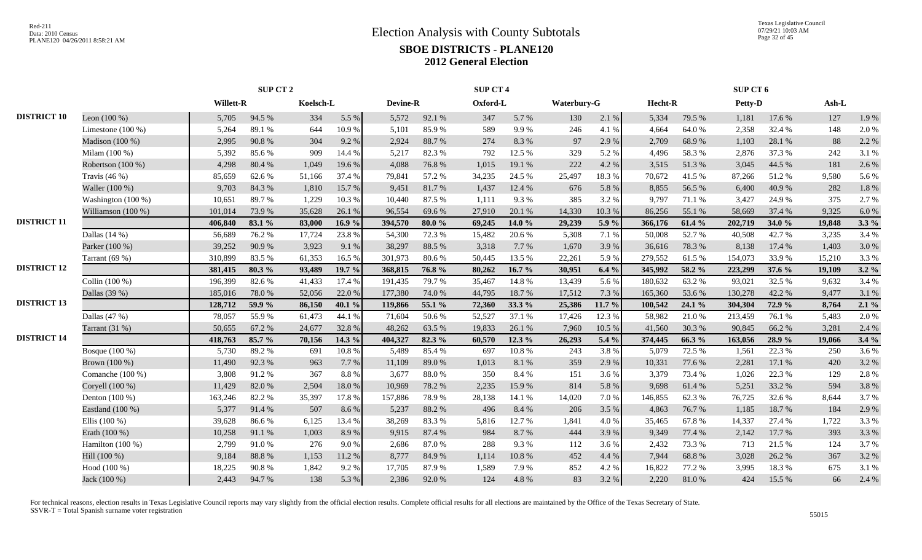|                    |                      |                  | <b>SUP CT 2</b> |           |          |                 |           | <b>SUP CT 4</b> |          |             |           |         |        | SUP CT 6 |        |        |         |
|--------------------|----------------------|------------------|-----------------|-----------|----------|-----------------|-----------|-----------------|----------|-------------|-----------|---------|--------|----------|--------|--------|---------|
|                    |                      | <b>Willett-R</b> |                 | Koelsch-L |          | <b>Devine-R</b> |           | Oxford-L        |          | Waterbury-G |           | Hecht-R |        | Petty-D  |        | Ash-L  |         |
| <b>DISTRICT 10</b> | Leon $(100\%)$       | 5,705            | 94.5 %          | 334       | 5.5 %    | 5,572           | 92.1 %    | 347             | 5.7%     | 130         | 2.1 %     | 5,334   | 79.5 % | 1,181    | 17.6 % | 127    | 1.9%    |
|                    | Limestone $(100\%)$  | 5,264            | 89.1%           | 644       | 10.9%    | 5,101           | 85.9%     | 589             | 9.9%     | 246         | 4.1%      | 4,664   | 64.0%  | 2,358    | 32.4 % | 148    | 2.0%    |
|                    | Madison (100 %)      | 2,995            | 90.8%           | 304       | 9.2%     | 2,924           | 88.7%     | 274             | 8.3%     | 97          | 2.9%      | 2,709   | 68.9%  | 1,103    | 28.1 % | 88     | 2.2 %   |
|                    | Milam $(100\%)$      | 5,392            | 85.6%           | 909       | 14.4 %   | 5,217           | 82.3%     | 792             | 12.5 %   | 329         | 5.2%      | 4,496   | 58.3%  | 2,876    | 37.3 % | 242    | 3.1 %   |
|                    | Robertson (100 %)    | 4,298            | 80.4%           | 1,049     | 19.6 %   | 4,088           | 76.8%     | 1,015           | 19.1 %   | 222         | 4.2 %     | 3,515   | 51.3%  | 3,045    | 44.5 % | 181    | 2.6 %   |
|                    | Travis $(46\%)$      | 85,659           | 62.6%           | 51,166    | 37.4 %   | 79,841          | 57.2 %    | 34,235          | 24.5 %   | 25,497      | 18.3%     | 70,672  | 41.5 % | 87,266   | 51.2%  | 9,580  | 5.6 %   |
|                    | Waller (100 %)       | 9,703            | 84.3%           | 1,810     | 15.7%    | 9,451           | 81.7%     | 1,437           | 12.4 %   | 676         | 5.8%      | 8,855   | 56.5%  | 6,400    | 40.9%  | 282    | 1.8%    |
|                    | Washington (100 %)   | 10,651           | 89.7%           | 1,229     | 10.3%    | 10,440          | 87.5 %    | 1,111           | 9.3%     | 385         | 3.2 %     | 9,797   | 71.1 % | 3,427    | 24.9 % | 375    | 2.7 %   |
|                    | Williamson $(100\%)$ | 101,014          | 73.9%           | 35,628    | 26.1 %   | 96,554          | 69.6%     | 27,910          | 20.1 %   | 14,330      | 10.3%     | 86,256  | 55.1 % | 58,669   | 37.4 % | 9,325  | 6.0 $%$ |
| <b>DISTRICT 11</b> |                      | 406,840          | 83.1 %          | 83,000    | 16.9 %   | 394,570         | 80.0 $\%$ | 69,245          | 14.0 %   | 29,239      | 5.9 %     | 366,176 | 61.4 % | 202,719  | 34.0 % | 19,848 | $3.3\%$ |
|                    | Dallas $(14%)$       | 56,689           | 76.2%           | 17,724    | 23.8%    | 54,300          | 72.3 %    | 15,482          | 20.6%    | 5,308       | 7.1 %     | 50,008  | 52.7%  | 40,508   | 42.7 % | 3,235  | 3.4 %   |
|                    | Parker (100 %)       | 39,252           | 90.9%           | 3,923     | 9.1%     | 38,297          | 88.5 %    | 3,318           | 7.7 %    | 1,670       | 3.9%      | 36,616  | 78.3%  | 8,138    | 17.4 % | 1,403  | 3.0%    |
|                    | Tarrant (69 %)       | 310,899          | 83.5 %          | 61,353    | 16.5 %   | 301.973         | 80.6%     | 50,445          | 13.5 %   | 22,261      | 5.9%      | 279,552 | 61.5%  | 154,073  | 33.9%  | 15,210 | 3.3 %   |
| <b>DISTRICT 12</b> |                      | 381,415          | 80.3%           | 93,489    | 19.7 %   | 368,815         | 76.8%     | 80,262          | 16.7%    | 30,951      | 6.4%      | 345,992 | 58.2 % | 223,299  | 37.6 % | 19.109 | $3.2\%$ |
|                    | Collin (100 %)       | 196,399          | 82.6%           | 41,433    | 17.4 %   | 191,435         | 79.7%     | 35,467          | 14.8%    | 13,439      | 5.6%      | 180,632 | 63.2%  | 93,021   | 32.5 % | 9,632  | 3.4 %   |
|                    | Dallas (39 %)        | 185,016          | 78.0%           | 52,056    | 22.0 %   | 177,380         | 74.0%     | 44,795          | 18.7%    | 17,512      | 7.3 %     | 165,360 | 53.6%  | 130,278  | 42.2 % | 9,477  | 3.1 %   |
| <b>DISTRICT 13</b> |                      | 128,712          | 59.9%           | 86,150    | 40.1 $%$ | 119,866         | 55.1 %    | 72,360          | 33.3 %   | 25,386      | $11.7 \%$ | 100,542 | 24.1 % | 304,304  | 72.9 % | 8,764  | 2.1%    |
|                    | Dallas (47 %)        | 78,057           | 55.9%           | 61,473    | 44.1 %   | 71,604          | 50.6%     | 52,527          | 37.1 %   | 17,426      | 12.3 %    | 58,982  | 21.0%  | 213,459  | 76.1 % | 5,483  | 2.0%    |
|                    | Tarrant $(31%)$      | 50,655           | 67.2%           | 24,677    | 32.8%    | 48,262          | 63.5%     | 19,833          | 26.1 %   | 7,960       | 10.5 %    | 41,560  | 30.3%  | 90,845   | 66.2%  | 3,281  | 2.4 %   |
| <b>DISTRICT 14</b> |                      | 418,763          | 85.7%           | 70,156    | 14.3 %   | 404,327         | 82.3%     | 60,570          | $12.3\%$ | 26,293      | 5.4 %     | 374,445 | 66.3%  | 163,056  | 28.9%  | 19,066 | 3.4%    |
|                    | Bosque (100 %)       | 5,730            | 89.2%           | 691       | 10.8%    | 5,489           | 85.4%     | 697             | 10.8%    | 243         | 3.8%      | 5,079   | 72.5 % | 1,561    | 22.3 % | 250    | 3.6 %   |
|                    | Brown (100 %)        | 11,490           | 92.3%           | 963       | 7.7 %    | 11,109          | 89.0%     | 1,013           | 8.1 %    | 359         | 2.9 %     | 10,331  | 77.6%  | 2,281    | 17.1 % | 420    | 3.2 %   |
|                    | Comanche (100 %)     | 3,808            | 91.2%           | 367       | 8.8%     | 3,677           | 88.0%     | 350             | 8.4%     | 151         | 3.6 %     | 3,379   | 73.4 % | 1,026    | 22.3 % | 129    | 2.8%    |
|                    | Coryell (100 %)      | 11,429           | 82.0%           | 2,504     | 18.0%    | 10,969          | 78.2 %    | 2,235           | 15.9%    | 814         | 5.8%      | 9,698   | 61.4%  | 5,251    | 33.2 % | 594    | 3.8%    |
|                    | Denton $(100\%)$     | 163,246          | 82.2 %          | 35,397    | 17.8 %   | 157,886         | 78.9%     | 28,138          | 14.1 %   | 14,020      | 7.0%      | 146,855 | 62.3%  | 76,725   | 32.6 % | 8,644  | 3.7%    |
|                    | Eastland (100 %)     | 5,377            | 91.4%           | 507       | 8.6%     | 5,237           | 88.2%     | 496             | 8.4 %    | 206         | 3.5 %     | 4,863   | 76.7%  | 1,185    | 18.7%  | 184    | 2.9 %   |
|                    | Ellis $(100\%)$      | 39,628           | 86.6%           | 6,125     | 13.4 %   | 38,269          | 83.3%     | 5,816           | 12.7 %   | 1,841       | 4.0%      | 35,465  | 67.8%  | 14,337   | 27.4 % | 1,722  | 3.3 %   |
|                    | Erath (100 %)        | 10,258           | 91.1%           | 1,003     | 8.9%     | 9,915           | 87.4%     | 984             | 8.7%     | 444         | 3.9%      | 9,349   | 77.4 % | 2,142    | 17.7 % | 393    | 3.3 %   |
|                    | Hamilton $(100\%)$   | 2,799            | 91.0%           | 276       | 9.0%     | 2,686           | 87.0%     | 288             | 9.3%     | 112         | 3.6 %     | 2,432   | 73.3 % | 713      | 21.5 % | 124    | 3.7%    |
|                    | Hill (100 %)         | 9,184            | 88.8%           | 1,153     | 11.2 %   | 8,777           | 84.9%     | 1,114           | 10.8%    | 452         | 4.4 %     | 7,944   | 68.8%  | 3,028    | 26.2%  | 367    | 3.2 %   |
|                    | Hood (100 %)         | 18,225           | 90.8%           | 1,842     | 9.2%     | 17,705          | 87.9%     | 1,589           | 7.9%     | 852         | 4.2%      | 16,822  | 77.2 % | 3,995    | 18.3 % | 675    | 3.1 %   |
|                    | Jack (100 %)         | 2,443            | 94.7%           | 138       | 5.3 %    | 2,386           | 92.0%     | 124             | 4.8%     | 83          | 3.2%      | 2,220   | 81.0%  | 424      | 15.5 % | 66     | 2.4 %   |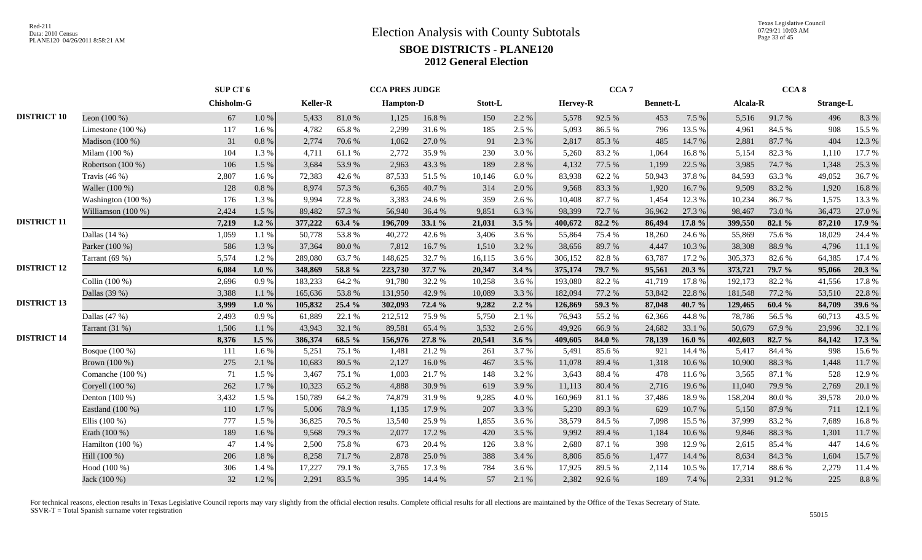Texas Legislative Council 07/29/21 10:03 AM Page 33 of 45

|                    |                      | SUP CT 6          |           |          |        | <b>CCA PRES JUDGE</b> |        |         |         |          | CCA <sub>7</sub> |                  |          |          | CCA <sub>8</sub> |                  |        |
|--------------------|----------------------|-------------------|-----------|----------|--------|-----------------------|--------|---------|---------|----------|------------------|------------------|----------|----------|------------------|------------------|--------|
|                    |                      | <b>Chisholm-G</b> |           | Keller-R |        | <b>Hampton-D</b>      |        | Stott-L |         | Hervey-R |                  | <b>Bennett-L</b> |          | Alcala-R |                  | <b>Strange-L</b> |        |
| <b>DISTRICT 10</b> | Leon $(100\%)$       | 67                | $1.0\ \%$ | 5,433    | 81.0%  | 1,125                 | 16.8%  | 150     | 2.2 %   | 5,578    | 92.5 %           | 453              | 7.5 %    | 5,516    | 91.7%            | 496              | 8.3%   |
|                    | Limestone $(100\%)$  | 117               | 1.6%      | 4,782    | 65.8%  | 2,299                 | 31.6%  | 185     | 2.5 %   | 5,093    | 86.5%            | 796              | 13.5 %   | 4,961    | 84.5 %           | 908              | 15.5 % |
|                    | Madison $(100\%)$    | 31                | 0.8%      | 2,774    | 70.6%  | 1.062                 | 27.0%  | 91      | 2.3 %   | 2,817    | 85.3%            | 485              | 14.7%    | 2,881    | 87.7 %           | 404              | 12.3 % |
|                    | Milam $(100\%)$      | 104               | 1.3%      | 4,711    | 61.1%  | 2,772                 | 35.9%  | 230     | 3.0%    | 5,260    | 83.2%            | 1,064            | 16.8%    | 5,154    | 82.3%            | 1,110            | 17.7 % |
|                    | Robertson (100 %)    | 106               | 1.5 %     | 3,684    | 53.9%  | 2,963                 | 43.3 % | 189     | 2.8%    | 4,132    | 77.5 %           | 1,199            | 22.5 %   | 3,985    | 74.7 %           | 1,348            | 25.3 % |
|                    | Travis $(46\%)$      | 2,807             | 1.6 %     | 72,383   | 42.6 % | 87,533                | 51.5 % | 10,146  | 6.0%    | 83,938   | 62.2%            | 50,943           | 37.8%    | 84,593   | 63.3%            | 49,052           | 36.7%  |
|                    | Waller (100 %)       | 128               | 0.8 %     | 8,974    | 57.3 % | 6,365                 | 40.7%  | 314     | 2.0%    | 9,568    | 83.3%            | 1,920            | 16.7%    | 9,509    | 83.2%            | 1,920            | 16.8%  |
|                    | Washington (100 %)   | 176               | 1.3%      | 9.994    | 72.8%  | 3,383                 | 24.6 % | 359     | 2.6 %   | 10,408   | 87.7%            | 1,454            | 12.3 %   | 10,234   | 86.7%            | 1,575            | 13.3 % |
|                    | Williamson $(100\%)$ | 2,424             | 1.5 %     | 89.482   | 57.3 % | 56,940                | 36.4 % | 9,851   | 6.3%    | 98,399   | 72.7 %           | 36,962           | 27.3 %   | 98,467   | 73.0%            | 36,473           | 27.0 % |
| <b>DISTRICT 11</b> |                      | 7,219             | $1.2\%$   | 377,222  | 63.4 % | 196,709               | 33.1 % | 21,031  | $3.5\%$ | 400,672  | 82.2%            | 86,494           | 17.8 %   | 399,550  | 82.1 %           | 87,210           | 17.9 % |
|                    | Dallas $(14%)$       | 1,059             | 1.1%      | 50,778   | 53.8%  | 40,272                | 42.6 % | 3,406   | 3.6 %   | 55,864   | 75.4 %           | 18,260           | 24.6%    | 55,869   | 75.6%            | 18,029           | 24.4 % |
|                    | Parker (100 %)       | 586               | 1.3%      | 37,364   | 80.0%  | 7,812                 | 16.7%  | 1,510   | 3.2 %   | 38,656   | 89.7%            | 4,447            | 10.3%    | 38,308   | 88.9%            | 4,796            | 11.1 % |
|                    | Tarrant $(69%)$      | 5,574             | 1.2%      | 289,080  | 63.7%  | 148,625               | 32.7%  | 16,115  | 3.6%    | 306,152  | 82.8%            | 63,787           | 17.2 %   | 305,373  | 82.6 %           | 64,385           | 17.4 % |
| <b>DISTRICT 12</b> |                      | 6,084             | $1.0\%$   | 348,869  | 58.8%  | 223,730               | 37.7 % | 20,347  | 3.4%    | 375,174  | 79.7 %           | 95,561           | 20.3 %   | 373,721  | 79.7 %           | 95,066           | 20.3 % |
|                    | Collin (100 %)       | 2,696             | 0.9%      | 183,233  | 64.2 % | 91,780                | 32.2 % | 10,258  | 3.6%    | 193,080  | 82.2%            | 41,719           | 17.8%    | 192,173  | 82.2%            | 41,556           | 17.8 % |
|                    | Dallas (39 %)        | 3,388             | 1.1%      | 165,636  | 53.8%  | 131,950               | 42.9%  | 10,089  | 3.3 %   | 182,094  | 77.2 %           | 53,842           | 22.8%    | 181,548  | 77.2 %           | 53,510           | 22.8%  |
| <b>DISTRICT 13</b> |                      | 3,999             | $1.0\%$   | 105,832  | 25.4 % | 302,093               | 72.4 % | 9,282   | $2.2\%$ | 126,869  | 59.3 %           | 87,048           | 40.7 %   | 129,465  | 60.4 %           | 84,709           | 39.6 % |
|                    | Dallas (47 %)        | 2,493             | 0.9%      | 61,889   | 22.1 % | 212,512               | 75.9%  | 5,750   | 2.1 %   | 76,943   | 55.2%            | 62,366           | 44.8%    | 78,786   | 56.5%            | 60,713           | 43.5 % |
|                    | Tarrant $(31%)$      | 1,506             | 1.1%      | 43,943   | 32.1 % | 89,581                | 65.4 % | 3,532   | 2.6 %   | 49,926   | 66.9%            | 24,682           | 33.1 %   | 50,679   | 67.9%            | 23,996           | 32.1 % |
| <b>DISTRICT 14</b> |                      | 8,376             | $1.5\%$   | 386,374  | 68.5 % | 156,976               | 27.8 % | 20,541  | $3.6\%$ | 409,605  | 84.0%            | 78,139           | 16.0 $%$ | 402,603  | 82.7 %           | 84,142           | 17.3 % |
|                    | Bosque (100 %)       | 111               | 1.6%      | 5,251    | 75.1 % | 1,481                 | 21.2%  | 261     | 3.7 %   | 5,491    | 85.6%            | 921              | 14.4 %   | 5,417    | 84.4 %           | 998              | 15.6 % |
|                    | Brown (100 %)        | 275               | 2.1 %     | 10,683   | 80.5%  | 2,127                 | 16.0%  | 467     | 3.5 %   | 11,078   | 89.4%            | 1,318            | 10.6 %   | 10,900   | 88.3%            | 1,448            | 11.7 % |
|                    | Comanche (100 %)     | 71                | 1.5 %     | 3,467    | 75.1 % | 1,003                 | 21.7 % | 148     | 3.2 %   | 3,643    | 88.4%            | 478              | 11.6 %   | 3,565    | 87.1 %           | 528              | 12.9 % |
|                    | Coryell (100 %)      | 262               | 1.7%      | 10,323   | 65.2%  | 4,888                 | 30.9%  | 619     | 3.9%    | 11,113   | 80.4 %           | 2,716            | 19.6%    | 11,040   | 79.9%            | 2,769            | 20.1 % |
|                    | Denton (100 %)       | 3,432             | 1.5 %     | 150,789  | 64.2%  | 74,879                | 31.9%  | 9,285   | 4.0%    | 160,969  | 81.1%            | 37,486           | 18.9%    | 158,204  | 80.0%            | 39,578           | 20.0%  |
|                    | Eastland (100 %)     | 110               | 1.7%      | 5,006    | 78.9%  | 1,135                 | 17.9 % | 207     | 3.3 %   | 5,230    | 89.3%            | 629              | 10.7%    | 5,150    | 87.9%            | 711              | 12.1 % |
|                    | Ellis $(100\%)$      | 777               | 1.5 %     | 36,825   | 70.5 % | 13,540                | 25.9%  | 1,855   | 3.6%    | 38,579   | 84.5 %           | 7,098            | 15.5 %   | 37,999   | 83.2%            | 7,689            | 16.8%  |
|                    | Erath (100 %)        | 189               | 1.6%      | 9,568    | 79.3 % | 2,077                 | 17.2 % | 420     | 3.5 %   | 9,992    | 89.4%            | 1,184            | 10.6%    | 9,846    | 88.3%            | 1,301            | 11.7 % |
|                    | Hamilton $(100\%)$   | 47                | 1.4 %     | 2,500    | 75.8%  | 673                   | 20.4 % | 126     | 3.8%    | 2,680    | 87.1 %           | 398              | 12.9%    | 2,615    | 85.4%            | 447              | 14.6 % |
|                    | Hill (100 %)         | 206               | 1.8%      | 8,258    | 71.7%  | 2,878                 | 25.0%  | 388     | 3.4 %   | 8,806    | 85.6%            | 1,477            | 14.4 %   | 8,634    | 84.3 %           | 1,604            | 15.7%  |
|                    | Hood (100 %)         | 306               | 1.4 %     | 17,227   | 79.1 % | 3,765                 | 17.3 % | 784     | 3.6%    | 17,925   | 89.5%            | 2,114            | 10.5 %   | 17,714   | 88.6%            | 2,279            | 11.4 % |
|                    | Jack (100 %)         | 32                | 1.2 %     | 2,291    | 83.5 % | 395                   | 14.4 % | 57      | 2.1%    | 2,382    | 92.6%            | 189              | 7.4 %    | 2,331    | 91.2%            | 225              | 8.8%   |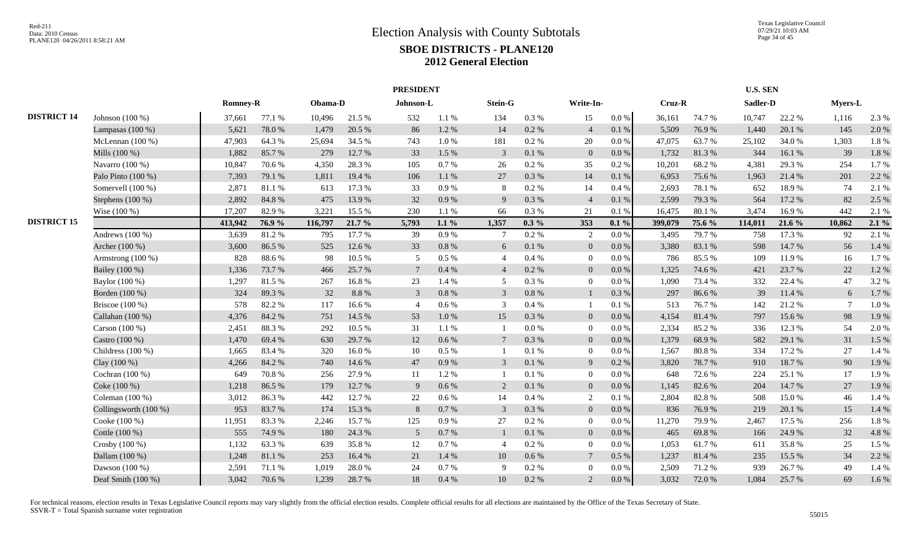|                    |                       |                 |        |         |           | <b>PRESIDENT</b> |           |                |          |                |           |         |        | <b>U.S. SEN</b> |        |                 |       |
|--------------------|-----------------------|-----------------|--------|---------|-----------|------------------|-----------|----------------|----------|----------------|-----------|---------|--------|-----------------|--------|-----------------|-------|
|                    |                       | <b>Romney-R</b> |        | Obama-D |           | Johnson-L        |           | Stein-G        |          | Write-In-      |           | Cruz-R  |        | Sadler-D        |        | Myers-L         |       |
| <b>DISTRICT 14</b> | Johnson (100 %)       | 37,661          | 77.1 % | 10,496  | 21.5 %    | 532              | 1.1%      | 134            | 0.3%     | 15             | $0.0\%$   | 36,161  | 74.7%  | 10,747          | 22.2 % | 1,116           | 2.3 % |
|                    | Lampasas $(100\%)$    | 5,621           | 78.0%  | 1,479   | 20.5 %    | 86               | 1.2%      | 14             | 0.2 %    | $\overline{4}$ | 0.1 %     | 5,509   | 76.9%  | 1,440           | 20.1 % | 145             | 2.0%  |
|                    | McLennan (100 %)      | 47,903          | 64.3%  | 25,694  | 34.5 %    | 743              | $1.0\,\%$ | 181            | 0.2 %    | 20             | 0.0 %     | 47,075  | 63.7%  | 25,102          | 34.0%  | 1,303           | 1.8%  |
|                    | Mills (100 %)         | 1,882           | 85.7%  | 279     | 12.7 %    | 33               | 1.5 %     | 3              | $0.1~\%$ | $\overline{0}$ | $0.0\,\%$ | 1,732   | 81.3%  | 344             | 16.1 % | 39              | 1.8%  |
|                    | Navarro (100 %)       | 10,847          | 70.6%  | 4,350   | 28.3%     | 105              | $0.7\%$   | 26             | $0.2~\%$ | 35             | $0.2~\%$  | 10,201  | 68.2%  | 4,381           | 29.3 % | 254             | 1.7%  |
|                    | Palo Pinto (100 %)    | 7,393           | 79.1 % | 1,811   | 19.4 %    | 106              | 1.1%      | 27             | $0.3\%$  | 14             | 0.1%      | 6,953   | 75.6 % | 1,963           | 21.4 % | 201             | 2.2 % |
|                    | Somervell (100 %)     | 2,871           | 81.1%  | 613     | 17.3 %    | 33               | 0.9%      | 8              | 0.2 %    | 14             | 0.4%      | 2,693   | 78.1 % | 652             | 18.9%  | 74              | 2.1 % |
|                    | Stephens $(100\%)$    | 2,892           | 84.8%  | 475     | 13.9%     | 32               | 0.9%      | 9              | 0.3 %    | $\overline{4}$ | 0.1 %     | 2,599   | 79.3 % | 564             | 17.2 % | 82              | 2.5 % |
|                    | Wise (100 %)          | 17,207          | 82.9%  | 3,221   | 15.5 %    | 230              | 1.1%      | 66             | 0.3 %    | 21             | 0.1%      | 16,475  | 80.1%  | 3.474           | 16.9%  | 442             | 2.1 % |
| <b>DISTRICT 15</b> |                       | 413,942         | 76.9%  | 116,797 | 21.7 %    | 5,793            | $1.1\%$   | 1,357          | $0.3\%$  | 353            | $0.1\%$   | 399,079 | 75.6 % | 114,011         | 21.6 % | 10,862          | 2.1%  |
|                    | Andrews (100 %)       | 3,639           | 81.2%  | 795     | 17.7 %    | 39               | 0.9%      | $\overline{7}$ | $0.2 \%$ | 2              | $0.0\%$   | 3,495   | 79.7 % | 758             | 17.3 % | 92              | 2.1%  |
|                    | Archer (100 %)        | 3,600           | 86.5%  | 525     | 12.6 %    | 33               | $0.8\ \%$ | 6              | 0.1%     | $\overline{0}$ | $0.0\%$   | 3,380   | 83.1 % | 598             | 14.7 % | 56              | 1.4 % |
|                    | Armstrong (100 %)     | 828             | 88.6%  | 98      | 10.5 %    | 5                | $0.5\%$   | $\overline{4}$ | 0.4%     | $\overline{0}$ | 0.0 %     | 786     | 85.5 % | 109             | 11.9%  | 16              | 1.7%  |
|                    | Bailey (100 %)        | 1,336           | 73.7%  | 466     | 25.7%     |                  | $0.4~\%$  | $\overline{4}$ | 0.2 %    | $\overline{0}$ | 0.0 %     | 1,325   | 74.6 % | 421             | 23.7 % | 22              | 1.2%  |
|                    | Baylor (100 %)        | 1,297           | 81.5%  | 267     | 16.8%     | 23               | 1.4 %     | 5              | 0.3%     | $\overline{0}$ | $0.0\,\%$ | 1,090   | 73.4 % | 332             | 22.4 % | 47              | 3.2%  |
|                    | Borden (100 %)        | 324             | 89.3%  | 32      | $8.8\ \%$ | 3                | $0.8\ \%$ | 3              | 0.8 %    |                | 0.3%      | 297     | 86.6%  | 39              | 11.4 % | 6               | 1.7%  |
|                    | Briscoe $(100\%)$     | 578             | 82.2%  | 117     | 16.6%     |                  | 0.6 %     | 3              | 0.4%     |                | 0.1%      | 513     | 76.7%  | 142             | 21.2%  | $7\phantom{.0}$ | 1.0%  |
|                    | Callahan (100 %)      | 4,376           | 84.2%  | 751     | 14.5 %    | 53               | 1.0 %     | 15             | 0.3 %    | $\overline{0}$ | 0.0 %     | 4,154   | 81.4%  | 797             | 15.6%  | 98              | 1.9%  |
|                    | Carson (100 %)        | 2,451           | 88.3%  | 292     | 10.5 %    | 31               | 1.1%      | $\mathbf{1}$   | $0.0\%$  | $\theta$       | 0.0 %     | 2,334   | 85.2%  | 336             | 12.3 % | 54              | 2.0%  |
|                    | Castro (100 %)        | 1,470           | 69.4%  | 630     | 29.7 %    | 12               | $0.6\%$   | $\overline{7}$ | 0.3 %    | $\Omega$       | 0.0 %     | 1,379   | 68.9%  | 582             | 29.1 % | 31              | 1.5 % |
|                    | Childress $(100\%)$   | 1,665           | 83.4%  | 320     | 16.0%     | 10               | $0.5\%$   | $\mathbf{1}$   | 0.1%     | $\theta$       | $0.0\%$   | 1,567   | 80.8%  | 334             | 17.2 % | 27              | 1.4 % |
|                    | Clay (100 %)          | 4,266           | 84.2%  | 740     | 14.6 %    | 47               | 0.9%      | 3              | 0.1 %    | 9              | 0.2%      | 3,820   | 78.7%  | 910             | 18.7%  | 90              | 1.9%  |
|                    | Cochran $(100\%)$     | 649             | 70.8%  | 256     | 27.9%     | 11               | 1.2%      |                | 0.1 %    | $\overline{0}$ | $0.0\%$   | 648     | 72.6 % | 224             | 25.1 % | 17              | 1.9%  |
|                    | Coke (100 %)          | 1,218           | 86.5%  | 179     | 12.7 %    | $\mathbf Q$      | $0.6\%$   | 2              | 0.1%     | $\overline{0}$ | 0.0 %     | 1,145   | 82.6 % | 204             | 14.7 % | 27              | 1.9%  |
|                    | Coleman (100 %)       | 3,012           | 86.3%  | 442     | 12.7 %    | 22               | $0.6\%$   | 14             | 0.4 %    | 2              | 0.1%      | 2,804   | 82.8%  | 508             | 15.0%  | 46              | 1.4 % |
|                    | Collingsworth (100 %) | 953             | 83.7%  | 174     | 15.3 %    | 8                | 0.7 %     | $\mathcal{R}$  | 0.3%     | $\overline{0}$ | 0.0 %     | 836     | 76.9%  | 219             | 20.1 % | 15              | 1.4 % |
|                    | Cooke (100 %)         | 11,951          | 83.3%  | 2,246   | 15.7%     | 125              | $0.9\%$   | 27             | 0.2 %    | $\theta$       | $0.0\%$   | 11,270  | 79.9%  | 2.467           | 17.5 % | 256             | 1.8%  |
|                    | Cottle (100 %)        | 555             | 74.9%  | 180     | 24.3 %    | 5                | 0.7 %     | $\mathbf{1}$   | 0.1%     | $\overline{0}$ | 0.0 %     | 465     | 69.8%  | 166             | 24.9%  | 32              | 4.8%  |
|                    | Crosby (100 %)        | 1,132           | 63.3%  | 639     | 35.8%     | 12               | $0.7\%$   | $\overline{4}$ | 0.2 %    | $\overline{0}$ | $0.0\%$   | 1,053   | 61.7%  | 611             | 35.8%  | 25              | 1.5 % |
|                    | Dallam (100 %)        | 1,248           | 81.1%  | 253     | 16.4 %    | 21               | 1.4 %     | 10             | 0.6 %    | $\tau$         | 0.5 %     | 1,237   | 81.4%  | 235             | 15.5 % | 34              | 2.2 % |
|                    | Dawson (100 %)        | 2,591           | 71.1 % | 1,019   | 28.0%     | 24               | $0.7\%$   | 9              | $0.2~\%$ | $\theta$       | $0.0\%$   | 2,509   | 71.2%  | 939             | 26.7%  | 49              | 1.4 % |
|                    | Deaf Smith (100 %)    | 3,042           | 70.6%  | 1,239   | 28.7%     | 18               | 0.4 %     | 10             | 0.2 %    | $\mathfrak{D}$ | $0.0\,\%$ | 3,032   | 72.0 % | 1,084           | 25.7%  | 69              | 1.6%  |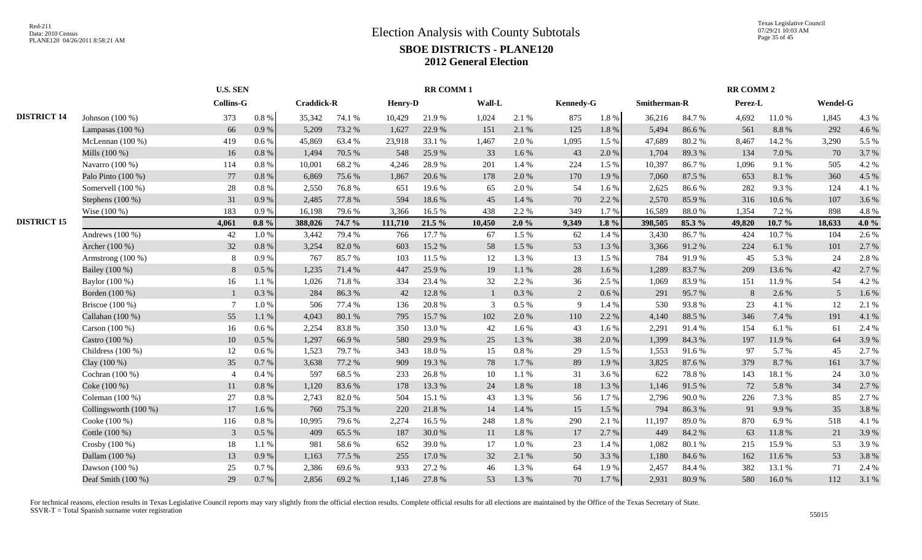|                    |                       | <b>U.S. SEN</b>  |           |                   |        |                | <b>RR COMM1</b> |        |         |                  |         |              |        | <b>RR COMM 2</b> |           |                 |       |
|--------------------|-----------------------|------------------|-----------|-------------------|--------|----------------|-----------------|--------|---------|------------------|---------|--------------|--------|------------------|-----------|-----------------|-------|
|                    |                       | <b>Collins-G</b> |           | <b>Craddick-R</b> |        | <b>Henry-D</b> |                 | Wall-L |         | <b>Kennedy-G</b> |         | Smitherman-R |        | Perez-L          |           | <b>Wendel-G</b> |       |
| <b>DISTRICT 14</b> | Johnson $(100\%)$     | 373              | $0.8~\%$  | 35,342            | 74.1 % | 10.429         | 21.9%           | 1,024  | 2.1 %   | 875              | 1.8%    | 36,216       | 84.7%  | 4,692            | 11.0%     | 1,845           | 4.3 % |
|                    | Lampasas $(100\%)$    | 66               | 0.9%      | 5,209             | 73.2 % | 1,627          | 22.9%           | 151    | 2.1 %   | 125              | 1.8%    | 5,494        | 86.6%  | 561              | 8.8%      | 292             | 4.6 % |
|                    | McLennan $(100\%)$    | 419              | $0.6\%$   | 45,869            | 63.4 % | 23,918         | 33.1 %          | 1,467  | 2.0%    | 1,095            | 1.5 %   | 47,689       | 80.2%  | 8,467            | 14.2 %    | 3,290           | 5.5 % |
|                    | Mills (100 %)         | 16               | 0.8%      | 1,494             | 70.5 % | 548            | 25.9%           | 33     | 1.6 %   | 43               | 2.0 %   | 1,704        | 89.3%  | 134              | 7.0%      | 70              | 3.7%  |
|                    | Navarro (100 %)       | 114              | $0.8\%$   | 10,001            | 68.2%  | 4,246          | 28.9%           | 201    | 1.4 %   | 224              | 1.5 %   | 10,397       | 86.7%  | 1,096            | 9.1 %     | 505             | 4.2 % |
|                    | Palo Pinto (100 %)    | 77               | 0.8%      | 6,869             | 75.6%  | 1.867          | 20.6 %          | 178    | 2.0 %   | 170              | 1.9%    | 7,060        | 87.5 % | 653              | 8.1%      | 360             | 4.5 % |
|                    | Somervell (100 %)     | 28               | 0.8%      | 2,550             | 76.8%  | 651            | 19.6%           | 65     | 2.0 %   | 54               | 1.6%    | 2,625        | 86.6%  | 282              | 9.3%      | 124             | 4.1 % |
|                    | Stephens (100 %)      | 31               | 0.9%      | 2,485             | 77.8%  | 594            | 18.6%           | 45     | 1.4 %   | 70               | 2.2 %   | 2,570        | 85.9%  | 316              | 10.6%     | 107             | 3.6 % |
|                    | Wise (100 %)          | 183              | 0.9%      | 16,198            | 79.6%  | 3,366          | 16.5%           | 438    | 2.2 %   | 349              | 1.7%    | 16,589       | 88.0%  | 1.354            | 7.2 %     | 898             | 4.8%  |
| <b>DISTRICT 15</b> |                       | 4.061            | $0.8 \%$  | 388,026           | 74.7 % | 111,710        | 21.5 %          | 10,450 | 2.0%    | 9,349            | $1.8\%$ | 398,505      | 85.3 % | 49,820           | $10.7 \%$ | 18.633          | 4.0 % |
|                    | Andrews $(100\%)$     | 42               | 1.0%      | 3,442             | 79.4%  | 766            | 17.7 %          | 67     | 1.5 %   | 62               | 1.4 %   | 3,430        | 86.7%  | 424              | 10.7%     | 104             | 2.6 % |
|                    | Archer (100 %)        | 32               | 0.8%      | 3,254             | 82.0%  | 603            | 15.2%           | 58     | 1.5 %   | 53               | 1.3%    | 3,366        | 91.2%  | 224              | 6.1%      | 101             | 2.7 % |
|                    | Armstrong $(100\%)$   | 8                | 0.9%      | 767               | 85.7%  | 103            | 11.5 %          | 12     | 1.3 %   | 13               | 1.5 %   | 784          | 91.9%  | 45               | 5.3 %     | 24              | 2.8%  |
|                    | Bailey (100 %)        | 8                | 0.5%      | 1,235             | 71.4%  | 447            | 25.9%           | 19     | 1.1%    | 28               | $1.6\%$ | 1,289        | 83.7%  | 209              | 13.6 %    | 42              | 2.7 % |
|                    | Baylor (100 %)        | 16               | 1.1 %     | 1,026             | 71.8%  | 334            | 23.4 %          | 32     | 2.2 %   | 36               | 2.5 %   | 1,069        | 83.9%  | 151              | 11.9%     | 54              | 4.2 % |
|                    | Borden (100 %)        |                  | 0.3%      | 284               | 86.3%  | 42             | 12.8%           |        | 0.3%    | 2                | 0.6 %   | 291          | 95.7%  |                  | 2.6 %     | 5               | 1.6 % |
|                    | Briscoe $(100\%)$     | $7\phantom{.0}$  | 1.0%      | 506               | 77.4 % | 136            | 20.8%           | 3      | $0.5\%$ | 9                | 1.4 %   | 530          | 93.8%  | 23               | 4.1 %     | 12              | 2.1 % |
|                    | Callahan (100 %)      | 55               | 1.1 %     | 4,043             | 80.1%  | 795            | 15.7%           | 102    | 2.0 %   | 110              | 2.2 %   | 4,140        | 88.5 % | 346              | 7.4 %     | 191             | 4.1 % |
|                    | Carson (100 %)        | 16               | $0.6\%$   | 2,254             | 83.8%  | 350            | 13.0%           | 42     | 1.6%    | 43               | 1.6%    | 2,291        | 91.4%  | 154              | 6.1%      | 61              | 2.4 % |
|                    | Castro (100 %)        | 10               | 0.5%      | 1,297             | 66.9%  | 580            | 29.9%           | 25     | 1.3%    | 38               | 2.0 %   | 1,399        | 84.3%  | 197              | 11.9%     | 64              | 3.9%  |
|                    | Childress $(100\%)$   | 12               | 0.6 %     | 1,523             | 79.7%  | 343            | 18.0%           | 15     | 0.8%    | 29               | 1.5 %   | 1,553        | 91.6%  | 97               | 5.7%      | 45              | 2.7 % |
|                    | Clay (100 %)          | 35               | 0.7%      | 3,638             | 77.2 % | 909            | 19.3%           | 78     | 1.7%    | 89               | 1.9%    | 3,825        | 87.6%  | 379              | 8.7%      | 161             | 3.7%  |
|                    | Cochran (100 %)       | $\overline{4}$   | 0.4%      | 597               | 68.5%  | 233            | 26.8%           | 10     | 1.1 %   | 31               | 3.6%    | 622          | 78.8%  | 143              | 18.1 %    | 24              | 3.0%  |
|                    | Coke (100 %)          | 11               | $0.8\ \%$ | 1,120             | 83.6%  | 178            | 13.3 %          | 24     | 1.8%    | $18\,$           | 1.3%    | 1,146        | 91.5 % | 72               | 5.8%      | 34              | 2.7 % |
|                    | Coleman $(100\%)$     | $27\,$           | 0.8%      | 2,743             | 82.0%  | 504            | 15.1 %          | 43     | 1.3%    | 56               | 1.7%    | 2,796        | 90.0%  | 226              | 7.3 %     | 85              | 2.7%  |
|                    | Collingsworth (100 %) | 17               | 1.6%      | 760               | 75.3 % | 220            | 21.8%           | 14     | 1.4 %   | 15               | 1.5 %   | 794          | 86.3%  | 91               | 9.9%      | 35              | 3.8%  |
|                    | Cooke (100 %)         | 116              | 0.8%      | 10,995            | 79.6%  | 2,274          | 16.5%           | 248    | 1.8%    | 290              | 2.1%    | 11,197       | 89.0%  | 870              | 6.9%      | 518             | 4.1 % |
|                    | Cottle (100 %)        | $\mathfrak{Z}$   | 0.5 %     | 409               | 65.5 % | 187            | 30.0%           | 11     | 1.8%    | 17               | 2.7%    | 449          | 84.2%  | 63               | 11.8 %    | 21              | 3.9%  |
|                    | Crosby (100 %)        | 18               | $1.1~\%$  | 981               | 58.6%  | 652            | 39.0%           | 17     | 1.0%    | 23               | 1.4 %   | 1,082        | 80.1%  | 215              | 15.9%     | 53              | 3.9%  |
|                    | Dallam (100 %)        | 13               | 0.9%      | 1,163             | 77.5 % | 255            | 17.0%           | 32     | 2.1 %   | 50               | 3.3 %   | 1,180        | 84.6 % | 162              | 11.6 %    | 53              | 3.8%  |
|                    | Dawson (100 %)        | 25               | 0.7%      | 2,386             | 69.6%  | 933            | 27.2 %          | 46     | 1.3%    | 64               | 1.9%    | 2,457        | 84.4 % | 382              | 13.1 %    | 71              | 2.4 % |
|                    | Deaf Smith (100 %)    | 29               | 0.7 %     | 2,856             | 69.2%  | 1,146          | 27.8%           | 53     | 1.3%    | 70               | 1.7%    | 2,931        | 80.9%  | 580              | 16.0%     | 112             | 3.1 % |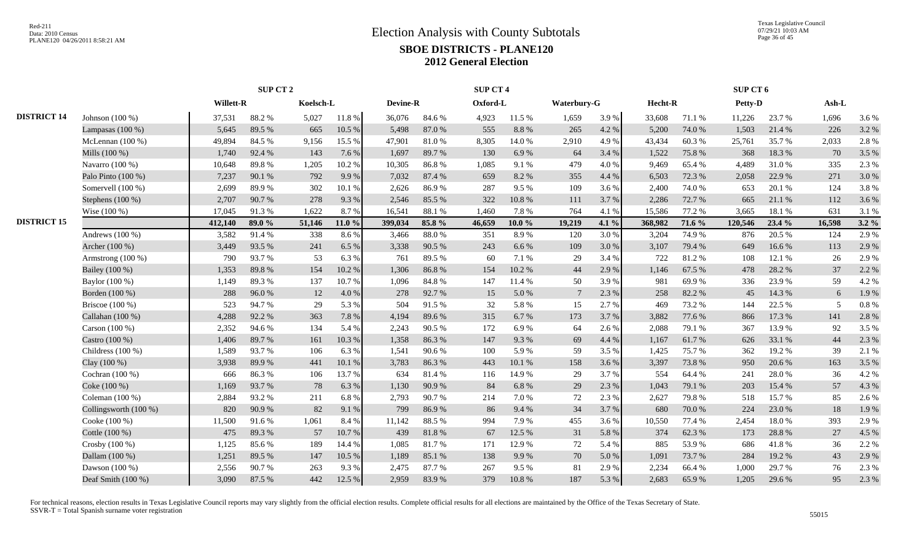|                    |                       |                  | SUP CT <sub>2</sub> |           |        |          |        | SUP CT 4 |           |                 |       |         |        | SUP CT 6 |        |                |         |
|--------------------|-----------------------|------------------|---------------------|-----------|--------|----------|--------|----------|-----------|-----------------|-------|---------|--------|----------|--------|----------------|---------|
|                    |                       | <b>Willett-R</b> |                     | Koelsch-L |        | Devine-R |        | Oxford-L |           | Waterbury-G     |       | Hecht-R |        | Petty-D  |        | Ash-L          |         |
| <b>DISTRICT 14</b> | Johnson $(100\%)$     | 37,531           | 88.2%               | 5,027     | 11.8%  | 36,076   | 84.6%  | 4,923    | 11.5 %    | 1,659           | 3.9%  | 33,608  | 71.1 % | 11,226   | 23.7 % | 1,696          | 3.6%    |
|                    | Lampasas $(100\%)$    | 5,645            | 89.5%               | 665       | 10.5 % | 5,498    | 87.0%  | 555      | 8.8%      | 265             | 4.2%  | 5,200   | 74.0%  | 1,503    | 21.4%  | 226            | 3.2%    |
|                    | McLennan $(100\%)$    | 49,894           | 84.5 %              | 9,156     | 15.5 % | 47,901   | 81.0%  | 8,305    | 14.0%     | 2,910           | 4.9%  | 43,434  | 60.3%  | 25,761   | 35.7%  | 2,033          | 2.8%    |
|                    | Mills (100 %)         | 1,740            | 92.4 %              | 143       | 7.6 %  | 1.697    | 89.7%  | 130      | 6.9%      | 64              | 3.4 % | 1,522   | 75.8%  | 368      | 18.3%  | 70             | 3.5 %   |
|                    | Navarro (100 %)       | 10.648           | 89.8%               | 1,205     | 10.2%  | 10.305   | 86.8%  | 1,085    | 9.1 %     | 479             | 4.0%  | 9,469   | 65.4%  | 4.489    | 31.0%  | 335            | 2.3 %   |
|                    | Palo Pinto (100 %)    | 7,237            | 90.1%               | 792       | 9.9%   | 7,032    | 87.4%  | 659      | 8.2%      | 355             | 4.4 % | 6,503   | 72.3 % | 2,058    | 22.9%  | 271            | 3.0%    |
|                    | Somervell (100 %)     | 2,699            | 89.9%               | 302       | 10.1%  | 2,626    | 86.9%  | 287      | 9.5%      | 109             | 3.6%  | 2,400   | 74.0%  | 653      | 20.1 % | 124            | 3.8%    |
|                    | Stephens (100 %)      | 2,707            | 90.7%               | 278       | 9.3%   | 2,546    | 85.5 % | 322      | 10.8 %    | 111             | 3.7%  | 2,286   | 72.7 % | 665      | 21.1 % | 112            | 3.6%    |
|                    | Wise (100 %)          | 17,045           | 91.3%               | 1,622     | 8.7%   | 16.541   | 88.1%  | 1,460    | 7.8%      | 764             | 4.1 % | 15,586  | 77.2 % | 3,665    | 18.1 % | 631            | 3.1 %   |
| <b>DISTRICT 15</b> |                       | 412,140          | 89.0 %              | 51,146    | 11.0%  | 399.034  | 85.8%  | 46,659   | $10.0 \%$ | 19,219          | 4.1 % | 368,982 | 71.6 % | 120,546  | 23.4 % | 16,598         | $3.2\%$ |
|                    | Andrews $(100\%)$     | 3,582            | 91.4%               | 338       | 8.6%   | 3,466    | 88.0%  | 351      | 8.9%      | 120             | 3.0%  | 3,204   | 74.9%  | 876      | 20.5 % | 124            | 2.9%    |
|                    | Archer (100 %)        | 3,449            | 93.5%               | 241       | 6.5%   | 3,338    | 90.5 % | 243      | 6.6%      | 109             | 3.0%  | 3,107   | 79.4 % | 649      | 16.6%  | 113            | 2.9%    |
|                    | Armstrong $(100\%)$   | 790              | 93.7%               | 53        | 6.3%   | 761      | 89.5%  | 60       | 7.1 %     | 29              | 3.4 % | 722     | 81.2%  | 108      | 12.1 % | 26             | 2.9%    |
|                    | Bailey (100 %)        | 1,353            | 89.8%               | 154       | 10.2%  | 1,306    | 86.8%  | 154      | 10.2 %    | 44              | 2.9%  | 1,146   | 67.5 % | 478      | 28.2%  | 37             | 2.2 %   |
|                    | Baylor (100 %)        | 1,149            | 89.3%               | 137       | 10.7%  | 1.096    | 84.8%  | 147      | 11.4 %    | 50              | 3.9%  | 981     | 69.9%  | 336      | 23.9%  | 59             | 4.2%    |
|                    | Borden (100 %)        | 288              | 96.0%               | 12        | 4.0 %  | 278      | 92.7%  | 15       | 5.0%      | $7\phantom{.0}$ | 2.3 % | 258     | 82.2%  | 45       | 14.3 % | 6              | 1.9%    |
|                    | Briscoe $(100\%)$     | 523              | 94.7%               | 29        | 5.3%   | 504      | 91.5%  | 32       | 5.8%      | 15              | 2.7%  | 469     | 73.2 % | 144      | 22.5 % | $\overline{5}$ | 0.8%    |
|                    | Callahan (100 %)      | 4,288            | 92.2%               | 363       | 7.8 %  | 4.194    | 89.6%  | 315      | 6.7 %     | 173             | 3.7%  | 3,882   | 77.6 % | 866      | 17.3 % | 141            | 2.8%    |
|                    | Carson (100 %)        | 2,352            | 94.6%               | 134       | 5.4 %  | 2,243    | 90.5 % | 172      | 6.9%      | 64              | 2.6 % | 2,088   | 79.1 % | 367      | 13.9%  | 92             | 3.5 %   |
|                    | Castro (100 %)        | 1,406            | 89.7%               | 161       | 10.3%  | 1,358    | 86.3%  | 147      | 9.3%      | 69              | 4.4 % | 1,167   | 61.7%  | 626      | 33.1 % | 44             | 2.3 %   |
|                    | Childress $(100\%)$   | 1,589            | 93.7%               | 106       | 6.3 %  | 1,541    | 90.6%  | 100      | 5.9%      | 59              | 3.5 % | 1,425   | 75.7%  | 362      | 19.2%  | 39             | 2.1%    |
|                    | Clay $(100\%)$        | 3,938            | 89.9%               | 441       | 10.1%  | 3,783    | 86.3%  | 443      | 10.1%     | 158             | 3.6%  | 3,397   | 73.8%  | 950      | 20.6 % | 163            | 3.5 %   |
|                    | Cochran (100 %)       | 666              | 86.3%               | 106       | 13.7%  | 634      | 81.4%  | 116      | 14.9%     | 29              | 3.7%  | 554     | 64.4 % | 241      | 28.0%  | 36             | 4.2%    |
|                    | Coke (100 %)          | 1,169            | 93.7%               | 78        | 6.3 %  | 1,130    | 90.9%  | 84       | 6.8%      | 29              | 2.3 % | 1,043   | 79.1 % | 203      | 15.4 % | 57             | 4.3 %   |
|                    | Coleman $(100\%)$     | 2,884            | 93.2%               | 211       | 6.8%   | 2,793    | 90.7%  | 214      | 7.0%      | 72              | 2.3 % | 2,627   | 79.8%  | 518      | 15.7%  | 85             | 2.6 %   |
|                    | Collingsworth (100 %) | 820              | 90.9%               | 82        | 9.1 %  | 799      | 86.9%  | 86       | 9.4%      | 34              | 3.7%  | 680     | 70.0%  | 224      | 23.0%  | 18             | 1.9%    |
|                    | Cooke (100 %)         | 11,500           | 91.6%               | 1,061     | 8.4%   | 11,142   | 88.5%  | 994      | 7.9%      | 455             | 3.6 % | 10,550  | 77.4 % | 2,454    | 18.0%  | 393            | 2.9%    |
|                    | Cottle (100 %)        | 475              | 89.3%               | 57        | 10.7%  | 439      | 81.8%  | 67       | 12.5 %    | 31              | 5.8%  | 374     | 62.3%  | 173      | 28.8%  | 27             | 4.5 %   |
|                    | Crosby (100 %)        | 1,125            | 85.6%               | 189       | 14.4 % | 1.085    | 81.7%  | 171      | 12.9 %    | 72              | 5.4 % | 885     | 53.9%  | 686      | 41.8%  | 36             | 2.2 %   |
|                    | Dallam (100 %)        | 1,251            | 89.5 %              | 147       | 10.5 % | 1,189    | 85.1 % | 138      | 9.9%      | 70              | 5.0%  | 1,091   | 73.7%  | 284      | 19.2 % | 43             | 2.9%    |
|                    | Dawson (100 %)        | 2,556            | 90.7%               | 263       | 9.3%   | 2,475    | 87.7%  | 267      | 9.5%      | 81              | 2.9%  | 2,234   | 66.4%  | 1,000    | 29.7 % | 76             | 2.3 %   |
|                    | Deaf Smith (100 %)    | 3,090            | 87.5 %              | 442       | 12.5 % | 2,959    | 83.9%  | 379      | 10.8%     | 187             | 5.3 % | 2,683   | 65.9%  | 1,205    | 29.6 % | 95             | 2.3 %   |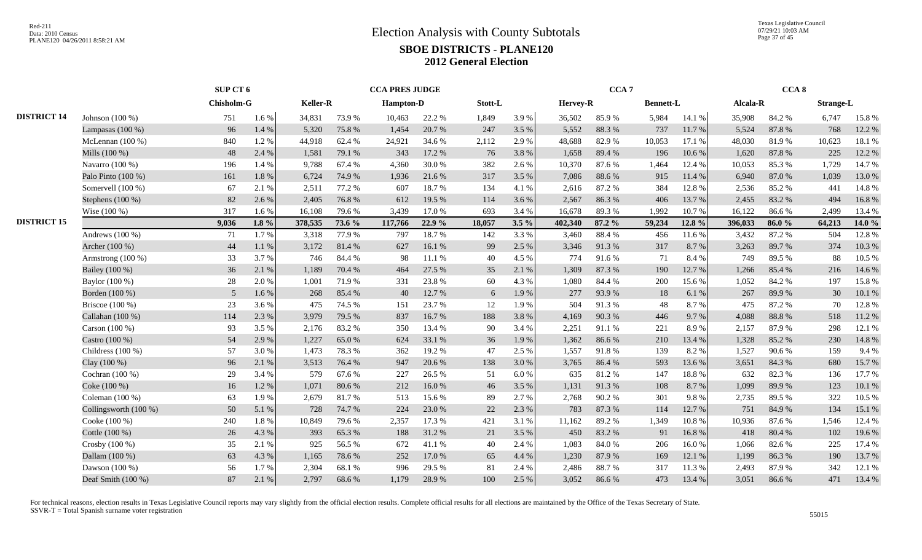Texas Legislative Council 07/29/21 10:03 AM Page 37 of 45

|                    |                       | SUP CT 6        |          |                 |        | <b>CCA PRES JUDGE</b> |        |         |         |          | CCA <sub>7</sub> |                  |           |          | CCA <sub>8</sub> |                  |        |
|--------------------|-----------------------|-----------------|----------|-----------------|--------|-----------------------|--------|---------|---------|----------|------------------|------------------|-----------|----------|------------------|------------------|--------|
|                    |                       | Chisholm-G      |          | <b>Keller-R</b> |        | <b>Hampton-D</b>      |        | Stott-L |         | Hervey-R |                  | <b>Bennett-L</b> |           | Alcala-R |                  | <b>Strange-L</b> |        |
| <b>DISTRICT 14</b> | Johnson $(100\%)$     | 751             | 1.6 %    | 34,831          | 73.9%  | 10,463                | 22.2 % | 1,849   | 3.9%    | 36,502   | 85.9%            | 5,984            | 14.1 %    | 35,908   | 84.2%            | 6,747            | 15.8%  |
|                    | Lampasas $(100\%)$    | 96              | 1.4 %    | 5,320           | 75.8%  | 1,454                 | 20.7 % | 247     | 3.5 %   | 5,552    | 88.3%            | 737              | 11.7%     | 5,524    | 87.8 %           | 768              | 12.2 % |
|                    | McLennan $(100\%)$    | 840             | 1.2%     | 44,918          | 62.4 % | 24,921                | 34.6 % | 2,112   | 2.9%    | 48,688   | 82.9%            | 10,053           | 17.1 %    | 48,030   | 81.9%            | 10,623           | 18.1%  |
|                    | Mills (100 %)         | 48              | 2.4 %    | 1,581           | 79.1 % | 343                   | 17.2 % | 76      | 3.8%    | 1,658    | 89.4%            | 196              | 10.6%     | 1,620    | 87.8%            | 225              | 12.2 % |
|                    | Navarro (100 %)       | 196             | 1.4 %    | 9,788           | 67.4 % | 4.360                 | 30.0%  | 382     | 2.6 %   | 10,370   | 87.6%            | 1,464            | 12.4 %    | 10.053   | 85.3%            | 1,729            | 14.7 % |
|                    | Palo Pinto (100 %)    | 161             | 1.8%     | 6,724           | 74.9%  | 1,936                 | 21.6%  | 317     | 3.5 %   | 7,086    | 88.6%            | 915              | 11.4 %    | 6,940    | 87.0%            | 1,039            | 13.0%  |
|                    | Somervell (100 %)     | 67              | 2.1 %    | 2,511           | 77.2 % | 607                   | 18.7%  | 134     | 4.1 %   | 2,616    | 87.2%            | 384              | 12.8%     | 2,536    | 85.2%            | 441              | 14.8%  |
|                    | Stephens (100 %)      | 82              | 2.6 %    | 2,405           | 76.8%  | 612                   | 19.5 % | 114     | 3.6 %   | 2,567    | 86.3%            | 406              | 13.7%     | 2,455    | 83.2%            | 494              | 16.8%  |
|                    | Wise (100 %)          | 317             | 1.6 %    | 16,108          | 79.6%  | 3,439                 | 17.0%  | 693     | 3.4 %   | 16,678   | 89.3%            | 1,992            | 10.7%     | 16,122   | 86.6%            | 2,499            | 13.4 % |
| <b>DISTRICT 15</b> |                       | 9,036           | $1.8 \%$ | 378,535         | 73.6 % | 117,766               | 22.9 % | 18,057  | $3.5\%$ | 402,340  | 87.2 %           | 59,234           | 12.8%     | 396,033  | 86.0%            | 64,213           | 14.0 % |
|                    | Andrews $(100\%)$     | 71              | 1.7%     | 3,318           | 77.9%  | 797                   | 18.7%  | 142     | 3.3 %   | 3,460    | 88.4%            | 456              | 11.6%     | 3,432    | 87.2%            | 504              | 12.8%  |
|                    | Archer (100 %)        | 44              | 1.1 %    | 3,172           | 81.4%  | 627                   | 16.1%  | 99      | 2.5 %   | 3,346    | 91.3%            | 317              | 8.7%      | 3,263    | 89.7%            | 374              | 10.3%  |
|                    | Armstrong $(100\%)$   | 33              | 3.7%     | 746             | 84.4 % | 98                    | 11.1 % | 40      | 4.5 %   | 774      | 91.6%            | 71               | 8.4%      | 749      | 89.5%            | 88               | 10.5 % |
|                    | Bailey (100 %)        | 36              | 2.1 %    | 1,189           | 70.4 % | 464                   | 27.5 % | 35      | 2.1 %   | 1,309    | 87.3%            | 190              | 12.7 %    | 1,266    | 85.4%            | 216              | 14.6 % |
|                    | Baylor (100 %)        | 28              | 2.0%     | 1,001           | 71.9%  | 331                   | 23.8%  | 60      | 4.3%    | 1,080    | 84.4 %           | 200              | 15.6%     | 1,052    | 84.2 %           | 197              | 15.8%  |
|                    | Borden (100 %)        | $5\overline{)}$ | 1.6%     | 268             | 85.4%  | 40                    | 12.7 % | 6       | 1.9%    | 277      | 93.9%            | 18               | 6.1 %     | 267      | 89.9%            | 30               | 10.1%  |
|                    | Briscoe (100 %)       | 23              | 3.6%     | 475             | 74.5 % | 151                   | 23.7 % | 12      | 1.9%    | 504      | 91.3%            | 48               | 8.7%      | 475      | 87.2%            | 70               | 12.8%  |
|                    | Callahan (100 %)      | 114             | 2.3%     | 3.979           | 79.5 % | 837                   | 16.7%  | 188     | 3.8%    | 4,169    | 90.3%            | 446              | 9.7 %     | 4.088    | 88.8%            | 518              | 11.2%  |
|                    | Carson (100 %)        | 93              | 3.5%     | 2,176           | 83.2%  | 350                   | 13.4 % | 90      | 3.4 %   | 2,251    | 91.1%            | 221              | 8.9%      | 2,157    | 87.9%            | 298              | 12.1 % |
|                    | Castro (100 %)        | 54              | 2.9%     | 1,227           | 65.0%  | 624                   | 33.1 % | 36      | 1.9%    | 1,362    | 86.6%            | 210              | 13.4 %    | 1,328    | 85.2%            | 230              | 14.8%  |
|                    | Childress (100 %)     | 57              | 3.0%     | 1,473           | 78.3 % | 362                   | 19.2%  | 47      | 2.5 %   | 1,557    | 91.8%            | 139              | 8.2%      | 1,527    | 90.6%            | 159              | 9.4%   |
|                    | Clay (100 %)          | 96              | 2.1 %    | 3,513           | 76.4 % | 947                   | 20.6%  | 138     | 3.0 %   | 3,765    | 86.4%            | 593              | 13.6 %    | 3,651    | 84.3 %           | 680              | 15.7%  |
|                    | Cochran $(100\%)$     | 29              | 3.4 %    | 579             | 67.6 % | 227                   | 26.5 % | 51      | 6.0%    | 635      | 81.2%            | 147              | 18.8%     | 632      | 82.3%            | 136              | 17.7 % |
|                    | Coke (100 %)          | 16              | 1.2%     | 1,071           | 80.6%  | 212                   | 16.0%  | 46      | 3.5 %   | 1,131    | 91.3%            | 108              | 8.7%      | 1.099    | 89.9%            | 123              | 10.1 % |
|                    | Coleman (100 %)       | 63              | 1.9%     | 2,679           | 81.7%  | 513                   | 15.6%  | 89      | 2.7 %   | 2,768    | 90.2%            | 301              | 9.8%      | 2,735    | 89.5%            | 322              | 10.5 % |
|                    | Collingsworth (100 %) | 50              | 5.1%     | 728             | 74.7 % | 224                   | 23.0%  | 22      | 2.3 %   | 783      | 87.3%            | 114              | 12.7 %    | 751      | 84.9%            | 134              | 15.1 % |
|                    | Cooke (100 %)         | 240             | 1.8%     | 10,849          | 79.6%  | 2,357                 | 17.3 % | 421     | 3.1 %   | 11,162   | 89.2%            | 1,349            | $10.8~\%$ | 10,936   | 87.6%            | 1,546            | 12.4 % |
|                    | Cottle (100 %)        | 26              | 4.3 %    | 393             | 65.3%  | 188                   | 31.2%  | 21      | 3.5 %   | 450      | 83.2%            | 91               | 16.8%     | 418      | 80.4%            | 102              | 19.6 % |
|                    | Crosby (100 %)        | 35              | 2.1 %    | 925             | 56.5 % | 672                   | 41.1 % | 40      | 2.4 %   | 1,083    | 84.0%            | 206              | 16.0%     | 1,066    | 82.6 %           | 225              | 17.4 % |
|                    | Dallam (100 %)        | 63              | 4.3 %    | 1,165           | 78.6%  | 252                   | 17.0%  | 65      | 4.4 %   | 1,230    | 87.9%            | 169              | 12.1 %    | 1,199    | 86.3%            | 190              | 13.7%  |
|                    | Dawson (100 %)        | 56              | 1.7%     | 2,304           | 68.1%  | 996                   | 29.5 % | 81      | 2.4 %   | 2,486    | 88.7%            | 317              | 11.3 %    | 2,493    | 87.9%            | 342              | 12.1 % |
|                    | Deaf Smith (100 %)    | 87              | 2.1%     | 2,797           | 68.6%  | 1,179                 | 28.9%  | 100     | 2.5 %   | 3,052    | 86.6%            | 473              | 13.4 %    | 3,051    | 86.6%            | 471              | 13.4 % |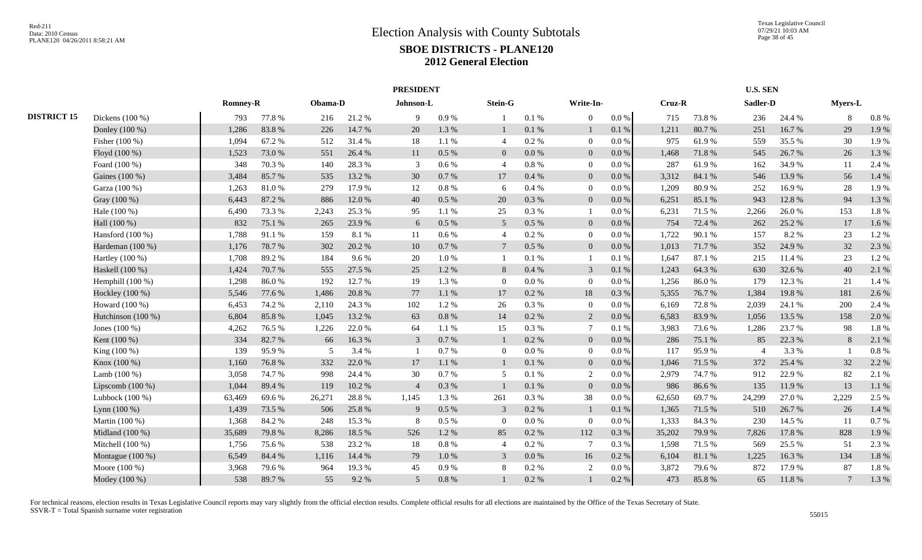|                    |                    |                 |        |         |         | <b>PRESIDENT</b> |           |                |           |                |           |        |        | <b>U.S. SEN</b> |        |                |       |
|--------------------|--------------------|-----------------|--------|---------|---------|------------------|-----------|----------------|-----------|----------------|-----------|--------|--------|-----------------|--------|----------------|-------|
|                    |                    | <b>Romney-R</b> |        | Obama-D |         | Johnson-L        |           | Stein-G        |           | Write-In-      |           | Cruz-R |        | Sadler-D        |        | Myers-L        |       |
| <b>DISTRICT 15</b> | Dickens (100 %)    | 793             | 77.8%  | 216     | 21.2%   | 9                | 0.9 %     |                | $0.1 \%$  | $\overline{0}$ | $0.0\,\%$ | 715    | 73.8%  | 236             | 24.4 % | 8              | 0.8%  |
|                    | Donley (100 %)     | 1,286           | 83.8%  | 226     | 14.7 %  | 20               | 1.3 %     | $\mathbf{1}$   | $0.1~\%$  |                | 0.1 %     | 1,211  | 80.7%  | 251             | 16.7%  | 29             | 1.9%  |
|                    | Fisher (100 %)     | 1,094           | 67.2%  | 512     | 31.4 %  | 18               | 1.1 %     | $\overline{4}$ | $0.2~\%$  | $\overline{0}$ | $0.0\%$   | 975    | 61.9%  | 559             | 35.5 % | 30             | 1.9%  |
|                    | Floyd (100 %)      | 1,523           | 73.0%  | 551     | 26.4 %  | 11               | $0.5\%$   | $\overline{0}$ | $0.0\%$   | $\overline{0}$ | 0.0 %     | 1,468  | 71.8%  | 545             | 26.7%  | 26             | 1.3 % |
|                    | Foard (100 %)      | 348             | 70.3%  | 140     | 28.3%   | 3                | 0.6 %     | $\overline{4}$ | $0.8~\%$  | $\overline{0}$ | $0.0\%$   | 287    | 61.9%  | 162             | 34.9%  | 11             | 2.4 % |
|                    | Gaines (100 %)     | 3,484           | 85.7%  | 535     | 13.2 %  | 30               | 0.7 %     | 17             | 0.4 %     | $\overline{0}$ | $0.0\,\%$ | 3,312  | 84.1 % | 546             | 13.9%  | 56             | 1.4 % |
|                    | Garza (100 %)      | 1,263           | 81.0%  | 279     | 17.9%   | 12               | $0.8~\%$  | 6              | 0.4%      | $\overline{0}$ | 0.0 %     | 1,209  | 80.9%  | 252             | 16.9%  | 28             | 1.9%  |
|                    | Gray (100 %)       | 6,443           | 87.2%  | 886     | 12.0 %  | 40               | $0.5\%$   | 20             | 0.3 %     | $\overline{0}$ | $0.0\,\%$ | 6,251  | 85.1 % | 943             | 12.8%  | 94             | 1.3 % |
|                    | Hale (100 %)       | 6,490           | 73.3 % | 2,243   | 25.3 %  | 95               | 1.1%      | 25             | 0.3 %     |                | 0.0 %     | 6,231  | 71.5 % | 2,266           | 26.0%  | 153            | 1.8 % |
|                    | Hall (100 %)       | 832             | 75.1 % | 265     | 23.9%   | 6                | $0.5\ \%$ | $\overline{5}$ | $0.5\%$   | $\overline{0}$ | 0.0 %     | 754    | 72.4 % | 262             | 25.2 % | 17             | 1.6%  |
|                    | Hansford $(100\%)$ | 1,788           | 91.1%  | 159     | 8.1%    | 11               | $0.6\%$   | $\overline{4}$ | $0.2 \%$  | $\overline{0}$ | $0.0\,\%$ | 1,722  | 90.1 % | 157             | 8.2%   | 23             | 1.2%  |
|                    | Hardeman (100 %)   | 1,176           | 78.7%  | 302     | 20.2 %  | 10               | 0.7 %     | $\tau$         | $0.5\%$   | $\overline{0}$ | 0.0 %     | 1,013  | 71.7%  | 352             | 24.9%  | 32             | 2.3 % |
|                    | Hartley $(100\%)$  | 1,708           | 89.2%  | 184     | $9.6\%$ | 20               | 1.0%      | -1             | 0.1%      |                | 0.1%      | 1,647  | 87.1 % | 215             | 11.4 % | 23             | 1.2%  |
|                    | Haskell (100 %)    | 1,424           | 70.7%  | 555     | 27.5 %  | 25               | 1.2%      | 8              | 0.4%      | 3              | 0.1%      | 1,243  | 64.3 % | 630             | 32.6 % | 40             | 2.1%  |
|                    | Hemphill $(100\%)$ | 1,298           | 86.0%  | 192     | 12.7 %  | 19               | 1.3%      | $\Omega$       | 0.0 %     | $\Omega$       | 0.0 %     | 1,256  | 86.0%  | 179             | 12.3 % | 21             | 1.4 % |
|                    | Hockley (100 %)    | 5,546           | 77.6 % | 1,486   | 20.8%   | 77               | 1.1%      | 17             | $0.2 \%$  | 18             | 0.3%      | 5,355  | 76.7%  | 1,384           | 19.8%  | 181            | 2.6 % |
|                    | Howard $(100\%)$   | 6,453           | 74.2 % | 2,110   | 24.3 %  | 102              | 1.2%      | 26             | 0.3%      | $\overline{0}$ | 0.0 %     | 6,169  | 72.8%  | 2,039           | 24.1 % | 200            | 2.4 % |
|                    | Hutchinson (100 %) | 6,804           | 85.8%  | 1,045   | 13.2 %  | 63               | $0.8\ \%$ | 14             | $0.2\%$   | 2              | 0.0 %     | 6,583  | 83.9%  | 1,056           | 13.5 % | 158            | 2.0%  |
|                    | Jones $(100\%)$    | 4,262           | 76.5%  | 1,226   | 22.0 %  | 64               | 1.1 %     | 15             | 0.3 %     | 7              | 0.1%      | 3,983  | 73.6 % | 1,286           | 23.7%  | 98             | 1.8%  |
|                    | Kent (100 %)       | 334             | 82.7 % | 66      | 16.3%   | $\mathcal{R}$    | 0.7 %     | $\mathbf{1}$   | $0.2 \%$  | $\Omega$       | 0.0 %     | 286    | 75.1 % | 85              | 22.3 % | 8              | 2.1 % |
|                    | King (100 %)       | 139             | 95.9%  | 5       | 3.4 %   |                  | 0.7 %     | $\overline{0}$ | $0.0\ \%$ | $\Omega$       | 0.0 %     | 117    | 95.9%  |                 | 3.3 %  | $\overline{1}$ | 0.8 % |
|                    | Know (100 %)       | 1,160           | 76.8%  | 332     | 22.0 %  | 17               | 1.1%      | $\mathbf{1}$   | 0.1 %     | $\overline{0}$ | $0.0\%$   | 1,046  | 71.5 % | 372             | 25.4 % | 32             | 2.2 % |
|                    | Lamb $(100\%)$     | 3,058           | 74.7%  | 998     | 24.4 %  | 30               | 0.7 %     | 5              | 0.1%      | 2              | $0.0\%$   | 2,979  | 74.7 % | 912             | 22.9%  | 82             | 2.1 % |
|                    | Lipscomb $(100\%)$ | 1,044           | 89.4%  | 119     | 10.2 %  | $\overline{4}$   | 0.3 %     | $\overline{1}$ | 0.1%      | $\overline{0}$ | 0.0 %     | 986    | 86.6%  | 135             | 11.9%  | 13             | 1.1%  |
|                    | Lubbock $(100\%)$  | 63,469          | 69.6%  | 26,271  | 28.8%   | 1,145            | 1.3%      | 261            | $0.3\ \%$ | 38             | $0.0\%$   | 62,650 | 69.7%  | 24,299          | 27.0%  | 2,229          | 2.5 % |
|                    | Lynn $(100\%)$     | 1,439           | 73.5 % | 506     | 25.8%   | -9               | $0.5\%$   | 3              | 0.2 %     |                | 0.1 %     | 1,365  | 71.5 % | 510             | 26.7%  | 26             | 1.4%  |
|                    | Martin (100 %)     | 1,368           | 84.2%  | 248     | 15.3 %  | 8                | $0.5\ \%$ | $\overline{0}$ | $0.0\ \%$ | $\overline{0}$ | $0.0\,\%$ | 1,333  | 84.3 % | 230             | 14.5 % | 11             | 0.7%  |
|                    | Midland (100 %)    | 35,689          | 79.8%  | 8,286   | 18.5 %  | 526              | 1.2%      | 85             | 0.2 %     | 112            | 0.3%      | 35,202 | 79.9%  | 7,826           | 17.8 % | 828            | 1.9%  |
|                    | Mitchell (100 %)   | 1,756           | 75.6%  | 538     | 23.2 %  | 18               | $0.8~\%$  | $\overline{4}$ | 0.2 %     | -7             | 0.3%      | 1,598  | 71.5 % | 569             | 25.5 % | 51             | 2.3 % |
|                    | Montague (100 %)   | 6,549           | 84.4 % | 1,116   | 14.4 %  | 79               | 1.0 %     | 3              | $0.0\ \%$ | 16             | 0.2 %     | 6,104  | 81.1 % | 1,225           | 16.3%  | 134            | 1.8 % |
|                    | Moore $(100\%)$    | 3,968           | 79.6%  | 964     | 19.3 %  | 45               | 0.9 %     | 8              | $0.2 \%$  | 2              | $0.0\,\%$ | 3,872  | 79.6%  | 872             | 17.9%  | 87             | 1.8 % |
|                    | Motley (100 %)     | 538             | 89.7%  | 55      | 9.2%    | 5                | $0.8\ \%$ |                | $0.2~\%$  |                | 0.2 %     | 473    | 85.8%  | 65              | 11.8%  | $\overline{7}$ | 1.3 % |
|                    |                    |                 |        |         |         |                  |           |                |           |                |           |        |        |                 |        |                |       |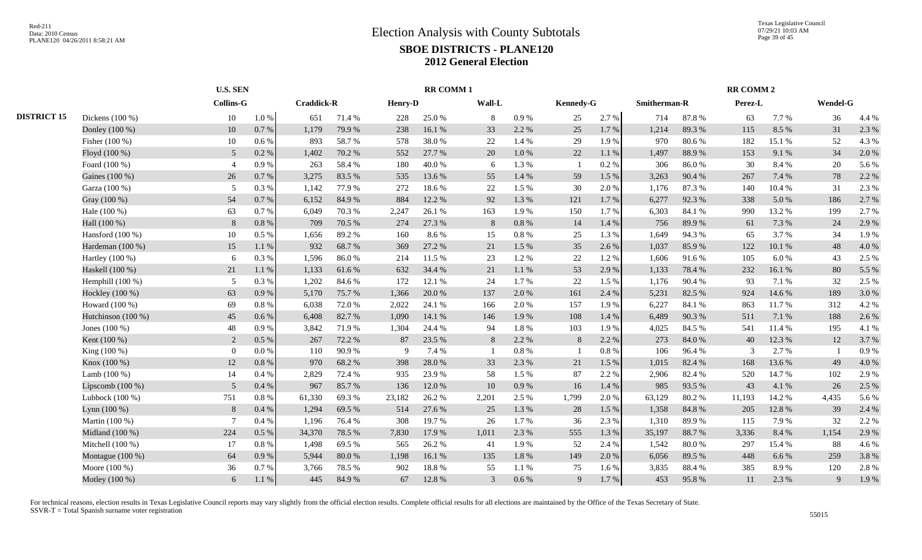|                    |                    | <b>U.S. SEN</b>  |           |                   |        |                | <b>RR COMM1</b> |        |       |                  |       |              |            | <b>RR COMM 2</b> |        |                |       |
|--------------------|--------------------|------------------|-----------|-------------------|--------|----------------|-----------------|--------|-------|------------------|-------|--------------|------------|------------------|--------|----------------|-------|
|                    |                    | <b>Collins-G</b> |           | <b>Craddick-R</b> |        | <b>Henry-D</b> |                 | Wall-L |       | <b>Kennedy-G</b> |       | Smitherman-R |            | Perez-L          |        | Wendel-G       |       |
| <b>DISTRICT 15</b> | Dickens (100 %)    | 10               | $1.0\ \%$ | 651               | 71.4 % | 228            | 25.0%           | 8      | 0.9%  | 25               | 2.7%  | 714          | 87.8%      | 63               | 7.7 %  | 36             | 4.4 % |
|                    | Donley (100 %)     | 10               | 0.7%      | 1,179             | 79.9%  | 238            | 16.1%           | 33     | 2.2 % | 25               | 1.7%  | 1,214        | 89.3%      | 115              | 8.5%   | 31             | 2.3 % |
|                    | Fisher (100 %)     | 10               | 0.6%      | 893               | 58.7%  | 578            | 38.0%           | 22     | 1.4 % | 29               | 1.9%  | 970          | 80.6%      | 182              | 15.1 % | 52             | 4.3%  |
|                    | Floyd (100 %)      | 5 <sup>5</sup>   | 0.2%      | 1,402             | 70.2%  | 552            | 27.7 %          | 20     | 1.0%  | 22               | 1.1 % | 1,497        | 88.9%      | 153              | 9.1%   | 34             | 2.0%  |
|                    | Foard (100 %)      | $\overline{4}$   | 0.9%      | 263               | 58.4%  | 180            | 40.0%           | 6      | 1.3 % |                  | 0.2%  | 306          | 86.0%      | 30               | 8.4%   | 20             | 5.6 % |
|                    | Gaines (100 %)     | 26               | 0.7%      | 3,275             | 83.5%  | 535            | 13.6 %          | 55     | 1.4 % | 59               | 1.5 % | 3,263        | 90.4 %     | 267              | 7.4 %  | 78             | 2.2 % |
|                    | Garza (100 %)      | 5                | 0.3%      | 1,142             | 77.9%  | 272            | 18.6%           | 22     | 1.5 % | 30               | 2.0%  | 1,176        | 87.3%      | 140              | 10.4 % | 31             | 2.3 % |
|                    | Gray (100 %)       | 54               | 0.7%      | 6,152             | 84.9%  | 884            | 12.2 %          | 92     | 1.3 % | 121              | 1.7%  | 6,277        | 92.3%      | 338              | 5.0%   | 186            | 2.7%  |
|                    | Hale (100 %)       | 63               | 0.7%      | 6,049             | 70.3%  | 2,247          | 26.1 %          | 163    | 1.9%  | 150              | 1.7%  | 6,303        | 84.1 %     | 990              | 13.2 % | 199            | 2.7 % |
|                    | Hall (100 %)       | 8                | 0.8%      | 709               | 70.5 % | 274            | 27.3 %          | 8      | 0.8%  | 14               | 1.4 % | 756          | 89.9%      | 61               | 7.3 %  | 24             | 2.9%  |
|                    | Hansford $(100\%)$ | 10               | 0.5 %     | 1,656             | 89.2%  | 160            | 8.6 %           | 15     | 0.8%  | 25               | 1.3%  | 1,649        | 94.3%      | 65               | 3.7 %  | 34             | 1.9%  |
|                    | Hardeman (100 %)   | 15               | 1.1 %     | 932               | 68.7%  | 369            | 27.2 %          | 21     | 1.5 % | 35               | 2.6%  | 1,037        | 85.9%      | 122              | 10.1 % | 48             | 4.0%  |
|                    | Hartley (100 %)    | 6                | 0.3%      | 1,596             | 86.0%  | 214            | 11.5 %          | 23     | 1.2%  | $22\,$           | 1.2%  | 1,606        | 91.6%      | 105              | $6.0%$ | 43             | 2.5 % |
|                    | Haskell (100 %)    | 21               | 1.1 %     | 1,133             | 61.6%  | 632            | 34.4 %          | 21     | 1.1%  | 53               | 2.9%  | 1,133        | 78.4%      | 232              | 16.1%  | 80             | 5.5 % |
|                    | Hemphill (100 %)   | 5                | 0.3%      | 1,202             | 84.6 % | 172            | 12.1 %          | 24     | 1.7 % | 22               | 1.5 % | 1,176        | 90.4%      | 93               | 7.1 %  | 32             | 2.5 % |
|                    | Hockley (100 %)    | 63               | 0.9%      | 5,170             | 75.7%  | 1,366          | 20.0%           | 137    | 2.0 % | 161              | 2.4 % | 5,231        | 82.5 %     | 924              | 14.6 % | 189            | 3.0%  |
|                    | Howard $(100\%)$   | 69               | 0.8%      | 6,038             | 72.0 % | 2,022          | 24.1 %          | 166    | 2.0 % | 157              | 1.9%  | 6,227        | 84.1 %     | 863              | 11.7 % | 312            | 4.2 % |
|                    | Hutchinson (100 %) | 45               | 0.6 %     | 6,408             | 82.7%  | 1,090          | 14.1 %          | 146    | 1.9%  | 108              | 1.4 % | 6,489        | 90.3%      | 511              | 7.1 %  | 188            | 2.6%  |
|                    | Jones $(100\%)$    | 48               | 0.9%      | 3,842             | 71.9%  | 1,304          | 24.4 %          | 94     | 1.8%  | 103              | 1.9%  | 4,025        | 84.5 %     | 541              | 11.4 % | 195            | 4.1 % |
|                    | Kent (100 %)       | $\overline{2}$   | $0.5\%$   | 267               | 72.2 % | 87             | 23.5 %          | 8      | 2.2%  | 8                | 2.2 % | 273          | 84.0%      | 40               | 12.3 % | 12             | 3.7%  |
|                    | King (100 %)       | $\Omega$         | 0.0 %     | 110               | 90.9%  | 9              | 7.4 %           |        | 0.8%  |                  | 0.8 % | 106          | 96.4%      |                  | 2.7 %  | $\overline{1}$ | 0.9%  |
|                    | Know (100 %)       | 12               | 0.8%      | 970               | 68.2%  | 398            | 28.0%           | 33     | 2.3 % | 21               | 1.5 % | 1,015        | 82.4 %     | 168              | 13.6 % | 49             | 4.0%  |
|                    | Lamb $(100\%)$     | 14               | 0.4%      | 2,829             | 72.4 % | 935            | 23.9%           | 58     | 1.5 % | 87               | 2.2 % | 2,906        | 82.4 %     | 520              | 14.7 % | 102            | 2.9%  |
|                    | Lipscomb $(100\%)$ | 5 <sup>5</sup>   | 0.4%      | 967               | 85.7%  | 136            | 12.0%           | 10     | 0.9%  | 16               | 1.4 % | 985          | 93.5%      | 43               | 4.1 %  | 26             | 2.5 % |
|                    | Lubbock (100 %)    | 751              | 0.8%      | 61,330            | 69.3%  | 23,182         | 26.2%           | 2,201  | 2.5 % | 1,799            | 2.0%  | 63,129       | 80.2%      | 11,193           | 14.2 % | 4,435          | 5.6%  |
|                    | Lynn (100 %)       | $8\,$            | 0.4%      | 1,294             | 69.5 % | 514            | 27.6 %          | 25     | 1.3 % | 28               | 1.5 % | 1,358        | 84.8%      | 205              | 12.8 % | 39             | 2.4 % |
|                    | Martin (100 %)     | $\tau$           | 0.4 %     | 1,196             | 76.4%  | 308            | 19.7%           | 26     | 1.7%  | 36               | 2.3 % | 1,310        | 89.9%      | 115              | 7.9%   | 32             | 2.2 % |
|                    | Midland $(100\%)$  | 224              | $0.5\%$   | 34,370            | 78.5 % | 7,830          | 17.9 %          | 1,011  | 2.3 % | 555              | 1.3 % | 35,197       | 88.7%      | 3,336            | 8.4 %  | 1,154          | 2.9%  |
|                    | Mitchell $(100\%)$ | 17               | 0.8%      | 1,498             | 69.5 % | 565            | 26.2%           | 41     | 1.9%  | 52               | 2.4 % | 1,542        | $80.0\ \%$ | 297              | 15.4 % | 88             | 4.6%  |
|                    | Montague (100 %)   | 64               | 0.9%      | 5,944             | 80.0%  | 1,198          | 16.1%           | 135    | 1.8%  | 149              | 2.0%  | 6,056        | 89.5%      | 448              | 6.6 %  | 259            | 3.8%  |
|                    | Moore (100 %)      | 36               | 0.7%      | 3,766             | 78.5%  | 902            | 18.8%           | 55     | 1.1 % | 75               | 1.6%  | 3,835        | 88.4%      | 385              | 8.9%   | 120            | 2.8%  |
|                    | Motley (100 %)     | 6                | 1.1%      | 445               | 84.9%  | 67             | 12.8 %          | 3      | 0.6 % | 9                | 1.7 % | 453          | 95.8%      | 11               | 2.3 %  | 9              | 1.9%  |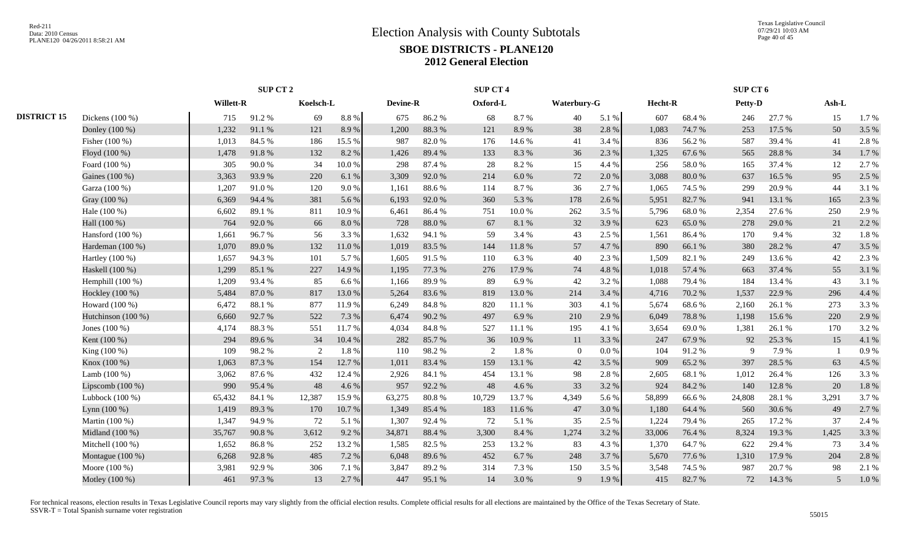Texas Legislative Council 07/29/21 10:03 AM Page 40 of 45

|                    |                    | <b>SUP CT 2</b> |        |           |          |          | <b>SUP CT 4</b> |          |        |                |       |         | SUP CT 6 |             |        |                 |       |
|--------------------|--------------------|-----------------|--------|-----------|----------|----------|-----------------|----------|--------|----------------|-------|---------|----------|-------------|--------|-----------------|-------|
|                    |                    | Willett-R       |        | Koelsch-L |          | Devine-R |                 | Oxford-L |        | Waterbury-G    |       | Hecht-R |          | Petty-D     |        | $Ash-L$         |       |
| <b>DISTRICT 15</b> | Dickens (100 %)    | 715             | 91.2%  | 69        | $8.8~\%$ | 675      | 86.2%           | 68       | 8.7%   | 40             | 5.1 % | 607     | 68.4%    | 246         | 27.7 % | 15              | 1.7%  |
|                    | Donley (100 %)     | 1,232           | 91.1%  | 121       | 8.9%     | 1,200    | 88.3%           | 121      | 8.9%   | 38             | 2.8%  | 1,083   | 74.7%    | 253         | 17.5 % | 50              | 3.5 % |
|                    | Fisher (100 %)     | 1,013           | 84.5 % | 186       | 15.5 %   | 987      | 82.0%           | 176      | 14.6 % | 41             | 3.4 % | 836     | 56.2%    | 587         | 39.4 % | 41              | 2.8%  |
|                    | Floyd (100 %)      | 1,478           | 91.8%  | 132       | 8.2%     | 1,426    | 89.4%           | 133      | 8.3%   | 36             | 2.3 % | 1,325   | 67.6%    | 565         | 28.8%  | 34              | 1.7%  |
|                    | Foard (100 %)      | 305             | 90.0%  | 34        | 10.0%    | 298      | 87.4%           | 28       | 8.2%   | 15             | 4.4 % | 256     | 58.0%    | 165         | 37.4 % | 12              | 2.7 % |
|                    | Gaines (100 %)     | 3,363           | 93.9%  | 220       | 6.1 %    | 3,309    | 92.0%           | 214      | 6.0%   | 72             | 2.0 % | 3,088   | 80.0%    | 637         | 16.5 % | 95              | 2.5 % |
|                    | Garza (100 %)      | 1,207           | 91.0%  | 120       | 9.0%     | 1.161    | 88.6%           | 114      | 8.7%   | 36             | 2.7 % | 1,065   | 74.5 %   | 299         | 20.9%  | 44              | 3.1 % |
|                    | Gray (100 %)       | 6,369           | 94.4 % | 381       | 5.6 %    | 6,193    | 92.0%           | 360      | 5.3 %  | 178            | 2.6 % | 5,951   | 82.7%    | 941         | 13.1 % | 165             | 2.3 % |
|                    | Hale (100 %)       | 6,602           | 89.1%  | 811       | 10.9%    | 6,461    | 86.4%           | 751      | 10.0%  | 262            | 3.5 % | 5,796   | 68.0%    | 2,354       | 27.6%  | 250             | 2.9%  |
|                    | Hall (100 %)       | 764             | 92.0%  | 66        | 8.0%     | 728      | $88.0\ \%$      | 67       | 8.1 %  | 32             | 3.9%  | 623     | 65.0%    | 278         | 29.0%  | 21              | 2.2 % |
|                    | Hansford $(100\%)$ | 1,661           | 96.7%  | 56        | 3.3 %    | 1,632    | 94.1%           | 59       | 3.4 %  | 43             | 2.5 % | 1,561   | 86.4%    | 170         | 9.4%   | 32              | 1.8%  |
|                    | Hardeman (100 %)   | 1,070           | 89.0%  | 132       | 11.0%    | 1,019    | 83.5%           | 144      | 11.8 % | 57             | 4.7 % | 890     | 66.1%    | 380         | 28.2 % | 47              | 3.5 % |
|                    | Hartley (100 %)    | 1,657           | 94.3%  | 101       | 5.7 %    | 1,605    | 91.5 %          | 110      | 6.3%   | 40             | 2.3 % | 1,509   | 82.1 %   | 249         | 13.6 % | 42              | 2.3 % |
|                    | Haskell (100 %)    | 1,299           | 85.1%  | 227       | 14.9 %   | 1,195    | 77.3 %          | 276      | 17.9%  | 74             | 4.8%  | 1,018   | 57.4 %   | 663         | 37.4 % | 55              | 3.1 % |
|                    | Hemphill $(100\%)$ | 1,209           | 93.4 % | 85        | 6.6%     | 1,166    | 89.9%           | 89       | 6.9%   | 42             | 3.2 % | 1,088   | 79.4 %   | 184         | 13.4 % | 43              | 3.1 % |
|                    | Hockley (100 %)    | 5,484           | 87.0%  | 817       | 13.0 %   | 5,264    | 83.6%           | 819      | 13.0%  | 214            | 3.4 % | 4,716   | 70.2%    | 1,537       | 22.9%  | 296             | 4.4 % |
|                    | Howard $(100\%)$   | 6,472           | 88.1%  | 877       | 11.9%    | 6,249    | 84.8%           | 820      | 11.1 % | 303            | 4.1 % | 5,674   | 68.6%    | 2,160       | 26.1 % | 273             | 3.3 % |
|                    | Hutchinson (100 %) | 6,660           | 92.7%  | 522       | 7.3 %    | 6.474    | 90.2%           | 497      | 6.9%   | 210            | 2.9 % | 6,049   | 78.8%    | 1,198       | 15.6%  | 220             | 2.9%  |
|                    | Jones $(100\%)$    | 4,174           | 88.3%  | 551       | 11.7 %   | 4,034    | 84.8%           | 527      | 11.1 % | 195            | 4.1%  | 3,654   | 69.0%    | 1,381       | 26.1%  | 170             | 3.2%  |
|                    | Kent (100 %)       | 294             | 89.6%  | 34        | 10.4 %   | 282      | 85.7%           | 36       | 10.9%  | 11             | 3.3%  | 247     | 67.9%    | 92          | 25.3 % | 15              | 4.1%  |
|                    | King (100 %)       | 109             | 98.2%  | 2         | 1.8%     | 110      | 98.2%           | 2        | 1.8%   | $\overline{0}$ | 0.0 % | 104     | 91.2%    | $\mathbf Q$ | 7.9%   |                 | 0.9%  |
|                    | Knox (100 %)       | 1,063           | 87.3%  | 154       | 12.7 %   | 1,011    | 83.4%           | 159      | 13.1 % | 42             | 3.5 % | 909     | 65.2%    | 397         | 28.5 % | 63              | 4.5 % |
|                    | Lamb $(100\%)$     | 3,062           | 87.6%  | 432       | 12.4 %   | 2,926    | 84.1 %          | 454      | 13.1 % | 98             | 2.8%  | 2,605   | 68.1%    | 1,012       | 26.4 % | 126             | 3.3 % |
|                    | Lipscomb $(100\%)$ | 990             | 95.4%  | 48        | 4.6 %    | 957      | 92.2 %          | 48       | 4.6 %  | 33             | 3.2 % | 924     | 84.2 %   | 140         | 12.8%  | 20              | 1.8%  |
|                    | Lubbock $(100\%)$  | 65,432          | 84.1 % | 12,387    | 15.9%    | 63,275   | 80.8%           | 10,729   | 13.7%  | 4,349          | 5.6 % | 58,899  | 66.6%    | 24,808      | 28.1 % | 3,291           | 3.7%  |
|                    | Lynn (100 %)       | 1,419           | 89.3%  | 170       | 10.7%    | 1,349    | 85.4%           | 183      | 11.6 % | 47             | 3.0%  | 1,180   | 64.4 %   | 560         | 30.6%  | 49              | 2.7 % |
|                    | Martin (100 %)     | 1,347           | 94.9%  | 72        | 5.1 %    | 1,307    | 92.4 %          | 72       | 5.1 %  | 35             | 2.5 % | 1,224   | 79.4 %   | 265         | 17.2 % | 37              | 2.4 % |
|                    | Midland $(100\%)$  | 35,767          | 90.8%  | 3,612     | 9.2 %    | 34,871   | 88.4%           | 3,300    | 8.4 %  | 1,274          | 3.2 % | 33,006  | 76.4 %   | 8,324       | 19.3%  | 1,425           | 3.3 % |
|                    | Mitchell (100 %)   | 1,652           | 86.8%  | 252       | 13.2 %   | 1,585    | 82.5 %          | 253      | 13.2 % | 83             | 4.3 % | 1,370   | 64.7%    | 622         | 29.4 % | 73              | 3.4 % |
|                    | Montague (100 %)   | 6,268           | 92.8%  | 485       | 7.2 %    | 6,048    | 89.6%           | 452      | 6.7%   | 248            | 3.7%  | 5,670   | 77.6 %   | 1,310       | 17.9%  | 204             | 2.8%  |
|                    | Moore (100 %)      | 3,981           | 92.9%  | 306       | 7.1 %    | 3,847    | 89.2%           | 314      | 7.3 %  | 150            | 3.5 % | 3,548   | 74.5 %   | 987         | 20.7%  | 98              | 2.1 % |
|                    | Motley (100 %)     | 461             | 97.3%  | 13        | 2.7%     | 447      | 95.1%           | 14       | 3.0%   | 9              | 1.9%  | 415     | 82.7%    | 72          | 14.3 % | $5\overline{)}$ | 1.0%  |
|                    |                    |                 |        |           |          |          |                 |          |        |                |       |         |          |             |        |                 |       |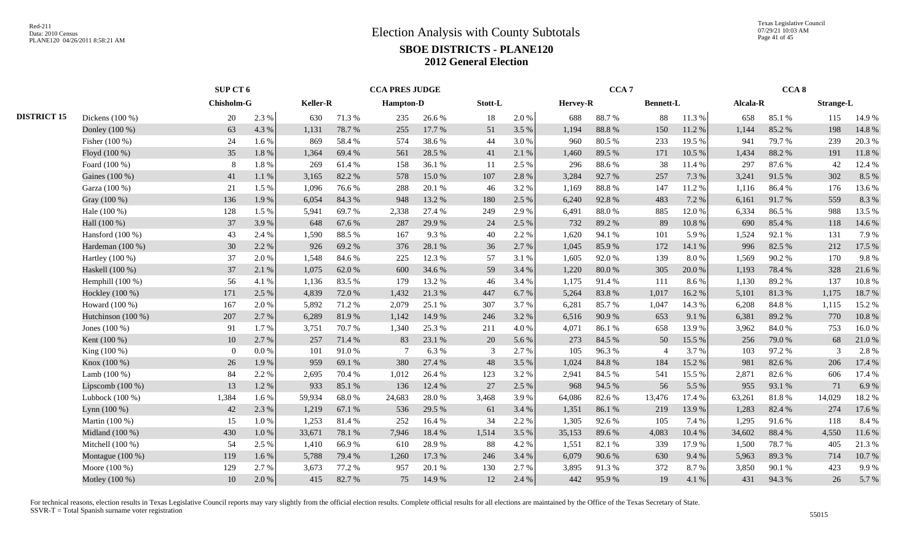Texas Legislative Council 07/29/21 10:03 AM Page 41 of 45

|                    |                      | SUP CT 6   |       |                 |        | <b>CCA PRES JUDGE</b> |        |         |       |          | CCA <sub>7</sub> |                  |        |          | CCA <sub>8</sub> |                  |        |
|--------------------|----------------------|------------|-------|-----------------|--------|-----------------------|--------|---------|-------|----------|------------------|------------------|--------|----------|------------------|------------------|--------|
|                    |                      | Chisholm-G |       | <b>Keller-R</b> |        | <b>Hampton-D</b>      |        | Stott-L |       | Hervey-R |                  | <b>Bennett-L</b> |        | Alcala-R |                  | <b>Strange-L</b> |        |
| <b>DISTRICT 15</b> | Dickens $(100\%)$    | 20         | 2.3 % | 630             | 71.3%  | 235                   | 26.6%  | 18      | 2.0%  | 688      | 88.7%            | 88               | 11.3 % | 658      | 85.1 %           | 115              | 14.9 % |
|                    | Donley (100 %)       | 63         | 4.3 % | 1,131           | 78.7%  | 255                   | 17.7 % | 51      | 3.5 % | 1,194    | 88.8%            | 150              | 11.2%  | 1,144    | 85.2%            | 198              | 14.8 % |
|                    | Fisher (100 %)       | 24         | 1.6 % | 869             | 58.4%  | 574                   | 38.6%  | 44      | 3.0%  | 960      | 80.5%            | 233              | 19.5 % | 941      | 79.7%            | 239              | 20.3 % |
|                    | Floyd (100 %)        | 35         | 1.8%  | 1,364           | 69.4%  | 561                   | 28.5 % | 41      | 2.1 % | 1,460    | 89.5%            | 171              | 10.5 % | 1,434    | 88.2%            | 191              | 11.8%  |
|                    | Foard (100 %)        | 8          | 1.8%  | 269             | 61.4%  | 158                   | 36.1%  | 11      | 2.5 % | 296      | 88.6%            | 38               | 11.4 % | 297      | 87.6%            | 42               | 12.4 % |
|                    | Gaines (100 %)       | 41         | 1.1%  | 3,165           | 82.2 % | 578                   | 15.0%  | 107     | 2.8%  | 3,284    | 92.7%            | 257              | 7.3 %  | 3,241    | 91.5%            | 302              | 8.5 %  |
|                    | Garza (100 %)        | 21         | 1.5 % | 1,096           | 76.6%  | 288                   | 20.1 % | 46      | 3.2%  | 1,169    | 88.8%            | 147              | 11.2%  | 1,116    | 86.4%            | 176              | 13.6%  |
|                    | Gray (100 %)         | 136        | 1.9%  | 6,054           | 84.3%  | 948                   | 13.2 % | 180     | 2.5 % | 6,240    | 92.8%            | 483              | 7.2 %  | 6,161    | 91.7%            | 559              | 8.3%   |
|                    | Hale (100 %)         | 128        | 1.5 % | 5,941           | 69.7%  | 2,338                 | 27.4 % | 249     | 2.9%  | 6,491    | 88.0%            | 885              | 12.0%  | 6,334    | 86.5%            | 988              | 13.5 % |
|                    | Hall (100 %)         | 37         | 3.9%  | 648             | 67.6%  | 287                   | 29.9%  | 24      | 2.5 % | 732      | 89.2%            | 89               | 10.8 % | 690      | 85.4%            | 118              | 14.6 % |
|                    | Hansford $(100\%)$   | 43         | 2.4 % | 1,590           | 88.5 % | 167                   | 9.3%   | 40      | 2.2 % | 1,620    | 94.1 %           | 101              | 5.9%   | 1,524    | 92.1 %           | 131              | 7.9 %  |
|                    | Hardeman (100 %)     | 30         | 2.2 % | 926             | 69.2%  | 376                   | 28.1 % | 36      | 2.7%  | 1,045    | 85.9%            | 172              | 14.1 % | 996      | 82.5 %           | 212              | 17.5 % |
|                    | Hartley (100 %)      | 37         | 2.0 % | 1,548           | 84.6%  | 225                   | 12.3 % | 57      | 3.1 % | 1,605    | 92.0%            | 139              | 8.0%   | 1,569    | 90.2%            | 170              | 9.8%   |
|                    | Haskell (100 %)      | 37         | 2.1 % | 1,075           | 62.0%  | 600                   | 34.6 % | 59      | 3.4 % | 1,220    | 80.0%            | 305              | 20.0%  | 1,193    | 78.4 %           | 328              | 21.6%  |
|                    | Hemphill $(100\%)$   | 56         | 4.1 % | 1,136           | 83.5 % | 179                   | 13.2 % | 46      | 3.4 % | 1,175    | 91.4%            | 111              | 8.6%   | 1,130    | 89.2%            | 137              | 10.8%  |
|                    | Hockley (100 %)      | 171        | 2.5 % | 4,839           | 72.0%  | 1,432                 | 21.3%  | 447     | 6.7%  | 5,264    | 83.8%            | 1,017            | 16.2%  | 5,101    | 81.3%            | 1,175            | 18.7%  |
|                    | Howard (100 %)       | 167        | 2.0%  | 5,892           | 71.2%  | 2,079                 | 25.1 % | 307     | 3.7%  | 6,281    | 85.7%            | 1,047            | 14.3 % | 6.208    | 84.8%            | 1,115            | 15.2 % |
|                    | Hutchinson $(100\%)$ | 207        | 2.7%  | 6,289           | 81.9%  | 1,142                 | 14.9 % | 246     | 3.2%  | 6,516    | 90.9%            | 653              | 9.1 %  | 6,381    | 89.2%            | 770              | 10.8%  |
|                    | Jones (100 %)        | 91         | 1.7%  | 3,751           | 70.7%  | 1,340                 | 25.3 % | 211     | 4.0%  | 4,071    | 86.1%            | 658              | 13.9%  | 3,962    | 84.0%            | 753              | 16.0%  |
|                    | Kent (100 %)         | 10         | 2.7 % | 257             | 71.4 % | 83                    | 23.1 % | 20      | 5.6%  | 273      | 84.5 %           | 50               | 15.5 % | 256      | 79.0%            | 68               | 21.0%  |
|                    | King (100 %)         | $\Omega$   | 0.0 % | 101             | 91.0%  | 7                     | 6.3%   | 3       | 2.7%  | 105      | 96.3%            | $\overline{4}$   | 3.7 %  | 103      | 97.2%            | $\mathcal{R}$    | 2.8%   |
|                    | Knox (100 %)         | 26         | 1.9%  | 959             | 69.1 % | 380                   | 27.4 % | 48      | 3.5%  | 1,024    | 84.8%            | 184              | 15.2 % | 981      | 82.6%            | 206              | 17.4 % |
|                    | Lamb $(100\%)$       | 84         | 2.2 % | 2,695           | 70.4 % | 1,012                 | 26.4 % | 123     | 3.2%  | 2,941    | 84.5 %           | 541              | 15.5 % | 2,871    | 82.6%            | 606              | 17.4 % |
|                    | Lipscomb $(100\%)$   | 13         | 1.2%  | 933             | 85.1%  | 136                   | 12.4 % | 27      | 2.5 % | 968      | 94.5 %           | 56               | 5.5 %  | 955      | 93.1 %           | 71               | 6.9%   |
|                    | Lubbock $(100\%)$    | 1,384      | 1.6 % | 59,934          | 68.0%  | 24,683                | 28.0%  | 3,468   | 3.9%  | 64,086   | 82.6 %           | 13,476           | 17.4 % | 63,261   | 81.8%            | 14,029           | 18.2%  |
|                    | Lynn $(100\%)$       | 42         | 2.3 % | 1,219           | 67.1 % | 536                   | 29.5 % | 61      | 3.4 % | 1,351    | 86.1%            | 219              | 13.9%  | 1,283    | 82.4 %           | 274              | 17.6 % |
|                    | Martin (100 %)       | 15         | 1.0%  | 1,253           | 81.4%  | 252                   | 16.4%  | 34      | 2.2 % | 1,305    | 92.6%            | 105              | 7.4 %  | 1,295    | 91.6%            | 118              | 8.4%   |
|                    | Midland (100 %)      | 430        | 1.0%  | 33,671          | 78.1 % | 7,946                 | 18.4%  | 1,514   | 3.5 % | 35,153   | 89.6%            | 4,083            | 10.4 % | 34,602   | 88.4%            | 4,550            | 11.6 % |
|                    | Mitchell (100 %)     | 54         | 2.5 % | 1,410           | 66.9%  | 610                   | 28.9%  | 88      | 4.2%  | 1,551    | 82.1 %           | 339              | 17.9%  | 1,500    | 78.7%            | 405              | 21.3%  |
|                    | Montague (100 %)     | 119        | 1.6%  | 5,788           | 79.4%  | 1,260                 | 17.3 % | 246     | 3.4 % | 6,079    | 90.6%            | 630              | 9.4 %  | 5,963    | 89.3%            | 714              | 10.7%  |
|                    | Moore (100 %)        | 129        | 2.7%  | 3,673           | 77.2 % | 957                   | 20.1 % | 130     | 2.7%  | 3,895    | 91.3%            | 372              | 8.7%   | 3,850    | 90.1 %           | 423              | 9.9%   |
|                    | Motley (100 %)       | 10         | 2.0%  | 415             | 82.7%  | 75                    | 14.9%  | 12      | 2.4 % | 442      | 95.9%            | 19               | 4.1 %  | 431      | 94.3%            | 26               | 5.7%   |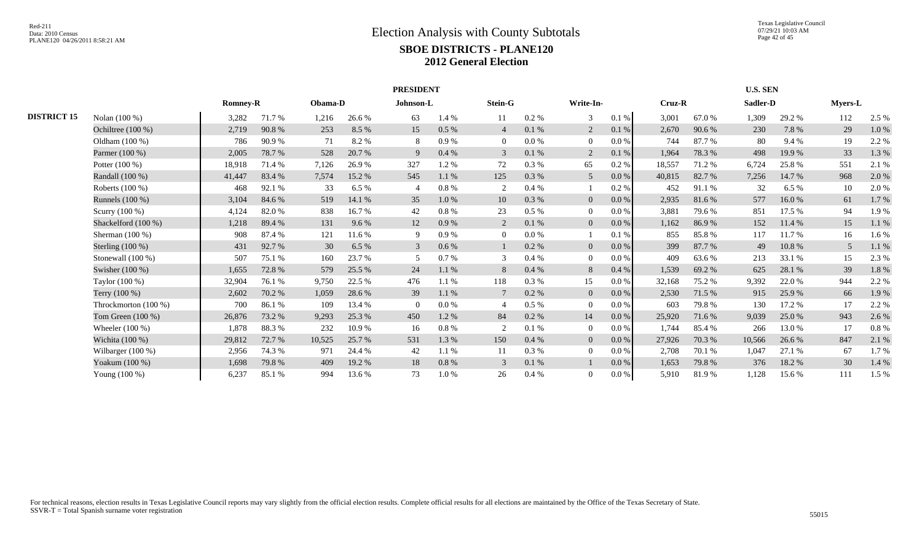Texas Legislative Council 07/29/21 10:03 AM Page 42 of 45

|                    |                      |                 |        |         |        | <b>PRESIDENT</b> |          |                |         |                |           |        |        | <b>U.S. SEN</b> |        |                |       |
|--------------------|----------------------|-----------------|--------|---------|--------|------------------|----------|----------------|---------|----------------|-----------|--------|--------|-----------------|--------|----------------|-------|
|                    |                      | <b>Romney-R</b> |        | Obama-D |        | Johnson-L        |          | <b>Stein-G</b> |         | Write-In-      |           | Cruz-R |        | Sadler-D        |        | <b>Myers-L</b> |       |
| <b>DISTRICT 15</b> | Nolan (100 %)        | 3,282           | 71.7%  | 1,216   | 26.6 % | 63               | 1.4 %    | 11             | 0.2 %   | 3              | 0.1%      | 3,001  | 67.0 % | 1,309           | 29.2 % | 112            | 2.5 % |
|                    | Ochiltree $(100\%)$  | 2,719           | 90.8%  | 253     | 8.5 %  | 15               | $0.5\%$  | $\overline{4}$ | 0.1%    | 2              | 0.1%      | 2,670  | 90.6%  | 230             | 7.8%   | 29             | 1.0%  |
|                    | Oldham (100 %)       | 786             | 90.9%  | 71      | 8.2%   | 8                | 0.9%     | $\theta$       | 0.0 %   | $\Omega$       | 0.0 %     | 744    | 87.7%  | 80              | 9.4 %  | 19             | 2.2 % |
|                    | Parmer (100 %)       | 2,005           | 78.7%  | 528     | 20.7 % | 9                | 0.4%     | 3              | 0.1%    | 2              | 0.1%      | 1,964  | 78.3%  | 498             | 19.9%  | 33             | 1.3 % |
|                    | Potter $(100\%)$     | 18,918          | 71.4 % | 7,126   | 26.9%  | 327              | 1.2%     | 72             | 0.3%    | 65             | 0.2%      | 18,557 | 71.2 % | 6.724           | 25.8%  | 551            | 2.1 % |
|                    | Randall (100 %)      | 41,447          | 83.4 % | 7,574   | 15.2 % | 545              | 1.1%     | 125            | 0.3%    | 5 <sup>5</sup> | $0.0\,\%$ | 40,815 | 82.7%  | 7,256           | 14.7 % | 968            | 2.0 % |
|                    | Roberts (100 %)      | 468             | 92.1 % | 33      | 6.5%   |                  | 0.8%     |                | 0.4%    |                | 0.2%      | 452    | 91.1 % | 32              | 6.5 %  | 10             | 2.0 % |
|                    | Runnels (100 %)      | 3,104           | 84.6 % | 519     | 14.1 % | 35               | 1.0%     | 10             | 0.3%    | $\overline{0}$ | $0.0\,\%$ | 2,935  | 81.6%  | 577             | 16.0%  | 61             | 1.7%  |
|                    | Scurry (100 %)       | 4,124           | 82.0%  | 838     | 16.7 % | 42               | $0.8 \%$ | 23             | 0.5%    | $\overline{0}$ | 0.0 %     | 3,881  | 79.6%  | 851             | 17.5 % | 94             | 1.9%  |
|                    | Shackelford (100 %)  | 1,218           | 89.4%  | 131     | 9.6%   | 12               | 0.9%     | $\overline{2}$ | 0.1%    | $\overline{0}$ | $0.0\,\%$ | 1,162  | 86.9%  | 152             | 11.4 % | 15             | 1.1 % |
|                    | Sherman $(100\%)$    | 908             | 87.4 % | 121     | 11.6 % | 9                | 0.9%     | $\Omega$       | 0.0 %   |                | 0.1%      | 855    | 85.8%  | 117             | 11.7 % | 16             | 1.6%  |
|                    | Sterling $(100\%)$   | 431             | 92.7%  | 30      | 6.5 %  | 3                | 0.6%     |                | 0.2%    | $\overline{0}$ | 0.0 %     | 399    | 87.7 % | 49              | 10.8%  | 5              | 1.1 % |
|                    | Stonewall $(100\%)$  | 507             | 75.1 % | 160     | 23.7 % | 5                | 0.7%     | 3              | 0.4%    | $\overline{0}$ | 0.0 %     | 409    | 63.6 % | 213             | 33.1 % | 15             | 2.3 % |
|                    | Swisher $(100\%)$    | 1,655           | 72.8%  | 579     | 25.5 % | 24               | 1.1%     | 8              | 0.4%    | 8              | 0.4%      | 1,539  | 69.2%  | 625             | 28.1 % | 39             | 1.8%  |
|                    | Taylor (100 %)       | 32,904          | 76.1 % | 9,750   | 22.5 % | 476              | 1.1%     | 118            | 0.3 %   | 15             | 0.0 %     | 32,168 | 75.2 % | 9,392           | 22.0 % | 944            | 2.2 % |
|                    | Terry (100 %)        | 2,602           | 70.2 % | 1,059   | 28.6%  | 39               | $1.1\%$  |                | 0.2 %   | $\overline{0}$ | $0.0\,\%$ | 2,530  | 71.5 % | 915             | 25.9%  | 66             | 1.9%  |
|                    | Throckmorton (100 %) | 700             | 86.1%  | 109     | 13.4 % | $\theta$         | $0.0\%$  |                | $0.5\%$ | $\overline{0}$ | 0.0 %     | 603    | 79.8%  | 130             | 17.2 % | 17             | 2.2 % |
|                    | Tom Green (100 %)    | 26,876          | 73.2 % | 9,293   | 25.3 % | 450              | 1.2%     | 84             | $0.2\%$ | 14             | $0.0\,\%$ | 25,920 | 71.6 % | 9,039           | 25.0 % | 943            | 2.6 % |
|                    | Wheeler $(100\%)$    | 1,878           | 88.3%  | 232     | 10.9%  | 16               | 0.8 %    |                | 0.1%    | $\overline{0}$ | 0.0 %     | 1,744  | 85.4 % | 266             | 13.0 % | 17             | 0.8%  |
|                    | Wichita $(100\%)$    | 29,812          | 72.7 % | 10,525  | 25.7 % | 531              | 1.3 %    | 150            | 0.4%    | $\overline{0}$ | 0.0 %     | 27,926 | 70.3 % | 10,566          | 26.6 % | 847            | 2.1 % |
|                    | Wilbarger $(100\%)$  | 2,956           | 74.3 % | 971     | 24.4 % | 42               | 1.1%     | 11             | 0.3 %   | $\overline{0}$ | 0.0 %     | 2,708  | 70.1 % | 1,047           | 27.1 % | 67             | 1.7%  |
|                    | Yoakum (100 %)       | 1,698           | 79.8%  | 409     | 19.2 % | 18               | $0.8 \%$ | 3              | 0.1%    |                | 0.0 %     | 1,653  | 79.8%  | 376             | 18.2 % | 30             | 1.4 % |
|                    | Young (100 %)        | 6,237           | 85.1 % | 994     | 13.6 % | 73               | $1.0\%$  | 26             | 0.4%    | 0              | 0.0 %     | 5,910  | 81.9%  | 1,128           | 15.6 % | 111            | 1.5 % |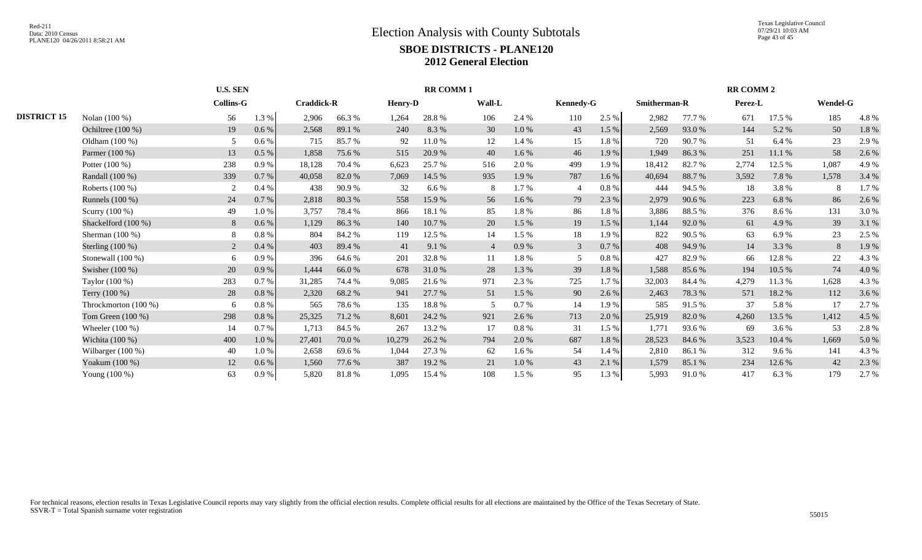|                    |                      | <b>U.S. SEN</b>  |           |                   |        |                | <b>RR COMM1</b> |                |          |                  |       |              |        | <b>RR COMM 2</b> |         |                 |       |
|--------------------|----------------------|------------------|-----------|-------------------|--------|----------------|-----------------|----------------|----------|------------------|-------|--------------|--------|------------------|---------|-----------------|-------|
|                    |                      | <b>Collins-G</b> |           | <b>Craddick-R</b> |        | <b>Henry-D</b> |                 | <b>Wall-L</b>  |          | <b>Kennedy-G</b> |       | Smitherman-R |        | Perez-L          |         | <b>Wendel-G</b> |       |
| <b>DISTRICT 15</b> | Nolan (100 %)        | 56               | 1.3 %     | 2,906             | 66.3%  | 1,264          | 28.8%           | 106            | 2.4 %    | 110              | 2.5 % | 2,982        | 77.7 % | 671              | 17.5 %  | 185             | 4.8%  |
|                    | Ochiltree (100 %)    | 19               | 0.6 %     | 2,568             | 89.1 % | 240            | 8.3%            | 30             | $1.0\%$  | 43               | 1.5 % | 2,569        | 93.0%  | 144              | 5.2 %   | 50              | 1.8%  |
|                    | Oldham $(100\%)$     | 5                | 0.6%      | 715               | 85.7%  | 92             | 11.0%           | 12             | 1.4 %    | 15               | 1.8%  | 720          | 90.7%  | 51               | 6.4 %   | 23              | 2.9 % |
|                    | Parmer (100 %)       | 13               | 0.5 %     | 1,858             | 75.6%  | 515            | 20.9%           | 40             | 1.6 %    | 46               | 1.9%  | 1,949        | 86.3%  | 251              | 11.1 %  | 58              | 2.6 % |
|                    | Potter $(100\%)$     | 238              | 0.9%      | 18,128            | 70.4 % | 6,623          | 25.7 %          | 516            | 2.0%     | 499              | 1.9 % | 18,412       | 82.7 % | 2,774            | 12.5 %  | 1,087           | 4.9%  |
|                    | Randall (100 %)      | 339              | 0.7%      | 40,058            | 82.0%  | 7,069          | 14.5 %          | 935            | 1.9%     | 787              | 1.6 % | 40,694       | 88.7%  | 3,592            | 7.8%    | 1,578           | 3.4 % |
|                    | Roberts (100 %)      |                  | 0.4%      | 438               | 90.9%  | 32             | 6.6%            | -8             | 1.7 %    | 4                | 0.8%  | 444          | 94.5 % | 18               | 3.8%    | 8               | 1.7%  |
|                    | Runnels (100 %)      | 24               | 0.7%      | 2,818             | 80.3%  | 558            | 15.9%           | 56             | $1.6\%$  | 79               | 2.3 % | 2,979        | 90.6%  | 223              | 6.8%    | 86              | 2.6 % |
|                    | Scurry (100 %)       | 49               | 1.0%      | 3,757             | 78.4 % | 866            | 18.1 %          | 85             | 1.8%     | 86               | 1.8%  | 3,886        | 88.5 % | 376              | 8.6%    | 131             | 3.0 % |
|                    | Shackelford (100 %)  | 8                | $0.6\%$   | 1,129             | 86.3%  | 140            | 10.7%           | 20             | $1.5\%$  | 19               | 1.5 % | 1,144        | 92.0%  | 61               | 4.9 %   | 39              | 3.1 % |
|                    | Sherman $(100\%)$    | 8                | 0.8%      | 804               | 84.2 % | 119            | 12.5 %          | 14             | 1.5 %    | 18               | 1.9%  | 822          | 90.5%  | 63               | 6.9%    | 23              | 2.5 % |
|                    | Sterling $(100\%)$   | 2                | 0.4%      | 403               | 89.4%  | 41             | 9.1 %           | $\overline{4}$ | 0.9%     | 3                | 0.7%  | 408          | 94.9%  | 14               | 3.3 %   | 8               | 1.9%  |
|                    | Stonewall $(100\%)$  | 6                | 0.9%      | 396               | 64.6 % | 201            | 32.8%           | 11             | 1.8%     | 5                | 0.8%  | 427          | 82.9%  | 66               | 12.8%   | 22              | 4.3 % |
|                    | Swisher (100 %)      | 20               | 0.9%      | 1,444             | 66.0%  | 678            | 31.0%           | 28             | 1.3 %    | 39               | 1.8%  | 1,588        | 85.6%  | 194              | 10.5 %  | 74              | 4.0%  |
|                    | Taylor (100 %)       | 283              | 0.7%      | 31,285            | 74.4 % | 9,085          | 21.6 %          | 971            | 2.3 %    | 725              | 1.7%  | 32,003       | 84.4 % | 4,279            | 11.3 %  | 1,628           | 4.3 % |
|                    | Terry (100 %)        | 28               | $0.8\ \%$ | 2,320             | 68.2%  | 941            | 27.7 %          | 51             | 1.5 %    | 90               | 2.6 % | 2,463        | 78.3%  | 571              | 18.2 %  | 112             | 3.6 % |
|                    | Throckmorton (100 %) | 6                | 0.8%      | 565               | 78.6%  | 135            | 18.8%           |                | 0.7 %    | 14               | 1.9 % | 585          | 91.5 % | 37               | 5.8%    | 17              | 2.7 % |
|                    | Tom Green $(100\%)$  | 298              | 0.8%      | 25,325            | 71.2 % | 8,601          | 24.2 %          | 921            | 2.6 %    | 713              | 2.0%  | 25,919       | 82.0%  | 4,260            | 13.5 %  | 1,412           | 4.5 % |
|                    | Wheeler $(100\%)$    | 14               | 0.7%      | 1,713             | 84.5 % | 267            | 13.2 %          | 17             | $0.8 \%$ | 31               | 1.5 % | 1,771        | 93.6%  | 69               | 3.6 %   | 53              | 2.8 % |
|                    | Wichita (100 %)      | 400              | $1.0\ \%$ | 27,401            | 70.0%  | 10,279         | 26.2 %          | 794            | 2.0 %    | 687              | 1.8%  | 28,523       | 84.6 % | 3,523            | 10.4 %  | 1,669           | 5.0%  |
|                    | Wilbarger $(100\%)$  | 40               | 1.0%      | 2,658             | 69.6%  | 1,044          | 27.3 %          | 62             | 1.6 %    | 54               | 1.4 % | 2,810        | 86.1%  | 312              | $9.6\%$ | 141             | 4.3 % |
|                    | Yoakum (100 %)       | 12               | 0.6 %     | 1,560             | 77.6 % | 387            | 19.2 %          | 21             | $1.0\%$  | 43               | 2.1 % | 1,579        | 85.1 % | 234              | 12.6 %  | 42              | 2.3 % |
|                    | Young (100 %)        | 63               | 0.9%      | 5,820             | 81.8%  | 1,095          | 15.4 %          | 108            | 1.5 %    | 95               | 1.3%  | 5,993        | 91.0%  | 417              | 6.3%    | 179             | 2.7%  |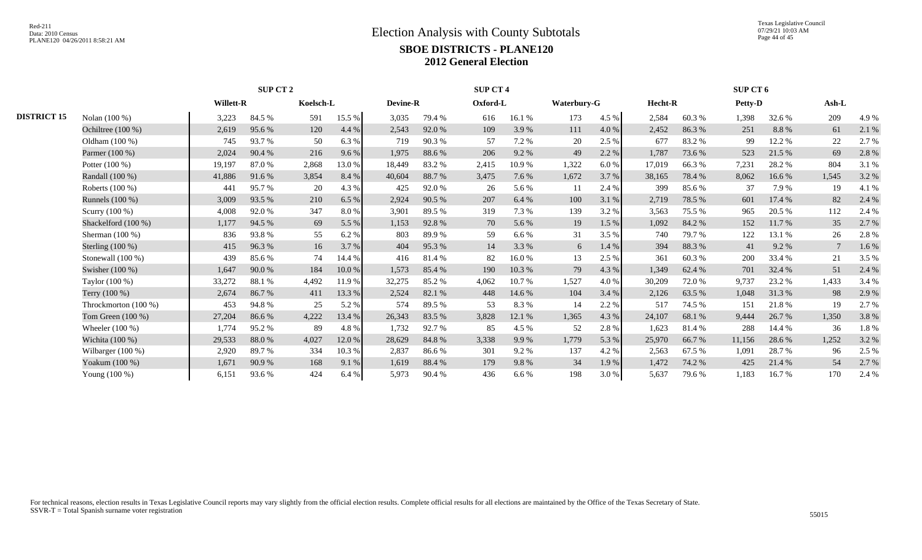Texas Legislative Council 07/29/21 10:03 AM Page 44 of 45

|                    |                      |                  | SUP CT 2 |           |            |                 |        | SUP CT 4 |        |             |       |         |        | SUP CT 6       |        |         |       |
|--------------------|----------------------|------------------|----------|-----------|------------|-----------------|--------|----------|--------|-------------|-------|---------|--------|----------------|--------|---------|-------|
|                    |                      | <b>Willett-R</b> |          | Koelsch-L |            | <b>Devine-R</b> |        | Oxford-L |        | Waterbury-G |       | Hecht-R |        | <b>Petty-D</b> |        | $Ash-L$ |       |
| <b>DISTRICT 15</b> | Nolan (100 %)        | 3,223            | 84.5 %   | 591       | 15.5 %     | 3,035           | 79.4 % | 616      | 16.1%  | 173         | 4.5 % | 2,584   | 60.3%  | 1,398          | 32.6 % | 209     | 4.9 % |
|                    | Ochiltree $(100\%)$  | 2,619            | 95.6%    | 120       | 4.4 %      | 2,543           | 92.0%  | 109      | 3.9%   | 111         | 4.0%  | 2,452   | 86.3%  | 251            | 8.8%   | 61      | 2.1 % |
|                    | Oldham (100 %)       | 745              | 93.7%    | 50        | 6.3 %      | 719             | 90.3%  | 57       | 7.2 %  | 20          | 2.5 % | 677     | 83.2%  | 99             | 12.2 % | 22      | 2.7 % |
|                    | Parmer (100 %)       | 2,024            | 90.4 %   | 216       | 9.6 %      | 1,975           | 88.6%  | 206      | 9.2 %  | 49          | 2.2 % | 1,787   | 73.6%  | 523            | 21.5 % | 69      | 2.8%  |
|                    | Potter $(100\%)$     | 19,197           | 87.0%    | 2,868     | 13.0%      | 18,449          | 83.2%  | 2,415    | 10.9%  | 1,322       | 6.0%  | 17,019  | 66.3%  | 7,231          | 28.2 % | 804     | 3.1 % |
|                    | Randall (100 %)      | 41,886           | 91.6%    | 3,854     | 8.4 %      | 40,604          | 88.7%  | 3,475    | 7.6 %  | 1,672       | 3.7%  | 38,165  | 78.4 % | 8,062          | 16.6%  | 1,545   | 3.2 % |
|                    | Roberts (100 %)      | 441              | 95.7%    | 20        | 4.3 %      | 425             | 92.0%  | 26       | 5.6 %  | 11          | 2.4 % | 399     | 85.6%  | 37             | 7.9 %  | 19      | 4.1 % |
|                    | Runnels (100 %)      | 3,009            | 93.5 %   | 210       | 6.5 %      | 2,924           | 90.5 % | 207      | 6.4 %  | 100         | 3.1 % | 2,719   | 78.5 % | 601            | 17.4 % | 82      | 2.4 % |
|                    | Scurry (100 %)       | 4,008            | 92.0%    | 347       | 8.0%       | 3,901           | 89.5 % | 319      | 7.3 %  | 139         | 3.2%  | 3,563   | 75.5 % | 965            | 20.5 % | 112     | 2.4 % |
|                    | Shackelford (100 %)  | 1,177            | 94.5 %   | 69        | 5.5 %      | 1,153           | 92.8%  | 70       | 5.6 %  | 19          | 1.5 % | 1,092   | 84.2 % | 152            | 11.7 % | 35      | 2.7 % |
|                    | Sherman $(100\%)$    | 836              | 93.8%    | 55        | 6.2%       | 803             | 89.9%  | 59       | 6.6%   | 31          | 3.5 % | 740     | 79.7 % | 122            | 13.1 % | 26      | 2.8%  |
|                    | Sterling $(100\%)$   | 415              | 96.3%    | 16        | 3.7 %      | 404             | 95.3%  | 14       | 3.3 %  | 6           | 1.4 % | 394     | 88.3%  | 41             | 9.2%   |         | 1.6%  |
|                    | Stonewall $(100\%)$  | 439              | 85.6%    | 74        | 14.4 %     | 416             | 81.4%  | 82       | 16.0%  | 13          | 2.5 % | 361     | 60.3%  | 200            | 33.4 % | 21      | 3.5 % |
|                    | Swisher $(100\%)$    | 1,647            | 90.0%    | 184       | $10.0\ \%$ | 1,573           | 85.4 % | 190      | 10.3%  | 79          | 4.3 % | 1,349   | 62.4 % | 701            | 32.4 % | 51      | 2.4 % |
|                    | Taylor (100 %)       | 33,272           | 88.1 %   | 4,492     | 11.9%      | 32,275          | 85.2%  | 4,062    | 10.7 % | 1,527       | 4.0%  | 30,209  | 72.0 % | 9,737          | 23.2 % | 1,433   | 3.4 % |
|                    | Terry (100 %)        | 2,674            | 86.7%    | 411       | 13.3 %     | 2,524           | 82.1 % | 448      | 14.6 % | 104         | 3.4 % | 2,126   | 63.5 % | 1,048          | 31.3%  | 98      | 2.9 % |
|                    | Throckmorton (100 %) | 453              | 94.8%    | 25        | 5.2 %      | 574             | 89.5 % | 53       | 8.3%   | 14          | 2.2 % | 517     | 74.5 % | 151            | 21.8%  | 19      | 2.7 % |
|                    | Tom Green $(100\%)$  | 27,204           | 86.6%    | 4,222     | 13.4 %     | 26,343          | 83.5 % | 3,828    | 12.1 % | 1,365       | 4.3 % | 24,107  | 68.1 % | 9,444          | 26.7%  | 1,350   | 3.8%  |
|                    | Wheeler $(100\%)$    | 1,774            | 95.2%    | 89        | 4.8%       | 1,732           | 92.7 % | 85       | 4.5 %  | 52          | 2.8%  | 1,623   | 81.4 % | 288            | 14.4 % | 36      | 1.8%  |
|                    | Wichita (100 %)      | 29,533           | 88.0%    | 4,027     | 12.0 %     | 28,629          | 84.8%  | 3,338    | 9.9%   | 1,779       | 5.3 % | 25,970  | 66.7%  | 11,156         | 28.6%  | 1,252   | 3.2 % |
|                    | Wilbarger $(100\%)$  | 2,920            | 89.7%    | 334       | 10.3 %     | 2,837           | 86.6%  | 301      | 9.2 %  | 137         | 4.2%  | 2,563   | 67.5 % | 1,091          | 28.7%  | 96      | 2.5 % |
|                    | Yoakum (100 %)       | 1,671            | 90.9%    | 168       | 9.1 %      | 1,619           | 88.4 % | 179      | 9.8%   | 34          | 1.9%  | 1,472   | 74.2 % | 425            | 21.4 % | 54      | 2.7 % |
|                    | Young (100 %)        | 6,151            | 93.6 %   | 424       | 6.4 %      | 5,973           | 90.4 % | 436      | 6.6%   | 198         | 3.0 % | 5,637   | 79.6 % | 1,183          | 16.7 % | 170     | 2.4 % |